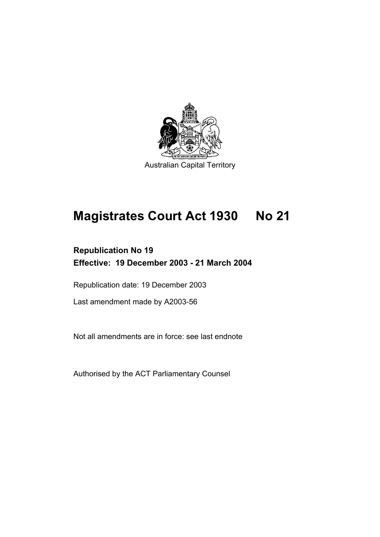

# **Magistrates Court Act 1930 No 21**

# **Republication No 19 Effective: 19 December 2003 - 21 March 2004**

Republication date: 19 December 2003

Last amendment made by A2003-56

Not all amendments are in force: see last endnote

Authorised by the ACT Parliamentary Counsel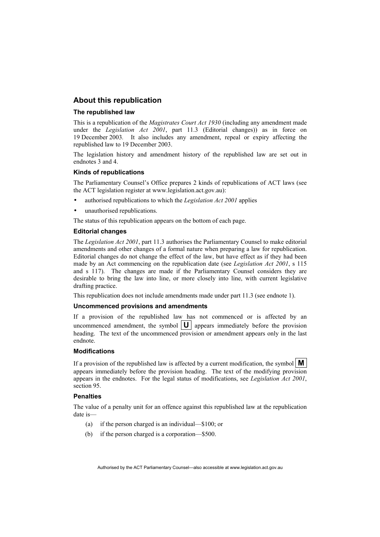#### **About this republication**

#### **The republished law**

This is a republication of the *Magistrates Court Act 1930* (including any amendment made under the *Legislation Act 2001*, part 11.3 (Editorial changes)) as in force on 19 December 2003*.* It also includes any amendment, repeal or expiry affecting the republished law to 19 December 2003.

The legislation history and amendment history of the republished law are set out in endnotes 3 and 4.

#### **Kinds of republications**

The Parliamentary Counsel's Office prepares 2 kinds of republications of ACT laws (see the ACT legislation register at www.legislation.act.gov.au):

- authorised republications to which the *Legislation Act 2001* applies
- unauthorised republications.

The status of this republication appears on the bottom of each page.

#### **Editorial changes**

The *Legislation Act 2001*, part 11.3 authorises the Parliamentary Counsel to make editorial amendments and other changes of a formal nature when preparing a law for republication. Editorial changes do not change the effect of the law, but have effect as if they had been made by an Act commencing on the republication date (see *Legislation Act 2001*, s 115 and s 117). The changes are made if the Parliamentary Counsel considers they are desirable to bring the law into line, or more closely into line, with current legislative drafting practice.

This republication does not include amendments made under part 11.3 (see endnote 1).

#### **Uncommenced provisions and amendments**

If a provision of the republished law has not commenced or is affected by an uncommenced amendment, the symbol  $|\mathbf{U}|$  appears immediately before the provision heading. The text of the uncommenced provision or amendment appears only in the last endnote.

#### **Modifications**

If a provision of the republished law is affected by a current modification, the symbol  $\mathbf{M}$ appears immediately before the provision heading. The text of the modifying provision appears in the endnotes. For the legal status of modifications, see *Legislation Act 2001*, section 95.

#### **Penalties**

The value of a penalty unit for an offence against this republished law at the republication date is—

- (a) if the person charged is an individual—\$100; or
- (b) if the person charged is a corporation—\$500.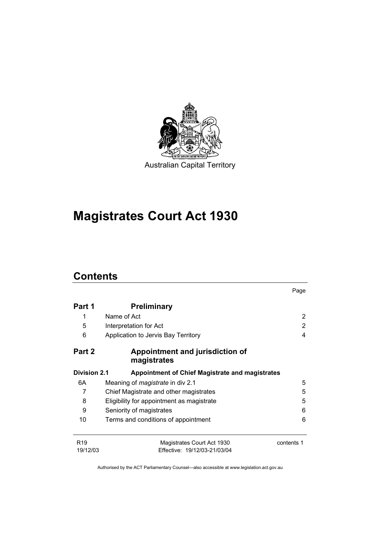

# **Magistrates Court Act 1930**

# **Contents**

|                             |                                                            | Page       |
|-----------------------------|------------------------------------------------------------|------------|
| Part 1                      | <b>Preliminary</b>                                         |            |
| 1                           | Name of Act                                                | 2          |
| 5                           | Interpretation for Act                                     | 2          |
| 6                           | Application to Jervis Bay Territory                        | 4          |
| Part 2                      | Appointment and jurisdiction of<br>magistrates             |            |
| Division 2.1                | <b>Appointment of Chief Magistrate and magistrates</b>     |            |
| 6A                          | Meaning of <i>magistrate</i> in div 2.1                    | 5          |
| 7                           | Chief Magistrate and other magistrates                     | 5          |
| 8                           | Eligibility for appointment as magistrate                  | 5          |
| 9                           | Seniority of magistrates                                   | 6          |
| 10                          | Terms and conditions of appointment                        | 6          |
| R <sub>19</sub><br>19/12/03 | Magistrates Court Act 1930<br>Effective: 19/12/03-21/03/04 | contents 1 |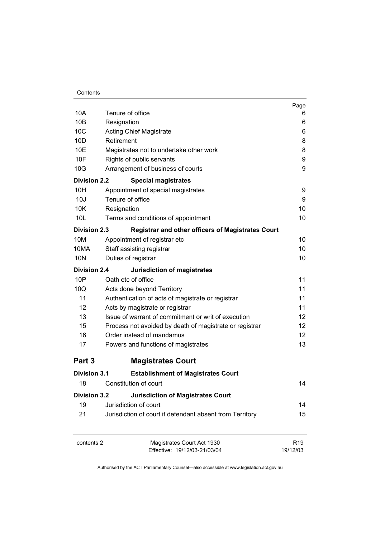|                     |                                                          | Page              |
|---------------------|----------------------------------------------------------|-------------------|
| 10A                 | Tenure of office                                         | 6                 |
| 10B                 | Resignation                                              | 6                 |
| 10C                 | <b>Acting Chief Magistrate</b>                           | 6                 |
| 10D                 | Retirement                                               | 8                 |
| 10E                 | Magistrates not to undertake other work                  | 8                 |
| 10F                 | Rights of public servants                                | 9                 |
| 10G                 | Arrangement of business of courts                        | 9                 |
| <b>Division 2.2</b> | <b>Special magistrates</b>                               |                   |
| 10H                 | Appointment of special magistrates                       | 9                 |
| 10J                 | Tenure of office                                         | 9                 |
| 10K                 | Resignation                                              | 10                |
| 10 <sub>L</sub>     | Terms and conditions of appointment                      | 10                |
| <b>Division 2.3</b> | <b>Registrar and other officers of Magistrates Court</b> |                   |
| 10M                 | Appointment of registrar etc                             | 10                |
| 10MA                | Staff assisting registrar                                | 10                |
| 10N                 | Duties of registrar                                      | 10                |
| <b>Division 2.4</b> | <b>Jurisdiction of magistrates</b>                       |                   |
| 10P                 | Oath etc of office                                       | 11                |
| 10Q                 | Acts done beyond Territory                               | 11                |
| 11                  | Authentication of acts of magistrate or registrar        | 11                |
| 12                  | Acts by magistrate or registrar                          | 11                |
| 13                  | Issue of warrant of commitment or writ of execution      | 12                |
| 15                  | Process not avoided by death of magistrate or registrar  | 12                |
| 16                  | Order instead of mandamus                                | $12 \overline{ }$ |
| 17                  | Powers and functions of magistrates                      | 13                |
| Part 3              | <b>Magistrates Court</b>                                 |                   |
| Division 3.1        | <b>Establishment of Magistrates Court</b>                |                   |
| 18                  | Constitution of court                                    | 14                |
| <b>Division 3.2</b> | <b>Jurisdiction of Magistrates Court</b>                 |                   |
| 19                  | Jurisdiction of court                                    | 14                |
| 21                  | Jurisdiction of court if defendant absent from Territory | 15                |
| contents 2          | Magistrates Court Act 1930                               | R <sub>19</sub>   |
|                     | Effective: 19/12/03-21/03/04                             | 19/12/03          |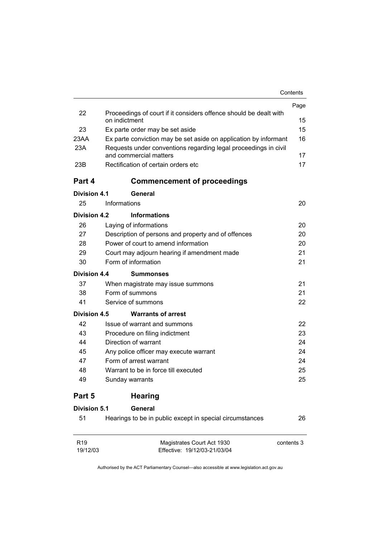|                             |                                                                                           | Contents   |
|-----------------------------|-------------------------------------------------------------------------------------------|------------|
|                             |                                                                                           | Page       |
| 22                          | Proceedings of court if it considers offence should be dealt with<br>on indictment        | 15         |
| 23                          | Ex parte order may be set aside                                                           | 15         |
| 23AA                        | Ex parte conviction may be set aside on application by informant                          | 16         |
| 23A                         | Requests under conventions regarding legal proceedings in civil<br>and commercial matters | 17         |
| 23B                         | Rectification of certain orders etc                                                       | 17         |
| Part 4                      | <b>Commencement of proceedings</b>                                                        |            |
| <b>Division 4.1</b>         | General                                                                                   |            |
| 25                          | Informations                                                                              | 20         |
| <b>Division 4.2</b>         | <b>Informations</b>                                                                       |            |
| 26                          | Laying of informations                                                                    | 20         |
| 27                          | Description of persons and property and of offences                                       | 20         |
| 28                          | Power of court to amend information                                                       | 20         |
| 29                          | Court may adjourn hearing if amendment made                                               | 21         |
| 30                          | Form of information                                                                       | 21         |
| Division 4.4                | <b>Summonses</b>                                                                          |            |
| 37                          | When magistrate may issue summons                                                         | 21         |
| 38                          | Form of summons                                                                           | 21         |
| 41                          | Service of summons                                                                        | 22         |
| <b>Division 4.5</b>         | <b>Warrants of arrest</b>                                                                 |            |
| 42                          | Issue of warrant and summons                                                              | 22         |
| 43                          | Procedure on filing indictment                                                            | 23         |
| 44                          | Direction of warrant                                                                      | 24         |
| 45                          | Any police officer may execute warrant                                                    | 24         |
| 47                          | Form of arrest warrant                                                                    | 24         |
| 48                          | Warrant to be in force till executed                                                      | 25         |
| 49                          | Sunday warrants                                                                           | 25         |
| Part 5                      | <b>Hearing</b>                                                                            |            |
| <b>Division 5.1</b>         | General                                                                                   |            |
| 51                          | Hearings to be in public except in special circumstances                                  | 26         |
| R <sub>19</sub><br>19/12/03 | Magistrates Court Act 1930<br>Effective: 19/12/03-21/03/04                                | contents 3 |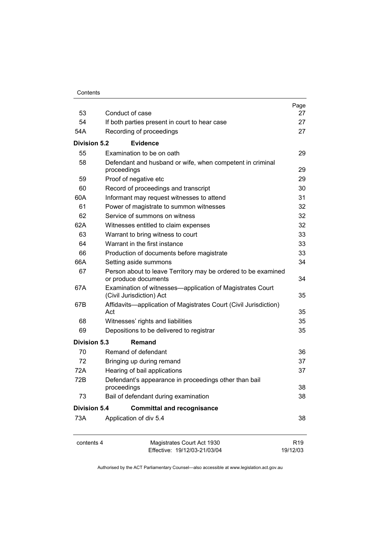| Contents |
|----------|
|----------|

|                     |                                                                                       | Page                        |
|---------------------|---------------------------------------------------------------------------------------|-----------------------------|
| 53                  | Conduct of case                                                                       | 27                          |
| 54                  | If both parties present in court to hear case                                         | 27                          |
| 54A                 | Recording of proceedings                                                              | 27                          |
| Division 5.2        | <b>Evidence</b>                                                                       |                             |
| 55                  | Examination to be on oath                                                             | 29                          |
| 58                  | Defendant and husband or wife, when competent in criminal<br>proceedings              | 29                          |
| 59                  | Proof of negative etc                                                                 | 29                          |
| 60                  | Record of proceedings and transcript                                                  | 30                          |
| 60A                 | Informant may request witnesses to attend                                             | 31                          |
| 61                  | Power of magistrate to summon witnesses                                               | 32                          |
| 62                  | Service of summons on witness                                                         | 32                          |
| 62A                 | Witnesses entitled to claim expenses                                                  | 32                          |
| 63                  | Warrant to bring witness to court                                                     | 33                          |
| 64                  | Warrant in the first instance                                                         | 33                          |
| 66                  | Production of documents before magistrate                                             | 33                          |
| 66A                 | Setting aside summons                                                                 | 34                          |
| 67                  | Person about to leave Territory may be ordered to be examined<br>or produce documents | 34                          |
| 67A                 | Examination of witnesses—application of Magistrates Court<br>(Civil Jurisdiction) Act | 35                          |
| 67B                 | Affidavits-application of Magistrates Court (Civil Jurisdiction)<br>Act               | 35                          |
| 68                  | Witnesses' rights and liabilities                                                     | 35                          |
| 69                  | Depositions to be delivered to registrar                                              | 35                          |
| Division 5.3        | Remand                                                                                |                             |
| 70                  | Remand of defendant                                                                   | 36                          |
| 72                  | Bringing up during remand                                                             | 37                          |
| 72A                 | Hearing of bail applications                                                          | 37                          |
| 72B                 | Defendant's appearance in proceedings other than bail<br>proceedings                  | 38                          |
| 73                  | Bail of defendant during examination                                                  | 38                          |
| <b>Division 5.4</b> | <b>Committal and recognisance</b>                                                     |                             |
| 73A                 | Application of div 5.4                                                                | 38                          |
|                     |                                                                                       |                             |
| contents 4          | Magistrates Court Act 1930<br>Effective: 19/12/03-21/03/04                            | R <sub>19</sub><br>19/12/03 |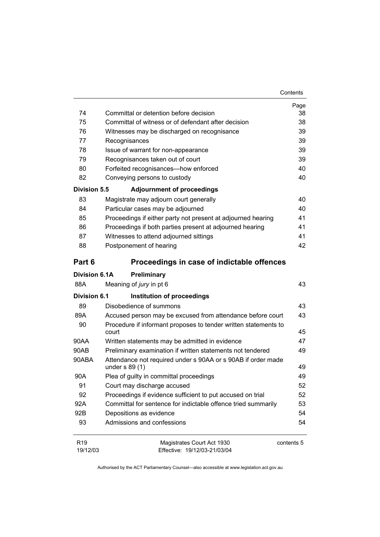| Contents |
|----------|
|----------|

|                             |                                                                 | Page       |
|-----------------------------|-----------------------------------------------------------------|------------|
| 74                          | Committal or detention before decision                          | 38         |
| 75                          | Committal of witness or of defendant after decision             | 38         |
| 76                          | Witnesses may be discharged on recognisance                     | 39         |
| 77                          | Recognisances                                                   | 39         |
| 78                          | Issue of warrant for non-appearance                             | 39         |
| 79                          | Recognisances taken out of court                                | 39         |
| 80                          | Forfeited recognisances-how enforced                            | 40         |
| 82                          | Conveying persons to custody                                    | 40         |
| <b>Division 5.5</b>         | <b>Adjournment of proceedings</b>                               |            |
| 83                          | Magistrate may adjourn court generally                          | 40         |
| 84                          | Particular cases may be adjourned                               | 40         |
| 85                          | Proceedings if either party not present at adjourned hearing    | 41         |
| 86                          | Proceedings if both parties present at adjourned hearing        | 41         |
| 87                          | Witnesses to attend adjourned sittings                          | 41         |
| 88                          | Postponement of hearing                                         | 42         |
| Part 6                      | Proceedings in case of indictable offences                      |            |
| <b>Division 6.1A</b>        | Preliminary                                                     |            |
| 88A                         | Meaning of jury in pt 6                                         | 43         |
| <b>Division 6.1</b>         | Institution of proceedings                                      |            |
| 89                          | Disobedience of summons                                         | 43         |
| 89A                         | Accused person may be excused from attendance before court      | 43         |
| 90                          | Procedure if informant proposes to tender written statements to |            |
|                             | court                                                           | 45         |
| 90AA                        | Written statements may be admitted in evidence                  | 47         |
| 90AB                        | Preliminary examination if written statements not tendered      | 49         |
| 90ABA                       | Attendance not required under s 90AA or s 90AB if order made    |            |
|                             | under $s$ 89 $(1)$                                              | 49         |
| 90A                         | Plea of guilty in committal proceedings                         | 49         |
| 91                          | Court may discharge accused                                     | 52         |
| 92                          | Proceedings if evidence sufficient to put accused on trial      | 52         |
| 92A                         | Committal for sentence for indictable offence tried summarily   | 53         |
| 92B                         | Depositions as evidence                                         | 54         |
| 93                          | Admissions and confessions                                      | 54         |
| R <sub>19</sub><br>19/12/03 | Magistrates Court Act 1930<br>Effective: 19/12/03-21/03/04      | contents 5 |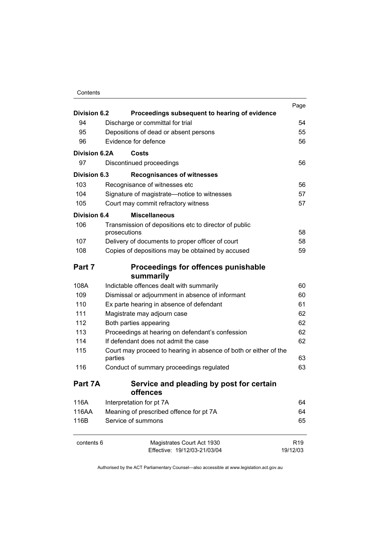#### Contents

| <b>Division 6.2</b> | Proceedings subsequent to hearing of evidence                         | Page            |
|---------------------|-----------------------------------------------------------------------|-----------------|
| 94                  | Discharge or committal for trial                                      | 54              |
| 95                  | Depositions of dead or absent persons                                 | 55              |
| 96                  | Evidence for defence                                                  | 56              |
| Division 6.2A       | Costs                                                                 |                 |
| 97                  | Discontinued proceedings                                              | 56              |
| Division 6.3        |                                                                       |                 |
| 103                 | <b>Recognisances of witnesses</b>                                     | 56              |
| 104                 | Recognisance of witnesses etc                                         | 57              |
|                     | Signature of magistrate-notice to witnesses                           |                 |
| 105                 | Court may commit refractory witness                                   | 57              |
| Division 6.4        | <b>Miscellaneous</b>                                                  |                 |
| 106                 | Transmission of depositions etc to director of public<br>prosecutions | 58              |
| 107                 | Delivery of documents to proper officer of court                      | 58              |
| 108                 | Copies of depositions may be obtained by accused                      | 59              |
|                     |                                                                       |                 |
| Part 7              | <b>Proceedings for offences punishable</b>                            |                 |
|                     | summarily                                                             |                 |
| 108A                | Indictable offences dealt with summarily                              | 60              |
| 109                 | Dismissal or adjournment in absence of informant                      | 60              |
| 110                 | Ex parte hearing in absence of defendant                              | 61              |
| 111                 | Magistrate may adjourn case                                           | 62              |
| 112                 | Both parties appearing                                                | 62              |
| 113                 | Proceedings at hearing on defendant's confession                      | 62              |
| 114                 | If defendant does not admit the case                                  | 62              |
| 115                 | Court may proceed to hearing in absence of both or either of the      |                 |
|                     | parties                                                               | 63              |
| 116                 | Conduct of summary proceedings regulated                              | 63              |
| Part 7A             | Service and pleading by post for certain                              |                 |
|                     | offences                                                              |                 |
| 116A                | Interpretation for pt 7A                                              | 64              |
| 116AA               | Meaning of prescribed offence for pt 7A                               | 64              |
| 116B                | Service of summons                                                    | 65              |
| contents 6          | Magistrates Court Act 1930                                            | R <sub>19</sub> |
|                     | Effective: 19/12/03-21/03/04                                          | 19/12/03        |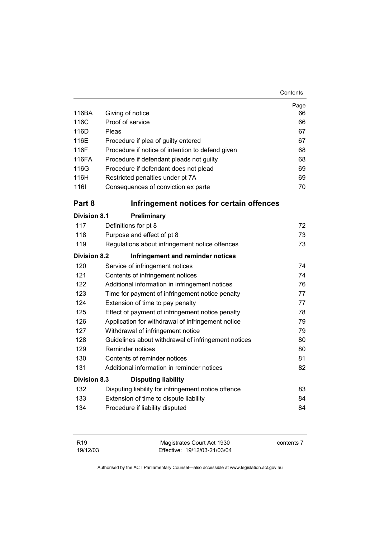| Contents |
|----------|
|----------|

|                     |                                                        | Page     |  |
|---------------------|--------------------------------------------------------|----------|--|
| 116BA<br>116C       | Giving of notice                                       | 66<br>66 |  |
| 116D                | Proof of service<br>Pleas                              |          |  |
|                     |                                                        | 67       |  |
| 116E<br>116F        | Procedure if plea of guilty entered                    | 67       |  |
|                     | Procedure if notice of intention to defend given       | 68       |  |
| 116FA               | Procedure if defendant pleads not guilty               | 68       |  |
| 116G                | Procedure if defendant does not plead                  | 69       |  |
| 116H                | Restricted penalties under pt 7A                       | 69       |  |
| 1161                | Consequences of conviction ex parte                    | 70       |  |
| Part 8              | Infringement notices for certain offences              |          |  |
| <b>Division 8.1</b> | Preliminary                                            |          |  |
| 117                 | Definitions for pt 8                                   | 72       |  |
| 118                 | Purpose and effect of pt 8                             | 73       |  |
| 119                 | Regulations about infringement notice offences         | 73       |  |
| <b>Division 8.2</b> | Infringement and reminder notices                      |          |  |
| 120                 | Service of infringement notices                        | 74       |  |
| 121                 | Contents of infringement notices                       | 74       |  |
| 122                 | Additional information in infringement notices<br>76   |          |  |
| 123                 | Time for payment of infringement notice penalty<br>77  |          |  |
| 124                 | Extension of time to pay penalty<br>77                 |          |  |
| 125                 | 78<br>Effect of payment of infringement notice penalty |          |  |
| 126                 | Application for withdrawal of infringement notice      | 79       |  |
| 127                 | Withdrawal of infringement notice                      | 79       |  |
| 128                 | Guidelines about withdrawal of infringement notices    | 80       |  |
| 129                 | Reminder notices                                       | 80       |  |
| 130                 | Contents of reminder notices                           | 81       |  |
| 131                 | Additional information in reminder notices             | 82       |  |
| <b>Division 8.3</b> | <b>Disputing liability</b>                             |          |  |
| 132                 | Disputing liability for infringement notice offence    | 83       |  |
| 133                 | Extension of time to dispute liability                 | 84       |  |
| 134                 | Procedure if liability disputed                        | 84       |  |
|                     |                                                        |          |  |

| R19      | Magistrates Court Act 1930   | contents 7 |
|----------|------------------------------|------------|
| 19/12/03 | Effective: 19/12/03-21/03/04 |            |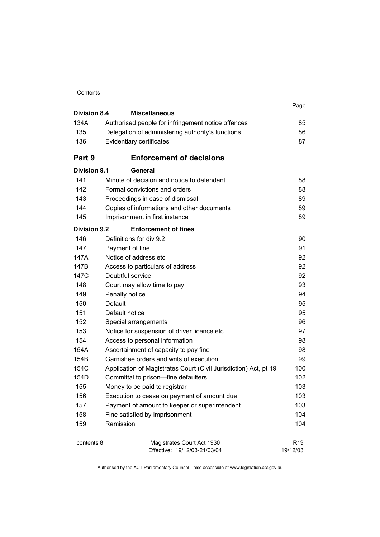| Contents |
|----------|
|----------|

| <b>Division 8.4</b><br><b>Miscellaneous</b> |                                                                  | Page                        |
|---------------------------------------------|------------------------------------------------------------------|-----------------------------|
| 134A                                        | Authorised people for infringement notice offences               | 85                          |
| 135                                         | Delegation of administering authority's functions                | 86                          |
| 136                                         | Evidentiary certificates                                         | 87                          |
|                                             |                                                                  |                             |
| Part 9                                      | <b>Enforcement of decisions</b>                                  |                             |
| <b>Division 9.1</b>                         | General                                                          |                             |
| 141                                         | Minute of decision and notice to defendant                       | 88                          |
| 142                                         | Formal convictions and orders                                    | 88                          |
| 143                                         | Proceedings in case of dismissal                                 | 89                          |
| 144                                         | Copies of informations and other documents                       | 89                          |
| 145                                         | Imprisonment in first instance                                   | 89                          |
| <b>Division 9.2</b>                         | <b>Enforcement of fines</b>                                      |                             |
| 146                                         | Definitions for div 9.2                                          | 90                          |
| 147                                         | Payment of fine                                                  | 91                          |
| 147A                                        | Notice of address etc                                            | 92                          |
| 147B                                        | Access to particulars of address                                 | 92                          |
| 147C                                        | Doubtful service                                                 | 92                          |
| 148                                         | Court may allow time to pay                                      | 93                          |
| 149                                         | Penalty notice                                                   | 94                          |
| 150                                         | Default                                                          | 95                          |
| 151                                         | Default notice                                                   | 95                          |
| 152                                         | Special arrangements                                             | 96                          |
| 153                                         | Notice for suspension of driver licence etc                      | 97                          |
| 154                                         | Access to personal information                                   | 98                          |
| 154A                                        | Ascertainment of capacity to pay fine                            | 98                          |
| 154B                                        | Garnishee orders and writs of execution                          | 99                          |
| 154C                                        | Application of Magistrates Court (Civil Jurisdiction) Act, pt 19 | 100                         |
| 154D                                        | Committal to prison-fine defaulters                              | 102                         |
| 155                                         | Money to be paid to registrar                                    | 103                         |
| 156                                         | Execution to cease on payment of amount due                      | 103                         |
| 157                                         | Payment of amount to keeper or superintendent                    | 103                         |
| 158                                         | Fine satisfied by imprisonment                                   | 104                         |
| 159                                         | Remission                                                        | 104                         |
| contents 8                                  | Magistrates Court Act 1930<br>Effective: 19/12/03-21/03/04       | R <sub>19</sub><br>19/12/03 |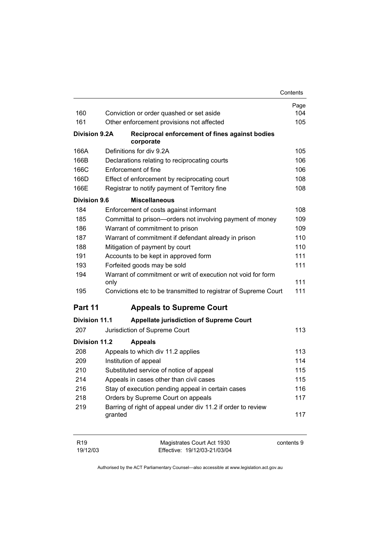|                      |                                                                         | Contents   |
|----------------------|-------------------------------------------------------------------------|------------|
|                      |                                                                         | Page       |
| 160                  | Conviction or order quashed or set aside                                | 104        |
| 161                  | Other enforcement provisions not affected                               | 105        |
| <b>Division 9.2A</b> | Reciprocal enforcement of fines against bodies<br>corporate             |            |
| 166A                 | Definitions for div 9.2A                                                | 105        |
| 166B                 | Declarations relating to reciprocating courts                           | 106        |
| 166C                 | Enforcement of fine                                                     | 106        |
| 166D                 | Effect of enforcement by reciprocating court                            | 108        |
| 166E                 | Registrar to notify payment of Territory fine                           | 108        |
| <b>Division 9.6</b>  | <b>Miscellaneous</b>                                                    |            |
| 184                  | Enforcement of costs against informant                                  | 108        |
| 185                  | Committal to prison-orders not involving payment of money               | 109        |
| 186                  | Warrant of commitment to prison                                         | 109        |
| 187                  | Warrant of commitment if defendant already in prison                    | 110        |
| 188                  | Mitigation of payment by court                                          | 110        |
| 191                  | Accounts to be kept in approved form                                    | 111        |
| 193                  | Forfeited goods may be sold                                             | 111        |
| 194                  | Warrant of commitment or writ of execution not void for form<br>only    | 111        |
| 195                  | Convictions etc to be transmitted to registrar of Supreme Court         | 111        |
| Part 11              | <b>Appeals to Supreme Court</b>                                         |            |
| <b>Division 11.1</b> | <b>Appellate jurisdiction of Supreme Court</b>                          |            |
| 207                  | Jurisdiction of Supreme Court                                           | 113        |
| <b>Division 11.2</b> | <b>Appeals</b>                                                          |            |
| 208                  | Appeals to which div 11.2 applies                                       | 113        |
| 209                  | Institution of appeal                                                   | 114        |
| 210                  | Substituted service of notice of appeal                                 | 115        |
| 214                  | Appeals in cases other than civil cases                                 | 115        |
| 216                  | Stay of execution pending appeal in certain cases                       | 116        |
| 218                  | Orders by Supreme Court on appeals                                      | 117        |
| 219                  | Barring of right of appeal under div 11.2 if order to review<br>granted | 117        |
| R <sub>19</sub>      | Magistrates Court Act 1930                                              | contents 9 |

Effective: 19/12/03-21/03/04

19/12/03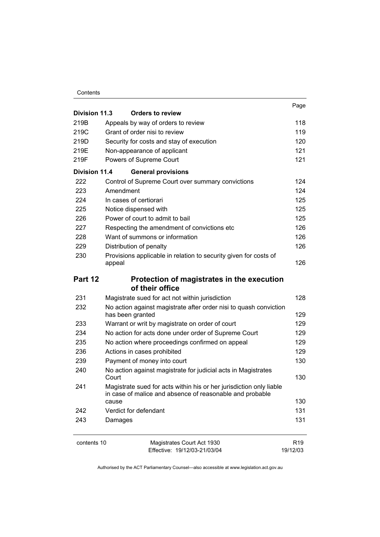#### Contents

|                      |                                                                                                                                 | Page            |
|----------------------|---------------------------------------------------------------------------------------------------------------------------------|-----------------|
| <b>Division 11.3</b> | <b>Orders to review</b>                                                                                                         |                 |
| 219B                 | Appeals by way of orders to review                                                                                              | 118             |
| 219C                 | Grant of order nisi to review                                                                                                   | 119             |
| 219D                 | Security for costs and stay of execution                                                                                        | 120             |
| 219E                 | Non-appearance of applicant                                                                                                     | 121             |
| 219F                 | Powers of Supreme Court                                                                                                         | 121             |
| Division 11.4        | <b>General provisions</b>                                                                                                       |                 |
| 222                  | Control of Supreme Court over summary convictions                                                                               | 124             |
| 223                  | Amendment                                                                                                                       | 124             |
| 224                  | In cases of certiorari                                                                                                          | 125             |
| 225                  | Notice dispensed with                                                                                                           | 125             |
| 226                  | Power of court to admit to bail                                                                                                 | 125             |
| 227                  | Respecting the amendment of convictions etc                                                                                     | 126             |
| 228                  | Want of summons or information                                                                                                  | 126             |
| 229                  | Distribution of penalty                                                                                                         | 126             |
| 230                  | Provisions applicable in relation to security given for costs of                                                                |                 |
|                      | appeal                                                                                                                          | 126             |
| Part 12              | Protection of magistrates in the execution                                                                                      |                 |
|                      | of their office                                                                                                                 |                 |
| 231                  | Magistrate sued for act not within jurisdiction                                                                                 | 128             |
| 232                  | No action against magistrate after order nisi to quash conviction                                                               |                 |
|                      | has been granted                                                                                                                | 129             |
| 233                  | Warrant or writ by magistrate on order of court                                                                                 | 129             |
| 234                  | No action for acts done under order of Supreme Court                                                                            | 129             |
| 235                  | No action where proceedings confirmed on appeal                                                                                 | 129             |
| 236                  | Actions in cases prohibited                                                                                                     | 129             |
| 239                  | Payment of money into court                                                                                                     | 130             |
| 240                  | No action against magistrate for judicial acts in Magistrates<br>Court                                                          | 130             |
| 241                  | Magistrate sued for acts within his or her jurisdiction only liable<br>in case of malice and absence of reasonable and probable |                 |
|                      | cause                                                                                                                           | 130             |
| 242                  | Verdict for defendant                                                                                                           | 131             |
| 243                  | Damages                                                                                                                         | 131             |
| contents 10          | Magistrates Court Act 1930                                                                                                      | R <sub>19</sub> |
|                      | Effective: 19/12/03-21/03/04                                                                                                    | 19/12/03        |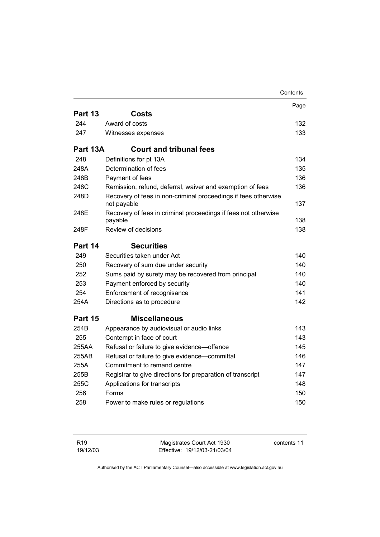|          |                                                                               | Contents |
|----------|-------------------------------------------------------------------------------|----------|
|          |                                                                               | Page     |
| Part 13  | <b>Costs</b>                                                                  |          |
| 244      | Award of costs                                                                | 132      |
| 247      | Witnesses expenses                                                            | 133      |
| Part 13A | <b>Court and tribunal fees</b>                                                |          |
| 248      | Definitions for pt 13A                                                        | 134      |
| 248A     | Determination of fees                                                         | 135      |
| 248B     | Payment of fees                                                               | 136      |
| 248C     | Remission, refund, deferral, waiver and exemption of fees                     | 136      |
| 248D     | Recovery of fees in non-criminal proceedings if fees otherwise<br>not payable | 137      |
| 248E     | Recovery of fees in criminal proceedings if fees not otherwise                | 138      |
| 248F     | payable<br>Review of decisions                                                | 138      |
|          |                                                                               |          |
| Part 14  | <b>Securities</b>                                                             |          |
| 249      | Securities taken under Act                                                    | 140      |
| 250      | Recovery of sum due under security                                            | 140      |
| 252      | Sums paid by surety may be recovered from principal                           | 140      |
| 253      | Payment enforced by security                                                  | 140      |
| 254      | Enforcement of recognisance                                                   | 141      |
| 254A     | Directions as to procedure                                                    | 142      |
| Part 15  | <b>Miscellaneous</b>                                                          |          |
| 254B     | Appearance by audiovisual or audio links                                      | 143      |
| 255      | Contempt in face of court                                                     | 143      |
| 255AA    | Refusal or failure to give evidence-offence                                   | 145      |
| 255AB    | Refusal or failure to give evidence-committal                                 | 146      |
| 255A     | Commitment to remand centre                                                   | 147      |
| 255B     | Registrar to give directions for preparation of transcript                    | 147      |
| 255C     | Applications for transcripts                                                  | 148      |
| 256      | Forms                                                                         | 150      |
| 258      | Power to make rules or regulations                                            | 150      |
|          |                                                                               |          |

| R <sub>19</sub> | Magistrates Court Act 1930   | contents 11 |
|-----------------|------------------------------|-------------|
| 19/12/03        | Effective: 19/12/03-21/03/04 |             |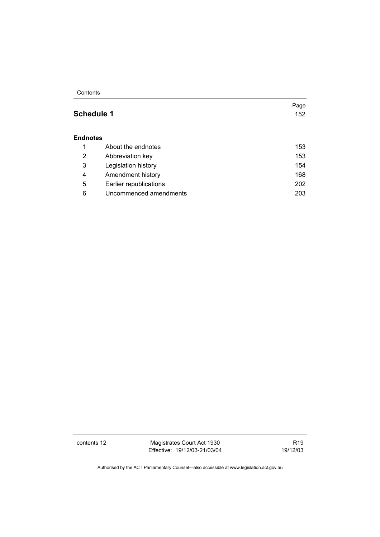**Contents** 

## **Schedule 1 152**

Page

#### **Endnotes**

|   | About the endnotes     | 153 |
|---|------------------------|-----|
| 2 | Abbreviation key       | 153 |
| 3 | Legislation history    | 154 |
| 4 | Amendment history      | 168 |
| 5 | Earlier republications | 202 |
| 6 | Uncommenced amendments | 203 |

contents 12 Magistrates Court Act 1930 Effective: 19/12/03-21/03/04

R19 19/12/03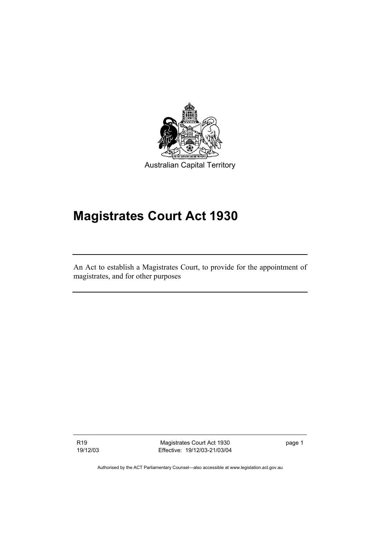

# **Magistrates Court Act 1930**

An Act to establish a Magistrates Court, to provide for the appointment of magistrates, and for other purposes

R19 19/12/03

Magistrates Court Act 1930 Effective: 19/12/03-21/03/04 page 1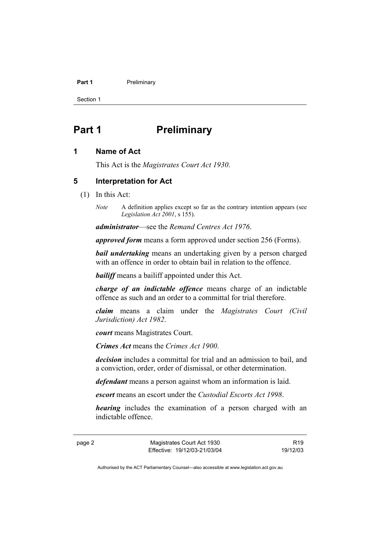#### **Part 1** Preliminary

Section 1

# **Part 1** Preliminary

#### **1 Name of Act**

This Act is the *Magistrates Court Act 1930*.

#### **5 Interpretation for Act**

- (1) In this Act:
	- *Note* A definition applies except so far as the contrary intention appears (see *Legislation Act 2001*, s 155).

*administrator*—see the *Remand Centres Act 1976*.

*approved form* means a form approved under section 256 (Forms).

*bail undertaking* means an undertaking given by a person charged with an offence in order to obtain bail in relation to the offence.

*bailiff* means a bailiff appointed under this Act.

*charge of an indictable offence* means charge of an indictable offence as such and an order to a committal for trial therefore.

*claim* means a claim under the *Magistrates Court (Civil Jurisdiction) Act 1982*.

*court* means Magistrates Court.

*Crimes Act* means the *Crimes Act 1900*.

*decision* includes a committal for trial and an admission to bail, and a conviction, order, order of dismissal, or other determination.

*defendant* means a person against whom an information is laid.

*escort* means an escort under the *Custodial Escorts Act 1998*.

*hearing* includes the examination of a person charged with an indictable offence.

page 2 Magistrates Court Act 1930 Effective: 19/12/03-21/03/04

R19 19/12/03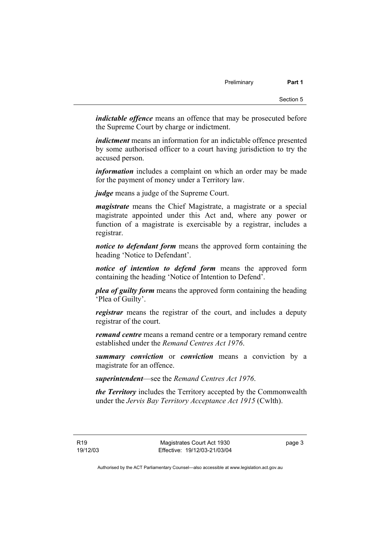*indictable offence* means an offence that may be prosecuted before the Supreme Court by charge or indictment.

*indictment* means an information for an indictable offence presented by some authorised officer to a court having jurisdiction to try the accused person.

*information* includes a complaint on which an order may be made for the payment of money under a Territory law.

*judge* means a judge of the Supreme Court.

*magistrate* means the Chief Magistrate, a magistrate or a special magistrate appointed under this Act and, where any power or function of a magistrate is exercisable by a registrar, includes a registrar.

*notice to defendant form* means the approved form containing the heading 'Notice to Defendant'.

*notice of intention to defend form* means the approved form containing the heading 'Notice of Intention to Defend'.

*plea of guilty form* means the approved form containing the heading 'Plea of Guilty'.

*registrar* means the registrar of the court, and includes a deputy registrar of the court.

*remand centre* means a remand centre or a temporary remand centre established under the *Remand Centres Act 1976*.

*summary conviction* or *conviction* means a conviction by a magistrate for an offence.

*superintendent*—see the *Remand Centres Act 1976*.

*the Territory* includes the Territory accepted by the Commonwealth under the *Jervis Bay Territory Acceptance Act 1915* (Cwlth).

page 3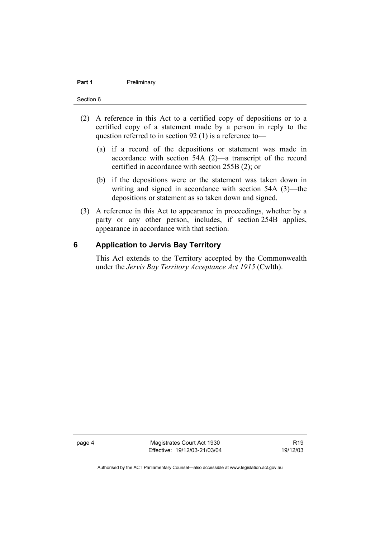#### **Part 1** Preliminary

#### Section 6

- (2) A reference in this Act to a certified copy of depositions or to a certified copy of a statement made by a person in reply to the question referred to in section 92 (1) is a reference to—
	- (a) if a record of the depositions or statement was made in accordance with section 54A (2)—a transcript of the record certified in accordance with section 255B (2); or
	- (b) if the depositions were or the statement was taken down in writing and signed in accordance with section 54A (3)—the depositions or statement as so taken down and signed.
- (3) A reference in this Act to appearance in proceedings, whether by a party or any other person, includes, if section 254B applies, appearance in accordance with that section.

#### **6 Application to Jervis Bay Territory**

This Act extends to the Territory accepted by the Commonwealth under the *Jervis Bay Territory Acceptance Act 1915* (Cwlth).

page 4 Magistrates Court Act 1930 Effective: 19/12/03-21/03/04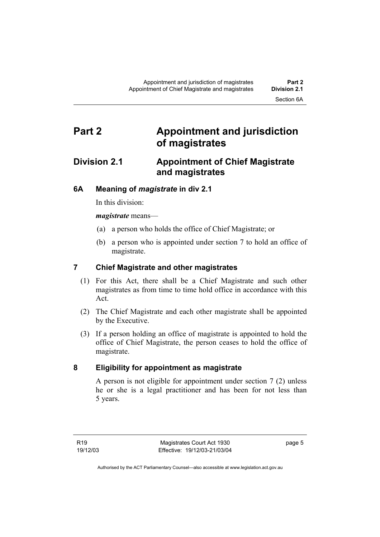# **Part 2 Appointment and jurisdiction of magistrates**

## **Division 2.1 Appointment of Chief Magistrate and magistrates**

### **6A Meaning of** *magistrate* **in div 2.1**

In this division:

*magistrate* means—

- (a) a person who holds the office of Chief Magistrate; or
- (b) a person who is appointed under section 7 to hold an office of magistrate.

### **7 Chief Magistrate and other magistrates**

- (1) For this Act, there shall be a Chief Magistrate and such other magistrates as from time to time hold office in accordance with this Act.
- (2) The Chief Magistrate and each other magistrate shall be appointed by the Executive.
- (3) If a person holding an office of magistrate is appointed to hold the office of Chief Magistrate, the person ceases to hold the office of magistrate.

## **8 Eligibility for appointment as magistrate**

A person is not eligible for appointment under section 7 (2) unless he or she is a legal practitioner and has been for not less than 5 years.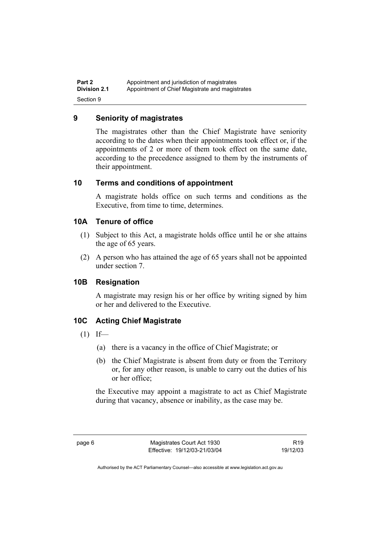#### **9 Seniority of magistrates**

The magistrates other than the Chief Magistrate have seniority according to the dates when their appointments took effect or, if the appointments of 2 or more of them took effect on the same date, according to the precedence assigned to them by the instruments of their appointment.

#### **10 Terms and conditions of appointment**

A magistrate holds office on such terms and conditions as the Executive, from time to time, determines.

#### **10A Tenure of office**

- (1) Subject to this Act, a magistrate holds office until he or she attains the age of 65 years.
- (2) A person who has attained the age of 65 years shall not be appointed under section 7.

#### **10B Resignation**

A magistrate may resign his or her office by writing signed by him or her and delivered to the Executive.

#### **10C Acting Chief Magistrate**

- $(1)$  If—
	- (a) there is a vacancy in the office of Chief Magistrate; or
	- (b) the Chief Magistrate is absent from duty or from the Territory or, for any other reason, is unable to carry out the duties of his or her office;

the Executive may appoint a magistrate to act as Chief Magistrate during that vacancy, absence or inability, as the case may be.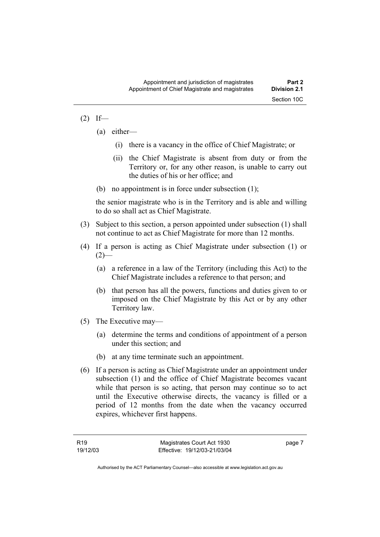#### $(2)$  If—

- (a) either—
	- (i) there is a vacancy in the office of Chief Magistrate; or
	- (ii) the Chief Magistrate is absent from duty or from the Territory or, for any other reason, is unable to carry out the duties of his or her office; and
- (b) no appointment is in force under subsection (1);

the senior magistrate who is in the Territory and is able and willing to do so shall act as Chief Magistrate.

- (3) Subject to this section, a person appointed under subsection (1) shall not continue to act as Chief Magistrate for more than 12 months.
- (4) If a person is acting as Chief Magistrate under subsection (1) or  $(2)$ —
	- (a) a reference in a law of the Territory (including this Act) to the Chief Magistrate includes a reference to that person; and
	- (b) that person has all the powers, functions and duties given to or imposed on the Chief Magistrate by this Act or by any other Territory law.
- (5) The Executive may—
	- (a) determine the terms and conditions of appointment of a person under this section; and
	- (b) at any time terminate such an appointment.
- (6) If a person is acting as Chief Magistrate under an appointment under subsection (1) and the office of Chief Magistrate becomes vacant while that person is so acting, that person may continue so to act until the Executive otherwise directs, the vacancy is filled or a period of 12 months from the date when the vacancy occurred expires, whichever first happens.

page 7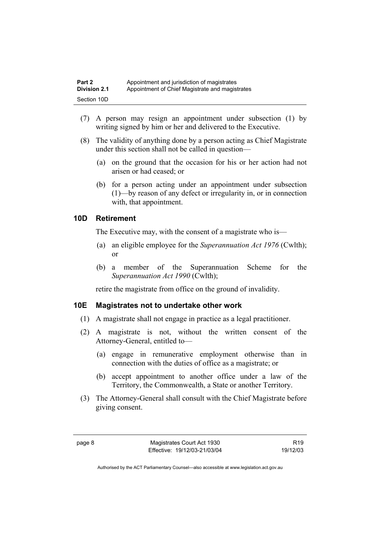- (7) A person may resign an appointment under subsection (1) by writing signed by him or her and delivered to the Executive.
- (8) The validity of anything done by a person acting as Chief Magistrate under this section shall not be called in question—
	- (a) on the ground that the occasion for his or her action had not arisen or had ceased; or
	- (b) for a person acting under an appointment under subsection (1)—by reason of any defect or irregularity in, or in connection with, that appointment.

#### **10D Retirement**

The Executive may, with the consent of a magistrate who is—

- (a) an eligible employee for the *Superannuation Act 1976* (Cwlth); or
- (b) a member of the Superannuation Scheme for the *Superannuation Act 1990* (Cwlth);

retire the magistrate from office on the ground of invalidity.

#### **10E Magistrates not to undertake other work**

- (1) A magistrate shall not engage in practice as a legal practitioner.
- (2) A magistrate is not, without the written consent of the Attorney-General, entitled to—
	- (a) engage in remunerative employment otherwise than in connection with the duties of office as a magistrate; or
	- (b) accept appointment to another office under a law of the Territory, the Commonwealth, a State or another Territory.
- (3) The Attorney-General shall consult with the Chief Magistrate before giving consent.

R19 19/12/03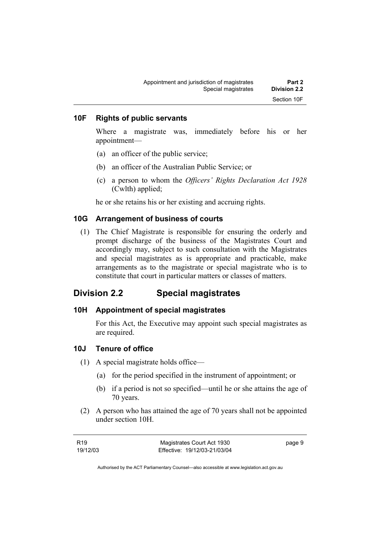#### **10F Rights of public servants**

Where a magistrate was, immediately before his or her appointment—

- (a) an officer of the public service;
- (b) an officer of the Australian Public Service; or
- (c) a person to whom the *Officers' Rights Declaration Act 1928* (Cwlth) applied;

he or she retains his or her existing and accruing rights.

#### **10G Arrangement of business of courts**

 (1) The Chief Magistrate is responsible for ensuring the orderly and prompt discharge of the business of the Magistrates Court and accordingly may, subject to such consultation with the Magistrates and special magistrates as is appropriate and practicable, make arrangements as to the magistrate or special magistrate who is to constitute that court in particular matters or classes of matters.

#### **Division 2.2 Special magistrates**

#### **10H Appointment of special magistrates**

For this Act, the Executive may appoint such special magistrates as are required.

#### **10J Tenure of office**

- (1) A special magistrate holds office—
	- (a) for the period specified in the instrument of appointment; or
	- (b) if a period is not so specified—until he or she attains the age of 70 years.
- (2) A person who has attained the age of 70 years shall not be appointed under section 10H.

| R <sub>19</sub> | Magistrates Court Act 1930   | page 9 |
|-----------------|------------------------------|--------|
| 19/12/03        | Effective: 19/12/03-21/03/04 |        |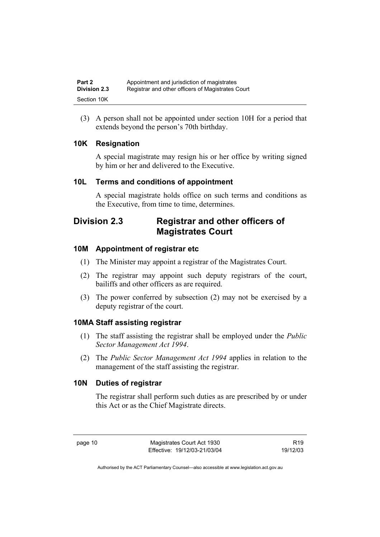(3) A person shall not be appointed under section 10H for a period that extends beyond the person's 70th birthday.

#### **10K Resignation**

A special magistrate may resign his or her office by writing signed by him or her and delivered to the Executive.

#### **10L Terms and conditions of appointment**

A special magistrate holds office on such terms and conditions as the Executive, from time to time, determines.

## **Division 2.3 Registrar and other officers of Magistrates Court**

#### **10M Appointment of registrar etc**

- (1) The Minister may appoint a registrar of the Magistrates Court.
- (2) The registrar may appoint such deputy registrars of the court, bailiffs and other officers as are required.
- (3) The power conferred by subsection (2) may not be exercised by a deputy registrar of the court.

#### **10MA Staff assisting registrar**

- (1) The staff assisting the registrar shall be employed under the *Public Sector Management Act 1994*.
- (2) The *Public Sector Management Act 1994* applies in relation to the management of the staff assisting the registrar.

#### **10N Duties of registrar**

The registrar shall perform such duties as are prescribed by or under this Act or as the Chief Magistrate directs.

page 10 Magistrates Court Act 1930 Effective: 19/12/03-21/03/04

R19 19/12/03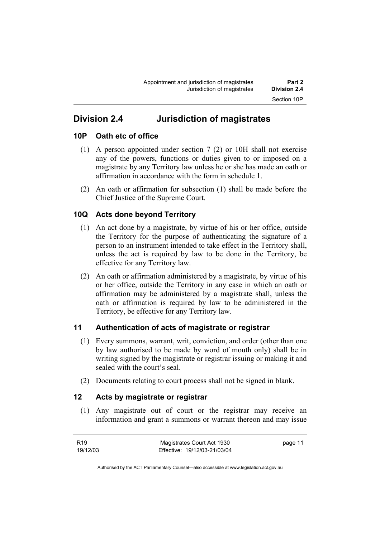# **Division 2.4 Jurisdiction of magistrates**

#### **10P Oath etc of office**

- (1) A person appointed under section 7 (2) or 10H shall not exercise any of the powers, functions or duties given to or imposed on a magistrate by any Territory law unless he or she has made an oath or affirmation in accordance with the form in schedule 1.
- (2) An oath or affirmation for subsection (1) shall be made before the Chief Justice of the Supreme Court.

## **10Q Acts done beyond Territory**

- (1) An act done by a magistrate, by virtue of his or her office, outside the Territory for the purpose of authenticating the signature of a person to an instrument intended to take effect in the Territory shall, unless the act is required by law to be done in the Territory, be effective for any Territory law.
- (2) An oath or affirmation administered by a magistrate, by virtue of his or her office, outside the Territory in any case in which an oath or affirmation may be administered by a magistrate shall, unless the oath or affirmation is required by law to be administered in the Territory, be effective for any Territory law.

## **11 Authentication of acts of magistrate or registrar**

- (1) Every summons, warrant, writ, conviction, and order (other than one by law authorised to be made by word of mouth only) shall be in writing signed by the magistrate or registrar issuing or making it and sealed with the court's seal.
- (2) Documents relating to court process shall not be signed in blank.

#### **12 Acts by magistrate or registrar**

 (1) Any magistrate out of court or the registrar may receive an information and grant a summons or warrant thereon and may issue

| R19      | Magistrates Court Act 1930   | page 11 |
|----------|------------------------------|---------|
| 19/12/03 | Effective: 19/12/03-21/03/04 |         |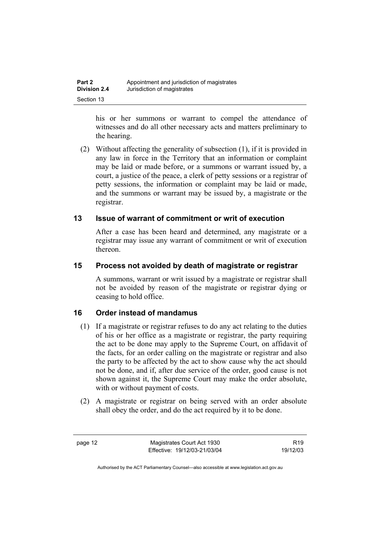| Part 2              | Appointment and jurisdiction of magistrates |
|---------------------|---------------------------------------------|
| <b>Division 2.4</b> | Jurisdiction of magistrates                 |
| Section 13          |                                             |

his or her summons or warrant to compel the attendance of witnesses and do all other necessary acts and matters preliminary to the hearing.

 (2) Without affecting the generality of subsection (1), if it is provided in any law in force in the Territory that an information or complaint may be laid or made before, or a summons or warrant issued by, a court, a justice of the peace, a clerk of petty sessions or a registrar of petty sessions, the information or complaint may be laid or made, and the summons or warrant may be issued by, a magistrate or the registrar.

#### **13 Issue of warrant of commitment or writ of execution**

After a case has been heard and determined, any magistrate or a registrar may issue any warrant of commitment or writ of execution thereon.

#### **15 Process not avoided by death of magistrate or registrar**

A summons, warrant or writ issued by a magistrate or registrar shall not be avoided by reason of the magistrate or registrar dying or ceasing to hold office.

#### **16 Order instead of mandamus**

- (1) If a magistrate or registrar refuses to do any act relating to the duties of his or her office as a magistrate or registrar, the party requiring the act to be done may apply to the Supreme Court, on affidavit of the facts, for an order calling on the magistrate or registrar and also the party to be affected by the act to show cause why the act should not be done, and if, after due service of the order, good cause is not shown against it, the Supreme Court may make the order absolute, with or without payment of costs.
- (2) A magistrate or registrar on being served with an order absolute shall obey the order, and do the act required by it to be done.

page 12 Magistrates Court Act 1930 Effective: 19/12/03-21/03/04

R19 19/12/03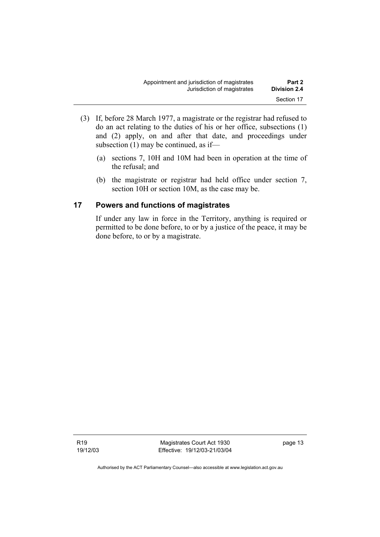- (3) If, before 28 March 1977, a magistrate or the registrar had refused to do an act relating to the duties of his or her office, subsections (1) and (2) apply, on and after that date, and proceedings under subsection (1) may be continued, as if—
	- (a) sections 7, 10H and 10M had been in operation at the time of the refusal; and
	- (b) the magistrate or registrar had held office under section 7, section 10H or section 10M, as the case may be.

#### **17 Powers and functions of magistrates**

If under any law in force in the Territory, anything is required or permitted to be done before, to or by a justice of the peace, it may be done before, to or by a magistrate.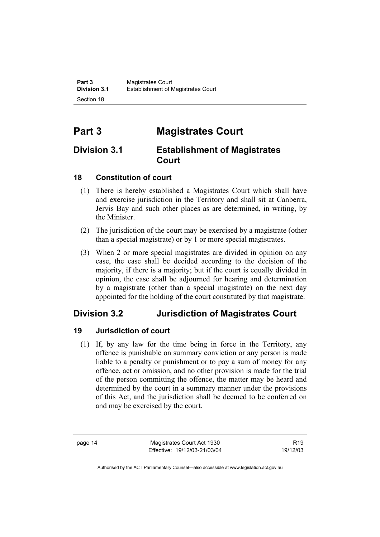# **Part 3 Magistrates Court**

## **Division 3.1 Establishment of Magistrates Court**

### **18 Constitution of court**

- (1) There is hereby established a Magistrates Court which shall have and exercise jurisdiction in the Territory and shall sit at Canberra, Jervis Bay and such other places as are determined, in writing, by the Minister.
- (2) The jurisdiction of the court may be exercised by a magistrate (other than a special magistrate) or by 1 or more special magistrates.
- (3) When 2 or more special magistrates are divided in opinion on any case, the case shall be decided according to the decision of the majority, if there is a majority; but if the court is equally divided in opinion, the case shall be adjourned for hearing and determination by a magistrate (other than a special magistrate) on the next day appointed for the holding of the court constituted by that magistrate.

## **Division 3.2 Jurisdiction of Magistrates Court**

## **19 Jurisdiction of court**

 (1) If, by any law for the time being in force in the Territory, any offence is punishable on summary conviction or any person is made liable to a penalty or punishment or to pay a sum of money for any offence, act or omission, and no other provision is made for the trial of the person committing the offence, the matter may be heard and determined by the court in a summary manner under the provisions of this Act, and the jurisdiction shall be deemed to be conferred on and may be exercised by the court.

page 14 Magistrates Court Act 1930 Effective: 19/12/03-21/03/04

R19 19/12/03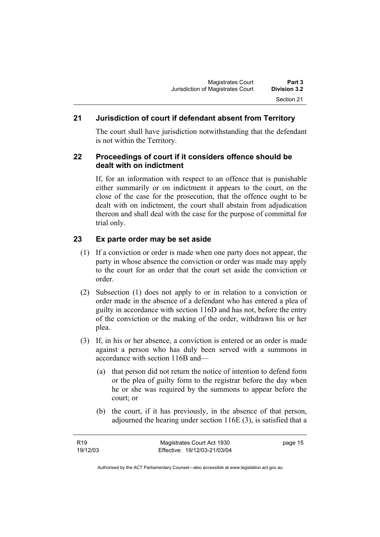### **21 Jurisdiction of court if defendant absent from Territory**

The court shall have jurisdiction notwithstanding that the defendant is not within the Territory.

#### **22 Proceedings of court if it considers offence should be dealt with on indictment**

If, for an information with respect to an offence that is punishable either summarily or on indictment it appears to the court, on the close of the case for the prosecution, that the offence ought to be dealt with on indictment, the court shall abstain from adjudication thereon and shall deal with the case for the purpose of committal for trial only.

### **23 Ex parte order may be set aside**

- (1) If a conviction or order is made when one party does not appear, the party in whose absence the conviction or order was made may apply to the court for an order that the court set aside the conviction or order.
- (2) Subsection (1) does not apply to or in relation to a conviction or order made in the absence of a defendant who has entered a plea of guilty in accordance with section 116D and has not, before the entry of the conviction or the making of the order, withdrawn his or her plea.
- (3) If, in his or her absence, a conviction is entered or an order is made against a person who has duly been served with a summons in accordance with section 116B and—
	- (a) that person did not return the notice of intention to defend form or the plea of guilty form to the registrar before the day when he or she was required by the summons to appear before the court; or
	- (b) the court, if it has previously, in the absence of that person, adjourned the hearing under section 116E (3), is satisfied that a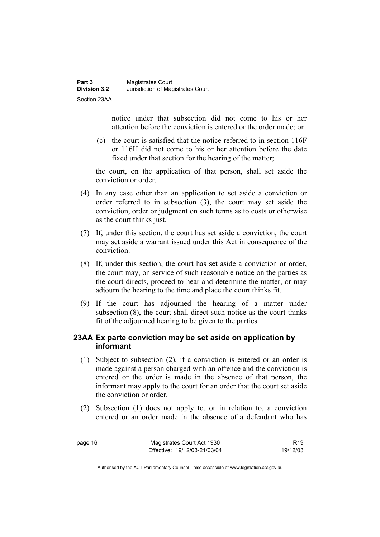notice under that subsection did not come to his or her attention before the conviction is entered or the order made; or

 (c) the court is satisfied that the notice referred to in section 116F or 116H did not come to his or her attention before the date fixed under that section for the hearing of the matter;

the court, on the application of that person, shall set aside the conviction or order.

- (4) In any case other than an application to set aside a conviction or order referred to in subsection (3), the court may set aside the conviction, order or judgment on such terms as to costs or otherwise as the court thinks just.
- (7) If, under this section, the court has set aside a conviction, the court may set aside a warrant issued under this Act in consequence of the conviction.
- (8) If, under this section, the court has set aside a conviction or order, the court may, on service of such reasonable notice on the parties as the court directs, proceed to hear and determine the matter, or may adjourn the hearing to the time and place the court thinks fit.
- (9) If the court has adjourned the hearing of a matter under subsection (8), the court shall direct such notice as the court thinks fit of the adjourned hearing to be given to the parties.

#### **23AA Ex parte conviction may be set aside on application by informant**

- (1) Subject to subsection (2), if a conviction is entered or an order is made against a person charged with an offence and the conviction is entered or the order is made in the absence of that person, the informant may apply to the court for an order that the court set aside the conviction or order.
- (2) Subsection (1) does not apply to, or in relation to, a conviction entered or an order made in the absence of a defendant who has

page 16 Magistrates Court Act 1930 Effective: 19/12/03-21/03/04

R19 19/12/03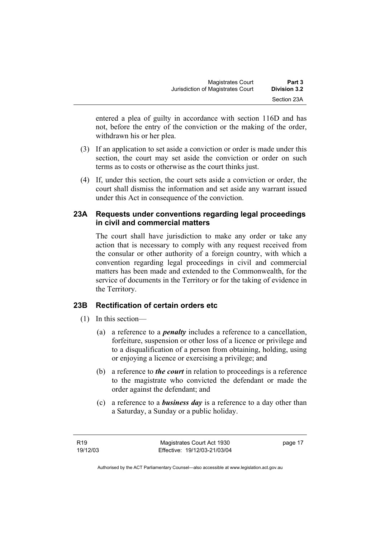| <b>Magistrates Court</b>          | Part 3       |
|-----------------------------------|--------------|
| Jurisdiction of Magistrates Court | Division 3.2 |
|                                   | Section 23A  |

entered a plea of guilty in accordance with section 116D and has not, before the entry of the conviction or the making of the order, withdrawn his or her plea.

- (3) If an application to set aside a conviction or order is made under this section, the court may set aside the conviction or order on such terms as to costs or otherwise as the court thinks just.
- (4) If, under this section, the court sets aside a conviction or order, the court shall dismiss the information and set aside any warrant issued under this Act in consequence of the conviction.

#### **23A Requests under conventions regarding legal proceedings in civil and commercial matters**

The court shall have jurisdiction to make any order or take any action that is necessary to comply with any request received from the consular or other authority of a foreign country, with which a convention regarding legal proceedings in civil and commercial matters has been made and extended to the Commonwealth, for the service of documents in the Territory or for the taking of evidence in the Territory.

#### **23B Rectification of certain orders etc**

- (1) In this section—
	- (a) a reference to a *penalty* includes a reference to a cancellation, forfeiture, suspension or other loss of a licence or privilege and to a disqualification of a person from obtaining, holding, using or enjoying a licence or exercising a privilege; and
	- (b) a reference to *the court* in relation to proceedings is a reference to the magistrate who convicted the defendant or made the order against the defendant; and
	- (c) a reference to a *business day* is a reference to a day other than a Saturday, a Sunday or a public holiday.

page 17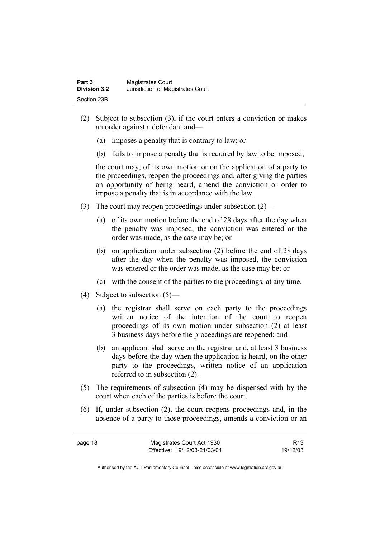- (2) Subject to subsection (3), if the court enters a conviction or makes an order against a defendant and—
	- (a) imposes a penalty that is contrary to law; or
	- (b) fails to impose a penalty that is required by law to be imposed;

the court may, of its own motion or on the application of a party to the proceedings, reopen the proceedings and, after giving the parties an opportunity of being heard, amend the conviction or order to impose a penalty that is in accordance with the law.

- (3) The court may reopen proceedings under subsection (2)—
	- (a) of its own motion before the end of 28 days after the day when the penalty was imposed, the conviction was entered or the order was made, as the case may be; or
	- (b) on application under subsection (2) before the end of 28 days after the day when the penalty was imposed, the conviction was entered or the order was made, as the case may be; or
	- (c) with the consent of the parties to the proceedings, at any time.
- (4) Subject to subsection (5)—
	- (a) the registrar shall serve on each party to the proceedings written notice of the intention of the court to reopen proceedings of its own motion under subsection (2) at least 3 business days before the proceedings are reopened; and
	- (b) an applicant shall serve on the registrar and, at least 3 business days before the day when the application is heard, on the other party to the proceedings, written notice of an application referred to in subsection (2).
- (5) The requirements of subsection (4) may be dispensed with by the court when each of the parties is before the court.
- (6) If, under subsection (2), the court reopens proceedings and, in the absence of a party to those proceedings, amends a conviction or an

R19 19/12/03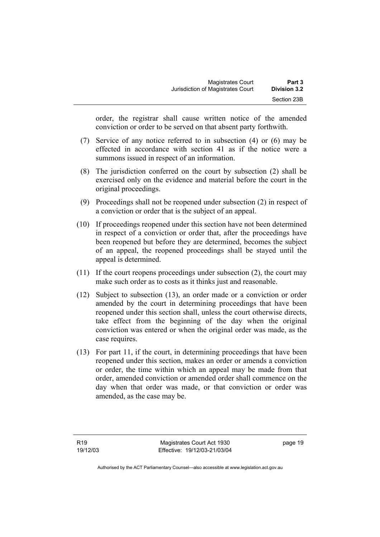| <b>Magistrates Court</b>          | Part 3       |
|-----------------------------------|--------------|
| Jurisdiction of Magistrates Court | Division 3.2 |
|                                   | Section 23B  |

order, the registrar shall cause written notice of the amended conviction or order to be served on that absent party forthwith.

- (7) Service of any notice referred to in subsection (4) or (6) may be effected in accordance with section 41 as if the notice were a summons issued in respect of an information.
- (8) The jurisdiction conferred on the court by subsection (2) shall be exercised only on the evidence and material before the court in the original proceedings.
- (9) Proceedings shall not be reopened under subsection (2) in respect of a conviction or order that is the subject of an appeal.
- (10) If proceedings reopened under this section have not been determined in respect of a conviction or order that, after the proceedings have been reopened but before they are determined, becomes the subject of an appeal, the reopened proceedings shall be stayed until the appeal is determined.
- (11) If the court reopens proceedings under subsection (2), the court may make such order as to costs as it thinks just and reasonable.
- (12) Subject to subsection (13), an order made or a conviction or order amended by the court in determining proceedings that have been reopened under this section shall, unless the court otherwise directs, take effect from the beginning of the day when the original conviction was entered or when the original order was made, as the case requires.
- (13) For part 11, if the court, in determining proceedings that have been reopened under this section, makes an order or amends a conviction or order, the time within which an appeal may be made from that order, amended conviction or amended order shall commence on the day when that order was made, or that conviction or order was amended, as the case may be.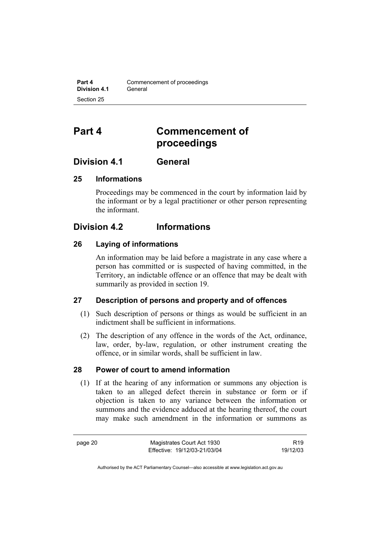# **Part 4 Commencement of proceedings**

## **Division 4.1 General**

#### **25 Informations**

Proceedings may be commenced in the court by information laid by the informant or by a legal practitioner or other person representing the informant.

## **Division 4.2 Informations**

#### **26 Laying of informations**

An information may be laid before a magistrate in any case where a person has committed or is suspected of having committed, in the Territory, an indictable offence or an offence that may be dealt with summarily as provided in section 19.

#### **27 Description of persons and property and of offences**

- (1) Such description of persons or things as would be sufficient in an indictment shall be sufficient in informations.
- (2) The description of any offence in the words of the Act, ordinance, law, order, by-law, regulation, or other instrument creating the offence, or in similar words, shall be sufficient in law.

#### **28 Power of court to amend information**

 (1) If at the hearing of any information or summons any objection is taken to an alleged defect therein in substance or form or if objection is taken to any variance between the information or summons and the evidence adduced at the hearing thereof, the court may make such amendment in the information or summons as

R19 19/12/03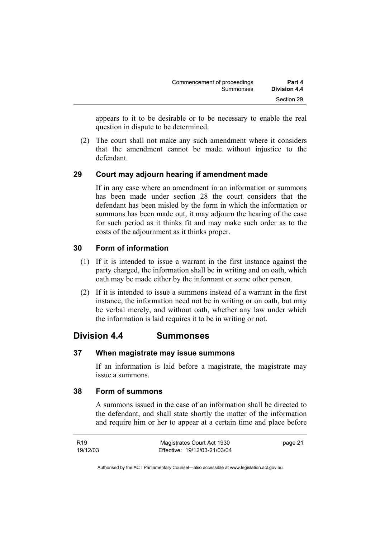| Commencement of proceedings | Part 4       |
|-----------------------------|--------------|
| Summonses                   | Division 4.4 |
|                             | Section 29   |

appears to it to be desirable or to be necessary to enable the real question in dispute to be determined.

 (2) The court shall not make any such amendment where it considers that the amendment cannot be made without injustice to the defendant.

#### **29 Court may adjourn hearing if amendment made**

If in any case where an amendment in an information or summons has been made under section 28 the court considers that the defendant has been misled by the form in which the information or summons has been made out, it may adjourn the hearing of the case for such period as it thinks fit and may make such order as to the costs of the adjournment as it thinks proper.

#### **30 Form of information**

- (1) If it is intended to issue a warrant in the first instance against the party charged, the information shall be in writing and on oath, which oath may be made either by the informant or some other person.
- (2) If it is intended to issue a summons instead of a warrant in the first instance, the information need not be in writing or on oath, but may be verbal merely, and without oath, whether any law under which the information is laid requires it to be in writing or not.

## **Division 4.4 Summonses**

#### **37 When magistrate may issue summons**

If an information is laid before a magistrate, the magistrate may issue a summons.

#### **38 Form of summons**

A summons issued in the case of an information shall be directed to the defendant, and shall state shortly the matter of the information and require him or her to appear at a certain time and place before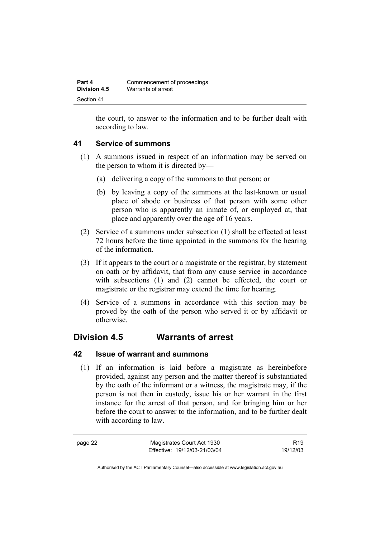| Part 4       | Commencement of proceedings |
|--------------|-----------------------------|
| Division 4.5 | Warrants of arrest          |
| Section 41   |                             |

the court, to answer to the information and to be further dealt with according to law.

#### **41 Service of summons**

- (1) A summons issued in respect of an information may be served on the person to whom it is directed by—
	- (a) delivering a copy of the summons to that person; or
	- (b) by leaving a copy of the summons at the last-known or usual place of abode or business of that person with some other person who is apparently an inmate of, or employed at, that place and apparently over the age of 16 years.
- (2) Service of a summons under subsection (1) shall be effected at least 72 hours before the time appointed in the summons for the hearing of the information.
- (3) If it appears to the court or a magistrate or the registrar, by statement on oath or by affidavit, that from any cause service in accordance with subsections (1) and (2) cannot be effected, the court or magistrate or the registrar may extend the time for hearing.
- (4) Service of a summons in accordance with this section may be proved by the oath of the person who served it or by affidavit or otherwise.

## **Division 4.5 Warrants of arrest**

#### **42 Issue of warrant and summons**

 (1) If an information is laid before a magistrate as hereinbefore provided, against any person and the matter thereof is substantiated by the oath of the informant or a witness, the magistrate may, if the person is not then in custody, issue his or her warrant in the first instance for the arrest of that person, and for bringing him or her before the court to answer to the information, and to be further dealt with according to law.

page 22 Magistrates Court Act 1930 Effective: 19/12/03-21/03/04

R19 19/12/03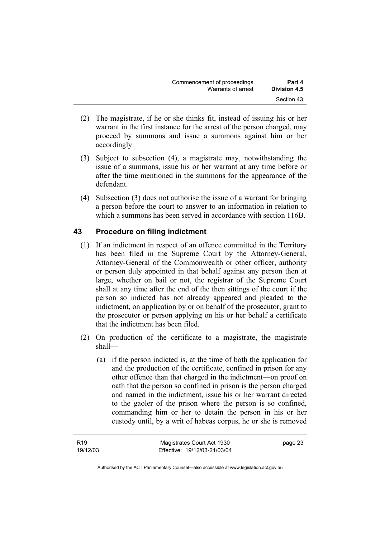| Commencement of proceedings | Part 4       |
|-----------------------------|--------------|
| Warrants of arrest          | Division 4.5 |
|                             | Section 43   |

- (2) The magistrate, if he or she thinks fit, instead of issuing his or her warrant in the first instance for the arrest of the person charged, may proceed by summons and issue a summons against him or her accordingly.
- (3) Subject to subsection (4), a magistrate may, notwithstanding the issue of a summons, issue his or her warrant at any time before or after the time mentioned in the summons for the appearance of the defendant.
- (4) Subsection (3) does not authorise the issue of a warrant for bringing a person before the court to answer to an information in relation to which a summons has been served in accordance with section 116B.

## **43 Procedure on filing indictment**

- (1) If an indictment in respect of an offence committed in the Territory has been filed in the Supreme Court by the Attorney-General, Attorney-General of the Commonwealth or other officer, authority or person duly appointed in that behalf against any person then at large, whether on bail or not, the registrar of the Supreme Court shall at any time after the end of the then sittings of the court if the person so indicted has not already appeared and pleaded to the indictment, on application by or on behalf of the prosecutor, grant to the prosecutor or person applying on his or her behalf a certificate that the indictment has been filed.
- (2) On production of the certificate to a magistrate, the magistrate shall—
	- (a) if the person indicted is, at the time of both the application for and the production of the certificate, confined in prison for any other offence than that charged in the indictment—on proof on oath that the person so confined in prison is the person charged and named in the indictment, issue his or her warrant directed to the gaoler of the prison where the person is so confined, commanding him or her to detain the person in his or her custody until, by a writ of habeas corpus, he or she is removed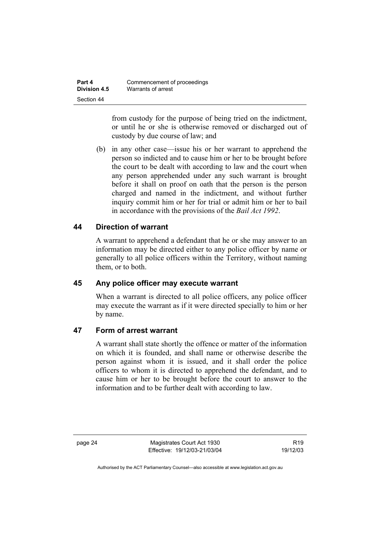| Part 4       | Commencement of proceedings |
|--------------|-----------------------------|
| Division 4.5 | Warrants of arrest          |
| Section 44   |                             |

from custody for the purpose of being tried on the indictment, or until he or she is otherwise removed or discharged out of custody by due course of law; and

 (b) in any other case—issue his or her warrant to apprehend the person so indicted and to cause him or her to be brought before the court to be dealt with according to law and the court when any person apprehended under any such warrant is brought before it shall on proof on oath that the person is the person charged and named in the indictment, and without further inquiry commit him or her for trial or admit him or her to bail in accordance with the provisions of the *Bail Act 1992*.

#### **44 Direction of warrant**

A warrant to apprehend a defendant that he or she may answer to an information may be directed either to any police officer by name or generally to all police officers within the Territory, without naming them, or to both.

#### **45 Any police officer may execute warrant**

When a warrant is directed to all police officers, any police officer may execute the warrant as if it were directed specially to him or her by name.

## **47 Form of arrest warrant**

A warrant shall state shortly the offence or matter of the information on which it is founded, and shall name or otherwise describe the person against whom it is issued, and it shall order the police officers to whom it is directed to apprehend the defendant, and to cause him or her to be brought before the court to answer to the information and to be further dealt with according to law.

page 24 Magistrates Court Act 1930 Effective: 19/12/03-21/03/04

R19 19/12/03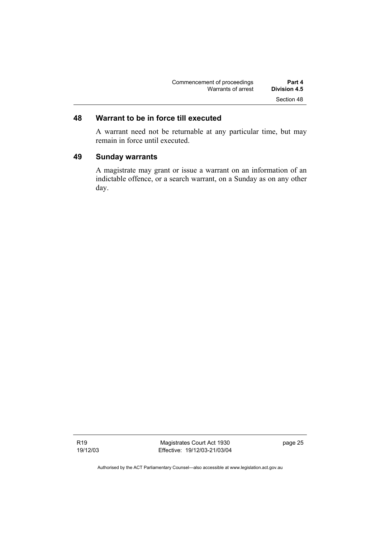| Commencement of proceedings | Part 4       |
|-----------------------------|--------------|
| Warrants of arrest          | Division 4.5 |
|                             | Section 48   |

# **48 Warrant to be in force till executed**

A warrant need not be returnable at any particular time, but may remain in force until executed.

#### **49 Sunday warrants**

A magistrate may grant or issue a warrant on an information of an indictable offence, or a search warrant, on a Sunday as on any other day.

R19 19/12/03

Magistrates Court Act 1930 Effective: 19/12/03-21/03/04 page 25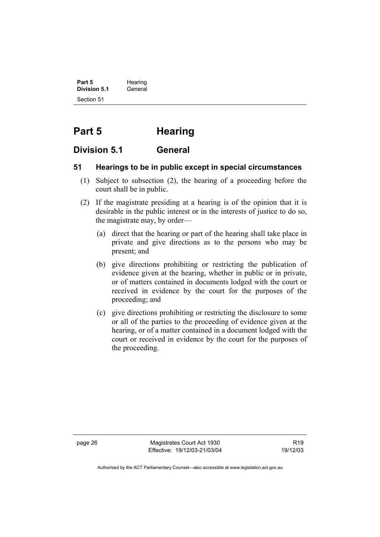**Part 5** Hearing **Division 5.1** General Section 51

# **Part 5 Hearing**

# **Division 5.1 General**

#### **51 Hearings to be in public except in special circumstances**

- (1) Subject to subsection (2), the hearing of a proceeding before the court shall be in public.
- (2) If the magistrate presiding at a hearing is of the opinion that it is desirable in the public interest or in the interests of justice to do so, the magistrate may, by order—
	- (a) direct that the hearing or part of the hearing shall take place in private and give directions as to the persons who may be present; and
	- (b) give directions prohibiting or restricting the publication of evidence given at the hearing, whether in public or in private, or of matters contained in documents lodged with the court or received in evidence by the court for the purposes of the proceeding; and
	- (c) give directions prohibiting or restricting the disclosure to some or all of the parties to the proceeding of evidence given at the hearing, or of a matter contained in a document lodged with the court or received in evidence by the court for the purposes of the proceeding.

page 26 Magistrates Court Act 1930 Effective: 19/12/03-21/03/04

R19 19/12/03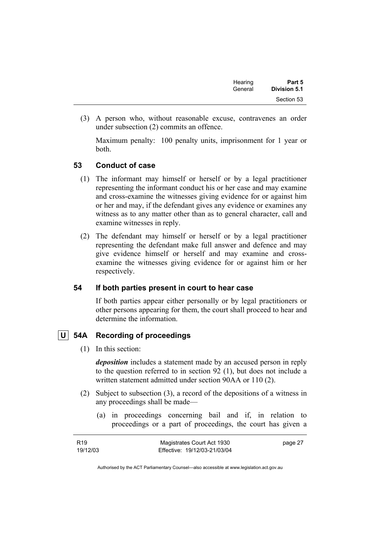| Hearing | Part 5       |
|---------|--------------|
| General | Division 5.1 |
|         | Section 53   |

 (3) A person who, without reasonable excuse, contravenes an order under subsection (2) commits an offence.

Maximum penalty: 100 penalty units, imprisonment for 1 year or both.

#### **53 Conduct of case**

- (1) The informant may himself or herself or by a legal practitioner representing the informant conduct his or her case and may examine and cross-examine the witnesses giving evidence for or against him or her and may, if the defendant gives any evidence or examines any witness as to any matter other than as to general character, call and examine witnesses in reply.
- (2) The defendant may himself or herself or by a legal practitioner representing the defendant make full answer and defence and may give evidence himself or herself and may examine and crossexamine the witnesses giving evidence for or against him or her respectively.

#### **54 If both parties present in court to hear case**

If both parties appear either personally or by legal practitioners or other persons appearing for them, the court shall proceed to hear and determine the information.

## **U 54A Recording of proceedings**

(1) In this section:

*deposition* includes a statement made by an accused person in reply to the question referred to in section 92 (1), but does not include a written statement admitted under section 90AA or 110 (2).

- (2) Subject to subsection (3), a record of the depositions of a witness in any proceedings shall be made—
	- (a) in proceedings concerning bail and if, in relation to proceedings or a part of proceedings, the court has given a

| R <sub>19</sub> | Magistrates Court Act 1930   | page 27 |
|-----------------|------------------------------|---------|
| 19/12/03        | Effective: 19/12/03-21/03/04 |         |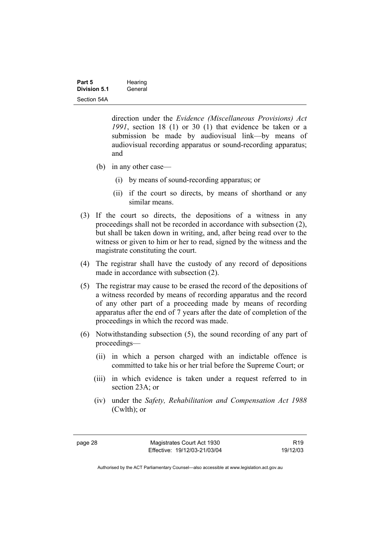| Part 5              | Hearing |
|---------------------|---------|
| <b>Division 5.1</b> | General |
| Section 54A         |         |

direction under the *Evidence (Miscellaneous Provisions) Act 1991*, section 18 (1) or 30 (1) that evidence be taken or a submission be made by audiovisual link—by means of audiovisual recording apparatus or sound-recording apparatus; and

- (b) in any other case—
	- (i) by means of sound-recording apparatus; or
	- (ii) if the court so directs, by means of shorthand or any similar means.
- (3) If the court so directs, the depositions of a witness in any proceedings shall not be recorded in accordance with subsection (2), but shall be taken down in writing, and, after being read over to the witness or given to him or her to read, signed by the witness and the magistrate constituting the court.
- (4) The registrar shall have the custody of any record of depositions made in accordance with subsection (2).
- (5) The registrar may cause to be erased the record of the depositions of a witness recorded by means of recording apparatus and the record of any other part of a proceeding made by means of recording apparatus after the end of 7 years after the date of completion of the proceedings in which the record was made.
- (6) Notwithstanding subsection (5), the sound recording of any part of proceedings—
	- (ii) in which a person charged with an indictable offence is committed to take his or her trial before the Supreme Court; or
	- (iii) in which evidence is taken under a request referred to in section 23A; or
	- (iv) under the *Safety, Rehabilitation and Compensation Act 1988* (Cwlth); or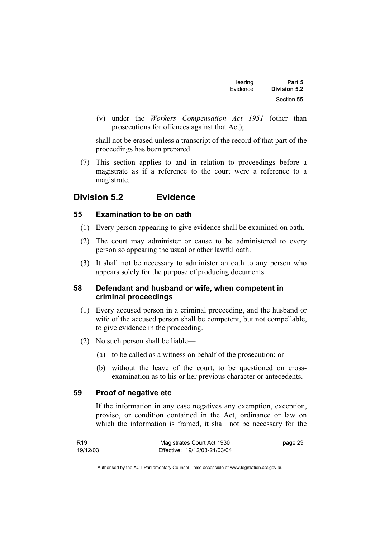| Part 5              | Hearing  |
|---------------------|----------|
| <b>Division 5.2</b> | Evidence |
| Section 55          |          |

 (v) under the *Workers Compensation Act 1951* (other than prosecutions for offences against that Act);

shall not be erased unless a transcript of the record of that part of the proceedings has been prepared.

 (7) This section applies to and in relation to proceedings before a magistrate as if a reference to the court were a reference to a magistrate.

# **Division 5.2 Evidence**

#### **55 Examination to be on oath**

- (1) Every person appearing to give evidence shall be examined on oath.
- (2) The court may administer or cause to be administered to every person so appearing the usual or other lawful oath.
- (3) It shall not be necessary to administer an oath to any person who appears solely for the purpose of producing documents.

## **58 Defendant and husband or wife, when competent in criminal proceedings**

- (1) Every accused person in a criminal proceeding, and the husband or wife of the accused person shall be competent, but not compellable, to give evidence in the proceeding.
- (2) No such person shall be liable—
	- (a) to be called as a witness on behalf of the prosecution; or
	- (b) without the leave of the court, to be questioned on crossexamination as to his or her previous character or antecedents.

#### **59 Proof of negative etc**

If the information in any case negatives any exemption, exception, proviso, or condition contained in the Act, ordinance or law on which the information is framed, it shall not be necessary for the

| R <sub>19</sub> | Magistrates Court Act 1930   | page 29 |
|-----------------|------------------------------|---------|
| 19/12/03        | Effective: 19/12/03-21/03/04 |         |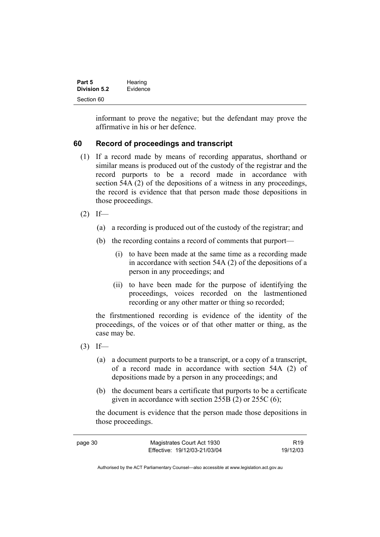| Part 5              | Hearing  |
|---------------------|----------|
| <b>Division 5.2</b> | Evidence |
| Section 60          |          |

informant to prove the negative; but the defendant may prove the affirmative in his or her defence.

## **60 Record of proceedings and transcript**

- (1) If a record made by means of recording apparatus, shorthand or similar means is produced out of the custody of the registrar and the record purports to be a record made in accordance with section 54A (2) of the depositions of a witness in any proceedings, the record is evidence that that person made those depositions in those proceedings.
- $(2)$  If—
	- (a) a recording is produced out of the custody of the registrar; and
	- (b) the recording contains a record of comments that purport—
		- (i) to have been made at the same time as a recording made in accordance with section 54A (2) of the depositions of a person in any proceedings; and
		- (ii) to have been made for the purpose of identifying the proceedings, voices recorded on the lastmentioned recording or any other matter or thing so recorded;

the firstmentioned recording is evidence of the identity of the proceedings, of the voices or of that other matter or thing, as the case may be.

- $(3)$  If—
	- (a) a document purports to be a transcript, or a copy of a transcript, of a record made in accordance with section 54A (2) of depositions made by a person in any proceedings; and
	- (b) the document bears a certificate that purports to be a certificate given in accordance with section 255B (2) or 255C (6);

the document is evidence that the person made those depositions in those proceedings.

| page 30 | Magistrates Court Act 1930   | R <sub>19</sub> |
|---------|------------------------------|-----------------|
|         | Effective: 19/12/03-21/03/04 | 19/12/03        |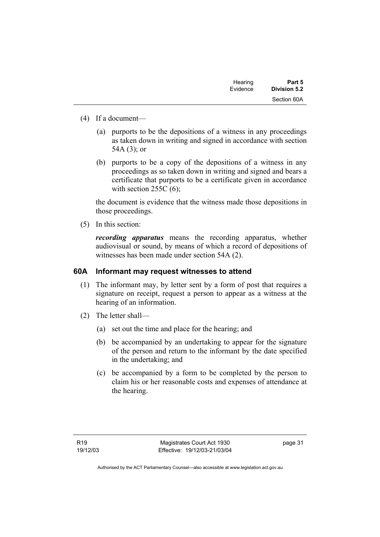| Hearing  | Part 5       |
|----------|--------------|
| Evidence | Division 5.2 |
|          | Section 60A  |

- (4) If a document—
	- (a) purports to be the depositions of a witness in any proceedings as taken down in writing and signed in accordance with section 54A (3); or
	- (b) purports to be a copy of the depositions of a witness in any proceedings as so taken down in writing and signed and bears a certificate that purports to be a certificate given in accordance with section  $255C(6)$ ;

the document is evidence that the witness made those depositions in those proceedings.

(5) In this section:

*recording apparatus* means the recording apparatus, whether audiovisual or sound, by means of which a record of depositions of witnesses has been made under section 54A (2).

#### **60A Informant may request witnesses to attend**

- (1) The informant may, by letter sent by a form of post that requires a signature on receipt, request a person to appear as a witness at the hearing of an information.
- (2) The letter shall—
	- (a) set out the time and place for the hearing; and
	- (b) be accompanied by an undertaking to appear for the signature of the person and return to the informant by the date specified in the undertaking; and
	- (c) be accompanied by a form to be completed by the person to claim his or her reasonable costs and expenses of attendance at the hearing.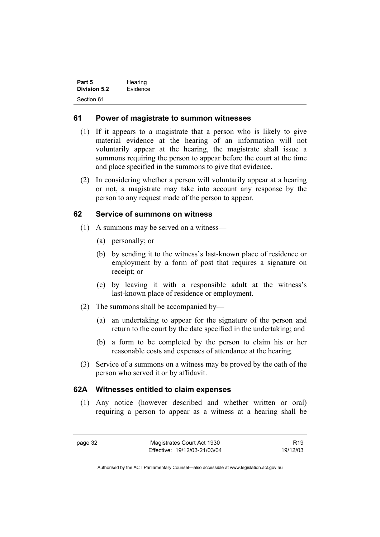| Part 5       | Hearing  |
|--------------|----------|
| Division 5.2 | Evidence |
| Section 61   |          |

#### **61 Power of magistrate to summon witnesses**

- (1) If it appears to a magistrate that a person who is likely to give material evidence at the hearing of an information will not voluntarily appear at the hearing, the magistrate shall issue a summons requiring the person to appear before the court at the time and place specified in the summons to give that evidence.
- (2) In considering whether a person will voluntarily appear at a hearing or not, a magistrate may take into account any response by the person to any request made of the person to appear.

#### **62 Service of summons on witness**

- (1) A summons may be served on a witness—
	- (a) personally; or
	- (b) by sending it to the witness's last-known place of residence or employment by a form of post that requires a signature on receipt; or
	- (c) by leaving it with a responsible adult at the witness's last-known place of residence or employment.
- (2) The summons shall be accompanied by—
	- (a) an undertaking to appear for the signature of the person and return to the court by the date specified in the undertaking; and
	- (b) a form to be completed by the person to claim his or her reasonable costs and expenses of attendance at the hearing.
- (3) Service of a summons on a witness may be proved by the oath of the person who served it or by affidavit.

#### **62A Witnesses entitled to claim expenses**

 (1) Any notice (however described and whether written or oral) requiring a person to appear as a witness at a hearing shall be

R19 19/12/03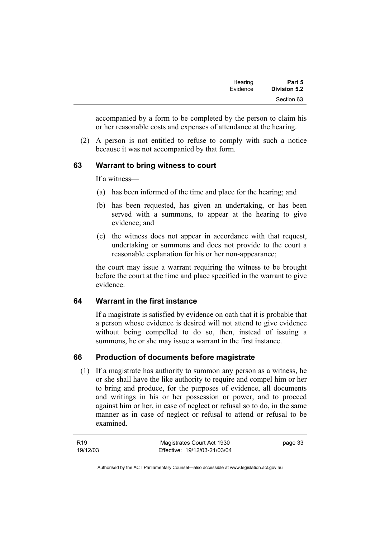| Part 5              | Hearing  |
|---------------------|----------|
| <b>Division 5.2</b> | Evidence |
| Section 63          |          |

accompanied by a form to be completed by the person to claim his or her reasonable costs and expenses of attendance at the hearing.

 (2) A person is not entitled to refuse to comply with such a notice because it was not accompanied by that form.

#### **63 Warrant to bring witness to court**

If a witness—

- (a) has been informed of the time and place for the hearing; and
- (b) has been requested, has given an undertaking, or has been served with a summons, to appear at the hearing to give evidence; and
- (c) the witness does not appear in accordance with that request, undertaking or summons and does not provide to the court a reasonable explanation for his or her non-appearance;

the court may issue a warrant requiring the witness to be brought before the court at the time and place specified in the warrant to give evidence.

#### **64 Warrant in the first instance**

If a magistrate is satisfied by evidence on oath that it is probable that a person whose evidence is desired will not attend to give evidence without being compelled to do so, then, instead of issuing a summons, he or she may issue a warrant in the first instance.

#### **66 Production of documents before magistrate**

 (1) If a magistrate has authority to summon any person as a witness, he or she shall have the like authority to require and compel him or her to bring and produce, for the purposes of evidence, all documents and writings in his or her possession or power, and to proceed against him or her, in case of neglect or refusal so to do, in the same manner as in case of neglect or refusal to attend or refusal to be examined.

page 33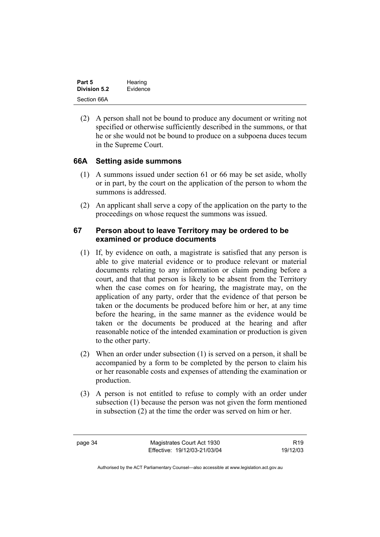| Part 5       | Hearing  |
|--------------|----------|
| Division 5.2 | Evidence |
| Section 66A  |          |

 (2) A person shall not be bound to produce any document or writing not specified or otherwise sufficiently described in the summons, or that he or she would not be bound to produce on a subpoena duces tecum in the Supreme Court.

#### **66A Setting aside summons**

- (1) A summons issued under section 61 or 66 may be set aside, wholly or in part, by the court on the application of the person to whom the summons is addressed.
- (2) An applicant shall serve a copy of the application on the party to the proceedings on whose request the summons was issued.

#### **67 Person about to leave Territory may be ordered to be examined or produce documents**

- (1) If, by evidence on oath, a magistrate is satisfied that any person is able to give material evidence or to produce relevant or material documents relating to any information or claim pending before a court, and that that person is likely to be absent from the Territory when the case comes on for hearing, the magistrate may, on the application of any party, order that the evidence of that person be taken or the documents be produced before him or her, at any time before the hearing, in the same manner as the evidence would be taken or the documents be produced at the hearing and after reasonable notice of the intended examination or production is given to the other party.
- (2) When an order under subsection (1) is served on a person, it shall be accompanied by a form to be completed by the person to claim his or her reasonable costs and expenses of attending the examination or production.
- (3) A person is not entitled to refuse to comply with an order under subsection (1) because the person was not given the form mentioned in subsection (2) at the time the order was served on him or her.

page 34 Magistrates Court Act 1930 Effective: 19/12/03-21/03/04

R19 19/12/03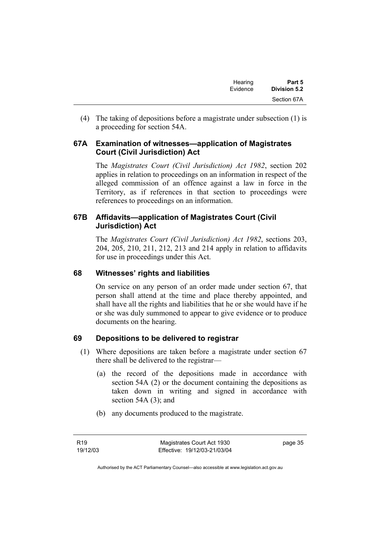| Hearing  | Part 5       |
|----------|--------------|
| Evidence | Division 5.2 |
|          | Section 67A  |

 (4) The taking of depositions before a magistrate under subsection (1) is a proceeding for section 54A.

#### **67A Examination of witnesses—application of Magistrates Court (Civil Jurisdiction) Act**

The *Magistrates Court (Civil Jurisdiction) Act 1982*, section 202 applies in relation to proceedings on an information in respect of the alleged commission of an offence against a law in force in the Territory, as if references in that section to proceedings were references to proceedings on an information.

## **67B Affidavits—application of Magistrates Court (Civil Jurisdiction) Act**

The *Magistrates Court (Civil Jurisdiction) Act 1982*, sections 203, 204, 205, 210, 211, 212, 213 and 214 apply in relation to affidavits for use in proceedings under this Act.

## **68 Witnesses' rights and liabilities**

On service on any person of an order made under section 67, that person shall attend at the time and place thereby appointed, and shall have all the rights and liabilities that he or she would have if he or she was duly summoned to appear to give evidence or to produce documents on the hearing.

## **69 Depositions to be delivered to registrar**

- (1) Where depositions are taken before a magistrate under section 67 there shall be delivered to the registrar—
	- (a) the record of the depositions made in accordance with section 54A (2) or the document containing the depositions as taken down in writing and signed in accordance with section 54A (3); and
	- (b) any documents produced to the magistrate.

page 35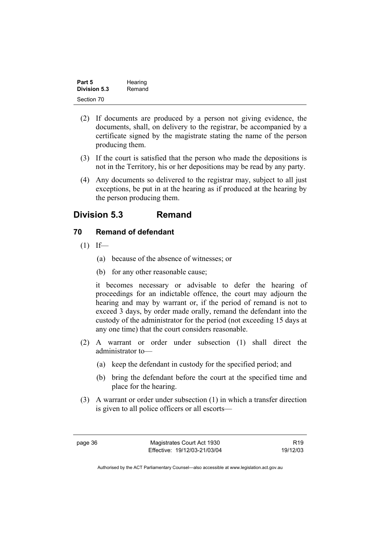| Part 5       | Hearing |
|--------------|---------|
| Division 5.3 | Remand  |
| Section 70   |         |

- (2) If documents are produced by a person not giving evidence, the documents, shall, on delivery to the registrar, be accompanied by a certificate signed by the magistrate stating the name of the person producing them.
- (3) If the court is satisfied that the person who made the depositions is not in the Territory, his or her depositions may be read by any party.
- (4) Any documents so delivered to the registrar may, subject to all just exceptions, be put in at the hearing as if produced at the hearing by the person producing them.

# **Division 5.3 Remand**

#### **70 Remand of defendant**

- $(1)$  If—
	- (a) because of the absence of witnesses; or
	- (b) for any other reasonable cause;

it becomes necessary or advisable to defer the hearing of proceedings for an indictable offence, the court may adjourn the hearing and may by warrant or, if the period of remand is not to exceed 3 days, by order made orally, remand the defendant into the custody of the administrator for the period (not exceeding 15 days at any one time) that the court considers reasonable.

- (2) A warrant or order under subsection (1) shall direct the administrator to—
	- (a) keep the defendant in custody for the specified period; and
	- (b) bring the defendant before the court at the specified time and place for the hearing.
- (3) A warrant or order under subsection (1) in which a transfer direction is given to all police officers or all escorts—

R19 19/12/03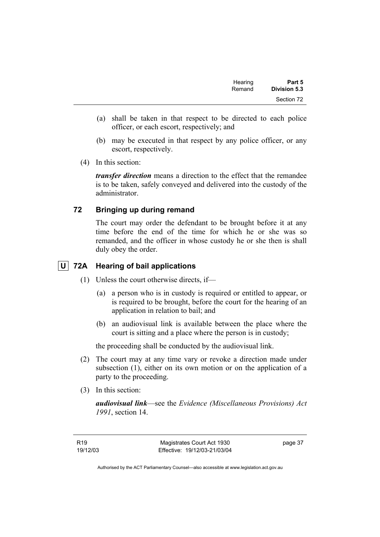| Part 5       | Hearing |
|--------------|---------|
| Division 5.3 | Remand  |
| Section 72   |         |

- (a) shall be taken in that respect to be directed to each police officer, or each escort, respectively; and
- (b) may be executed in that respect by any police officer, or any escort, respectively.
- (4) In this section:

*transfer direction* means a direction to the effect that the remandee is to be taken, safely conveyed and delivered into the custody of the administrator.

#### **72 Bringing up during remand**

The court may order the defendant to be brought before it at any time before the end of the time for which he or she was so remanded, and the officer in whose custody he or she then is shall duly obey the order.

# **U 72A Hearing of bail applications**

- (1) Unless the court otherwise directs, if—
	- (a) a person who is in custody is required or entitled to appear, or is required to be brought, before the court for the hearing of an application in relation to bail; and
	- (b) an audiovisual link is available between the place where the court is sitting and a place where the person is in custody;

the proceeding shall be conducted by the audiovisual link.

- (2) The court may at any time vary or revoke a direction made under subsection (1), either on its own motion or on the application of a party to the proceeding.
- (3) In this section:

*audiovisual link*—see the *Evidence (Miscellaneous Provisions) Act 1991*, section 14.

page 37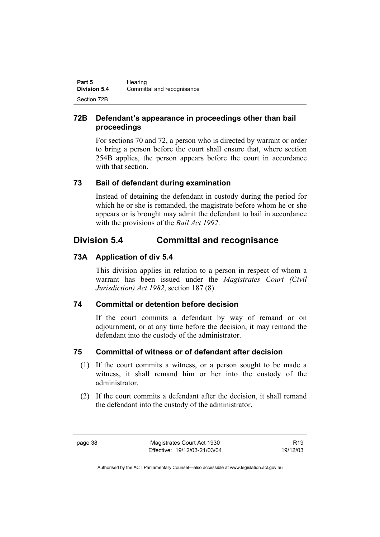| Part 5              | Hearing                    |
|---------------------|----------------------------|
| <b>Division 5.4</b> | Committal and recognisance |
| Section 72B         |                            |

# **72B Defendant's appearance in proceedings other than bail proceedings**

For sections 70 and 72, a person who is directed by warrant or order to bring a person before the court shall ensure that, where section 254B applies, the person appears before the court in accordance with that section.

# **73 Bail of defendant during examination**

Instead of detaining the defendant in custody during the period for which he or she is remanded, the magistrate before whom he or she appears or is brought may admit the defendant to bail in accordance with the provisions of the *Bail Act 1992*.

# **Division 5.4 Committal and recognisance**

# **73A Application of div 5.4**

This division applies in relation to a person in respect of whom a warrant has been issued under the *Magistrates Court (Civil Jurisdiction) Act 1982*, section 187 (8).

# **74 Committal or detention before decision**

If the court commits a defendant by way of remand or on adjournment, or at any time before the decision, it may remand the defendant into the custody of the administrator.

# **75 Committal of witness or of defendant after decision**

- (1) If the court commits a witness, or a person sought to be made a witness, it shall remand him or her into the custody of the administrator.
- (2) If the court commits a defendant after the decision, it shall remand the defendant into the custody of the administrator.

R19 19/12/03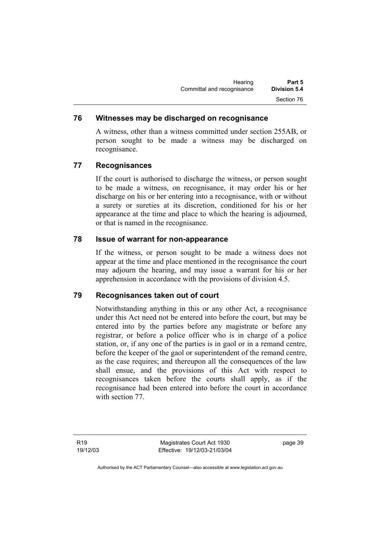### **76 Witnesses may be discharged on recognisance**

A witness, other than a witness committed under section 255AB, or person sought to be made a witness may be discharged on recognisance.

#### **77 Recognisances**

If the court is authorised to discharge the witness, or person sought to be made a witness, on recognisance, it may order his or her discharge on his or her entering into a recognisance, with or without a surety or sureties at its discretion, conditioned for his or her appearance at the time and place to which the hearing is adjourned, or that is named in the recognisance.

#### **78 Issue of warrant for non-appearance**

If the witness, or person sought to be made a witness does not appear at the time and place mentioned in the recognisance the court may adjourn the hearing, and may issue a warrant for his or her apprehension in accordance with the provisions of division 4.5.

#### **79 Recognisances taken out of court**

Notwithstanding anything in this or any other Act, a recognisance under this Act need not be entered into before the court, but may be entered into by the parties before any magistrate or before any registrar, or before a police officer who is in charge of a police station, or, if any one of the parties is in gaol or in a remand centre, before the keeper of the gaol or superintendent of the remand centre, as the case requires; and thereupon all the consequences of the law shall ensue, and the provisions of this Act with respect to recognisances taken before the courts shall apply, as if the recognisance had been entered into before the court in accordance with section 77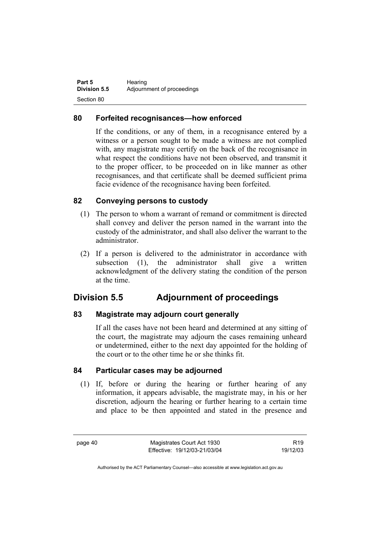| Part 5              | Hearing                    |
|---------------------|----------------------------|
| <b>Division 5.5</b> | Adjournment of proceedings |
| Section 80          |                            |

### **80 Forfeited recognisances—how enforced**

If the conditions, or any of them, in a recognisance entered by a witness or a person sought to be made a witness are not complied with, any magistrate may certify on the back of the recognisance in what respect the conditions have not been observed, and transmit it to the proper officer, to be proceeded on in like manner as other recognisances, and that certificate shall be deemed sufficient prima facie evidence of the recognisance having been forfeited.

#### **82 Conveying persons to custody**

- (1) The person to whom a warrant of remand or commitment is directed shall convey and deliver the person named in the warrant into the custody of the administrator, and shall also deliver the warrant to the administrator.
- (2) If a person is delivered to the administrator in accordance with subsection (1), the administrator shall give a written acknowledgment of the delivery stating the condition of the person at the time.

# **Division 5.5 Adjournment of proceedings**

#### **83 Magistrate may adjourn court generally**

If all the cases have not been heard and determined at any sitting of the court, the magistrate may adjourn the cases remaining unheard or undetermined, either to the next day appointed for the holding of the court or to the other time he or she thinks fit.

#### **84 Particular cases may be adjourned**

 (1) If, before or during the hearing or further hearing of any information, it appears advisable, the magistrate may, in his or her discretion, adjourn the hearing or further hearing to a certain time and place to be then appointed and stated in the presence and

page 40 Magistrates Court Act 1930 Effective: 19/12/03-21/03/04

R19 19/12/03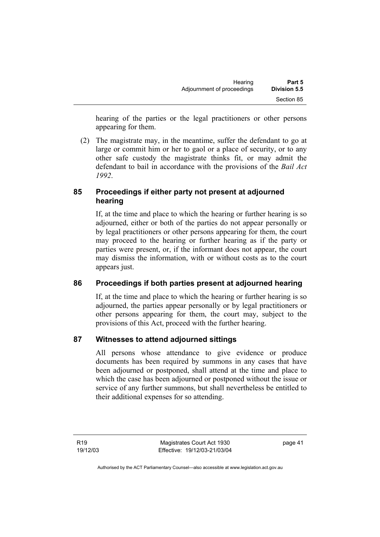hearing of the parties or the legal practitioners or other persons appearing for them.

 (2) The magistrate may, in the meantime, suffer the defendant to go at large or commit him or her to gaol or a place of security, or to any other safe custody the magistrate thinks fit, or may admit the defendant to bail in accordance with the provisions of the *Bail Act 1992*.

# **85 Proceedings if either party not present at adjourned hearing**

If, at the time and place to which the hearing or further hearing is so adjourned, either or both of the parties do not appear personally or by legal practitioners or other persons appearing for them, the court may proceed to the hearing or further hearing as if the party or parties were present, or, if the informant does not appear, the court may dismiss the information, with or without costs as to the court appears just.

# **86 Proceedings if both parties present at adjourned hearing**

If, at the time and place to which the hearing or further hearing is so adjourned, the parties appear personally or by legal practitioners or other persons appearing for them, the court may, subject to the provisions of this Act, proceed with the further hearing.

# **87 Witnesses to attend adjourned sittings**

All persons whose attendance to give evidence or produce documents has been required by summons in any cases that have been adjourned or postponed, shall attend at the time and place to which the case has been adjourned or postponed without the issue or service of any further summons, but shall nevertheless be entitled to their additional expenses for so attending.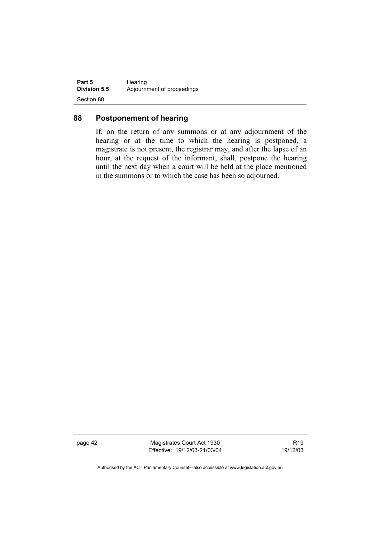| Part 5              | Hearing                    |
|---------------------|----------------------------|
| <b>Division 5.5</b> | Adjournment of proceedings |
| Section 88          |                            |

## **88 Postponement of hearing**

If, on the return of any summons or at any adjournment of the hearing or at the time to which the hearing is postponed, a magistrate is not present, the registrar may, and after the lapse of an hour, at the request of the informant, shall, postpone the hearing until the next day when a court will be held at the place mentioned in the summons or to which the case has been so adjourned.

page 42 Magistrates Court Act 1930 Effective: 19/12/03-21/03/04

R19 19/12/03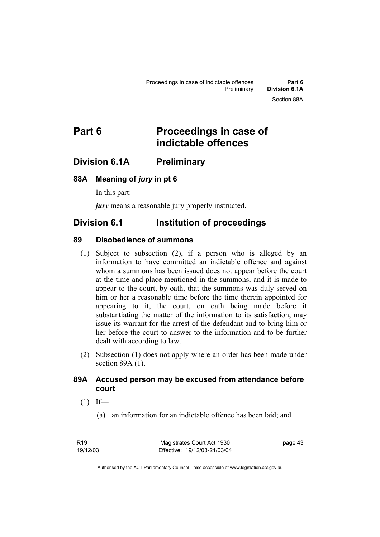# **Part 6 Proceedings in case of indictable offences**

# **Division 6.1A Preliminary**

#### **88A Meaning of** *jury* **in pt 6**

In this part:

*jury* means a reasonable jury properly instructed.

# **Division 6.1 Institution of proceedings**

#### **89 Disobedience of summons**

- (1) Subject to subsection (2), if a person who is alleged by an information to have committed an indictable offence and against whom a summons has been issued does not appear before the court at the time and place mentioned in the summons, and it is made to appear to the court, by oath, that the summons was duly served on him or her a reasonable time before the time therein appointed for appearing to it, the court, on oath being made before it substantiating the matter of the information to its satisfaction, may issue its warrant for the arrest of the defendant and to bring him or her before the court to answer to the information and to be further dealt with according to law.
- (2) Subsection (1) does not apply where an order has been made under section 89A (1).

#### **89A Accused person may be excused from attendance before court**

- $(1)$  If—
	- (a) an information for an indictable offence has been laid; and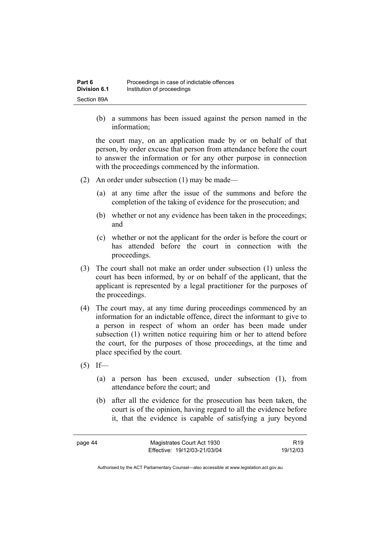(b) a summons has been issued against the person named in the information;

the court may, on an application made by or on behalf of that person, by order excuse that person from attendance before the court to answer the information or for any other purpose in connection with the proceedings commenced by the information.

- (2) An order under subsection (1) may be made—
	- (a) at any time after the issue of the summons and before the completion of the taking of evidence for the prosecution; and
	- (b) whether or not any evidence has been taken in the proceedings; and
	- (c) whether or not the applicant for the order is before the court or has attended before the court in connection with the proceedings.
- (3) The court shall not make an order under subsection (1) unless the court has been informed, by or on behalf of the applicant, that the applicant is represented by a legal practitioner for the purposes of the proceedings.
- (4) The court may, at any time during proceedings commenced by an information for an indictable offence, direct the informant to give to a person in respect of whom an order has been made under subsection (1) written notice requiring him or her to attend before the court, for the purposes of those proceedings, at the time and place specified by the court.
- $(5)$  If—
	- (a) a person has been excused, under subsection (1), from attendance before the court; and
	- (b) after all the evidence for the prosecution has been taken, the court is of the opinion, having regard to all the evidence before it, that the evidence is capable of satisfying a jury beyond

| page 44 | Magistrates Court Act 1930   | R <sub>19</sub> |
|---------|------------------------------|-----------------|
|         | Effective: 19/12/03-21/03/04 | 19/12/03        |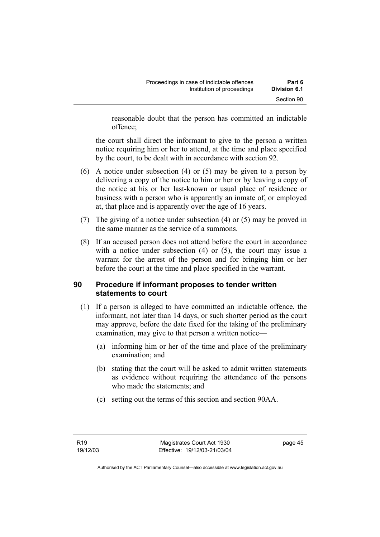reasonable doubt that the person has committed an indictable offence;

the court shall direct the informant to give to the person a written notice requiring him or her to attend, at the time and place specified by the court, to be dealt with in accordance with section 92.

- (6) A notice under subsection (4) or (5) may be given to a person by delivering a copy of the notice to him or her or by leaving a copy of the notice at his or her last-known or usual place of residence or business with a person who is apparently an inmate of, or employed at, that place and is apparently over the age of 16 years.
- (7) The giving of a notice under subsection (4) or (5) may be proved in the same manner as the service of a summons.
- (8) If an accused person does not attend before the court in accordance with a notice under subsection (4) or (5), the court may issue a warrant for the arrest of the person and for bringing him or her before the court at the time and place specified in the warrant.

## **90 Procedure if informant proposes to tender written statements to court**

- (1) If a person is alleged to have committed an indictable offence, the informant, not later than 14 days, or such shorter period as the court may approve, before the date fixed for the taking of the preliminary examination, may give to that person a written notice—
	- (a) informing him or her of the time and place of the preliminary examination; and
	- (b) stating that the court will be asked to admit written statements as evidence without requiring the attendance of the persons who made the statements; and
	- (c) setting out the terms of this section and section 90AA.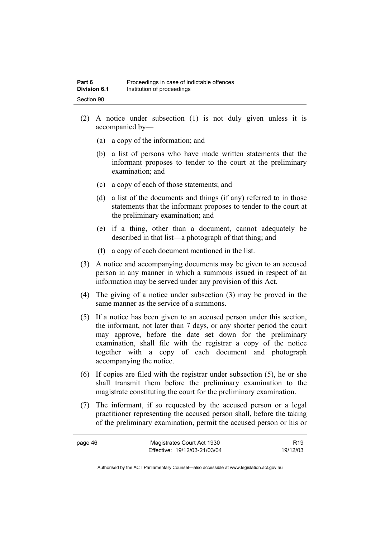- (2) A notice under subsection (1) is not duly given unless it is accompanied by—
	- (a) a copy of the information; and
	- (b) a list of persons who have made written statements that the informant proposes to tender to the court at the preliminary examination; and
	- (c) a copy of each of those statements; and
	- (d) a list of the documents and things (if any) referred to in those statements that the informant proposes to tender to the court at the preliminary examination; and
	- (e) if a thing, other than a document, cannot adequately be described in that list—a photograph of that thing; and
	- (f) a copy of each document mentioned in the list.
- (3) A notice and accompanying documents may be given to an accused person in any manner in which a summons issued in respect of an information may be served under any provision of this Act.
- (4) The giving of a notice under subsection (3) may be proved in the same manner as the service of a summons.
- (5) If a notice has been given to an accused person under this section, the informant, not later than 7 days, or any shorter period the court may approve, before the date set down for the preliminary examination, shall file with the registrar a copy of the notice together with a copy of each document and photograph accompanying the notice.
- (6) If copies are filed with the registrar under subsection (5), he or she shall transmit them before the preliminary examination to the magistrate constituting the court for the preliminary examination.
- (7) The informant, if so requested by the accused person or a legal practitioner representing the accused person shall, before the taking of the preliminary examination, permit the accused person or his or

| page 46 | Magistrates Court Act 1930   | R <sub>19</sub> |
|---------|------------------------------|-----------------|
|         | Effective: 19/12/03-21/03/04 | 19/12/03        |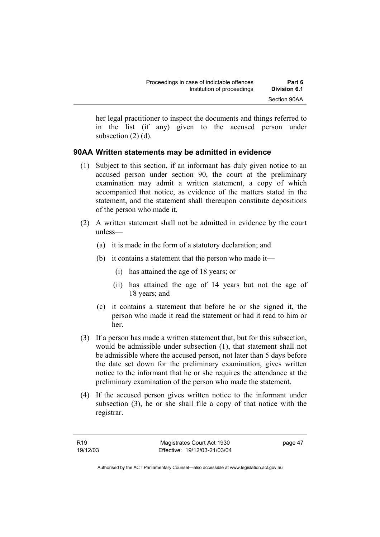her legal practitioner to inspect the documents and things referred to in the list (if any) given to the accused person under subsection (2) (d).

#### **90AA Written statements may be admitted in evidence**

- (1) Subject to this section, if an informant has duly given notice to an accused person under section 90, the court at the preliminary examination may admit a written statement, a copy of which accompanied that notice, as evidence of the matters stated in the statement, and the statement shall thereupon constitute depositions of the person who made it.
- (2) A written statement shall not be admitted in evidence by the court unless—
	- (a) it is made in the form of a statutory declaration; and
	- (b) it contains a statement that the person who made it—
		- (i) has attained the age of 18 years; or
		- (ii) has attained the age of 14 years but not the age of 18 years; and
	- (c) it contains a statement that before he or she signed it, the person who made it read the statement or had it read to him or her.
- (3) If a person has made a written statement that, but for this subsection, would be admissible under subsection (1), that statement shall not be admissible where the accused person, not later than 5 days before the date set down for the preliminary examination, gives written notice to the informant that he or she requires the attendance at the preliminary examination of the person who made the statement.
- (4) If the accused person gives written notice to the informant under subsection (3), he or she shall file a copy of that notice with the registrar.

page 47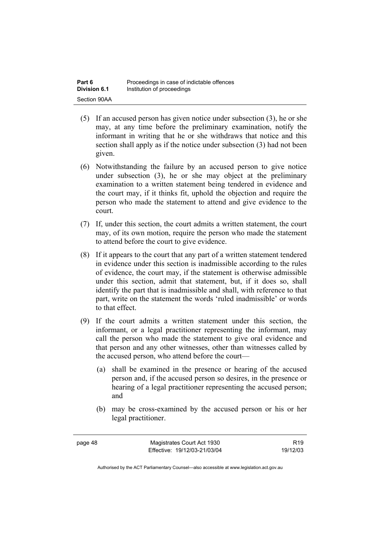- (5) If an accused person has given notice under subsection (3), he or she may, at any time before the preliminary examination, notify the informant in writing that he or she withdraws that notice and this section shall apply as if the notice under subsection (3) had not been given.
- (6) Notwithstanding the failure by an accused person to give notice under subsection (3), he or she may object at the preliminary examination to a written statement being tendered in evidence and the court may, if it thinks fit, uphold the objection and require the person who made the statement to attend and give evidence to the court.
- (7) If, under this section, the court admits a written statement, the court may, of its own motion, require the person who made the statement to attend before the court to give evidence.
- (8) If it appears to the court that any part of a written statement tendered in evidence under this section is inadmissible according to the rules of evidence, the court may, if the statement is otherwise admissible under this section, admit that statement, but, if it does so, shall identify the part that is inadmissible and shall, with reference to that part, write on the statement the words 'ruled inadmissible' or words to that effect.
- (9) If the court admits a written statement under this section, the informant, or a legal practitioner representing the informant, may call the person who made the statement to give oral evidence and that person and any other witnesses, other than witnesses called by the accused person, who attend before the court—
	- (a) shall be examined in the presence or hearing of the accused person and, if the accused person so desires, in the presence or hearing of a legal practitioner representing the accused person; and
	- (b) may be cross-examined by the accused person or his or her legal practitioner.

page 48 Magistrates Court Act 1930 Effective: 19/12/03-21/03/04

R19 19/12/03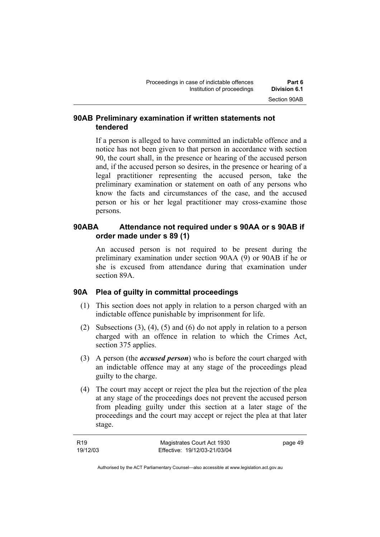### **90AB Preliminary examination if written statements not tendered**

If a person is alleged to have committed an indictable offence and a notice has not been given to that person in accordance with section 90, the court shall, in the presence or hearing of the accused person and, if the accused person so desires, in the presence or hearing of a legal practitioner representing the accused person, take the preliminary examination or statement on oath of any persons who know the facts and circumstances of the case, and the accused person or his or her legal practitioner may cross-examine those persons.

# **90ABA Attendance not required under s 90AA or s 90AB if order made under s 89 (1)**

An accused person is not required to be present during the preliminary examination under section 90AA (9) or 90AB if he or she is excused from attendance during that examination under section 89A.

## **90A Plea of guilty in committal proceedings**

- (1) This section does not apply in relation to a person charged with an indictable offence punishable by imprisonment for life.
- (2) Subsections (3), (4), (5) and (6) do not apply in relation to a person charged with an offence in relation to which the Crimes Act, section 375 applies.
- (3) A person (the *accused person*) who is before the court charged with an indictable offence may at any stage of the proceedings plead guilty to the charge.
- (4) The court may accept or reject the plea but the rejection of the plea at any stage of the proceedings does not prevent the accused person from pleading guilty under this section at a later stage of the proceedings and the court may accept or reject the plea at that later stage.

| R19      | Magistrates Court Act 1930   | page 49 |
|----------|------------------------------|---------|
| 19/12/03 | Effective: 19/12/03-21/03/04 |         |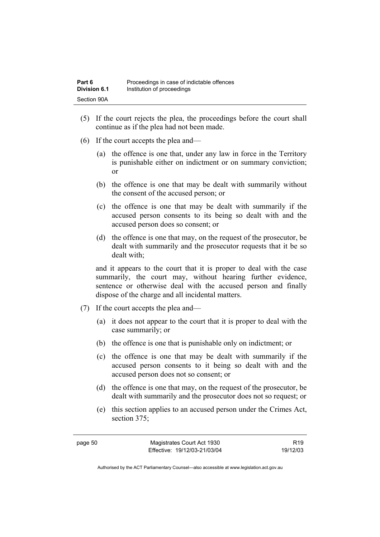- (5) If the court rejects the plea, the proceedings before the court shall continue as if the plea had not been made.
- (6) If the court accepts the plea and—
	- (a) the offence is one that, under any law in force in the Territory is punishable either on indictment or on summary conviction; or
	- (b) the offence is one that may be dealt with summarily without the consent of the accused person; or
	- (c) the offence is one that may be dealt with summarily if the accused person consents to its being so dealt with and the accused person does so consent; or
	- (d) the offence is one that may, on the request of the prosecutor, be dealt with summarily and the prosecutor requests that it be so dealt with;

and it appears to the court that it is proper to deal with the case summarily, the court may, without hearing further evidence, sentence or otherwise deal with the accused person and finally dispose of the charge and all incidental matters.

- (7) If the court accepts the plea and—
	- (a) it does not appear to the court that it is proper to deal with the case summarily; or
	- (b) the offence is one that is punishable only on indictment; or
	- (c) the offence is one that may be dealt with summarily if the accused person consents to it being so dealt with and the accused person does not so consent; or
	- (d) the offence is one that may, on the request of the prosecutor, be dealt with summarily and the prosecutor does not so request; or
	- (e) this section applies to an accused person under the Crimes Act, section 375;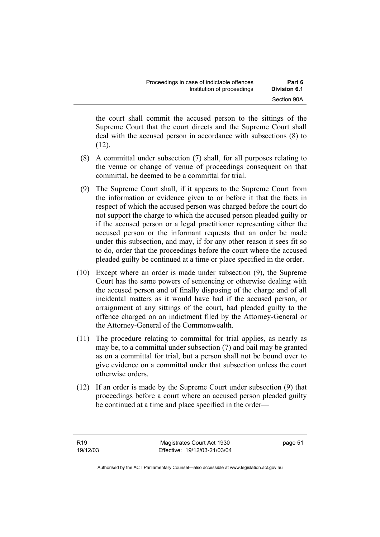the court shall commit the accused person to the sittings of the Supreme Court that the court directs and the Supreme Court shall deal with the accused person in accordance with subsections (8) to  $(12)$ .

- (8) A committal under subsection (7) shall, for all purposes relating to the venue or change of venue of proceedings consequent on that committal, be deemed to be a committal for trial.
- (9) The Supreme Court shall, if it appears to the Supreme Court from the information or evidence given to or before it that the facts in respect of which the accused person was charged before the court do not support the charge to which the accused person pleaded guilty or if the accused person or a legal practitioner representing either the accused person or the informant requests that an order be made under this subsection, and may, if for any other reason it sees fit so to do, order that the proceedings before the court where the accused pleaded guilty be continued at a time or place specified in the order.
- (10) Except where an order is made under subsection (9), the Supreme Court has the same powers of sentencing or otherwise dealing with the accused person and of finally disposing of the charge and of all incidental matters as it would have had if the accused person, or arraignment at any sittings of the court, had pleaded guilty to the offence charged on an indictment filed by the Attorney-General or the Attorney-General of the Commonwealth.
- (11) The procedure relating to committal for trial applies, as nearly as may be, to a committal under subsection (7) and bail may be granted as on a committal for trial, but a person shall not be bound over to give evidence on a committal under that subsection unless the court otherwise orders.
- (12) If an order is made by the Supreme Court under subsection (9) that proceedings before a court where an accused person pleaded guilty be continued at a time and place specified in the order—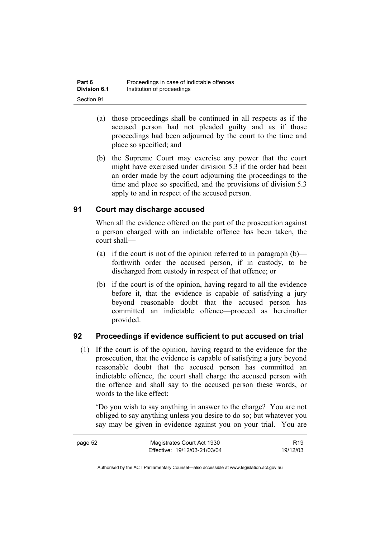- (a) those proceedings shall be continued in all respects as if the accused person had not pleaded guilty and as if those proceedings had been adjourned by the court to the time and place so specified; and
- (b) the Supreme Court may exercise any power that the court might have exercised under division 5.3 if the order had been an order made by the court adjourning the proceedings to the time and place so specified, and the provisions of division 5.3 apply to and in respect of the accused person.

# **91 Court may discharge accused**

When all the evidence offered on the part of the prosecution against a person charged with an indictable offence has been taken, the court shall—

- (a) if the court is not of the opinion referred to in paragraph  $(b)$  forthwith order the accused person, if in custody, to be discharged from custody in respect of that offence; or
- (b) if the court is of the opinion, having regard to all the evidence before it, that the evidence is capable of satisfying a jury beyond reasonable doubt that the accused person has committed an indictable offence—proceed as hereinafter provided.

## **92 Proceedings if evidence sufficient to put accused on trial**

 (1) If the court is of the opinion, having regard to the evidence for the prosecution, that the evidence is capable of satisfying a jury beyond reasonable doubt that the accused person has committed an indictable offence, the court shall charge the accused person with the offence and shall say to the accused person these words, or words to the like effect:

'Do you wish to say anything in answer to the charge? You are not obliged to say anything unless you desire to do so; but whatever you say may be given in evidence against you on your trial. You are

| page 52 | Magistrates Court Act 1930   | R <sub>19</sub> |
|---------|------------------------------|-----------------|
|         | Effective: 19/12/03-21/03/04 | 19/12/03        |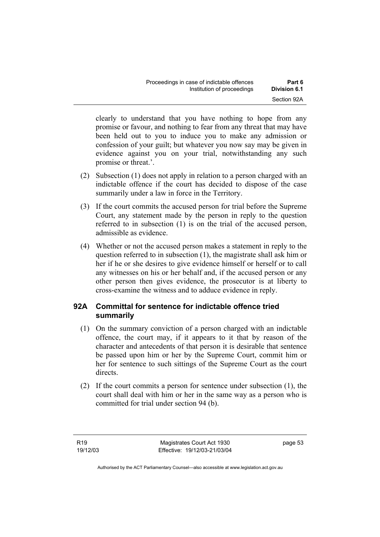| Proceedings in case of indictable offences | Part 6       |
|--------------------------------------------|--------------|
| Institution of proceedings                 | Division 6.1 |
|                                            | Section 92A  |

clearly to understand that you have nothing to hope from any promise or favour, and nothing to fear from any threat that may have been held out to you to induce you to make any admission or confession of your guilt; but whatever you now say may be given in evidence against you on your trial, notwithstanding any such promise or threat.'.

- (2) Subsection (1) does not apply in relation to a person charged with an indictable offence if the court has decided to dispose of the case summarily under a law in force in the Territory.
- (3) If the court commits the accused person for trial before the Supreme Court, any statement made by the person in reply to the question referred to in subsection (1) is on the trial of the accused person, admissible as evidence.
- (4) Whether or not the accused person makes a statement in reply to the question referred to in subsection (1), the magistrate shall ask him or her if he or she desires to give evidence himself or herself or to call any witnesses on his or her behalf and, if the accused person or any other person then gives evidence, the prosecutor is at liberty to cross-examine the witness and to adduce evidence in reply.

## **92A Committal for sentence for indictable offence tried summarily**

- (1) On the summary conviction of a person charged with an indictable offence, the court may, if it appears to it that by reason of the character and antecedents of that person it is desirable that sentence be passed upon him or her by the Supreme Court, commit him or her for sentence to such sittings of the Supreme Court as the court directs.
- (2) If the court commits a person for sentence under subsection (1), the court shall deal with him or her in the same way as a person who is committed for trial under section 94 (b).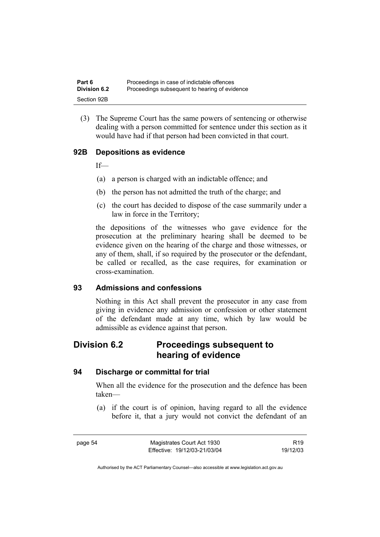(3) The Supreme Court has the same powers of sentencing or otherwise dealing with a person committed for sentence under this section as it would have had if that person had been convicted in that court.

## **92B Depositions as evidence**

If—

- (a) a person is charged with an indictable offence; and
- (b) the person has not admitted the truth of the charge; and
- (c) the court has decided to dispose of the case summarily under a law in force in the Territory;

the depositions of the witnesses who gave evidence for the prosecution at the preliminary hearing shall be deemed to be evidence given on the hearing of the charge and those witnesses, or any of them, shall, if so required by the prosecutor or the defendant, be called or recalled, as the case requires, for examination or cross-examination.

#### **93 Admissions and confessions**

Nothing in this Act shall prevent the prosecutor in any case from giving in evidence any admission or confession or other statement of the defendant made at any time, which by law would be admissible as evidence against that person.

# **Division 6.2 Proceedings subsequent to hearing of evidence**

#### **94 Discharge or committal for trial**

When all the evidence for the prosecution and the defence has been taken—

 (a) if the court is of opinion, having regard to all the evidence before it, that a jury would not convict the defendant of an

page 54 Magistrates Court Act 1930 Effective: 19/12/03-21/03/04

R19 19/12/03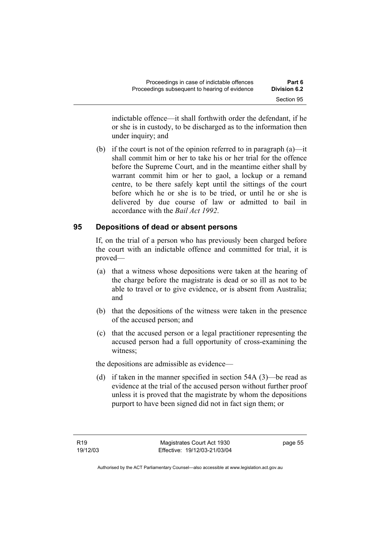indictable offence—it shall forthwith order the defendant, if he or she is in custody, to be discharged as to the information then under inquiry; and

(b) if the court is not of the opinion referred to in paragraph  $(a)$ —it shall commit him or her to take his or her trial for the offence before the Supreme Court, and in the meantime either shall by warrant commit him or her to gaol, a lockup or a remand centre, to be there safely kept until the sittings of the court before which he or she is to be tried, or until he or she is delivered by due course of law or admitted to bail in accordance with the *Bail Act 1992*.

## **95 Depositions of dead or absent persons**

If, on the trial of a person who has previously been charged before the court with an indictable offence and committed for trial, it is proved—

- (a) that a witness whose depositions were taken at the hearing of the charge before the magistrate is dead or so ill as not to be able to travel or to give evidence, or is absent from Australia; and
- (b) that the depositions of the witness were taken in the presence of the accused person; and
- (c) that the accused person or a legal practitioner representing the accused person had a full opportunity of cross-examining the witness;

the depositions are admissible as evidence—

 (d) if taken in the manner specified in section 54A (3)—be read as evidence at the trial of the accused person without further proof unless it is proved that the magistrate by whom the depositions purport to have been signed did not in fact sign them; or

page 55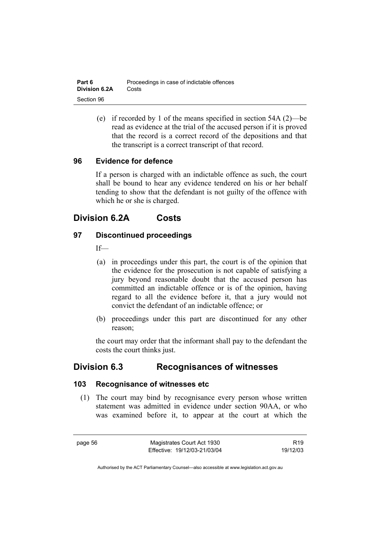| Part 6               | Proceedings in case of indictable offences |
|----------------------|--------------------------------------------|
| <b>Division 6.2A</b> | Costs                                      |
| Section 96           |                                            |

 (e) if recorded by 1 of the means specified in section 54A (2)—be read as evidence at the trial of the accused person if it is proved that the record is a correct record of the depositions and that the transcript is a correct transcript of that record.

#### **96 Evidence for defence**

If a person is charged with an indictable offence as such, the court shall be bound to hear any evidence tendered on his or her behalf tending to show that the defendant is not guilty of the offence with which he or she is charged.

# **Division 6.2A Costs**

#### **97 Discontinued proceedings**

 $If$ 

- (a) in proceedings under this part, the court is of the opinion that the evidence for the prosecution is not capable of satisfying a jury beyond reasonable doubt that the accused person has committed an indictable offence or is of the opinion, having regard to all the evidence before it, that a jury would not convict the defendant of an indictable offence; or
- (b) proceedings under this part are discontinued for any other reason;

the court may order that the informant shall pay to the defendant the costs the court thinks just.

# **Division 6.3 Recognisances of witnesses**

#### **103 Recognisance of witnesses etc**

 (1) The court may bind by recognisance every person whose written statement was admitted in evidence under section 90AA, or who was examined before it, to appear at the court at which the

page 56 Magistrates Court Act 1930 Effective: 19/12/03-21/03/04

R19 19/12/03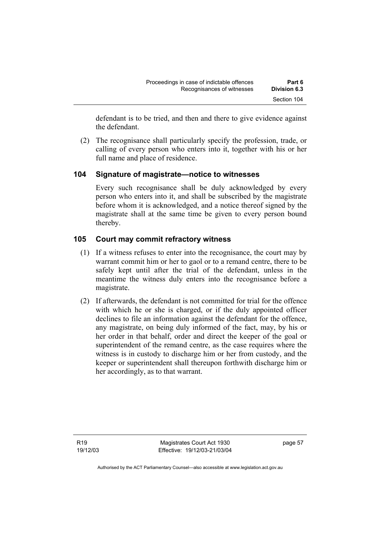defendant is to be tried, and then and there to give evidence against the defendant.

 (2) The recognisance shall particularly specify the profession, trade, or calling of every person who enters into it, together with his or her full name and place of residence.

## **104 Signature of magistrate—notice to witnesses**

Every such recognisance shall be duly acknowledged by every person who enters into it, and shall be subscribed by the magistrate before whom it is acknowledged, and a notice thereof signed by the magistrate shall at the same time be given to every person bound thereby.

#### **105 Court may commit refractory witness**

- (1) If a witness refuses to enter into the recognisance, the court may by warrant commit him or her to gaol or to a remand centre, there to be safely kept until after the trial of the defendant, unless in the meantime the witness duly enters into the recognisance before a magistrate.
- (2) If afterwards, the defendant is not committed for trial for the offence with which he or she is charged, or if the duly appointed officer declines to file an information against the defendant for the offence, any magistrate, on being duly informed of the fact, may, by his or her order in that behalf, order and direct the keeper of the goal or superintendent of the remand centre, as the case requires where the witness is in custody to discharge him or her from custody, and the keeper or superintendent shall thereupon forthwith discharge him or her accordingly, as to that warrant.

R19 19/12/03

Magistrates Court Act 1930 Effective: 19/12/03-21/03/04 page 57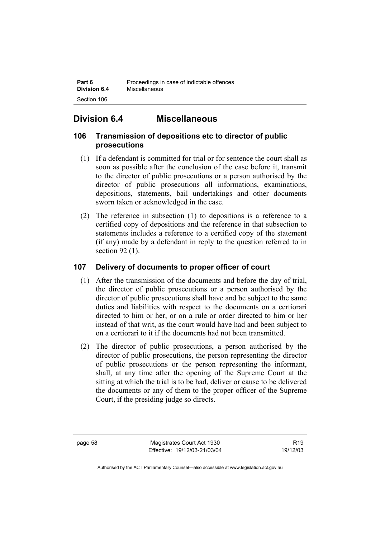# **Division 6.4 Miscellaneous**

# **106 Transmission of depositions etc to director of public prosecutions**

- (1) If a defendant is committed for trial or for sentence the court shall as soon as possible after the conclusion of the case before it, transmit to the director of public prosecutions or a person authorised by the director of public prosecutions all informations, examinations, depositions, statements, bail undertakings and other documents sworn taken or acknowledged in the case.
- (2) The reference in subsection (1) to depositions is a reference to a certified copy of depositions and the reference in that subsection to statements includes a reference to a certified copy of the statement (if any) made by a defendant in reply to the question referred to in section 92 (1).

# **107 Delivery of documents to proper officer of court**

- (1) After the transmission of the documents and before the day of trial, the director of public prosecutions or a person authorised by the director of public prosecutions shall have and be subject to the same duties and liabilities with respect to the documents on a certiorari directed to him or her, or on a rule or order directed to him or her instead of that writ, as the court would have had and been subject to on a certiorari to it if the documents had not been transmitted.
- (2) The director of public prosecutions, a person authorised by the director of public prosecutions, the person representing the director of public prosecutions or the person representing the informant, shall, at any time after the opening of the Supreme Court at the sitting at which the trial is to be had, deliver or cause to be delivered the documents or any of them to the proper officer of the Supreme Court, if the presiding judge so directs.

page 58 Magistrates Court Act 1930 Effective: 19/12/03-21/03/04

R19 19/12/03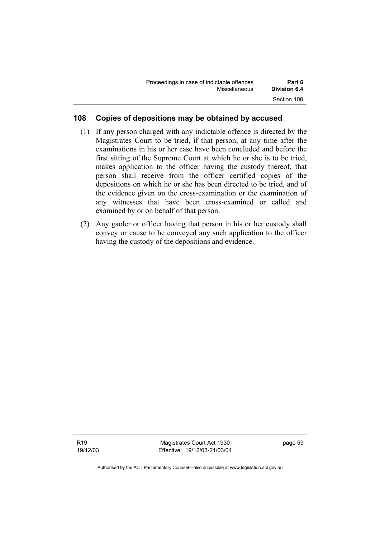| Proceedings in case of indictable offences | Part 6              |
|--------------------------------------------|---------------------|
| Miscellaneous                              | <b>Division 6.4</b> |
|                                            | Section 108         |

## **108 Copies of depositions may be obtained by accused**

- (1) If any person charged with any indictable offence is directed by the Magistrates Court to be tried, if that person, at any time after the examinations in his or her case have been concluded and before the first sitting of the Supreme Court at which he or she is to be tried, makes application to the officer having the custody thereof, that person shall receive from the officer certified copies of the depositions on which he or she has been directed to be tried, and of the evidence given on the cross-examination or the examination of any witnesses that have been cross-examined or called and examined by or on behalf of that person.
- (2) Any gaoler or officer having that person in his or her custody shall convey or cause to be conveyed any such application to the officer having the custody of the depositions and evidence.

Magistrates Court Act 1930 Effective: 19/12/03-21/03/04 page 59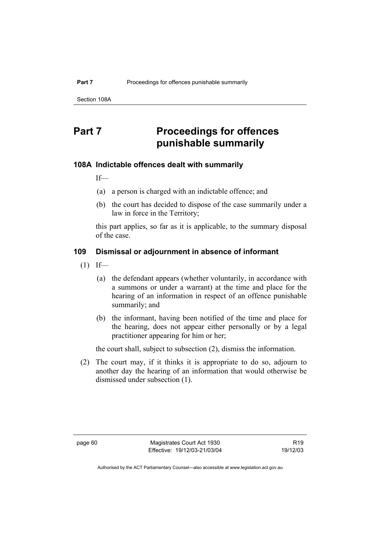Section 108A

# **Part 7** Proceedings for offences **punishable summarily**

#### **108A Indictable offences dealt with summarily**

If—

- (a) a person is charged with an indictable offence; and
- (b) the court has decided to dispose of the case summarily under a law in force in the Territory;

this part applies, so far as it is applicable, to the summary disposal of the case.

## **109 Dismissal or adjournment in absence of informant**

- $(1)$  If—
	- (a) the defendant appears (whether voluntarily, in accordance with a summons or under a warrant) at the time and place for the hearing of an information in respect of an offence punishable summarily; and
	- (b) the informant, having been notified of the time and place for the hearing, does not appear either personally or by a legal practitioner appearing for him or her;

the court shall, subject to subsection (2), dismiss the information.

 (2) The court may, if it thinks it is appropriate to do so, adjourn to another day the hearing of an information that would otherwise be dismissed under subsection (1).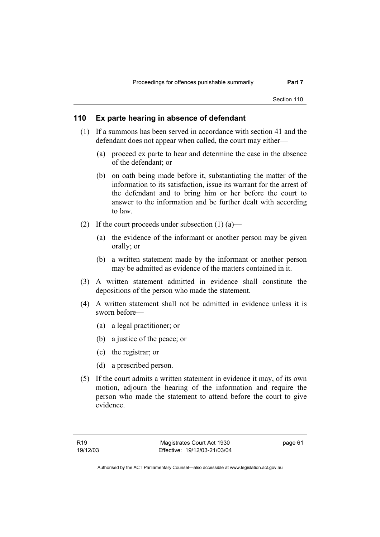Section 110

#### **110 Ex parte hearing in absence of defendant**

- (1) If a summons has been served in accordance with section 41 and the defendant does not appear when called, the court may either—
	- (a) proceed ex parte to hear and determine the case in the absence of the defendant; or
	- (b) on oath being made before it, substantiating the matter of the information to its satisfaction, issue its warrant for the arrest of the defendant and to bring him or her before the court to answer to the information and be further dealt with according to law.
- (2) If the court proceeds under subsection  $(1)$  (a)—
	- (a) the evidence of the informant or another person may be given orally; or
	- (b) a written statement made by the informant or another person may be admitted as evidence of the matters contained in it.
- (3) A written statement admitted in evidence shall constitute the depositions of the person who made the statement.
- (4) A written statement shall not be admitted in evidence unless it is sworn before—
	- (a) a legal practitioner; or
	- (b) a justice of the peace; or
	- (c) the registrar; or
	- (d) a prescribed person.
- (5) If the court admits a written statement in evidence it may, of its own motion, adjourn the hearing of the information and require the person who made the statement to attend before the court to give evidence.

page 61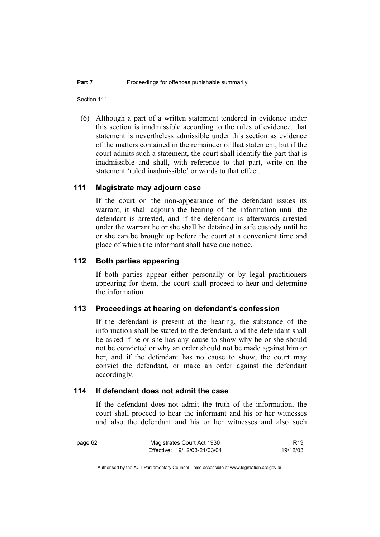Section 111

 (6) Although a part of a written statement tendered in evidence under this section is inadmissible according to the rules of evidence, that statement is nevertheless admissible under this section as evidence of the matters contained in the remainder of that statement, but if the court admits such a statement, the court shall identify the part that is inadmissible and shall, with reference to that part, write on the statement 'ruled inadmissible' or words to that effect.

#### **111 Magistrate may adjourn case**

If the court on the non-appearance of the defendant issues its warrant, it shall adjourn the hearing of the information until the defendant is arrested, and if the defendant is afterwards arrested under the warrant he or she shall be detained in safe custody until he or she can be brought up before the court at a convenient time and place of which the informant shall have due notice.

# **112 Both parties appearing**

If both parties appear either personally or by legal practitioners appearing for them, the court shall proceed to hear and determine the information.

#### **113 Proceedings at hearing on defendant's confession**

If the defendant is present at the hearing, the substance of the information shall be stated to the defendant, and the defendant shall be asked if he or she has any cause to show why he or she should not be convicted or why an order should not be made against him or her, and if the defendant has no cause to show, the court may convict the defendant, or make an order against the defendant accordingly.

## **114 If defendant does not admit the case**

If the defendant does not admit the truth of the information, the court shall proceed to hear the informant and his or her witnesses and also the defendant and his or her witnesses and also such

page 62 Magistrates Court Act 1930

R19 19/12/03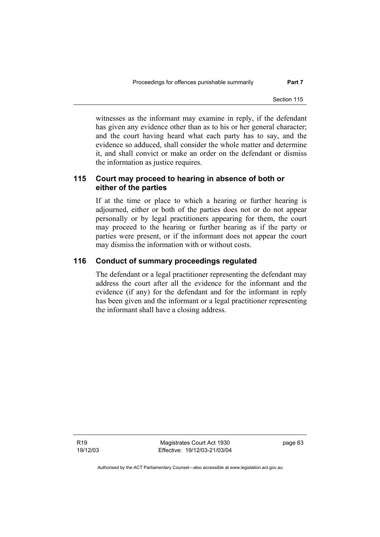witnesses as the informant may examine in reply, if the defendant has given any evidence other than as to his or her general character; and the court having heard what each party has to say, and the evidence so adduced, shall consider the whole matter and determine it, and shall convict or make an order on the defendant or dismiss the information as justice requires.

# **115 Court may proceed to hearing in absence of both or either of the parties**

If at the time or place to which a hearing or further hearing is adjourned, either or both of the parties does not or do not appear personally or by legal practitioners appearing for them, the court may proceed to the hearing or further hearing as if the party or parties were present, or if the informant does not appear the court may dismiss the information with or without costs.

#### **116 Conduct of summary proceedings regulated**

The defendant or a legal practitioner representing the defendant may address the court after all the evidence for the informant and the evidence (if any) for the defendant and for the informant in reply has been given and the informant or a legal practitioner representing the informant shall have a closing address.

R19 19/12/03

Magistrates Court Act 1930 Effective: 19/12/03-21/03/04 page 63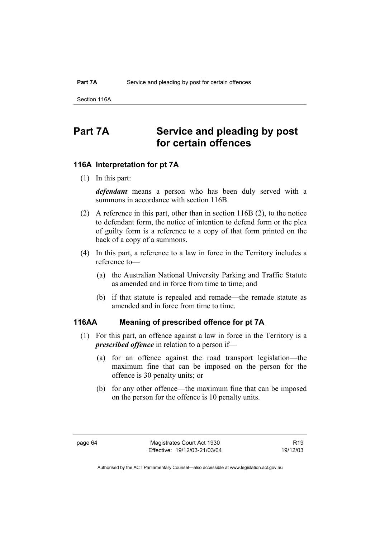Section 116A

# **Part 7A Service and pleading by post for certain offences**

### **116A Interpretation for pt 7A**

(1) In this part:

*defendant* means a person who has been duly served with a summons in accordance with section 116B.

- (2) A reference in this part, other than in section 116B (2), to the notice to defendant form, the notice of intention to defend form or the plea of guilty form is a reference to a copy of that form printed on the back of a copy of a summons.
- (4) In this part, a reference to a law in force in the Territory includes a reference to—
	- (a) the Australian National University Parking and Traffic Statute as amended and in force from time to time; and
	- (b) if that statute is repealed and remade—the remade statute as amended and in force from time to time.

#### **116AA Meaning of prescribed offence for pt 7A**

- (1) For this part, an offence against a law in force in the Territory is a *prescribed offence* in relation to a person if—
	- (a) for an offence against the road transport legislation—the maximum fine that can be imposed on the person for the offence is 30 penalty units; or
	- (b) for any other offence—the maximum fine that can be imposed on the person for the offence is 10 penalty units.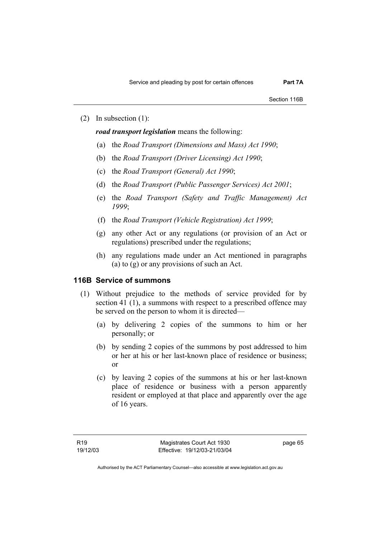(2) In subsection (1):

*road transport legislation* means the following:

- (a) the *Road Transport (Dimensions and Mass) Act 1990*;
- (b) the *Road Transport (Driver Licensing) Act 1990*;
- (c) the *Road Transport (General) Act 1990*;
- (d) the *Road Transport (Public Passenger Services) Act 2001*;
- (e) the *Road Transport (Safety and Traffic Management) Act 1999*;
- (f) the *Road Transport (Vehicle Registration) Act 1999*;
- (g) any other Act or any regulations (or provision of an Act or regulations) prescribed under the regulations;
- (h) any regulations made under an Act mentioned in paragraphs (a) to (g) or any provisions of such an Act.

#### **116B Service of summons**

- (1) Without prejudice to the methods of service provided for by section 41 (1), a summons with respect to a prescribed offence may be served on the person to whom it is directed—
	- (a) by delivering 2 copies of the summons to him or her personally; or
	- (b) by sending 2 copies of the summons by post addressed to him or her at his or her last-known place of residence or business; or
	- (c) by leaving 2 copies of the summons at his or her last-known place of residence or business with a person apparently resident or employed at that place and apparently over the age of 16 years.

page 65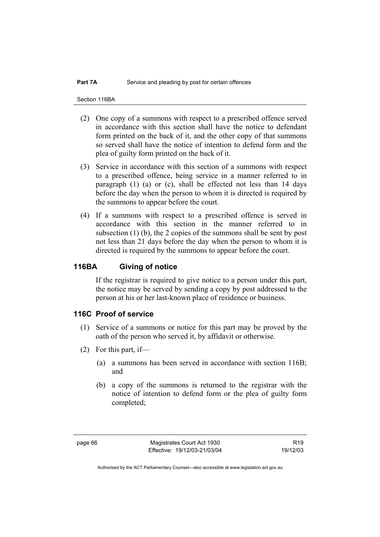Section 116BA

- (2) One copy of a summons with respect to a prescribed offence served in accordance with this section shall have the notice to defendant form printed on the back of it, and the other copy of that summons so served shall have the notice of intention to defend form and the plea of guilty form printed on the back of it.
- (3) Service in accordance with this section of a summons with respect to a prescribed offence, being service in a manner referred to in paragraph (1) (a) or (c), shall be effected not less than 14 days before the day when the person to whom it is directed is required by the summons to appear before the court.
- (4) If a summons with respect to a prescribed offence is served in accordance with this section in the manner referred to in subsection (1) (b), the 2 copies of the summons shall be sent by post not less than 21 days before the day when the person to whom it is directed is required by the summons to appear before the court.

### **116BA Giving of notice**

If the registrar is required to give notice to a person under this part, the notice may be served by sending a copy by post addressed to the person at his or her last-known place of residence or business.

### **116C Proof of service**

- (1) Service of a summons or notice for this part may be proved by the oath of the person who served it, by affidavit or otherwise.
- (2) For this part, if—
	- (a) a summons has been served in accordance with section 116B; and
	- (b) a copy of the summons is returned to the registrar with the notice of intention to defend form or the plea of guilty form completed;

R19 19/12/03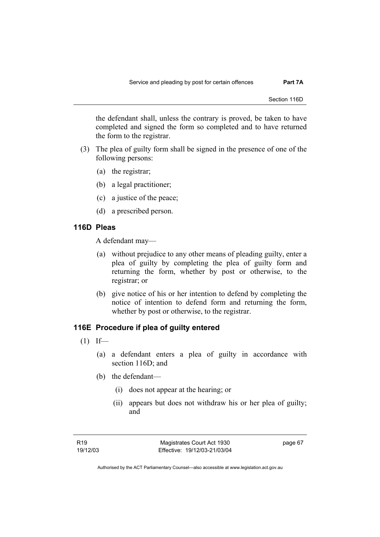the defendant shall, unless the contrary is proved, be taken to have completed and signed the form so completed and to have returned the form to the registrar.

- (3) The plea of guilty form shall be signed in the presence of one of the following persons:
	- (a) the registrar;
	- (b) a legal practitioner;
	- (c) a justice of the peace;
	- (d) a prescribed person.

# **116D Pleas**

A defendant may—

- (a) without prejudice to any other means of pleading guilty, enter a plea of guilty by completing the plea of guilty form and returning the form, whether by post or otherwise, to the registrar; or
- (b) give notice of his or her intention to defend by completing the notice of intention to defend form and returning the form, whether by post or otherwise, to the registrar.

### **116E Procedure if plea of guilty entered**

- $(1)$  If—
	- (a) a defendant enters a plea of guilty in accordance with section 116D; and
	- (b) the defendant—
		- (i) does not appear at the hearing; or
		- (ii) appears but does not withdraw his or her plea of guilty; and

page 67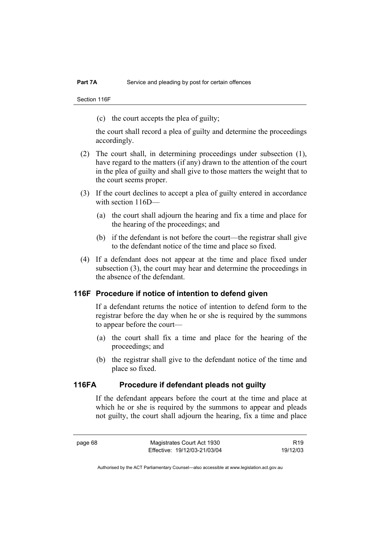Section 116F

(c) the court accepts the plea of guilty;

the court shall record a plea of guilty and determine the proceedings accordingly.

- (2) The court shall, in determining proceedings under subsection (1), have regard to the matters (if any) drawn to the attention of the court in the plea of guilty and shall give to those matters the weight that to the court seems proper.
- (3) If the court declines to accept a plea of guilty entered in accordance with section 116D—
	- (a) the court shall adjourn the hearing and fix a time and place for the hearing of the proceedings; and
	- (b) if the defendant is not before the court—the registrar shall give to the defendant notice of the time and place so fixed.
- (4) If a defendant does not appear at the time and place fixed under subsection (3), the court may hear and determine the proceedings in the absence of the defendant.

#### **116F Procedure if notice of intention to defend given**

If a defendant returns the notice of intention to defend form to the registrar before the day when he or she is required by the summons to appear before the court—

- (a) the court shall fix a time and place for the hearing of the proceedings; and
- (b) the registrar shall give to the defendant notice of the time and place so fixed.

# **116FA Procedure if defendant pleads not guilty**

If the defendant appears before the court at the time and place at which he or she is required by the summons to appear and pleads not guilty, the court shall adjourn the hearing, fix a time and place

R19 19/12/03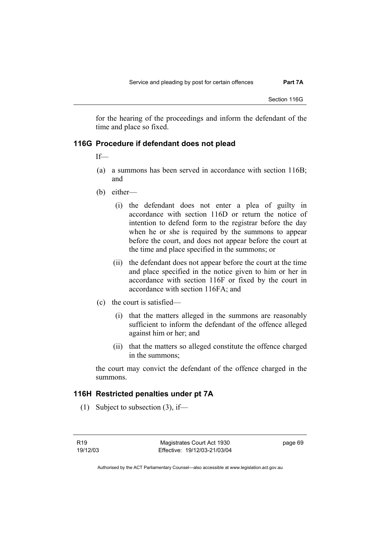for the hearing of the proceedings and inform the defendant of the time and place so fixed.

### **116G Procedure if defendant does not plead**

If—

- (a) a summons has been served in accordance with section 116B; and
- (b) either—
	- (i) the defendant does not enter a plea of guilty in accordance with section 116D or return the notice of intention to defend form to the registrar before the day when he or she is required by the summons to appear before the court, and does not appear before the court at the time and place specified in the summons; or
	- (ii) the defendant does not appear before the court at the time and place specified in the notice given to him or her in accordance with section 116F or fixed by the court in accordance with section 116FA; and
- (c) the court is satisfied—
	- (i) that the matters alleged in the summons are reasonably sufficient to inform the defendant of the offence alleged against him or her; and
	- (ii) that the matters so alleged constitute the offence charged in the summons;

the court may convict the defendant of the offence charged in the summons.

#### **116H Restricted penalties under pt 7A**

(1) Subject to subsection (3), if—

R19 19/12/03 page 69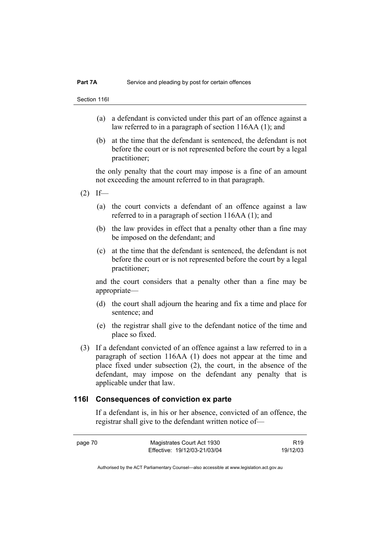Section 116I

- (a) a defendant is convicted under this part of an offence against a law referred to in a paragraph of section 116AA (1); and
- (b) at the time that the defendant is sentenced, the defendant is not before the court or is not represented before the court by a legal practitioner;

the only penalty that the court may impose is a fine of an amount not exceeding the amount referred to in that paragraph.

- $(2)$  If—
	- (a) the court convicts a defendant of an offence against a law referred to in a paragraph of section 116AA (1); and
	- (b) the law provides in effect that a penalty other than a fine may be imposed on the defendant; and
	- (c) at the time that the defendant is sentenced, the defendant is not before the court or is not represented before the court by a legal practitioner;

and the court considers that a penalty other than a fine may be appropriate—

- (d) the court shall adjourn the hearing and fix a time and place for sentence; and
- (e) the registrar shall give to the defendant notice of the time and place so fixed.
- (3) If a defendant convicted of an offence against a law referred to in a paragraph of section 116AA (1) does not appear at the time and place fixed under subsection (2), the court, in the absence of the defendant, may impose on the defendant any penalty that is applicable under that law.

#### **116I Consequences of conviction ex parte**

If a defendant is, in his or her absence, convicted of an offence, the registrar shall give to the defendant written notice of—

page 70 Magistrates Court Act 1930 Effective: 19/12/03-21/03/04 R19 19/12/03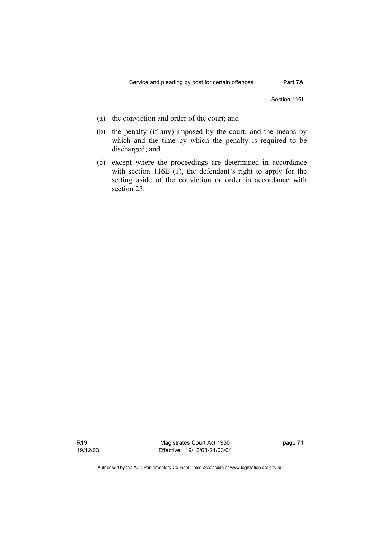Section 116I

- (a) the conviction and order of the court; and
- (b) the penalty (if any) imposed by the court, and the means by which and the time by which the penalty is required to be discharged; and
- (c) except where the proceedings are determined in accordance with section 116E (1), the defendant's right to apply for the setting aside of the conviction or order in accordance with section 23.

R19 19/12/03

Magistrates Court Act 1930 Effective: 19/12/03-21/03/04 page 71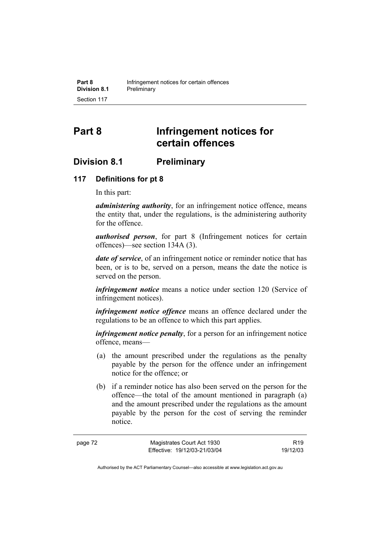# **Part 8 Infringement notices for certain offences**

# **Division 8.1 Preliminary**

# **117 Definitions for pt 8**

In this part:

*administering authority*, for an infringement notice offence, means the entity that, under the regulations, is the administering authority for the offence.

*authorised person*, for part 8 (Infringement notices for certain offences)—see section 134A (3).

*date of service*, of an infringement notice or reminder notice that has been, or is to be, served on a person, means the date the notice is served on the person.

*infringement notice* means a notice under section 120 (Service of infringement notices).

*infringement notice offence* means an offence declared under the regulations to be an offence to which this part applies.

*infringement notice penalty*, for a person for an infringement notice offence, means—

- (a) the amount prescribed under the regulations as the penalty payable by the person for the offence under an infringement notice for the offence; or
- (b) if a reminder notice has also been served on the person for the offence—the total of the amount mentioned in paragraph (a) and the amount prescribed under the regulations as the amount payable by the person for the cost of serving the reminder notice.

R19 19/12/03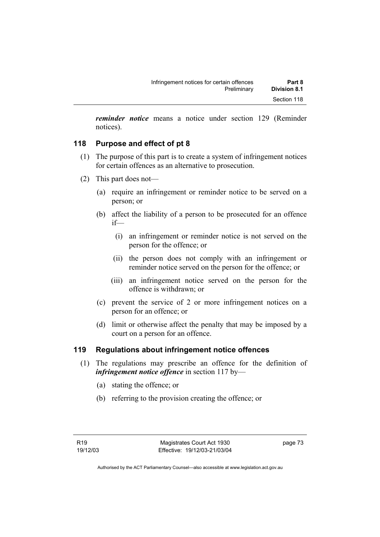*reminder notice* means a notice under section 129 (Reminder notices).

# **118 Purpose and effect of pt 8**

- (1) The purpose of this part is to create a system of infringement notices for certain offences as an alternative to prosecution.
- (2) This part does not—
	- (a) require an infringement or reminder notice to be served on a person; or
	- (b) affect the liability of a person to be prosecuted for an offence if—
		- (i) an infringement or reminder notice is not served on the person for the offence; or
		- (ii) the person does not comply with an infringement or reminder notice served on the person for the offence; or
		- (iii) an infringement notice served on the person for the offence is withdrawn; or
	- (c) prevent the service of 2 or more infringement notices on a person for an offence; or
	- (d) limit or otherwise affect the penalty that may be imposed by a court on a person for an offence.

# **119 Regulations about infringement notice offences**

- (1) The regulations may prescribe an offence for the definition of *infringement notice offence* in section 117 by—
	- (a) stating the offence; or
	- (b) referring to the provision creating the offence; or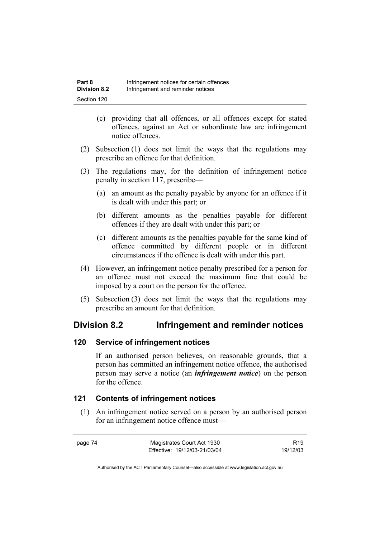- (c) providing that all offences, or all offences except for stated offences, against an Act or subordinate law are infringement notice offences.
- (2) Subsection (1) does not limit the ways that the regulations may prescribe an offence for that definition.
- (3) The regulations may, for the definition of infringement notice penalty in section 117, prescribe—
	- (a) an amount as the penalty payable by anyone for an offence if it is dealt with under this part; or
	- (b) different amounts as the penalties payable for different offences if they are dealt with under this part; or
	- (c) different amounts as the penalties payable for the same kind of offence committed by different people or in different circumstances if the offence is dealt with under this part.
- (4) However, an infringement notice penalty prescribed for a person for an offence must not exceed the maximum fine that could be imposed by a court on the person for the offence.
- (5) Subsection (3) does not limit the ways that the regulations may prescribe an amount for that definition.

# **Division 8.2 Infringement and reminder notices**

### **120 Service of infringement notices**

If an authorised person believes, on reasonable grounds, that a person has committed an infringement notice offence, the authorised person may serve a notice (an *infringement notice*) on the person for the offence.

# **121 Contents of infringement notices**

 (1) An infringement notice served on a person by an authorised person for an infringement notice offence must—

page 74 Magistrates Court Act 1930 Effective: 19/12/03-21/03/04

R19 19/12/03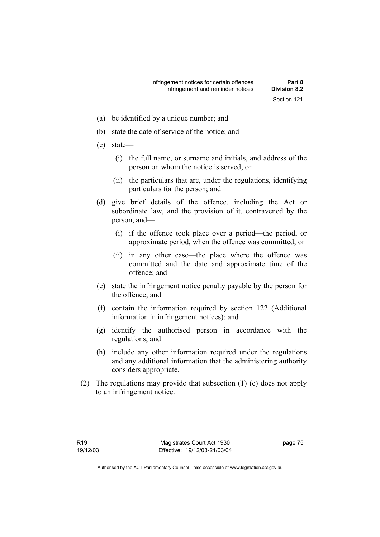- (a) be identified by a unique number; and
- (b) state the date of service of the notice; and
- (c) state—
	- (i) the full name, or surname and initials, and address of the person on whom the notice is served; or
	- (ii) the particulars that are, under the regulations, identifying particulars for the person; and
- (d) give brief details of the offence, including the Act or subordinate law, and the provision of it, contravened by the person, and—
	- (i) if the offence took place over a period—the period, or approximate period, when the offence was committed; or
	- (ii) in any other case—the place where the offence was committed and the date and approximate time of the offence; and
- (e) state the infringement notice penalty payable by the person for the offence; and
- (f) contain the information required by section 122 (Additional information in infringement notices); and
- (g) identify the authorised person in accordance with the regulations; and
- (h) include any other information required under the regulations and any additional information that the administering authority considers appropriate.
- (2) The regulations may provide that subsection (1) (c) does not apply to an infringement notice.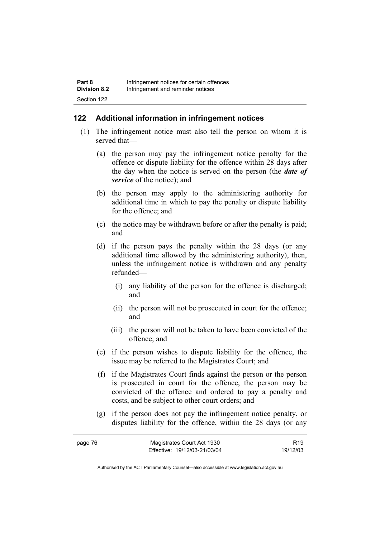# **122 Additional information in infringement notices**

- (1) The infringement notice must also tell the person on whom it is served that—
	- (a) the person may pay the infringement notice penalty for the offence or dispute liability for the offence within 28 days after the day when the notice is served on the person (the *date of service* of the notice); and
	- (b) the person may apply to the administering authority for additional time in which to pay the penalty or dispute liability for the offence; and
	- (c) the notice may be withdrawn before or after the penalty is paid; and
	- (d) if the person pays the penalty within the 28 days (or any additional time allowed by the administering authority), then, unless the infringement notice is withdrawn and any penalty refunded—
		- (i) any liability of the person for the offence is discharged; and
		- (ii) the person will not be prosecuted in court for the offence; and
		- (iii) the person will not be taken to have been convicted of the offence; and
	- (e) if the person wishes to dispute liability for the offence, the issue may be referred to the Magistrates Court; and
	- (f) if the Magistrates Court finds against the person or the person is prosecuted in court for the offence, the person may be convicted of the offence and ordered to pay a penalty and costs, and be subject to other court orders; and
	- (g) if the person does not pay the infringement notice penalty, or disputes liability for the offence, within the 28 days (or any

| page 76 | Magistrates Court Act 1930   | R <sub>19</sub> |
|---------|------------------------------|-----------------|
|         | Effective: 19/12/03-21/03/04 | 19/12/03        |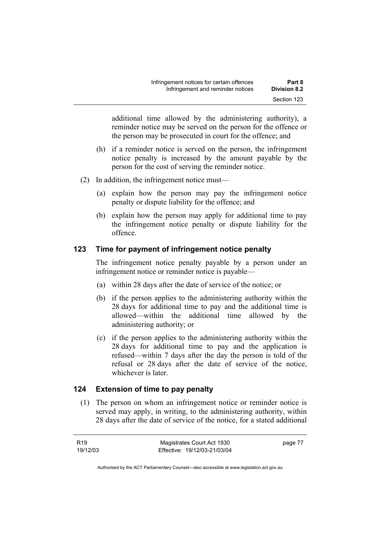additional time allowed by the administering authority), a reminder notice may be served on the person for the offence or the person may be prosecuted in court for the offence; and

- (h) if a reminder notice is served on the person, the infringement notice penalty is increased by the amount payable by the person for the cost of serving the reminder notice.
- (2) In addition, the infringement notice must—
	- (a) explain how the person may pay the infringement notice penalty or dispute liability for the offence; and
	- (b) explain how the person may apply for additional time to pay the infringement notice penalty or dispute liability for the offence.

# **123 Time for payment of infringement notice penalty**

The infringement notice penalty payable by a person under an infringement notice or reminder notice is payable—

- (a) within 28 days after the date of service of the notice; or
- (b) if the person applies to the administering authority within the 28 days for additional time to pay and the additional time is allowed—within the additional time allowed by the administering authority; or
- (c) if the person applies to the administering authority within the 28 days for additional time to pay and the application is refused—within 7 days after the day the person is told of the refusal or 28 days after the date of service of the notice, whichever is later.

# **124 Extension of time to pay penalty**

 (1) The person on whom an infringement notice or reminder notice is served may apply, in writing, to the administering authority, within 28 days after the date of service of the notice, for a stated additional

| R19      | Magistrates Court Act 1930   | page 77 |
|----------|------------------------------|---------|
| 19/12/03 | Effective: 19/12/03-21/03/04 |         |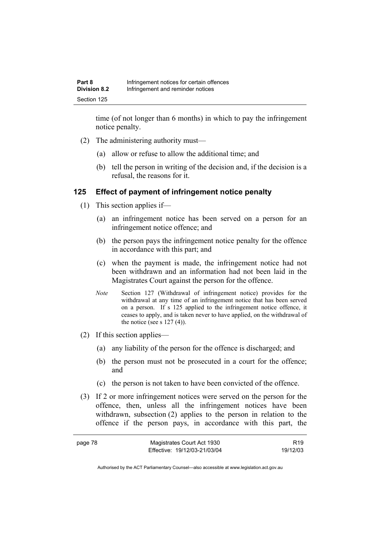time (of not longer than 6 months) in which to pay the infringement notice penalty.

- (2) The administering authority must—
	- (a) allow or refuse to allow the additional time; and
	- (b) tell the person in writing of the decision and, if the decision is a refusal, the reasons for it.

### **125 Effect of payment of infringement notice penalty**

- (1) This section applies if—
	- (a) an infringement notice has been served on a person for an infringement notice offence; and
	- (b) the person pays the infringement notice penalty for the offence in accordance with this part; and
	- (c) when the payment is made, the infringement notice had not been withdrawn and an information had not been laid in the Magistrates Court against the person for the offence.
	- *Note* Section 127 (Withdrawal of infringement notice) provides for the withdrawal at any time of an infringement notice that has been served on a person. If s 125 applied to the infringement notice offence, it ceases to apply, and is taken never to have applied, on the withdrawal of the notice (see s  $127(4)$ ).
- (2) If this section applies—
	- (a) any liability of the person for the offence is discharged; and
	- (b) the person must not be prosecuted in a court for the offence; and
	- (c) the person is not taken to have been convicted of the offence.
- (3) If 2 or more infringement notices were served on the person for the offence, then, unless all the infringement notices have been withdrawn, subsection (2) applies to the person in relation to the offence if the person pays, in accordance with this part, the

| page 78 | Magistrates Court Act 1930   | R <sub>19</sub> |
|---------|------------------------------|-----------------|
|         | Effective: 19/12/03-21/03/04 | 19/12/03        |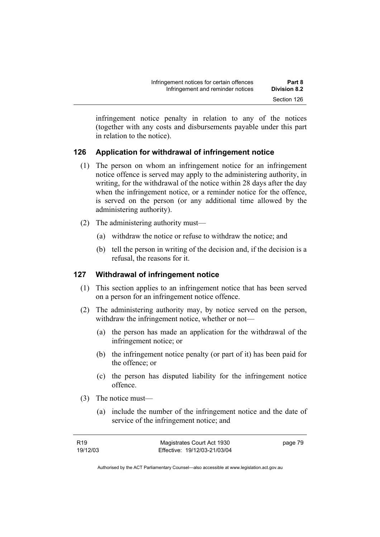infringement notice penalty in relation to any of the notices (together with any costs and disbursements payable under this part in relation to the notice).

# **126 Application for withdrawal of infringement notice**

- (1) The person on whom an infringement notice for an infringement notice offence is served may apply to the administering authority, in writing, for the withdrawal of the notice within 28 days after the day when the infringement notice, or a reminder notice for the offence, is served on the person (or any additional time allowed by the administering authority).
- (2) The administering authority must—
	- (a) withdraw the notice or refuse to withdraw the notice; and
	- (b) tell the person in writing of the decision and, if the decision is a refusal, the reasons for it.

# **127 Withdrawal of infringement notice**

- (1) This section applies to an infringement notice that has been served on a person for an infringement notice offence.
- (2) The administering authority may, by notice served on the person, withdraw the infringement notice, whether or not—
	- (a) the person has made an application for the withdrawal of the infringement notice; or
	- (b) the infringement notice penalty (or part of it) has been paid for the offence; or
	- (c) the person has disputed liability for the infringement notice offence.
- (3) The notice must—
	- (a) include the number of the infringement notice and the date of service of the infringement notice; and

| R19      | Magistrates Court Act 1930   | page 79 |
|----------|------------------------------|---------|
| 19/12/03 | Effective: 19/12/03-21/03/04 |         |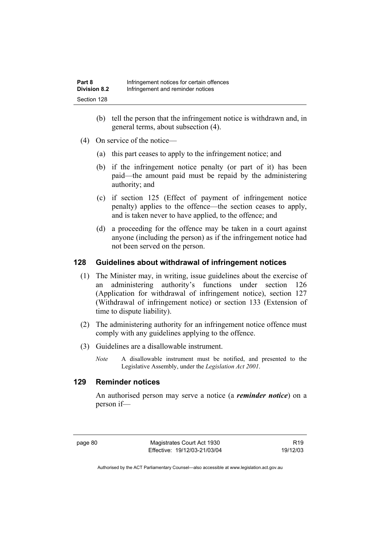- (b) tell the person that the infringement notice is withdrawn and, in general terms, about subsection (4).
- (4) On service of the notice—
	- (a) this part ceases to apply to the infringement notice; and
	- (b) if the infringement notice penalty (or part of it) has been paid—the amount paid must be repaid by the administering authority; and
	- (c) if section 125 (Effect of payment of infringement notice penalty) applies to the offence—the section ceases to apply, and is taken never to have applied, to the offence; and
	- (d) a proceeding for the offence may be taken in a court against anyone (including the person) as if the infringement notice had not been served on the person.

# **128 Guidelines about withdrawal of infringement notices**

- (1) The Minister may, in writing, issue guidelines about the exercise of an administering authority's functions under section 126 (Application for withdrawal of infringement notice), section 127 (Withdrawal of infringement notice) or section 133 (Extension of time to dispute liability).
- (2) The administering authority for an infringement notice offence must comply with any guidelines applying to the offence.
- (3) Guidelines are a disallowable instrument.
	- *Note* A disallowable instrument must be notified, and presented to the Legislative Assembly, under the *Legislation Act 2001*.

# **129 Reminder notices**

An authorised person may serve a notice (a *reminder notice*) on a person if—

page 80 Magistrates Court Act 1930 Effective: 19/12/03-21/03/04

R19 19/12/03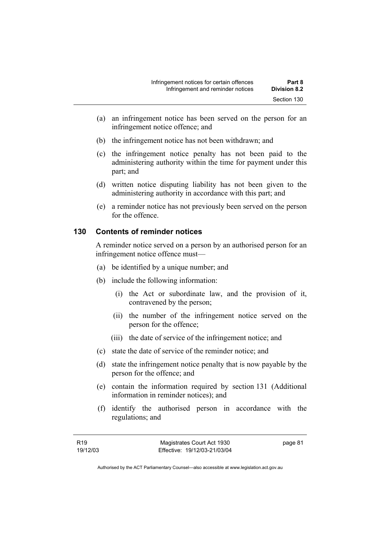- (a) an infringement notice has been served on the person for an infringement notice offence; and
- (b) the infringement notice has not been withdrawn; and
- (c) the infringement notice penalty has not been paid to the administering authority within the time for payment under this part; and
- (d) written notice disputing liability has not been given to the administering authority in accordance with this part; and
- (e) a reminder notice has not previously been served on the person for the offence.

# **130 Contents of reminder notices**

A reminder notice served on a person by an authorised person for an infringement notice offence must—

- (a) be identified by a unique number; and
- (b) include the following information:
	- (i) the Act or subordinate law, and the provision of it, contravened by the person;
	- (ii) the number of the infringement notice served on the person for the offence;
	- (iii) the date of service of the infringement notice; and
- (c) state the date of service of the reminder notice; and
- (d) state the infringement notice penalty that is now payable by the person for the offence; and
- (e) contain the information required by section 131 (Additional information in reminder notices); and
- (f) identify the authorised person in accordance with the regulations; and

| R <sub>19</sub> |  |
|-----------------|--|
| 19/12/03        |  |

page 81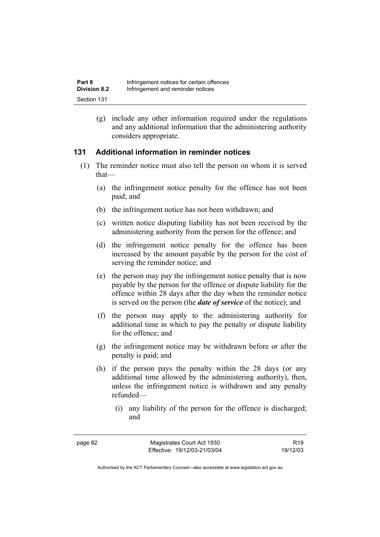(g) include any other information required under the regulations and any additional information that the administering authority considers appropriate.

# **131 Additional information in reminder notices**

- (1) The reminder notice must also tell the person on whom it is served that—
	- (a) the infringement notice penalty for the offence has not been paid; and
	- (b) the infringement notice has not been withdrawn; and
	- (c) written notice disputing liability has not been received by the administering authority from the person for the offence; and
	- (d) the infringement notice penalty for the offence has been increased by the amount payable by the person for the cost of serving the reminder notice; and
	- (e) the person may pay the infringement notice penalty that is now payable by the person for the offence or dispute liability for the offence within 28 days after the day when the reminder notice is served on the person (the *date of service* of the notice); and
	- (f) the person may apply to the administering authority for additional time in which to pay the penalty or dispute liability for the offence; and
	- (g) the infringement notice may be withdrawn before or after the penalty is paid; and
	- (h) if the person pays the penalty within the 28 days (or any additional time allowed by the administering authority), then, unless the infringement notice is withdrawn and any penalty refunded—
		- (i) any liability of the person for the offence is discharged; and

R19 19/12/03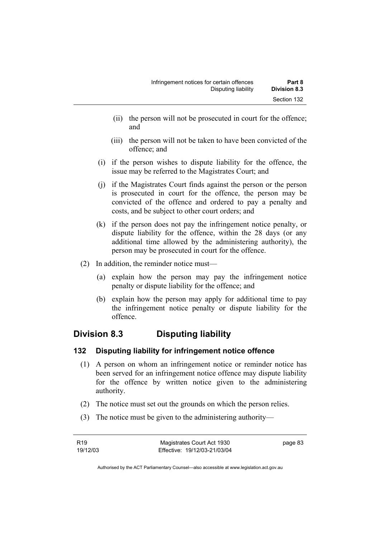- (ii) the person will not be prosecuted in court for the offence; and
- (iii) the person will not be taken to have been convicted of the offence; and
- (i) if the person wishes to dispute liability for the offence, the issue may be referred to the Magistrates Court; and
- (j) if the Magistrates Court finds against the person or the person is prosecuted in court for the offence, the person may be convicted of the offence and ordered to pay a penalty and costs, and be subject to other court orders; and
- (k) if the person does not pay the infringement notice penalty, or dispute liability for the offence, within the 28 days (or any additional time allowed by the administering authority), the person may be prosecuted in court for the offence.
- (2) In addition, the reminder notice must—
	- (a) explain how the person may pay the infringement notice penalty or dispute liability for the offence; and
	- (b) explain how the person may apply for additional time to pay the infringement notice penalty or dispute liability for the offence.

# **Division 8.3 Disputing liability**

# **132 Disputing liability for infringement notice offence**

- (1) A person on whom an infringement notice or reminder notice has been served for an infringement notice offence may dispute liability for the offence by written notice given to the administering authority.
- (2) The notice must set out the grounds on which the person relies.
- (3) The notice must be given to the administering authority—

| R <sub>19</sub> | Magistrates Court Act 1930   | page 83 |
|-----------------|------------------------------|---------|
| 19/12/03        | Effective: 19/12/03-21/03/04 |         |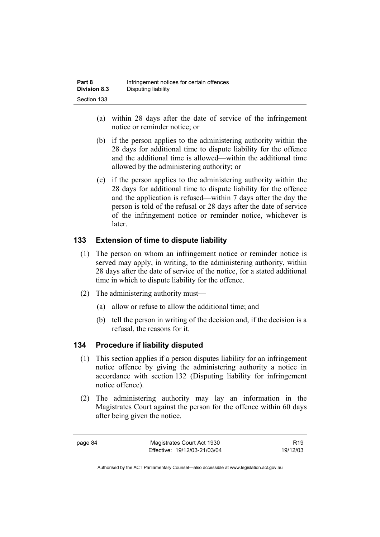| Part 8              | Infringement notices for certain offences |
|---------------------|-------------------------------------------|
| <b>Division 8.3</b> | Disputing liability                       |
| Section 133         |                                           |

- (a) within 28 days after the date of service of the infringement notice or reminder notice; or
- (b) if the person applies to the administering authority within the 28 days for additional time to dispute liability for the offence and the additional time is allowed—within the additional time allowed by the administering authority; or
- (c) if the person applies to the administering authority within the 28 days for additional time to dispute liability for the offence and the application is refused—within 7 days after the day the person is told of the refusal or 28 days after the date of service of the infringement notice or reminder notice, whichever is later.

# **133 Extension of time to dispute liability**

- (1) The person on whom an infringement notice or reminder notice is served may apply, in writing, to the administering authority, within 28 days after the date of service of the notice, for a stated additional time in which to dispute liability for the offence.
- (2) The administering authority must—
	- (a) allow or refuse to allow the additional time; and
	- (b) tell the person in writing of the decision and, if the decision is a refusal, the reasons for it.

# **134 Procedure if liability disputed**

- (1) This section applies if a person disputes liability for an infringement notice offence by giving the administering authority a notice in accordance with section 132 (Disputing liability for infringement notice offence).
- (2) The administering authority may lay an information in the Magistrates Court against the person for the offence within 60 days after being given the notice.

page 84 Magistrates Court Act 1930 Effective: 19/12/03-21/03/04

R19 19/12/03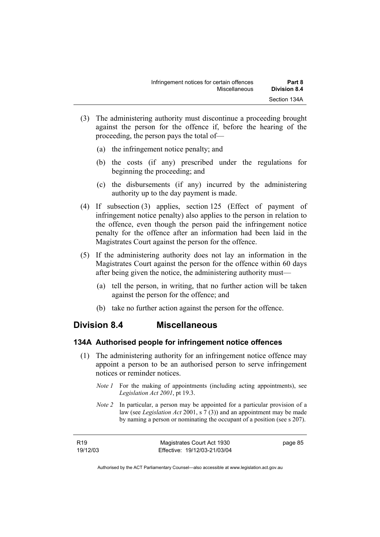- (3) The administering authority must discontinue a proceeding brought against the person for the offence if, before the hearing of the proceeding, the person pays the total of—
	- (a) the infringement notice penalty; and
	- (b) the costs (if any) prescribed under the regulations for beginning the proceeding; and
	- (c) the disbursements (if any) incurred by the administering authority up to the day payment is made.
- (4) If subsection (3) applies, section 125 (Effect of payment of infringement notice penalty) also applies to the person in relation to the offence, even though the person paid the infringement notice penalty for the offence after an information had been laid in the Magistrates Court against the person for the offence.
- (5) If the administering authority does not lay an information in the Magistrates Court against the person for the offence within 60 days after being given the notice, the administering authority must—
	- (a) tell the person, in writing, that no further action will be taken against the person for the offence; and
	- (b) take no further action against the person for the offence.

# **Division 8.4 Miscellaneous**

### **134A Authorised people for infringement notice offences**

- (1) The administering authority for an infringement notice offence may appoint a person to be an authorised person to serve infringement notices or reminder notices.
	- *Note 1* For the making of appointments (including acting appointments), see *Legislation Act 2001*, pt 19.3.
	- *Note 2* In particular, a person may be appointed for a particular provision of a law (see *Legislation Act* 2001, s 7 (3)) and an appointment may be made by naming a person or nominating the occupant of a position (see s 207).

| R <sub>19</sub> | Magistrates Court Act 1930   | page 85 |
|-----------------|------------------------------|---------|
| 19/12/03        | Effective: 19/12/03-21/03/04 |         |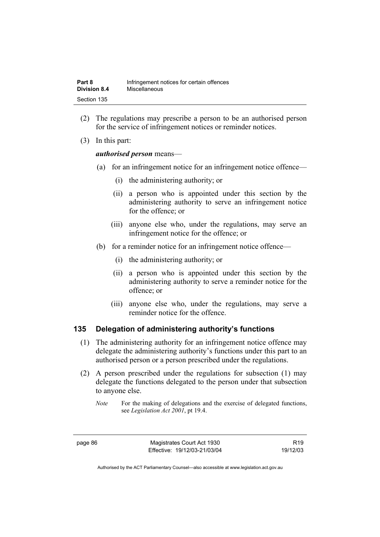| Part 8              | Infringement notices for certain offences |
|---------------------|-------------------------------------------|
| <b>Division 8.4</b> | <b>Miscellaneous</b>                      |
| Section 135         |                                           |

- (2) The regulations may prescribe a person to be an authorised person for the service of infringement notices or reminder notices.
- (3) In this part:

#### *authorised person* means—

- (a) for an infringement notice for an infringement notice offence—
	- (i) the administering authority; or
	- (ii) a person who is appointed under this section by the administering authority to serve an infringement notice for the offence; or
	- (iii) anyone else who, under the regulations, may serve an infringement notice for the offence; or
- (b) for a reminder notice for an infringement notice offence—
	- (i) the administering authority; or
	- (ii) a person who is appointed under this section by the administering authority to serve a reminder notice for the offence; or
	- (iii) anyone else who, under the regulations, may serve a reminder notice for the offence.

#### **135 Delegation of administering authority's functions**

- (1) The administering authority for an infringement notice offence may delegate the administering authority's functions under this part to an authorised person or a person prescribed under the regulations.
- (2) A person prescribed under the regulations for subsection (1) may delegate the functions delegated to the person under that subsection to anyone else.

page 86 Magistrates Court Act 1930 Effective: 19/12/03-21/03/04

R19 19/12/03

*Note* For the making of delegations and the exercise of delegated functions, see *Legislation Act 2001*, pt 19.4.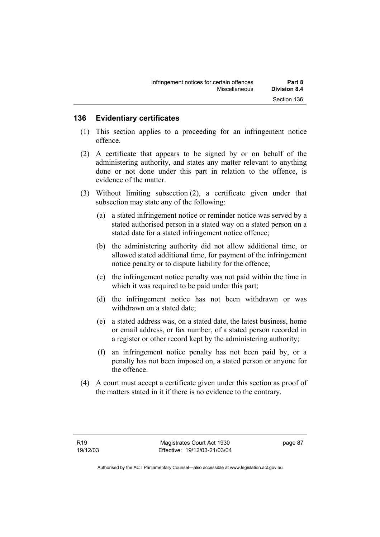## **136 Evidentiary certificates**

- (1) This section applies to a proceeding for an infringement notice offence.
- (2) A certificate that appears to be signed by or on behalf of the administering authority, and states any matter relevant to anything done or not done under this part in relation to the offence, is evidence of the matter.
- (3) Without limiting subsection (2), a certificate given under that subsection may state any of the following:
	- (a) a stated infringement notice or reminder notice was served by a stated authorised person in a stated way on a stated person on a stated date for a stated infringement notice offence;
	- (b) the administering authority did not allow additional time, or allowed stated additional time, for payment of the infringement notice penalty or to dispute liability for the offence;
	- (c) the infringement notice penalty was not paid within the time in which it was required to be paid under this part;
	- (d) the infringement notice has not been withdrawn or was withdrawn on a stated date;
	- (e) a stated address was, on a stated date, the latest business, home or email address, or fax number, of a stated person recorded in a register or other record kept by the administering authority;
	- (f) an infringement notice penalty has not been paid by, or a penalty has not been imposed on, a stated person or anyone for the offence.
- (4) A court must accept a certificate given under this section as proof of the matters stated in it if there is no evidence to the contrary.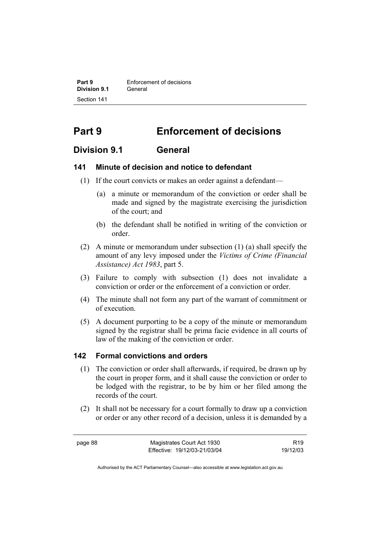**Part 9 Enforcement of decisions Division 9.1** General Section 141

# **Part 9 Enforcement of decisions**

# **Division 9.1 General**

#### **141 Minute of decision and notice to defendant**

- (1) If the court convicts or makes an order against a defendant—
	- (a) a minute or memorandum of the conviction or order shall be made and signed by the magistrate exercising the jurisdiction of the court; and
	- (b) the defendant shall be notified in writing of the conviction or order.
- (2) A minute or memorandum under subsection (1) (a) shall specify the amount of any levy imposed under the *Victims of Crime (Financial Assistance) Act 1983*, part 5.
- (3) Failure to comply with subsection (1) does not invalidate a conviction or order or the enforcement of a conviction or order.
- (4) The minute shall not form any part of the warrant of commitment or of execution.
- (5) A document purporting to be a copy of the minute or memorandum signed by the registrar shall be prima facie evidence in all courts of law of the making of the conviction or order.

#### **142 Formal convictions and orders**

- (1) The conviction or order shall afterwards, if required, be drawn up by the court in proper form, and it shall cause the conviction or order to be lodged with the registrar, to be by him or her filed among the records of the court.
- (2) It shall not be necessary for a court formally to draw up a conviction or order or any other record of a decision, unless it is demanded by a

page 88 Magistrates Court Act 1930 Effective: 19/12/03-21/03/04

R19 19/12/03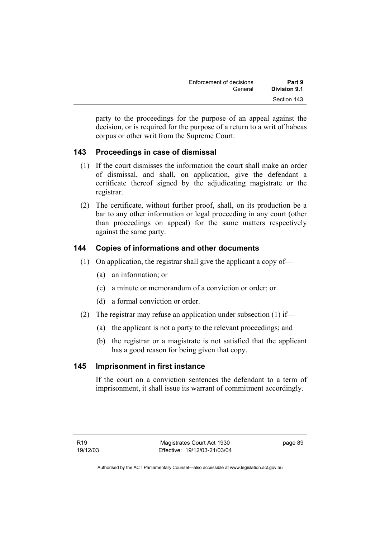| Enforcement of decisions | Part 9       |
|--------------------------|--------------|
| General                  | Division 9.1 |
|                          | Section 143  |

party to the proceedings for the purpose of an appeal against the decision, or is required for the purpose of a return to a writ of habeas corpus or other writ from the Supreme Court.

# **143 Proceedings in case of dismissal**

- (1) If the court dismisses the information the court shall make an order of dismissal, and shall, on application, give the defendant a certificate thereof signed by the adjudicating magistrate or the registrar.
- (2) The certificate, without further proof, shall, on its production be a bar to any other information or legal proceeding in any court (other than proceedings on appeal) for the same matters respectively against the same party.

# **144 Copies of informations and other documents**

- (1) On application, the registrar shall give the applicant a copy of—
	- (a) an information; or
	- (c) a minute or memorandum of a conviction or order; or
	- (d) a formal conviction or order.
- (2) The registrar may refuse an application under subsection (1) if—
	- (a) the applicant is not a party to the relevant proceedings; and
	- (b) the registrar or a magistrate is not satisfied that the applicant has a good reason for being given that copy.

# **145 Imprisonment in first instance**

If the court on a conviction sentences the defendant to a term of imprisonment, it shall issue its warrant of commitment accordingly.

page 89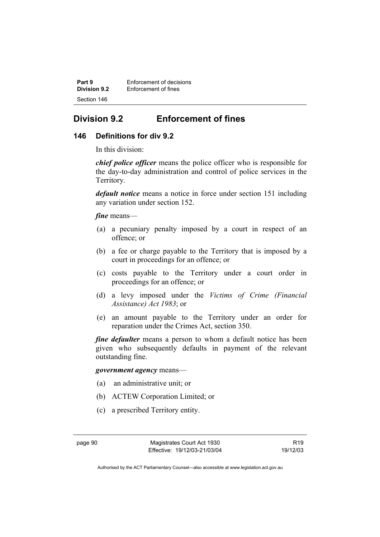**Part 9 Enforcement of decisions**<br>**Division 9.2 Enforcement of fines Enforcement of fines** Section 146

# **Division 9.2 Enforcement of fines**

### **146 Definitions for div 9.2**

In this division:

*chief police officer* means the police officer who is responsible for the day-to-day administration and control of police services in the Territory.

*default notice* means a notice in force under section 151 including any variation under section 152.

*fine* means—

- (a) a pecuniary penalty imposed by a court in respect of an offence; or
- (b) a fee or charge payable to the Territory that is imposed by a court in proceedings for an offence; or
- (c) costs payable to the Territory under a court order in proceedings for an offence; or
- (d) a levy imposed under the *Victims of Crime (Financial Assistance) Act 1983*; or
- (e) an amount payable to the Territory under an order for reparation under the Crimes Act, section 350.

*fine defaulter* means a person to whom a default notice has been given who subsequently defaults in payment of the relevant outstanding fine.

*government agency* means—

- (a) an administrative unit; or
- (b) ACTEW Corporation Limited; or
- (c) a prescribed Territory entity.

R19 19/12/03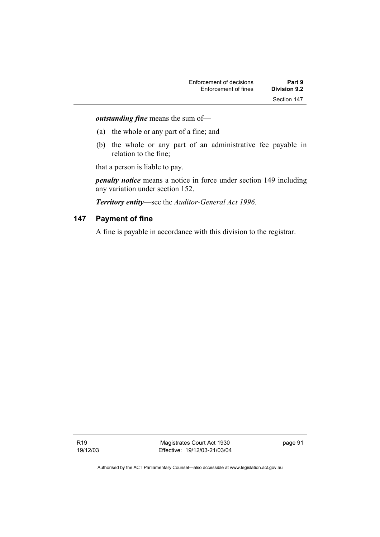*outstanding fine* means the sum of—

- (a) the whole or any part of a fine; and
- (b) the whole or any part of an administrative fee payable in relation to the fine;

that a person is liable to pay.

*penalty notice* means a notice in force under section 149 including any variation under section 152.

*Territory entity*—see the *Auditor-General Act 1996*.

### **147 Payment of fine**

A fine is payable in accordance with this division to the registrar.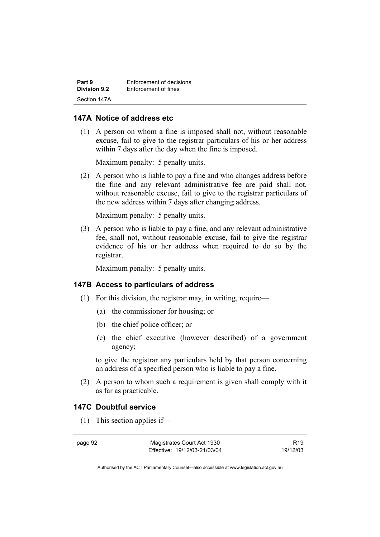| Part 9       | Enforcement of decisions |
|--------------|--------------------------|
| Division 9.2 | Enforcement of fines     |
| Section 147A |                          |

#### **147A Notice of address etc**

 (1) A person on whom a fine is imposed shall not, without reasonable excuse, fail to give to the registrar particulars of his or her address within 7 days after the day when the fine is imposed.

Maximum penalty: 5 penalty units.

 (2) A person who is liable to pay a fine and who changes address before the fine and any relevant administrative fee are paid shall not, without reasonable excuse, fail to give to the registrar particulars of the new address within 7 days after changing address.

Maximum penalty: 5 penalty units.

 (3) A person who is liable to pay a fine, and any relevant administrative fee, shall not, without reasonable excuse, fail to give the registrar evidence of his or her address when required to do so by the registrar.

Maximum penalty: 5 penalty units.

#### **147B Access to particulars of address**

- (1) For this division, the registrar may, in writing, require—
	- (a) the commissioner for housing; or
	- (b) the chief police officer; or
	- (c) the chief executive (however described) of a government agency;

to give the registrar any particulars held by that person concerning an address of a specified person who is liable to pay a fine.

 (2) A person to whom such a requirement is given shall comply with it as far as practicable.

## **147C Doubtful service**

(1) This section applies if—

page 92 Magistrates Court Act 1930 Effective: 19/12/03-21/03/04

R19 19/12/03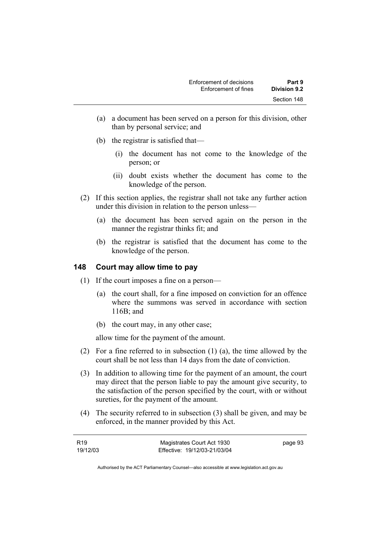- (a) a document has been served on a person for this division, other than by personal service; and
- (b) the registrar is satisfied that—
	- (i) the document has not come to the knowledge of the person; or
	- (ii) doubt exists whether the document has come to the knowledge of the person.
- (2) If this section applies, the registrar shall not take any further action under this division in relation to the person unless—
	- (a) the document has been served again on the person in the manner the registrar thinks fit; and
	- (b) the registrar is satisfied that the document has come to the knowledge of the person.

# **148 Court may allow time to pay**

- (1) If the court imposes a fine on a person—
	- (a) the court shall, for a fine imposed on conviction for an offence where the summons was served in accordance with section 116B; and
	- (b) the court may, in any other case;

allow time for the payment of the amount.

- (2) For a fine referred to in subsection (1) (a), the time allowed by the court shall be not less than 14 days from the date of conviction.
- (3) In addition to allowing time for the payment of an amount, the court may direct that the person liable to pay the amount give security, to the satisfaction of the person specified by the court, with or without sureties, for the payment of the amount.
- (4) The security referred to in subsection (3) shall be given, and may be enforced, in the manner provided by this Act.

| R19      | Magistrates Court Act 1930   | page 93 |
|----------|------------------------------|---------|
| 19/12/03 | Effective: 19/12/03-21/03/04 |         |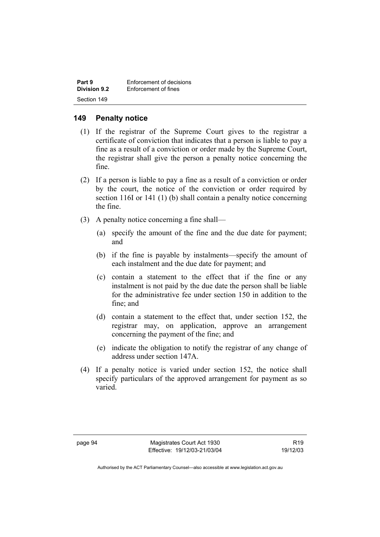| Part 9              | Enforcement of decisions |
|---------------------|--------------------------|
| <b>Division 9.2</b> | Enforcement of fines     |
| Section 149         |                          |

# **149 Penalty notice**

- (1) If the registrar of the Supreme Court gives to the registrar a certificate of conviction that indicates that a person is liable to pay a fine as a result of a conviction or order made by the Supreme Court, the registrar shall give the person a penalty notice concerning the fine.
- (2) If a person is liable to pay a fine as a result of a conviction or order by the court, the notice of the conviction or order required by section 116I or 141 (1) (b) shall contain a penalty notice concerning the fine.
- (3) A penalty notice concerning a fine shall—
	- (a) specify the amount of the fine and the due date for payment; and
	- (b) if the fine is payable by instalments—specify the amount of each instalment and the due date for payment; and
	- (c) contain a statement to the effect that if the fine or any instalment is not paid by the due date the person shall be liable for the administrative fee under section 150 in addition to the fine; and
	- (d) contain a statement to the effect that, under section 152, the registrar may, on application, approve an arrangement concerning the payment of the fine; and
	- (e) indicate the obligation to notify the registrar of any change of address under section 147A.
- (4) If a penalty notice is varied under section 152, the notice shall specify particulars of the approved arrangement for payment as so varied.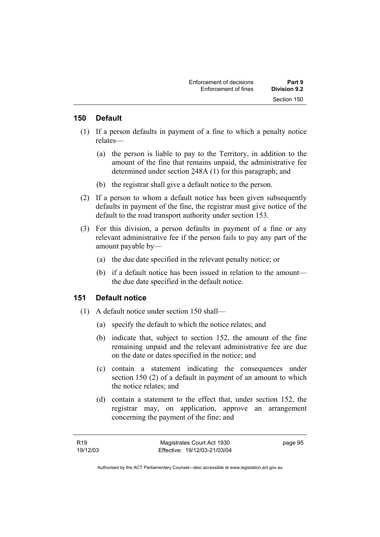#### **150 Default**

- (1) If a person defaults in payment of a fine to which a penalty notice relates—
	- (a) the person is liable to pay to the Territory, in addition to the amount of the fine that remains unpaid, the administrative fee determined under section 248A (1) for this paragraph; and
	- (b) the registrar shall give a default notice to the person.
- (2) If a person to whom a default notice has been given subsequently defaults in payment of the fine, the registrar must give notice of the default to the road transport authority under section 153.
- (3) For this division, a person defaults in payment of a fine or any relevant administrative fee if the person fails to pay any part of the amount payable by—
	- (a) the due date specified in the relevant penalty notice; or
	- (b) if a default notice has been issued in relation to the amount the due date specified in the default notice.

#### **151 Default notice**

- (1) A default notice under section 150 shall—
	- (a) specify the default to which the notice relates; and
	- (b) indicate that, subject to section 152, the amount of the fine remaining unpaid and the relevant administrative fee are due on the date or dates specified in the notice; and
	- (c) contain a statement indicating the consequences under section 150 (2) of a default in payment of an amount to which the notice relates; and
	- (d) contain a statement to the effect that, under section 152, the registrar may, on application, approve an arrangement concerning the payment of the fine; and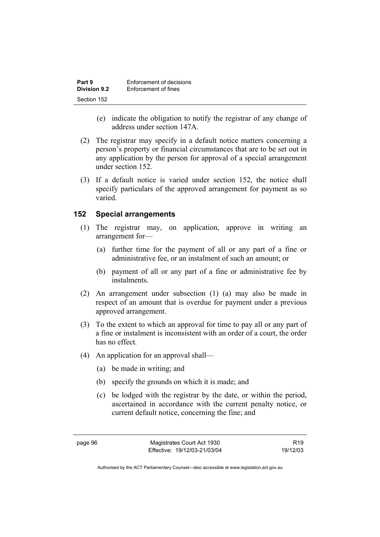| Part 9              | Enforcement of decisions |
|---------------------|--------------------------|
| <b>Division 9.2</b> | Enforcement of fines     |
| Section 152         |                          |

- (e) indicate the obligation to notify the registrar of any change of address under section 147A.
- (2) The registrar may specify in a default notice matters concerning a person's property or financial circumstances that are to be set out in any application by the person for approval of a special arrangement under section 152.
- (3) If a default notice is varied under section 152, the notice shall specify particulars of the approved arrangement for payment as so varied.

#### **152 Special arrangements**

- (1) The registrar may, on application, approve in writing an arrangement for—
	- (a) further time for the payment of all or any part of a fine or administrative fee, or an instalment of such an amount; or
	- (b) payment of all or any part of a fine or administrative fee by instalments.
- (2) An arrangement under subsection (1) (a) may also be made in respect of an amount that is overdue for payment under a previous approved arrangement.
- (3) To the extent to which an approval for time to pay all or any part of a fine or instalment is inconsistent with an order of a court, the order has no effect.
- (4) An application for an approval shall—
	- (a) be made in writing; and
	- (b) specify the grounds on which it is made; and
	- (c) be lodged with the registrar by the date, or within the period, ascertained in accordance with the current penalty notice, or current default notice, concerning the fine; and

page 96 Magistrates Court Act 1930 Effective: 19/12/03-21/03/04

R19 19/12/03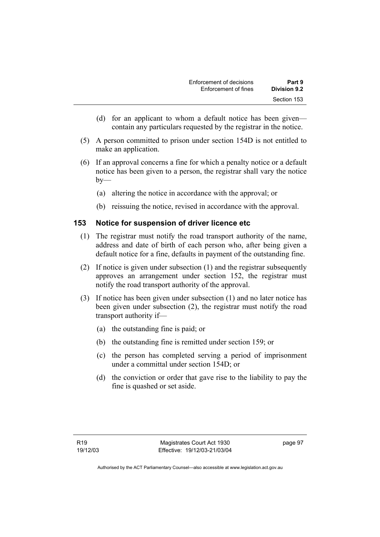- (d) for an applicant to whom a default notice has been given contain any particulars requested by the registrar in the notice.
- (5) A person committed to prison under section 154D is not entitled to make an application.
- (6) If an approval concerns a fine for which a penalty notice or a default notice has been given to a person, the registrar shall vary the notice  $by-$ 
	- (a) altering the notice in accordance with the approval; or
	- (b) reissuing the notice, revised in accordance with the approval.

# **153 Notice for suspension of driver licence etc**

- (1) The registrar must notify the road transport authority of the name, address and date of birth of each person who, after being given a default notice for a fine, defaults in payment of the outstanding fine.
- (2) If notice is given under subsection (1) and the registrar subsequently approves an arrangement under section 152, the registrar must notify the road transport authority of the approval.
- (3) If notice has been given under subsection (1) and no later notice has been given under subsection (2), the registrar must notify the road transport authority if—
	- (a) the outstanding fine is paid; or
	- (b) the outstanding fine is remitted under section 159; or
	- (c) the person has completed serving a period of imprisonment under a committal under section 154D; or
	- (d) the conviction or order that gave rise to the liability to pay the fine is quashed or set aside.

page 97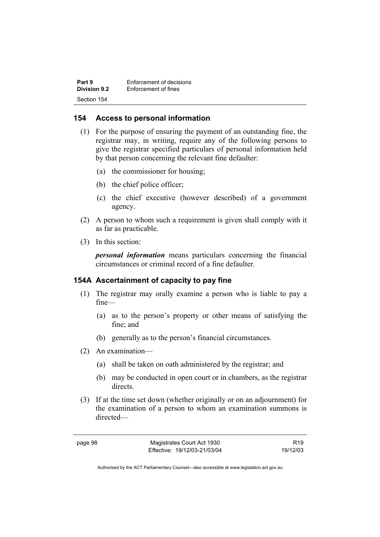| Part 9              | Enforcement of decisions |
|---------------------|--------------------------|
| <b>Division 9.2</b> | Enforcement of fines     |
| Section 154         |                          |

### **154 Access to personal information**

- (1) For the purpose of ensuring the payment of an outstanding fine, the registrar may, in writing, require any of the following persons to give the registrar specified particulars of personal information held by that person concerning the relevant fine defaulter:
	- (a) the commissioner for housing;
	- (b) the chief police officer;
	- (c) the chief executive (however described) of a government agency.
- (2) A person to whom such a requirement is given shall comply with it as far as practicable.
- (3) In this section:

*personal information* means particulars concerning the financial circumstances or criminal record of a fine defaulter.

#### **154A Ascertainment of capacity to pay fine**

- (1) The registrar may orally examine a person who is liable to pay a fine—
	- (a) as to the person's property or other means of satisfying the fine; and
	- (b) generally as to the person's financial circumstances.
- (2) An examination—
	- (a) shall be taken on oath administered by the registrar; and
	- (b) may be conducted in open court or in chambers, as the registrar directs.
- (3) If at the time set down (whether originally or on an adjournment) for the examination of a person to whom an examination summons is directed—

| ĸ<br>r<br>r. | . . |
|--------------|-----|
|--------------|-----|

Magistrates Court Act 1930 Effective: 19/12/03-21/03/04

R19 19/12/03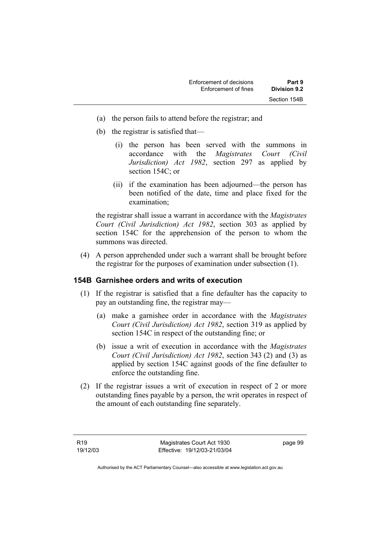- (a) the person fails to attend before the registrar; and
- (b) the registrar is satisfied that—
	- (i) the person has been served with the summons in accordance with the *Magistrates Court (Civil Jurisdiction) Act 1982*, section 297 as applied by section 154C; or
	- (ii) if the examination has been adjourned—the person has been notified of the date, time and place fixed for the examination;

the registrar shall issue a warrant in accordance with the *Magistrates Court (Civil Jurisdiction) Act 1982*, section 303 as applied by section 154C for the apprehension of the person to whom the summons was directed.

 (4) A person apprehended under such a warrant shall be brought before the registrar for the purposes of examination under subsection (1).

#### **154B Garnishee orders and writs of execution**

- (1) If the registrar is satisfied that a fine defaulter has the capacity to pay an outstanding fine, the registrar may—
	- (a) make a garnishee order in accordance with the *Magistrates Court (Civil Jurisdiction) Act 1982*, section 319 as applied by section 154C in respect of the outstanding fine; or
	- (b) issue a writ of execution in accordance with the *Magistrates Court (Civil Jurisdiction) Act 1982*, section 343 (2) and (3) as applied by section 154C against goods of the fine defaulter to enforce the outstanding fine.
- (2) If the registrar issues a writ of execution in respect of 2 or more outstanding fines payable by a person, the writ operates in respect of the amount of each outstanding fine separately.

page 99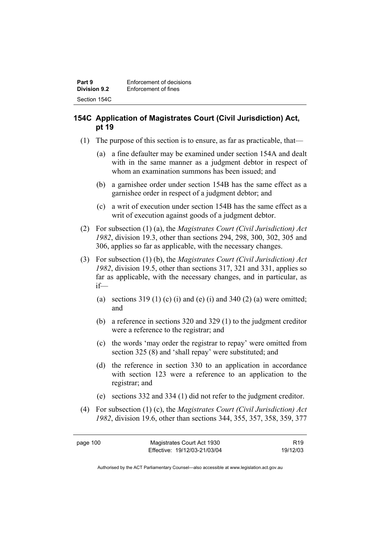# **154C Application of Magistrates Court (Civil Jurisdiction) Act, pt 19**

- (1) The purpose of this section is to ensure, as far as practicable, that—
	- (a) a fine defaulter may be examined under section 154A and dealt with in the same manner as a judgment debtor in respect of whom an examination summons has been issued; and
	- (b) a garnishee order under section 154B has the same effect as a garnishee order in respect of a judgment debtor; and
	- (c) a writ of execution under section 154B has the same effect as a writ of execution against goods of a judgment debtor.
- (2) For subsection (1) (a), the *Magistrates Court (Civil Jurisdiction) Act 1982*, division 19.3, other than sections 294, 298, 300, 302, 305 and 306, applies so far as applicable, with the necessary changes.
- (3) For subsection (1) (b), the *Magistrates Court (Civil Jurisdiction) Act 1982*, division 19.5, other than sections 317, 321 and 331, applies so far as applicable, with the necessary changes, and in particular, as if—
	- (a) sections  $319(1)$  (c) (i) and (e) (i) and  $340(2)$  (a) were omitted; and
	- (b) a reference in sections 320 and 329 (1) to the judgment creditor were a reference to the registrar; and
	- (c) the words 'may order the registrar to repay' were omitted from section 325 (8) and 'shall repay' were substituted; and
	- (d) the reference in section 330 to an application in accordance with section 123 were a reference to an application to the registrar; and
	- (e) sections 332 and 334 (1) did not refer to the judgment creditor.
- (4) For subsection (1) (c), the *Magistrates Court (Civil Jurisdiction) Act 1982*, division 19.6, other than sections 344, 355, 357, 358, 359, 377

R19 19/12/03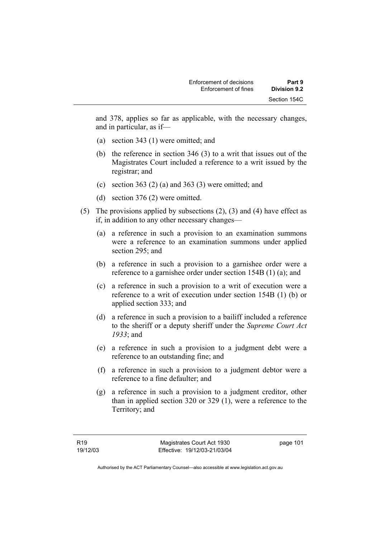and 378, applies so far as applicable, with the necessary changes, and in particular, as if—

- (a) section 343 (1) were omitted; and
- (b) the reference in section 346 (3) to a writ that issues out of the Magistrates Court included a reference to a writ issued by the registrar; and
- (c) section 363 (2) (a) and 363 (3) were omitted; and
- (d) section 376 (2) were omitted.
- (5) The provisions applied by subsections (2), (3) and (4) have effect as if, in addition to any other necessary changes—
	- (a) a reference in such a provision to an examination summons were a reference to an examination summons under applied section 295; and
	- (b) a reference in such a provision to a garnishee order were a reference to a garnishee order under section 154B (1) (a); and
	- (c) a reference in such a provision to a writ of execution were a reference to a writ of execution under section 154B (1) (b) or applied section 333; and
	- (d) a reference in such a provision to a bailiff included a reference to the sheriff or a deputy sheriff under the *Supreme Court Act 1933*; and
	- (e) a reference in such a provision to a judgment debt were a reference to an outstanding fine; and
	- (f) a reference in such a provision to a judgment debtor were a reference to a fine defaulter; and
	- (g) a reference in such a provision to a judgment creditor, other than in applied section 320 or 329 (1), were a reference to the Territory; and

page 101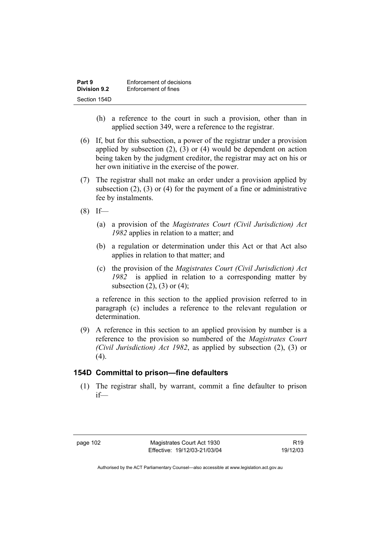| Part 9       | Enforcement of decisions |
|--------------|--------------------------|
| Division 9.2 | Enforcement of fines     |
| Section 154D |                          |

- (h) a reference to the court in such a provision, other than in applied section 349, were a reference to the registrar.
- (6) If, but for this subsection, a power of the registrar under a provision applied by subsection (2), (3) or (4) would be dependent on action being taken by the judgment creditor, the registrar may act on his or her own initiative in the exercise of the power.
- (7) The registrar shall not make an order under a provision applied by subsection  $(2)$ ,  $(3)$  or  $(4)$  for the payment of a fine or administrative fee by instalments.
- $(8)$  If—
	- (a) a provision of the *Magistrates Court (Civil Jurisdiction) Act 1982* applies in relation to a matter; and
	- (b) a regulation or determination under this Act or that Act also applies in relation to that matter; and
	- (c) the provision of the *Magistrates Court (Civil Jurisdiction) Act 1982* is applied in relation to a corresponding matter by subsection  $(2)$ ,  $(3)$  or  $(4)$ ;

a reference in this section to the applied provision referred to in paragraph (c) includes a reference to the relevant regulation or determination.

 (9) A reference in this section to an applied provision by number is a reference to the provision so numbered of the *Magistrates Court (Civil Jurisdiction) Act 1982*, as applied by subsection (2), (3) or  $(4)$ .

#### **154D Committal to prison—fine defaulters**

 (1) The registrar shall, by warrant, commit a fine defaulter to prison if—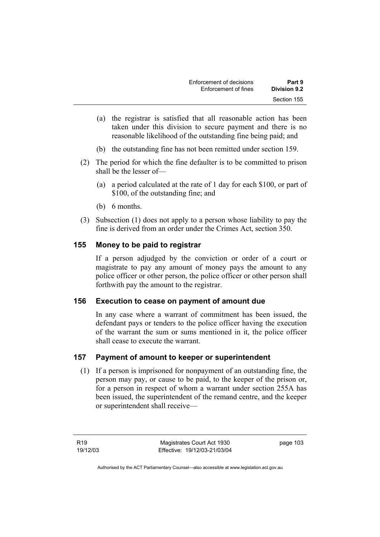| Enforcement of decisions | Part 9       |
|--------------------------|--------------|
| Enforcement of fines     | Division 9.2 |
|                          | Section 155  |

- (a) the registrar is satisfied that all reasonable action has been taken under this division to secure payment and there is no reasonable likelihood of the outstanding fine being paid; and
- (b) the outstanding fine has not been remitted under section 159.
- (2) The period for which the fine defaulter is to be committed to prison shall be the lesser of—
	- (a) a period calculated at the rate of 1 day for each \$100, or part of \$100, of the outstanding fine; and
	- (b) 6 months.
- (3) Subsection (1) does not apply to a person whose liability to pay the fine is derived from an order under the Crimes Act, section 350.

### **155 Money to be paid to registrar**

If a person adjudged by the conviction or order of a court or magistrate to pay any amount of money pays the amount to any police officer or other person, the police officer or other person shall forthwith pay the amount to the registrar.

#### **156 Execution to cease on payment of amount due**

In any case where a warrant of commitment has been issued, the defendant pays or tenders to the police officer having the execution of the warrant the sum or sums mentioned in it, the police officer shall cease to execute the warrant.

# **157 Payment of amount to keeper or superintendent**

 (1) If a person is imprisoned for nonpayment of an outstanding fine, the person may pay, or cause to be paid, to the keeper of the prison or, for a person in respect of whom a warrant under section 255A has been issued, the superintendent of the remand centre, and the keeper or superintendent shall receive—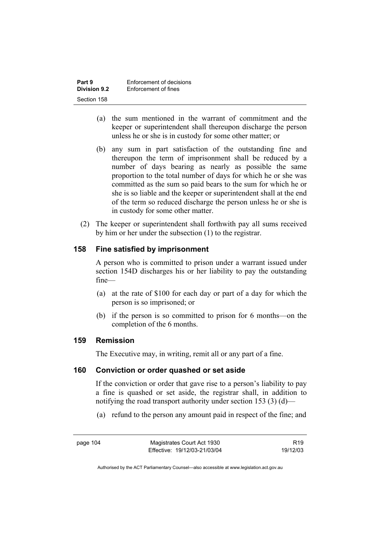| Part 9              | Enforcement of decisions |
|---------------------|--------------------------|
| <b>Division 9.2</b> | Enforcement of fines     |
| Section 158         |                          |

- (a) the sum mentioned in the warrant of commitment and the keeper or superintendent shall thereupon discharge the person unless he or she is in custody for some other matter; or
- (b) any sum in part satisfaction of the outstanding fine and thereupon the term of imprisonment shall be reduced by a number of days bearing as nearly as possible the same proportion to the total number of days for which he or she was committed as the sum so paid bears to the sum for which he or she is so liable and the keeper or superintendent shall at the end of the term so reduced discharge the person unless he or she is in custody for some other matter.
- (2) The keeper or superintendent shall forthwith pay all sums received by him or her under the subsection (1) to the registrar.

### **158 Fine satisfied by imprisonment**

A person who is committed to prison under a warrant issued under section 154D discharges his or her liability to pay the outstanding fine—

- (a) at the rate of \$100 for each day or part of a day for which the person is so imprisoned; or
- (b) if the person is so committed to prison for 6 months—on the completion of the 6 months.

#### **159 Remission**

The Executive may, in writing, remit all or any part of a fine.

#### **160 Conviction or order quashed or set aside**

If the conviction or order that gave rise to a person's liability to pay a fine is quashed or set aside, the registrar shall, in addition to notifying the road transport authority under section 153 (3) (d)—

(a) refund to the person any amount paid in respect of the fine; and

R19 19/12/03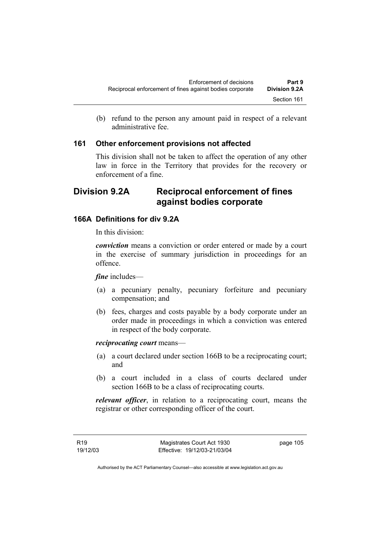(b) refund to the person any amount paid in respect of a relevant administrative fee.

### **161 Other enforcement provisions not affected**

This division shall not be taken to affect the operation of any other law in force in the Territory that provides for the recovery or enforcement of a fine.

# **Division 9.2A Reciprocal enforcement of fines against bodies corporate**

# **166A Definitions for div 9.2A**

In this division:

*conviction* means a conviction or order entered or made by a court in the exercise of summary jurisdiction in proceedings for an offence.

*fine* includes—

- (a) a pecuniary penalty, pecuniary forfeiture and pecuniary compensation; and
- (b) fees, charges and costs payable by a body corporate under an order made in proceedings in which a conviction was entered in respect of the body corporate.

*reciprocating court* means—

- (a) a court declared under section 166B to be a reciprocating court; and
- (b) a court included in a class of courts declared under section 166B to be a class of reciprocating courts.

*relevant officer*, in relation to a reciprocating court, means the registrar or other corresponding officer of the court.

R19 19/12/03 page 105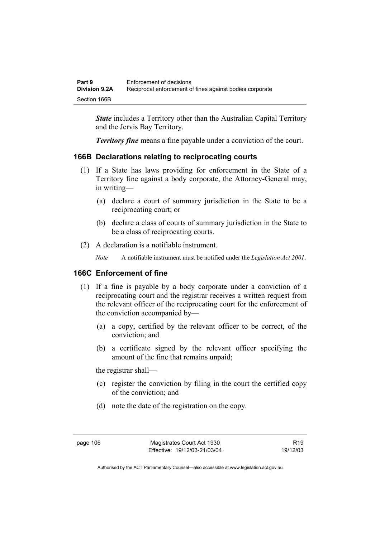| Part 9               | Enforcement of decisions                                 |
|----------------------|----------------------------------------------------------|
| <b>Division 9.2A</b> | Reciprocal enforcement of fines against bodies corporate |
| Section 166B         |                                                          |

*State* includes a Territory other than the Australian Capital Territory and the Jervis Bay Territory.

*Territory fine* means a fine payable under a conviction of the court.

# **166B Declarations relating to reciprocating courts**

- (1) If a State has laws providing for enforcement in the State of a Territory fine against a body corporate, the Attorney-General may, in writing—
	- (a) declare a court of summary jurisdiction in the State to be a reciprocating court; or
	- (b) declare a class of courts of summary jurisdiction in the State to be a class of reciprocating courts.
- (2) A declaration is a notifiable instrument.

*Note* A notifiable instrument must be notified under the *Legislation Act 2001*.

# **166C Enforcement of fine**

- (1) If a fine is payable by a body corporate under a conviction of a reciprocating court and the registrar receives a written request from the relevant officer of the reciprocating court for the enforcement of the conviction accompanied by—
	- (a) a copy, certified by the relevant officer to be correct, of the conviction; and
	- (b) a certificate signed by the relevant officer specifying the amount of the fine that remains unpaid;

the registrar shall—

- (c) register the conviction by filing in the court the certified copy of the conviction; and
- (d) note the date of the registration on the copy.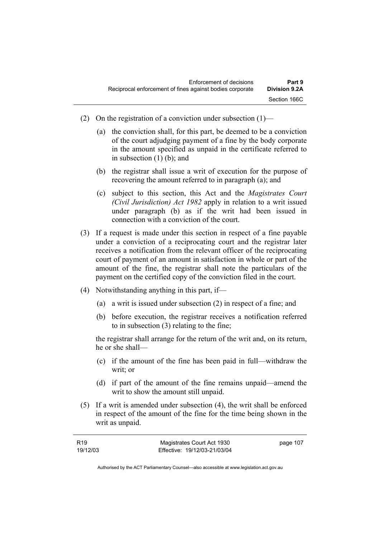- (2) On the registration of a conviction under subsection  $(1)$ 
	- (a) the conviction shall, for this part, be deemed to be a conviction of the court adjudging payment of a fine by the body corporate in the amount specified as unpaid in the certificate referred to in subsection (1) (b); and
	- (b) the registrar shall issue a writ of execution for the purpose of recovering the amount referred to in paragraph (a); and
	- (c) subject to this section, this Act and the *Magistrates Court (Civil Jurisdiction) Act 1982* apply in relation to a writ issued under paragraph (b) as if the writ had been issued in connection with a conviction of the court.
- (3) If a request is made under this section in respect of a fine payable under a conviction of a reciprocating court and the registrar later receives a notification from the relevant officer of the reciprocating court of payment of an amount in satisfaction in whole or part of the amount of the fine, the registrar shall note the particulars of the payment on the certified copy of the conviction filed in the court.
- (4) Notwithstanding anything in this part, if—
	- (a) a writ is issued under subsection (2) in respect of a fine; and
	- (b) before execution, the registrar receives a notification referred to in subsection (3) relating to the fine;

the registrar shall arrange for the return of the writ and, on its return, he or she shall—

- (c) if the amount of the fine has been paid in full—withdraw the writ; or
- (d) if part of the amount of the fine remains unpaid—amend the writ to show the amount still unpaid.
- (5) If a writ is amended under subsection (4), the writ shall be enforced in respect of the amount of the fine for the time being shown in the writ as unpaid.

| R19      | Magistrates Court Act 1930   | page 107 |
|----------|------------------------------|----------|
| 19/12/03 | Effective: 19/12/03-21/03/04 |          |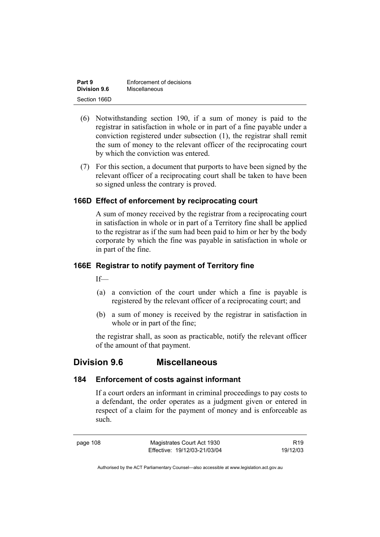| Part 9       | Enforcement of decisions |
|--------------|--------------------------|
| Division 9.6 | Miscellaneous            |
| Section 166D |                          |

- (6) Notwithstanding section 190, if a sum of money is paid to the registrar in satisfaction in whole or in part of a fine payable under a conviction registered under subsection (1), the registrar shall remit the sum of money to the relevant officer of the reciprocating court by which the conviction was entered.
- (7) For this section, a document that purports to have been signed by the relevant officer of a reciprocating court shall be taken to have been so signed unless the contrary is proved.

### **166D Effect of enforcement by reciprocating court**

A sum of money received by the registrar from a reciprocating court in satisfaction in whole or in part of a Territory fine shall be applied to the registrar as if the sum had been paid to him or her by the body corporate by which the fine was payable in satisfaction in whole or in part of the fine.

### **166E Registrar to notify payment of Territory fine**

If—

- (a) a conviction of the court under which a fine is payable is registered by the relevant officer of a reciprocating court; and
- (b) a sum of money is received by the registrar in satisfaction in whole or in part of the fine;

the registrar shall, as soon as practicable, notify the relevant officer of the amount of that payment.

# **Division 9.6 Miscellaneous**

#### **184 Enforcement of costs against informant**

If a court orders an informant in criminal proceedings to pay costs to a defendant, the order operates as a judgment given or entered in respect of a claim for the payment of money and is enforceable as such.

page 108 Magistrates Court Act 1930 Effective: 19/12/03-21/03/04

R19 19/12/03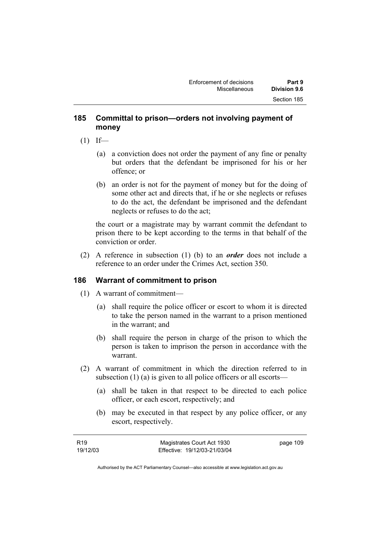## **185 Committal to prison—orders not involving payment of money**

- $(1)$  If—
	- (a) a conviction does not order the payment of any fine or penalty but orders that the defendant be imprisoned for his or her offence; or
	- (b) an order is not for the payment of money but for the doing of some other act and directs that, if he or she neglects or refuses to do the act, the defendant be imprisoned and the defendant neglects or refuses to do the act;

the court or a magistrate may by warrant commit the defendant to prison there to be kept according to the terms in that behalf of the conviction or order.

 (2) A reference in subsection (1) (b) to an *order* does not include a reference to an order under the Crimes Act, section 350.

# **186 Warrant of commitment to prison**

- (1) A warrant of commitment—
	- (a) shall require the police officer or escort to whom it is directed to take the person named in the warrant to a prison mentioned in the warrant; and
	- (b) shall require the person in charge of the prison to which the person is taken to imprison the person in accordance with the warrant.
- (2) A warrant of commitment in which the direction referred to in subsection (1) (a) is given to all police officers or all escorts—
	- (a) shall be taken in that respect to be directed to each police officer, or each escort, respectively; and
	- (b) may be executed in that respect by any police officer, or any escort, respectively.

| R19      | Magistrates Court Act 1930   | page 109 |
|----------|------------------------------|----------|
| 19/12/03 | Effective: 19/12/03-21/03/04 |          |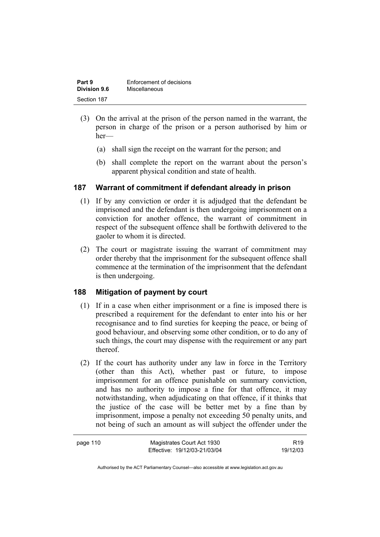| Part 9              | Enforcement of decisions |
|---------------------|--------------------------|
| <b>Division 9.6</b> | Miscellaneous            |
| Section 187         |                          |

- (3) On the arrival at the prison of the person named in the warrant, the person in charge of the prison or a person authorised by him or her—
	- (a) shall sign the receipt on the warrant for the person; and
	- (b) shall complete the report on the warrant about the person's apparent physical condition and state of health.

# **187 Warrant of commitment if defendant already in prison**

- (1) If by any conviction or order it is adjudged that the defendant be imprisoned and the defendant is then undergoing imprisonment on a conviction for another offence, the warrant of commitment in respect of the subsequent offence shall be forthwith delivered to the gaoler to whom it is directed.
- (2) The court or magistrate issuing the warrant of commitment may order thereby that the imprisonment for the subsequent offence shall commence at the termination of the imprisonment that the defendant is then undergoing.

# **188 Mitigation of payment by court**

- (1) If in a case when either imprisonment or a fine is imposed there is prescribed a requirement for the defendant to enter into his or her recognisance and to find sureties for keeping the peace, or being of good behaviour, and observing some other condition, or to do any of such things, the court may dispense with the requirement or any part thereof.
- (2) If the court has authority under any law in force in the Territory (other than this Act), whether past or future, to impose imprisonment for an offence punishable on summary conviction, and has no authority to impose a fine for that offence, it may notwithstanding, when adjudicating on that offence, if it thinks that the justice of the case will be better met by a fine than by imprisonment, impose a penalty not exceeding 50 penalty units, and not being of such an amount as will subject the offender under the

| page 110 | Magistrates Court Act 1930   | R <sub>19</sub> |
|----------|------------------------------|-----------------|
|          | Effective: 19/12/03-21/03/04 | 19/12/03        |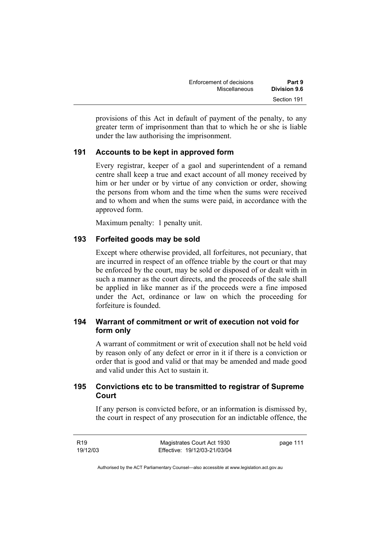| Enforcement of decisions | Part 9              |
|--------------------------|---------------------|
| Miscellaneous            | <b>Division 9.6</b> |
|                          | Section 191         |

provisions of this Act in default of payment of the penalty, to any greater term of imprisonment than that to which he or she is liable under the law authorising the imprisonment.

### **191 Accounts to be kept in approved form**

Every registrar, keeper of a gaol and superintendent of a remand centre shall keep a true and exact account of all money received by him or her under or by virtue of any conviction or order, showing the persons from whom and the time when the sums were received and to whom and when the sums were paid, in accordance with the approved form.

Maximum penalty: 1 penalty unit.

### **193 Forfeited goods may be sold**

Except where otherwise provided, all forfeitures, not pecuniary, that are incurred in respect of an offence triable by the court or that may be enforced by the court, may be sold or disposed of or dealt with in such a manner as the court directs, and the proceeds of the sale shall be applied in like manner as if the proceeds were a fine imposed under the Act, ordinance or law on which the proceeding for forfeiture is founded.

# **194 Warrant of commitment or writ of execution not void for form only**

A warrant of commitment or writ of execution shall not be held void by reason only of any defect or error in it if there is a conviction or order that is good and valid or that may be amended and made good and valid under this Act to sustain it.

# **195 Convictions etc to be transmitted to registrar of Supreme Court**

If any person is convicted before, or an information is dismissed by, the court in respect of any prosecution for an indictable offence, the

R19 19/12/03 Magistrates Court Act 1930 Effective: 19/12/03-21/03/04 page 111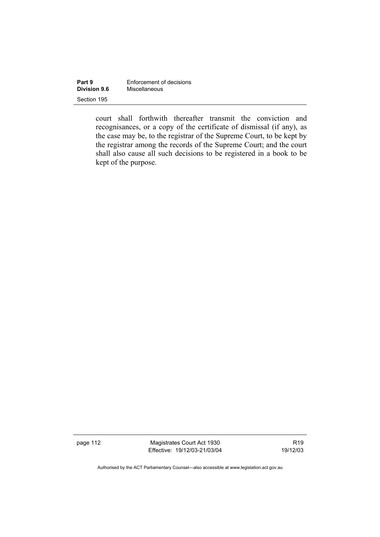| Part 9              | Enforcement of decisions |  |
|---------------------|--------------------------|--|
| <b>Division 9.6</b> | Miscellaneous            |  |
| Section 195         |                          |  |

court shall forthwith thereafter transmit the conviction and recognisances, or a copy of the certificate of dismissal (if any), as the case may be, to the registrar of the Supreme Court, to be kept by the registrar among the records of the Supreme Court; and the court shall also cause all such decisions to be registered in a book to be kept of the purpose.

page 112 Magistrates Court Act 1930 Effective: 19/12/03-21/03/04

R19 19/12/03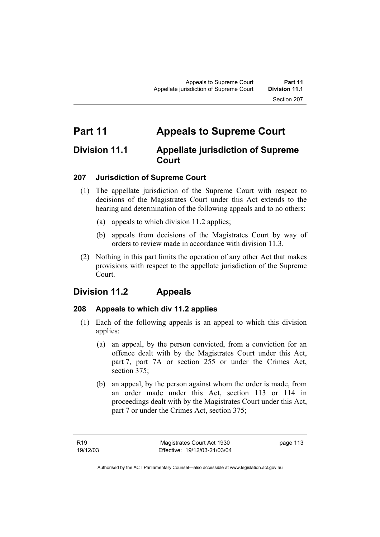# **Part 11 Appeals to Supreme Court**

# **Division 11.1 Appellate jurisdiction of Supreme Court**

# **207 Jurisdiction of Supreme Court**

- (1) The appellate jurisdiction of the Supreme Court with respect to decisions of the Magistrates Court under this Act extends to the hearing and determination of the following appeals and to no others:
	- (a) appeals to which division 11.2 applies;
	- (b) appeals from decisions of the Magistrates Court by way of orders to review made in accordance with division 11.3.
- (2) Nothing in this part limits the operation of any other Act that makes provisions with respect to the appellate jurisdiction of the Supreme Court.

# **Division 11.2 Appeals**

#### **208 Appeals to which div 11.2 applies**

- (1) Each of the following appeals is an appeal to which this division applies:
	- (a) an appeal, by the person convicted, from a conviction for an offence dealt with by the Magistrates Court under this Act, part 7, part 7A or section 255 or under the Crimes Act, section 375;
	- (b) an appeal, by the person against whom the order is made, from an order made under this Act, section 113 or 114 in proceedings dealt with by the Magistrates Court under this Act, part 7 or under the Crimes Act, section 375;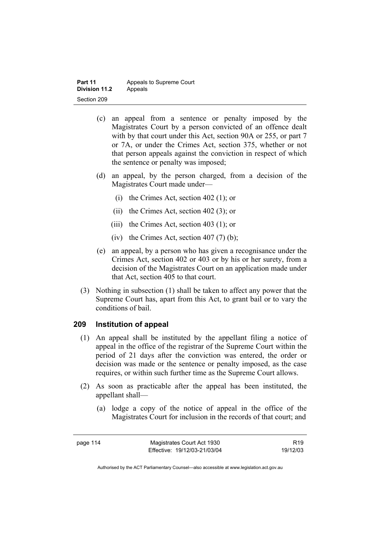| Part 11              | Appeals to Supreme Court |
|----------------------|--------------------------|
| <b>Division 11.2</b> | Appeals                  |
| Section 209          |                          |

- (c) an appeal from a sentence or penalty imposed by the Magistrates Court by a person convicted of an offence dealt with by that court under this Act, section 90A or 255, or part 7 or 7A, or under the Crimes Act, section 375, whether or not that person appeals against the conviction in respect of which the sentence or penalty was imposed;
- (d) an appeal, by the person charged, from a decision of the Magistrates Court made under—
	- (i) the Crimes Act, section 402 (1); or
	- (ii) the Crimes Act, section 402 (3); or
	- (iii) the Crimes Act, section 403 (1); or
	- (iv) the Crimes Act, section  $407(7)$  (b);
- (e) an appeal, by a person who has given a recognisance under the Crimes Act, section 402 or 403 or by his or her surety, from a decision of the Magistrates Court on an application made under that Act, section 405 to that court.
- (3) Nothing in subsection (1) shall be taken to affect any power that the Supreme Court has, apart from this Act, to grant bail or to vary the conditions of bail.

#### **209 Institution of appeal**

- (1) An appeal shall be instituted by the appellant filing a notice of appeal in the office of the registrar of the Supreme Court within the period of 21 days after the conviction was entered, the order or decision was made or the sentence or penalty imposed, as the case requires, or within such further time as the Supreme Court allows.
- (2) As soon as practicable after the appeal has been instituted, the appellant shall—
	- (a) lodge a copy of the notice of appeal in the office of the Magistrates Court for inclusion in the records of that court; and

page 114 Magistrates Court Act 1930 Effective: 19/12/03-21/03/04

R19 19/12/03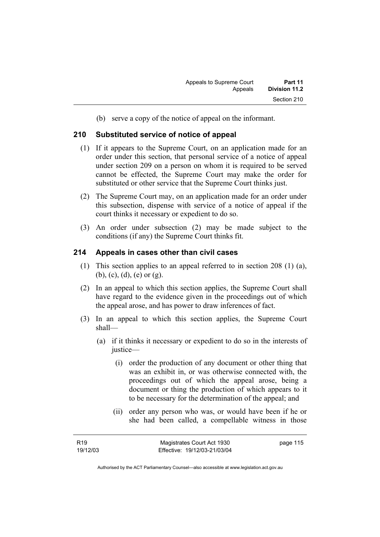(b) serve a copy of the notice of appeal on the informant.

#### **210 Substituted service of notice of appeal**

- (1) If it appears to the Supreme Court, on an application made for an order under this section, that personal service of a notice of appeal under section 209 on a person on whom it is required to be served cannot be effected, the Supreme Court may make the order for substituted or other service that the Supreme Court thinks just.
- (2) The Supreme Court may, on an application made for an order under this subsection, dispense with service of a notice of appeal if the court thinks it necessary or expedient to do so.
- (3) An order under subsection (2) may be made subject to the conditions (if any) the Supreme Court thinks fit.

#### **214 Appeals in cases other than civil cases**

- (1) This section applies to an appeal referred to in section 208 (1) (a), (b), (c), (d), (e) or (g).
- (2) In an appeal to which this section applies, the Supreme Court shall have regard to the evidence given in the proceedings out of which the appeal arose, and has power to draw inferences of fact.
- (3) In an appeal to which this section applies, the Supreme Court shall—
	- (a) if it thinks it necessary or expedient to do so in the interests of justice—
		- (i) order the production of any document or other thing that was an exhibit in, or was otherwise connected with, the proceedings out of which the appeal arose, being a document or thing the production of which appears to it to be necessary for the determination of the appeal; and
		- (ii) order any person who was, or would have been if he or she had been called, a compellable witness in those

page 115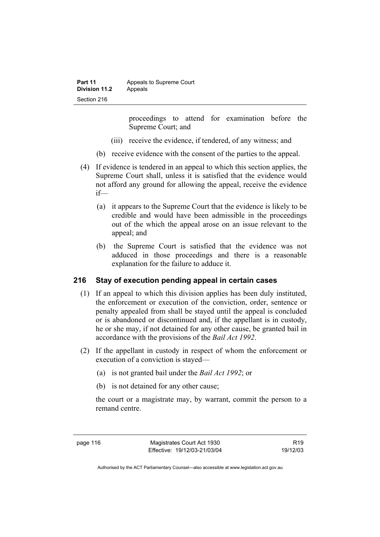| Part 11       | Appeals to Supreme Court |
|---------------|--------------------------|
| Division 11.2 | Appeals                  |
| Section 216   |                          |

proceedings to attend for examination before the Supreme Court; and

- (iii) receive the evidence, if tendered, of any witness; and
- (b) receive evidence with the consent of the parties to the appeal.
- (4) If evidence is tendered in an appeal to which this section applies, the Supreme Court shall, unless it is satisfied that the evidence would not afford any ground for allowing the appeal, receive the evidence if—
	- (a) it appears to the Supreme Court that the evidence is likely to be credible and would have been admissible in the proceedings out of the which the appeal arose on an issue relevant to the appeal; and
	- (b) the Supreme Court is satisfied that the evidence was not adduced in those proceedings and there is a reasonable explanation for the failure to adduce it.

#### **216 Stay of execution pending appeal in certain cases**

- (1) If an appeal to which this division applies has been duly instituted, the enforcement or execution of the conviction, order, sentence or penalty appealed from shall be stayed until the appeal is concluded or is abandoned or discontinued and, if the appellant is in custody, he or she may, if not detained for any other cause, be granted bail in accordance with the provisions of the *Bail Act 1992*.
- (2) If the appellant in custody in respect of whom the enforcement or execution of a conviction is stayed—
	- (a) is not granted bail under the *Bail Act 1992*; or
	- (b) is not detained for any other cause;

the court or a magistrate may, by warrant, commit the person to a remand centre.

page 116 Magistrates Court Act 1930 Effective: 19/12/03-21/03/04

R19 19/12/03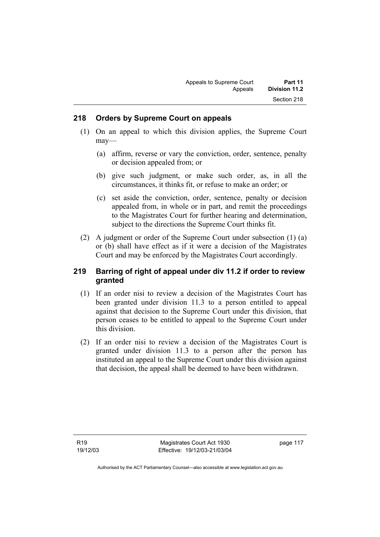#### **218 Orders by Supreme Court on appeals**

- (1) On an appeal to which this division applies, the Supreme Court may—
	- (a) affirm, reverse or vary the conviction, order, sentence, penalty or decision appealed from; or
	- (b) give such judgment, or make such order, as, in all the circumstances, it thinks fit, or refuse to make an order; or
	- (c) set aside the conviction, order, sentence, penalty or decision appealed from, in whole or in part, and remit the proceedings to the Magistrates Court for further hearing and determination, subject to the directions the Supreme Court thinks fit.
- (2) A judgment or order of the Supreme Court under subsection (1) (a) or (b) shall have effect as if it were a decision of the Magistrates Court and may be enforced by the Magistrates Court accordingly.

### **219 Barring of right of appeal under div 11.2 if order to review granted**

- (1) If an order nisi to review a decision of the Magistrates Court has been granted under division 11.3 to a person entitled to appeal against that decision to the Supreme Court under this division, that person ceases to be entitled to appeal to the Supreme Court under this division.
- (2) If an order nisi to review a decision of the Magistrates Court is granted under division 11.3 to a person after the person has instituted an appeal to the Supreme Court under this division against that decision, the appeal shall be deemed to have been withdrawn.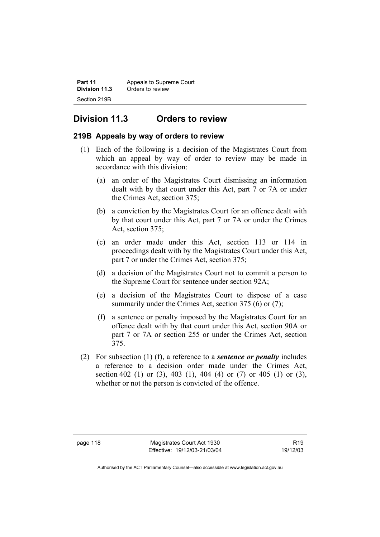| Part 11       | Appeals to Supreme Court |  |
|---------------|--------------------------|--|
| Division 11.3 | Orders to review         |  |
| Section 219B  |                          |  |

# **Division 11.3 Orders to review**

### **219B Appeals by way of orders to review**

- (1) Each of the following is a decision of the Magistrates Court from which an appeal by way of order to review may be made in accordance with this division:
	- (a) an order of the Magistrates Court dismissing an information dealt with by that court under this Act, part 7 or 7A or under the Crimes Act, section 375;
	- (b) a conviction by the Magistrates Court for an offence dealt with by that court under this Act, part 7 or 7A or under the Crimes Act, section 375;
	- (c) an order made under this Act, section 113 or 114 in proceedings dealt with by the Magistrates Court under this Act, part 7 or under the Crimes Act, section 375;
	- (d) a decision of the Magistrates Court not to commit a person to the Supreme Court for sentence under section 92A;
	- (e) a decision of the Magistrates Court to dispose of a case summarily under the Crimes Act, section 375 (6) or (7);
	- (f) a sentence or penalty imposed by the Magistrates Court for an offence dealt with by that court under this Act, section 90A or part 7 or 7A or section 255 or under the Crimes Act, section 375.
- (2) For subsection (1) (f), a reference to a *sentence or penalty* includes a reference to a decision order made under the Crimes Act, section 402 (1) or (3), 403 (1), 404 (4) or (7) or 405 (1) or (3), whether or not the person is convicted of the offence.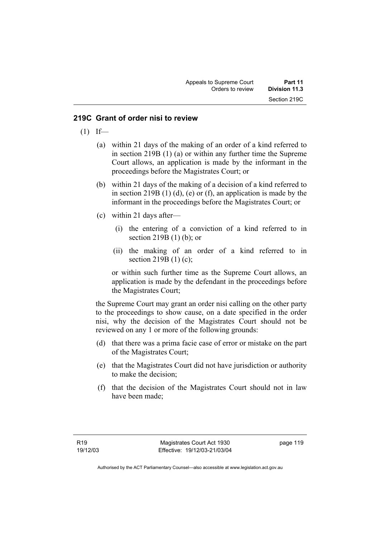#### **219C Grant of order nisi to review**

- $(1)$  If—
	- (a) within 21 days of the making of an order of a kind referred to in section 219B (1) (a) or within any further time the Supreme Court allows, an application is made by the informant in the proceedings before the Magistrates Court; or
	- (b) within 21 days of the making of a decision of a kind referred to in section 219B  $(1)$   $(d)$ ,  $(e)$  or  $(f)$ , an application is made by the informant in the proceedings before the Magistrates Court; or
	- (c) within 21 days after—
		- (i) the entering of a conviction of a kind referred to in section 219B (1) (b); or
		- (ii) the making of an order of a kind referred to in section 219B (1) (c);

or within such further time as the Supreme Court allows, an application is made by the defendant in the proceedings before the Magistrates Court;

the Supreme Court may grant an order nisi calling on the other party to the proceedings to show cause, on a date specified in the order nisi, why the decision of the Magistrates Court should not be reviewed on any 1 or more of the following grounds:

- (d) that there was a prima facie case of error or mistake on the part of the Magistrates Court;
- (e) that the Magistrates Court did not have jurisdiction or authority to make the decision;
- (f) that the decision of the Magistrates Court should not in law have been made;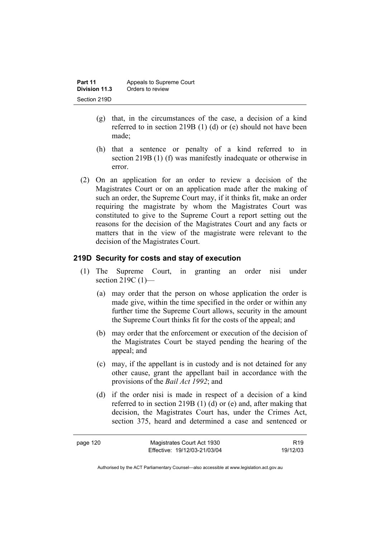| Part 11       | Appeals to Supreme Court |  |
|---------------|--------------------------|--|
| Division 11.3 | Orders to review         |  |
| Section 219D  |                          |  |

- (g) that, in the circumstances of the case, a decision of a kind referred to in section 219B (1) (d) or (e) should not have been made;
- (h) that a sentence or penalty of a kind referred to in section 219B (1) (f) was manifestly inadequate or otherwise in error.
- (2) On an application for an order to review a decision of the Magistrates Court or on an application made after the making of such an order, the Supreme Court may, if it thinks fit, make an order requiring the magistrate by whom the Magistrates Court was constituted to give to the Supreme Court a report setting out the reasons for the decision of the Magistrates Court and any facts or matters that in the view of the magistrate were relevant to the decision of the Magistrates Court.

#### **219D Security for costs and stay of execution**

- (1) The Supreme Court, in granting an order nisi under section 219C (1)—
	- (a) may order that the person on whose application the order is made give, within the time specified in the order or within any further time the Supreme Court allows, security in the amount the Supreme Court thinks fit for the costs of the appeal; and
	- (b) may order that the enforcement or execution of the decision of the Magistrates Court be stayed pending the hearing of the appeal; and
	- (c) may, if the appellant is in custody and is not detained for any other cause, grant the appellant bail in accordance with the provisions of the *Bail Act 1992*; and
	- (d) if the order nisi is made in respect of a decision of a kind referred to in section 219B (1) (d) or (e) and, after making that decision, the Magistrates Court has, under the Crimes Act, section 375, heard and determined a case and sentenced or

| page 120 | Magistrates Court Act 1930   | R <sub>19</sub> |
|----------|------------------------------|-----------------|
|          | Effective: 19/12/03-21/03/04 | 19/12/03        |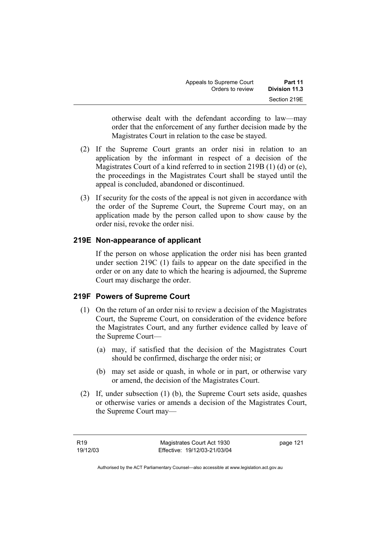| Appeals to Supreme Court | Part 11       |
|--------------------------|---------------|
| Orders to review         | Division 11.3 |
|                          | Section 219E  |

otherwise dealt with the defendant according to law—may order that the enforcement of any further decision made by the Magistrates Court in relation to the case be stayed.

- (2) If the Supreme Court grants an order nisi in relation to an application by the informant in respect of a decision of the Magistrates Court of a kind referred to in section 219B (1) (d) or (e), the proceedings in the Magistrates Court shall be stayed until the appeal is concluded, abandoned or discontinued.
- (3) If security for the costs of the appeal is not given in accordance with the order of the Supreme Court, the Supreme Court may, on an application made by the person called upon to show cause by the order nisi, revoke the order nisi.

#### **219E Non-appearance of applicant**

If the person on whose application the order nisi has been granted under section 219C (1) fails to appear on the date specified in the order or on any date to which the hearing is adjourned, the Supreme Court may discharge the order.

#### **219F Powers of Supreme Court**

- (1) On the return of an order nisi to review a decision of the Magistrates Court, the Supreme Court, on consideration of the evidence before the Magistrates Court, and any further evidence called by leave of the Supreme Court—
	- (a) may, if satisfied that the decision of the Magistrates Court should be confirmed, discharge the order nisi; or
	- (b) may set aside or quash, in whole or in part, or otherwise vary or amend, the decision of the Magistrates Court.
- (2) If, under subsection (1) (b), the Supreme Court sets aside, quashes or otherwise varies or amends a decision of the Magistrates Court, the Supreme Court may—

page 121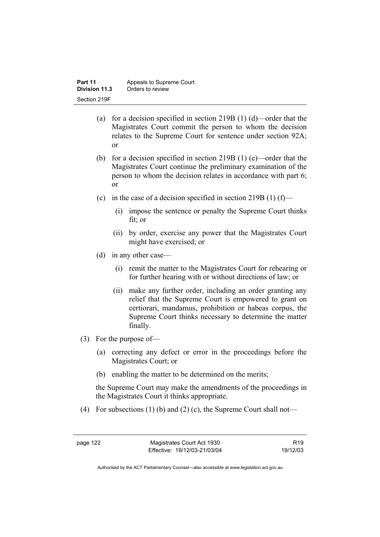- (a) for a decision specified in section 219B (1) (d)—order that the Magistrates Court commit the person to whom the decision relates to the Supreme Court for sentence under section 92A; or
- (b) for a decision specified in section 219B (1) (e)—order that the Magistrates Court continue the preliminary examination of the person to whom the decision relates in accordance with part 6; or
- (c) in the case of a decision specified in section 219B (1) (f)—
	- (i) impose the sentence or penalty the Supreme Court thinks fit; or
	- (ii) by order, exercise any power that the Magistrates Court might have exercised; or
- (d) in any other case—
	- (i) remit the matter to the Magistrates Court for rehearing or for further hearing with or without directions of law; or
	- (ii) make any further order, including an order granting any relief that the Supreme Court is empowered to grant on certiorari, mandamus, prohibition or habeas corpus, the Supreme Court thinks necessary to determine the matter finally.
- (3) For the purpose of—
	- (a) correcting any defect or error in the proceedings before the Magistrates Court; or
	- (b) enabling the matter to be determined on the merits;

the Supreme Court may make the amendments of the proceedings in the Magistrates Court it thinks appropriate.

(4) For subsections (1) (b) and (2) (c), the Supreme Court shall not—

R19 19/12/03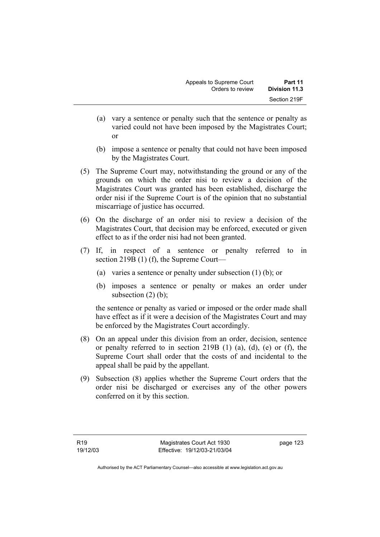- (a) vary a sentence or penalty such that the sentence or penalty as varied could not have been imposed by the Magistrates Court; or
- (b) impose a sentence or penalty that could not have been imposed by the Magistrates Court.
- (5) The Supreme Court may, notwithstanding the ground or any of the grounds on which the order nisi to review a decision of the Magistrates Court was granted has been established, discharge the order nisi if the Supreme Court is of the opinion that no substantial miscarriage of justice has occurred.
- (6) On the discharge of an order nisi to review a decision of the Magistrates Court, that decision may be enforced, executed or given effect to as if the order nisi had not been granted.
- (7) If, in respect of a sentence or penalty referred to in section 219B (1) (f), the Supreme Court—
	- (a) varies a sentence or penalty under subsection (1) (b); or
	- (b) imposes a sentence or penalty or makes an order under subsection  $(2)$  (b);

the sentence or penalty as varied or imposed or the order made shall have effect as if it were a decision of the Magistrates Court and may be enforced by the Magistrates Court accordingly.

- (8) On an appeal under this division from an order, decision, sentence or penalty referred to in section 219B (1) (a), (d), (e) or (f), the Supreme Court shall order that the costs of and incidental to the appeal shall be paid by the appellant.
- (9) Subsection (8) applies whether the Supreme Court orders that the order nisi be discharged or exercises any of the other powers conferred on it by this section.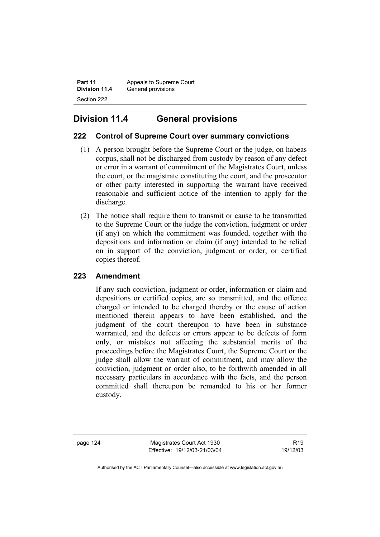**Part 11** Appeals to Supreme Court<br>**Division 11.4** General provisions **General provisions** Section 222

# **Division 11.4 General provisions**

# **222 Control of Supreme Court over summary convictions**

- (1) A person brought before the Supreme Court or the judge, on habeas corpus, shall not be discharged from custody by reason of any defect or error in a warrant of commitment of the Magistrates Court, unless the court, or the magistrate constituting the court, and the prosecutor or other party interested in supporting the warrant have received reasonable and sufficient notice of the intention to apply for the discharge.
- (2) The notice shall require them to transmit or cause to be transmitted to the Supreme Court or the judge the conviction, judgment or order (if any) on which the commitment was founded, together with the depositions and information or claim (if any) intended to be relied on in support of the conviction, judgment or order, or certified copies thereof.

# **223 Amendment**

If any such conviction, judgment or order, information or claim and depositions or certified copies, are so transmitted, and the offence charged or intended to be charged thereby or the cause of action mentioned therein appears to have been established, and the judgment of the court thereupon to have been in substance warranted, and the defects or errors appear to be defects of form only, or mistakes not affecting the substantial merits of the proceedings before the Magistrates Court, the Supreme Court or the judge shall allow the warrant of commitment, and may allow the conviction, judgment or order also, to be forthwith amended in all necessary particulars in accordance with the facts, and the person committed shall thereupon be remanded to his or her former custody.

page 124 Magistrates Court Act 1930 Effective: 19/12/03-21/03/04

R19 19/12/03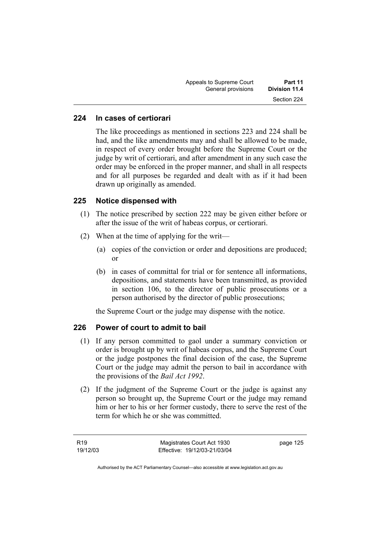| Part 11              | Appeals to Supreme Court |
|----------------------|--------------------------|
| <b>Division 11.4</b> | General provisions       |
| Section 224          |                          |

### **224 In cases of certiorari**

The like proceedings as mentioned in sections 223 and 224 shall be had, and the like amendments may and shall be allowed to be made, in respect of every order brought before the Supreme Court or the judge by writ of certiorari, and after amendment in any such case the order may be enforced in the proper manner, and shall in all respects and for all purposes be regarded and dealt with as if it had been drawn up originally as amended.

#### **225 Notice dispensed with**

- (1) The notice prescribed by section 222 may be given either before or after the issue of the writ of habeas corpus, or certiorari.
- (2) When at the time of applying for the writ—
	- (a) copies of the conviction or order and depositions are produced; or
	- (b) in cases of committal for trial or for sentence all informations, depositions, and statements have been transmitted, as provided in section 106, to the director of public prosecutions or a person authorised by the director of public prosecutions;

the Supreme Court or the judge may dispense with the notice.

#### **226 Power of court to admit to bail**

- (1) If any person committed to gaol under a summary conviction or order is brought up by writ of habeas corpus, and the Supreme Court or the judge postpones the final decision of the case, the Supreme Court or the judge may admit the person to bail in accordance with the provisions of the *Bail Act 1992*.
- (2) If the judgment of the Supreme Court or the judge is against any person so brought up, the Supreme Court or the judge may remand him or her to his or her former custody, there to serve the rest of the term for which he or she was committed.

page 125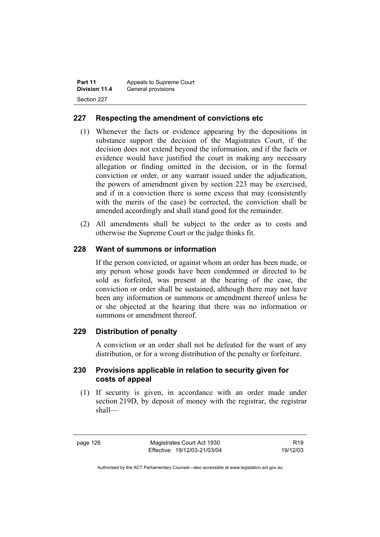| Part 11       | Appeals to Supreme Court |  |
|---------------|--------------------------|--|
| Division 11.4 | General provisions       |  |
| Section 227   |                          |  |

## **227 Respecting the amendment of convictions etc**

- (1) Whenever the facts or evidence appearing by the depositions in substance support the decision of the Magistrates Court, if the decision does not extend beyond the information, and if the facts or evidence would have justified the court in making any necessary allegation or finding omitted in the decision, or in the formal conviction or order, or any warrant issued under the adjudication, the powers of amendment given by section 223 may be exercised, and if in a conviction there is some excess that may (consistently with the merits of the case) be corrected, the conviction shall be amended accordingly and shall stand good for the remainder.
- (2) All amendments shall be subject to the order as to costs and otherwise the Supreme Court or the judge thinks fit.

#### **228 Want of summons or information**

If the person convicted, or against whom an order has been made, or any person whose goods have been condemned or directed to be sold as forfeited, was present at the hearing of the case, the conviction or order shall be sustained, although there may not have been any information or summons or amendment thereof unless he or she objected at the hearing that there was no information or summons or amendment thereof.

#### **229 Distribution of penalty**

A conviction or an order shall not be defeated for the want of any distribution, or for a wrong distribution of the penalty or forfeiture.

#### **230 Provisions applicable in relation to security given for costs of appeal**

 (1) If security is given, in accordance with an order made under section 219D, by deposit of money with the registrar, the registrar shall—

page 126 Magistrates Court Act 1930 Effective: 19/12/03-21/03/04

R19 19/12/03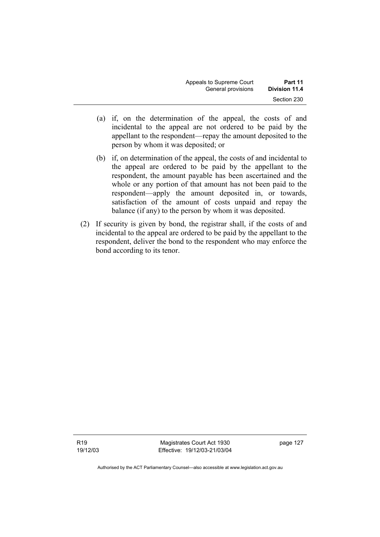| Appeals to Supreme Court | Part 11       |
|--------------------------|---------------|
| General provisions       | Division 11.4 |
|                          | Section 230   |

- (a) if, on the determination of the appeal, the costs of and incidental to the appeal are not ordered to be paid by the appellant to the respondent—repay the amount deposited to the person by whom it was deposited; or
- (b) if, on determination of the appeal, the costs of and incidental to the appeal are ordered to be paid by the appellant to the respondent, the amount payable has been ascertained and the whole or any portion of that amount has not been paid to the respondent—apply the amount deposited in, or towards, satisfaction of the amount of costs unpaid and repay the balance (if any) to the person by whom it was deposited.
- (2) If security is given by bond, the registrar shall, if the costs of and incidental to the appeal are ordered to be paid by the appellant to the respondent, deliver the bond to the respondent who may enforce the bond according to its tenor.

Magistrates Court Act 1930 Effective: 19/12/03-21/03/04 page 127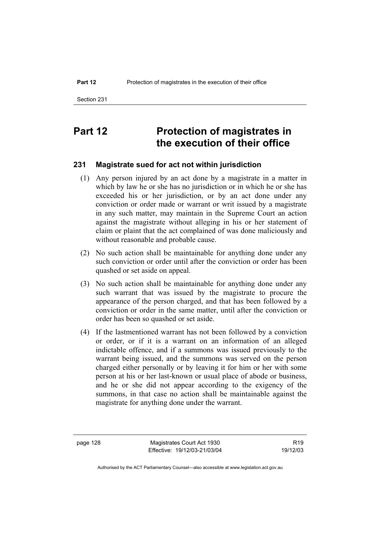# **Part 12** Protection of magistrates in **the execution of their office**

#### **231 Magistrate sued for act not within jurisdiction**

- (1) Any person injured by an act done by a magistrate in a matter in which by law he or she has no jurisdiction or in which he or she has exceeded his or her jurisdiction, or by an act done under any conviction or order made or warrant or writ issued by a magistrate in any such matter, may maintain in the Supreme Court an action against the magistrate without alleging in his or her statement of claim or plaint that the act complained of was done maliciously and without reasonable and probable cause.
- (2) No such action shall be maintainable for anything done under any such conviction or order until after the conviction or order has been quashed or set aside on appeal.
- (3) No such action shall be maintainable for anything done under any such warrant that was issued by the magistrate to procure the appearance of the person charged, and that has been followed by a conviction or order in the same matter, until after the conviction or order has been so quashed or set aside.
- (4) If the lastmentioned warrant has not been followed by a conviction or order, or if it is a warrant on an information of an alleged indictable offence, and if a summons was issued previously to the warrant being issued, and the summons was served on the person charged either personally or by leaving it for him or her with some person at his or her last-known or usual place of abode or business, and he or she did not appear according to the exigency of the summons, in that case no action shall be maintainable against the magistrate for anything done under the warrant.

page 128 Magistrates Court Act 1930 Effective: 19/12/03-21/03/04

R19 19/12/03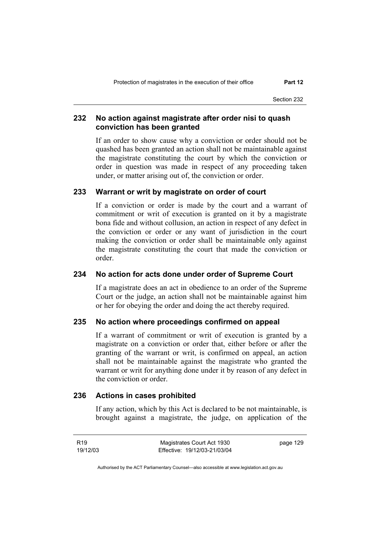Section 232

### **232 No action against magistrate after order nisi to quash conviction has been granted**

If an order to show cause why a conviction or order should not be quashed has been granted an action shall not be maintainable against the magistrate constituting the court by which the conviction or order in question was made in respect of any proceeding taken under, or matter arising out of, the conviction or order.

#### **233 Warrant or writ by magistrate on order of court**

If a conviction or order is made by the court and a warrant of commitment or writ of execution is granted on it by a magistrate bona fide and without collusion, an action in respect of any defect in the conviction or order or any want of jurisdiction in the court making the conviction or order shall be maintainable only against the magistrate constituting the court that made the conviction or order.

#### **234 No action for acts done under order of Supreme Court**

If a magistrate does an act in obedience to an order of the Supreme Court or the judge, an action shall not be maintainable against him or her for obeying the order and doing the act thereby required.

#### **235 No action where proceedings confirmed on appeal**

If a warrant of commitment or writ of execution is granted by a magistrate on a conviction or order that, either before or after the granting of the warrant or writ, is confirmed on appeal, an action shall not be maintainable against the magistrate who granted the warrant or writ for anything done under it by reason of any defect in the conviction or order.

# **236 Actions in cases prohibited**

If any action, which by this Act is declared to be not maintainable, is brought against a magistrate, the judge, on application of the

R19 19/12/03 Magistrates Court Act 1930 Effective: 19/12/03-21/03/04 page 129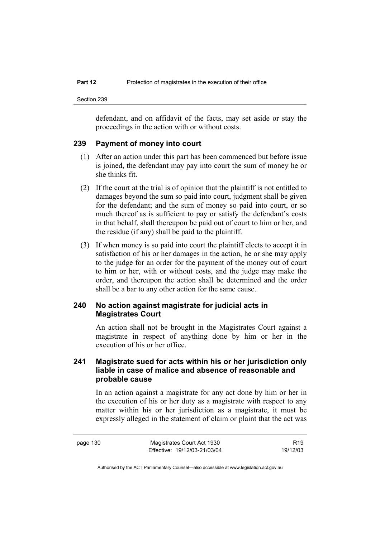defendant, and on affidavit of the facts, may set aside or stay the proceedings in the action with or without costs.

#### **239 Payment of money into court**

- (1) After an action under this part has been commenced but before issue is joined, the defendant may pay into court the sum of money he or she thinks fit.
- (2) If the court at the trial is of opinion that the plaintiff is not entitled to damages beyond the sum so paid into court, judgment shall be given for the defendant; and the sum of money so paid into court, or so much thereof as is sufficient to pay or satisfy the defendant's costs in that behalf, shall thereupon be paid out of court to him or her, and the residue (if any) shall be paid to the plaintiff.
- (3) If when money is so paid into court the plaintiff elects to accept it in satisfaction of his or her damages in the action, he or she may apply to the judge for an order for the payment of the money out of court to him or her, with or without costs, and the judge may make the order, and thereupon the action shall be determined and the order shall be a bar to any other action for the same cause.

#### **240 No action against magistrate for judicial acts in Magistrates Court**

An action shall not be brought in the Magistrates Court against a magistrate in respect of anything done by him or her in the execution of his or her office.

### **241 Magistrate sued for acts within his or her jurisdiction only liable in case of malice and absence of reasonable and probable cause**

In an action against a magistrate for any act done by him or her in the execution of his or her duty as a magistrate with respect to any matter within his or her jurisdiction as a magistrate, it must be expressly alleged in the statement of claim or plaint that the act was

R19 19/12/03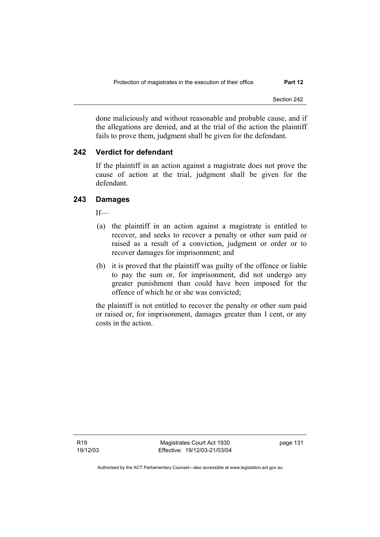done maliciously and without reasonable and probable cause, and if the allegations are denied, and at the trial of the action the plaintiff fails to prove them, judgment shall be given for the defendant.

# **242 Verdict for defendant**

If the plaintiff in an action against a magistrate does not prove the cause of action at the trial, judgment shall be given for the defendant.

# **243 Damages**

If—

- (a) the plaintiff in an action against a magistrate is entitled to recover, and seeks to recover a penalty or other sum paid or raised as a result of a conviction, judgment or order or to recover damages for imprisonment; and
- (b) it is proved that the plaintiff was guilty of the offence or liable to pay the sum or, for imprisonment, did not undergo any greater punishment than could have been imposed for the offence of which he or she was convicted;

the plaintiff is not entitled to recover the penalty or other sum paid or raised or, for imprisonment, damages greater than 1 cent, or any costs in the action.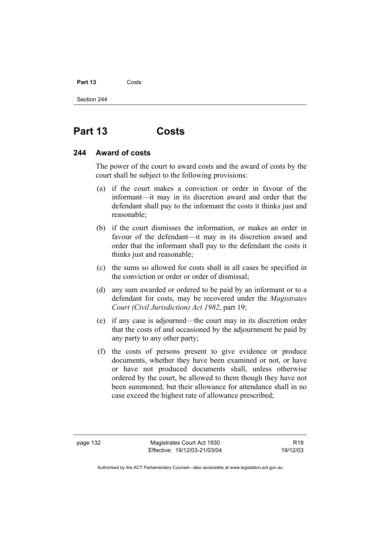## Part 13 **Costs**

Section 244

# **Part 13 Costs**

# **244 Award of costs**

The power of the court to award costs and the award of costs by the court shall be subject to the following provisions:

- (a) if the court makes a conviction or order in favour of the informant—it may in its discretion award and order that the defendant shall pay to the informant the costs it thinks just and reasonable;
- (b) if the court dismisses the information, or makes an order in favour of the defendant—it may in its discretion award and order that the informant shall pay to the defendant the costs it thinks just and reasonable;
- (c) the sums so allowed for costs shall in all cases be specified in the conviction or order or order of dismissal;
- (d) any sum awarded or ordered to be paid by an informant or to a defendant for costs, may be recovered under the *Magistrates Court (Civil Jurisdiction) Act 1982*, part 19;
- (e) if any case is adjourned—the court may in its discretion order that the costs of and occasioned by the adjournment be paid by any party to any other party;
- (f) the costs of persons present to give evidence or produce documents, whether they have been examined or not, or have or have not produced documents shall, unless otherwise ordered by the court, be allowed to them though they have not been summoned; but their allowance for attendance shall in no case exceed the highest rate of allowance prescribed;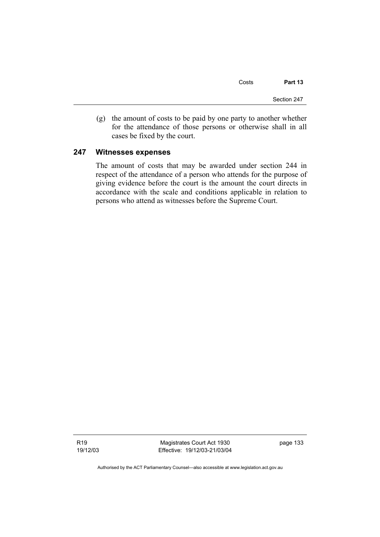Costs **Part 13** 

Section 247

 (g) the amount of costs to be paid by one party to another whether for the attendance of those persons or otherwise shall in all cases be fixed by the court.

# **247 Witnesses expenses**

The amount of costs that may be awarded under section 244 in respect of the attendance of a person who attends for the purpose of giving evidence before the court is the amount the court directs in accordance with the scale and conditions applicable in relation to persons who attend as witnesses before the Supreme Court.

R19 19/12/03

Magistrates Court Act 1930 Effective: 19/12/03-21/03/04 page 133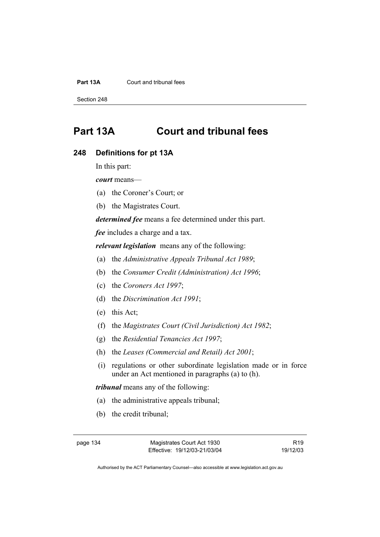### **Part 13A** Court and tribunal fees

Section 248

# **Part 13A Court and tribunal fees**

### **248 Definitions for pt 13A**

In this part:

*court* means—

- (a) the Coroner's Court; or
- (b) the Magistrates Court.

*determined fee* means a fee determined under this part.

*fee* includes a charge and a tax.

*relevant legislation* means any of the following:

- (a) the *Administrative Appeals Tribunal Act 1989*;
- (b) the *Consumer Credit (Administration) Act 1996*;
- (c) the *Coroners Act 1997*;
- (d) the *Discrimination Act 1991*;
- (e) this Act;
- (f) the *Magistrates Court (Civil Jurisdiction) Act 1982*;
- (g) the *Residential Tenancies Act 1997*;
- (h) the *Leases (Commercial and Retail) Act 2001*;
- (i) regulations or other subordinate legislation made or in force under an Act mentioned in paragraphs (a) to (h).

*tribunal* means any of the following:

- (a) the administrative appeals tribunal;
- (b) the credit tribunal;

R19 19/12/03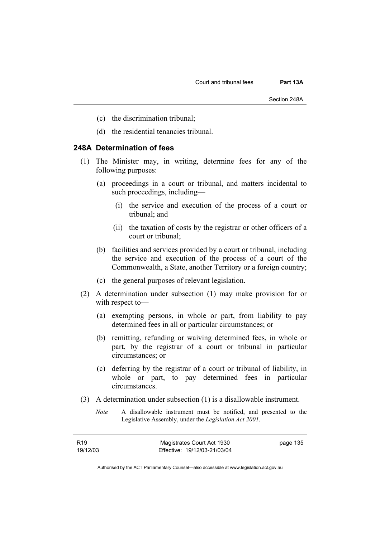- (c) the discrimination tribunal;
- (d) the residential tenancies tribunal.

# **248A Determination of fees**

- (1) The Minister may, in writing, determine fees for any of the following purposes:
	- (a) proceedings in a court or tribunal, and matters incidental to such proceedings, including—
		- (i) the service and execution of the process of a court or tribunal; and
		- (ii) the taxation of costs by the registrar or other officers of a court or tribunal;
	- (b) facilities and services provided by a court or tribunal, including the service and execution of the process of a court of the Commonwealth, a State, another Territory or a foreign country;
	- (c) the general purposes of relevant legislation.
- (2) A determination under subsection (1) may make provision for or with respect to—
	- (a) exempting persons, in whole or part, from liability to pay determined fees in all or particular circumstances; or
	- (b) remitting, refunding or waiving determined fees, in whole or part, by the registrar of a court or tribunal in particular circumstances; or
	- (c) deferring by the registrar of a court or tribunal of liability, in whole or part, to pay determined fees in particular circumstances.
- (3) A determination under subsection (1) is a disallowable instrument.
	- *Note* A disallowable instrument must be notified, and presented to the Legislative Assembly, under the *Legislation Act 2001*.

| R19      | Magistrates Court Act 1930   | page 135 |
|----------|------------------------------|----------|
| 19/12/03 | Effective: 19/12/03-21/03/04 |          |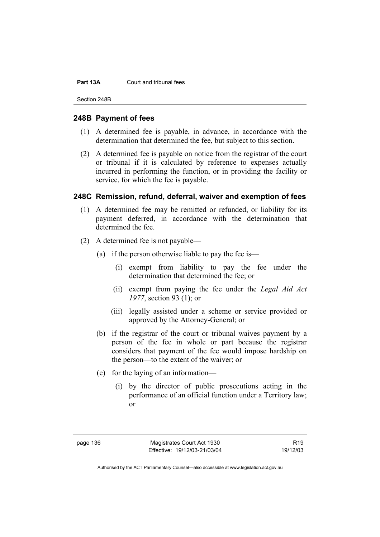#### **Part 13A** Court and tribunal fees

Section 248B

# **248B Payment of fees**

- (1) A determined fee is payable, in advance, in accordance with the determination that determined the fee, but subject to this section.
- (2) A determined fee is payable on notice from the registrar of the court or tribunal if it is calculated by reference to expenses actually incurred in performing the function, or in providing the facility or service, for which the fee is payable.

# **248C Remission, refund, deferral, waiver and exemption of fees**

- (1) A determined fee may be remitted or refunded, or liability for its payment deferred, in accordance with the determination that determined the fee.
- (2) A determined fee is not payable—
	- (a) if the person otherwise liable to pay the fee is—
		- (i) exempt from liability to pay the fee under the determination that determined the fee; or
		- (ii) exempt from paying the fee under the *Legal Aid Act 1977*, section 93 (1); or
		- (iii) legally assisted under a scheme or service provided or approved by the Attorney-General; or
	- (b) if the registrar of the court or tribunal waives payment by a person of the fee in whole or part because the registrar considers that payment of the fee would impose hardship on the person—to the extent of the waiver; or
	- (c) for the laying of an information—
		- (i) by the director of public prosecutions acting in the performance of an official function under a Territory law; or

page 136 Magistrates Court Act 1930 Effective: 19/12/03-21/03/04

R19 19/12/03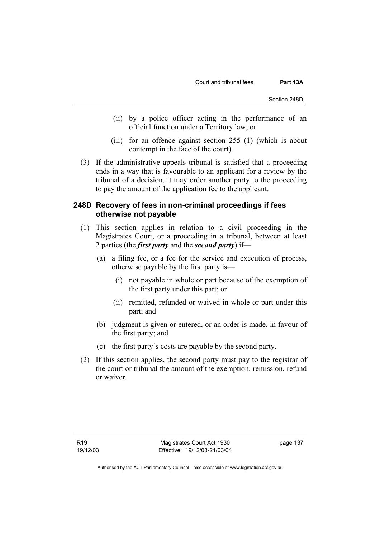- (ii) by a police officer acting in the performance of an official function under a Territory law; or
- (iii) for an offence against section 255 (1) (which is about contempt in the face of the court).
- (3) If the administrative appeals tribunal is satisfied that a proceeding ends in a way that is favourable to an applicant for a review by the tribunal of a decision, it may order another party to the proceeding to pay the amount of the application fee to the applicant.

# **248D Recovery of fees in non-criminal proceedings if fees otherwise not payable**

- (1) This section applies in relation to a civil proceeding in the Magistrates Court, or a proceeding in a tribunal, between at least 2 parties (the *first party* and the *second party*) if—
	- (a) a filing fee, or a fee for the service and execution of process, otherwise payable by the first party is—
		- (i) not payable in whole or part because of the exemption of the first party under this part; or
		- (ii) remitted, refunded or waived in whole or part under this part; and
	- (b) judgment is given or entered, or an order is made, in favour of the first party; and
	- (c) the first party's costs are payable by the second party.
- (2) If this section applies, the second party must pay to the registrar of the court or tribunal the amount of the exemption, remission, refund or waiver.

page 137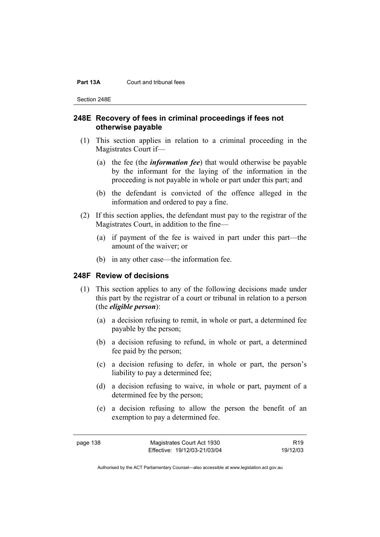#### **Part 13A** Court and tribunal fees

Section 248E

# **248E Recovery of fees in criminal proceedings if fees not otherwise payable**

- (1) This section applies in relation to a criminal proceeding in the Magistrates Court if—
	- (a) the fee (the *information fee*) that would otherwise be payable by the informant for the laying of the information in the proceeding is not payable in whole or part under this part; and
	- (b) the defendant is convicted of the offence alleged in the information and ordered to pay a fine.
- (2) If this section applies, the defendant must pay to the registrar of the Magistrates Court, in addition to the fine—
	- (a) if payment of the fee is waived in part under this part—the amount of the waiver; or
	- (b) in any other case—the information fee.

# **248F Review of decisions**

- (1) This section applies to any of the following decisions made under this part by the registrar of a court or tribunal in relation to a person (the *eligible person*):
	- (a) a decision refusing to remit, in whole or part, a determined fee payable by the person;
	- (b) a decision refusing to refund, in whole or part, a determined fee paid by the person;
	- (c) a decision refusing to defer, in whole or part, the person's liability to pay a determined fee;
	- (d) a decision refusing to waive, in whole or part, payment of a determined fee by the person;
	- (e) a decision refusing to allow the person the benefit of an exemption to pay a determined fee.

R19 19/12/03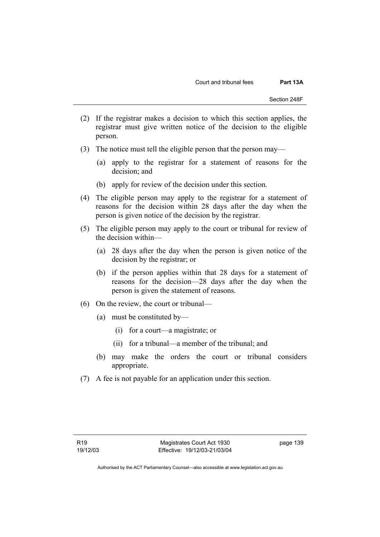- (2) If the registrar makes a decision to which this section applies, the registrar must give written notice of the decision to the eligible person.
- (3) The notice must tell the eligible person that the person may—
	- (a) apply to the registrar for a statement of reasons for the decision; and
	- (b) apply for review of the decision under this section.
- (4) The eligible person may apply to the registrar for a statement of reasons for the decision within 28 days after the day when the person is given notice of the decision by the registrar.
- (5) The eligible person may apply to the court or tribunal for review of the decision within—
	- (a) 28 days after the day when the person is given notice of the decision by the registrar; or
	- (b) if the person applies within that 28 days for a statement of reasons for the decision—28 days after the day when the person is given the statement of reasons.
- (6) On the review, the court or tribunal—
	- (a) must be constituted by—
		- (i) for a court—a magistrate; or
		- (ii) for a tribunal—a member of the tribunal; and
	- (b) may make the orders the court or tribunal considers appropriate.
- (7) A fee is not payable for an application under this section.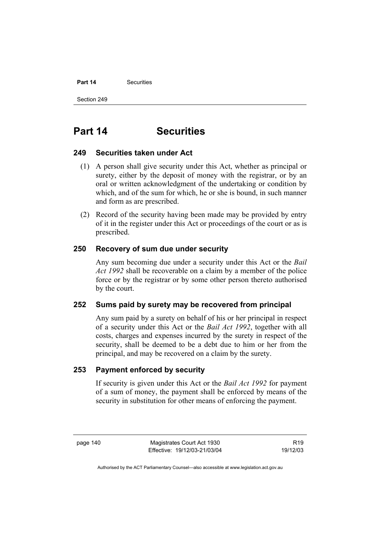# **Part 14** Securities

Section 249

# **Part 14 Securities**

# **249 Securities taken under Act**

- (1) A person shall give security under this Act, whether as principal or surety, either by the deposit of money with the registrar, or by an oral or written acknowledgment of the undertaking or condition by which, and of the sum for which, he or she is bound, in such manner and form as are prescribed.
- (2) Record of the security having been made may be provided by entry of it in the register under this Act or proceedings of the court or as is prescribed.

# **250 Recovery of sum due under security**

Any sum becoming due under a security under this Act or the *Bail Act 1992* shall be recoverable on a claim by a member of the police force or by the registrar or by some other person thereto authorised by the court.

# **252 Sums paid by surety may be recovered from principal**

Any sum paid by a surety on behalf of his or her principal in respect of a security under this Act or the *Bail Act 1992*, together with all costs, charges and expenses incurred by the surety in respect of the security, shall be deemed to be a debt due to him or her from the principal, and may be recovered on a claim by the surety.

# **253 Payment enforced by security**

If security is given under this Act or the *Bail Act 1992* for payment of a sum of money, the payment shall be enforced by means of the security in substitution for other means of enforcing the payment.

page 140 Magistrates Court Act 1930 Effective: 19/12/03-21/03/04

R19 19/12/03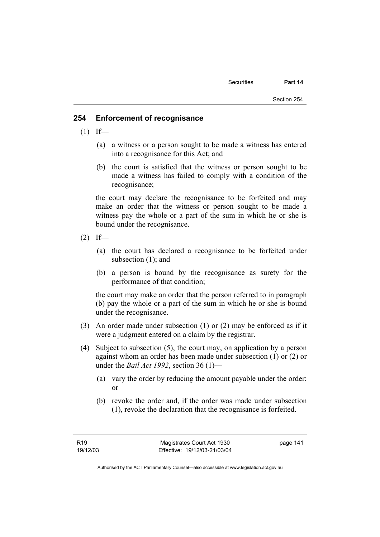# **254 Enforcement of recognisance**

- $(1)$  If—
	- (a) a witness or a person sought to be made a witness has entered into a recognisance for this Act; and
	- (b) the court is satisfied that the witness or person sought to be made a witness has failed to comply with a condition of the recognisance;

the court may declare the recognisance to be forfeited and may make an order that the witness or person sought to be made a witness pay the whole or a part of the sum in which he or she is bound under the recognisance.

- $(2)$  If—
	- (a) the court has declared a recognisance to be forfeited under subsection (1); and
	- (b) a person is bound by the recognisance as surety for the performance of that condition;

the court may make an order that the person referred to in paragraph (b) pay the whole or a part of the sum in which he or she is bound under the recognisance.

- (3) An order made under subsection (1) or (2) may be enforced as if it were a judgment entered on a claim by the registrar.
- (4) Subject to subsection (5), the court may, on application by a person against whom an order has been made under subsection (1) or (2) or under the *Bail Act 1992*, section 36 (1)—
	- (a) vary the order by reducing the amount payable under the order; or
	- (b) revoke the order and, if the order was made under subsection (1), revoke the declaration that the recognisance is forfeited.

page 141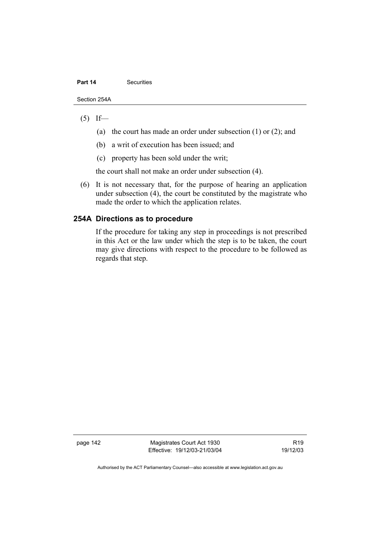### **Part 14 Securities**

Section 254A

# $(5)$  If—

- (a) the court has made an order under subsection (1) or (2); and
- (b) a writ of execution has been issued; and
- (c) property has been sold under the writ;

the court shall not make an order under subsection (4).

 (6) It is not necessary that, for the purpose of hearing an application under subsection (4), the court be constituted by the magistrate who made the order to which the application relates.

# **254A Directions as to procedure**

If the procedure for taking any step in proceedings is not prescribed in this Act or the law under which the step is to be taken, the court may give directions with respect to the procedure to be followed as regards that step.

page 142 Magistrates Court Act 1930 Effective: 19/12/03-21/03/04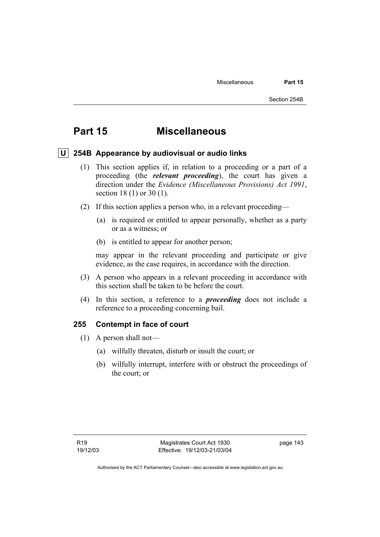# **Part 15 Miscellaneous**

# **U 254B Appearance by audiovisual or audio links**

- (1) This section applies if, in relation to a proceeding or a part of a proceeding (the *relevant proceeding*), the court has given a direction under the *Evidence (Miscellaneous Provisions) Act 1991*, section 18 (1) or 30 (1).
- (2) If this section applies a person who, in a relevant proceeding—
	- (a) is required or entitled to appear personally, whether as a party or as a witness; or
	- (b) is entitled to appear for another person;

may appear in the relevant proceeding and participate or give evidence, as the case requires, in accordance with the direction.

- (3) A person who appears in a relevant proceeding in accordance with this section shall be taken to be before the court.
- (4) In this section, a reference to a *proceeding* does not include a reference to a proceeding concerning bail.

# **255 Contempt in face of court**

- (1) A person shall not—
	- (a) wilfully threaten, disturb or insult the court; or
	- (b) wilfully interrupt, interfere with or obstruct the proceedings of the court; or

page 143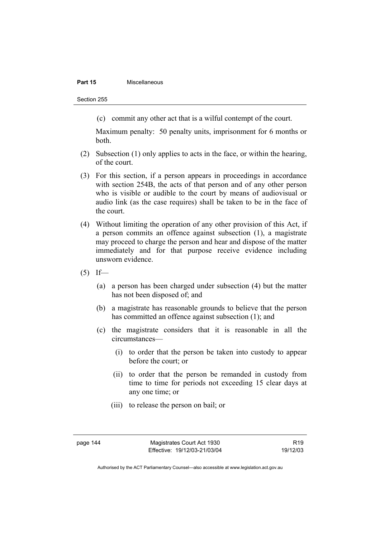## **Part 15 Miscellaneous**

Section 255

(c) commit any other act that is a wilful contempt of the court.

Maximum penalty: 50 penalty units, imprisonment for 6 months or both.

- (2) Subsection (1) only applies to acts in the face, or within the hearing, of the court.
- (3) For this section, if a person appears in proceedings in accordance with section 254B, the acts of that person and of any other person who is visible or audible to the court by means of audiovisual or audio link (as the case requires) shall be taken to be in the face of the court.
- (4) Without limiting the operation of any other provision of this Act, if a person commits an offence against subsection (1), a magistrate may proceed to charge the person and hear and dispose of the matter immediately and for that purpose receive evidence including unsworn evidence.
- $(5)$  If—
	- (a) a person has been charged under subsection (4) but the matter has not been disposed of; and
	- (b) a magistrate has reasonable grounds to believe that the person has committed an offence against subsection (1); and
	- (c) the magistrate considers that it is reasonable in all the circumstances—
		- (i) to order that the person be taken into custody to appear before the court; or
		- (ii) to order that the person be remanded in custody from time to time for periods not exceeding 15 clear days at any one time; or
		- (iii) to release the person on bail; or

R19 19/12/03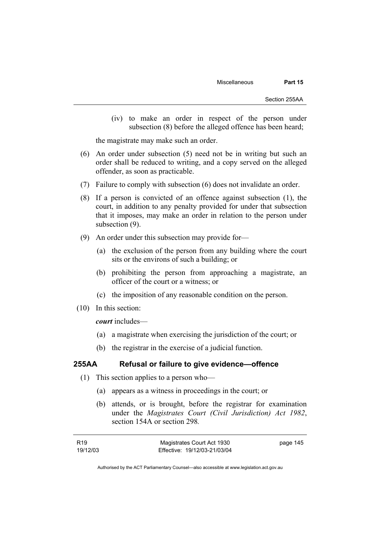(iv) to make an order in respect of the person under subsection (8) before the alleged offence has been heard;

the magistrate may make such an order.

- (6) An order under subsection (5) need not be in writing but such an order shall be reduced to writing, and a copy served on the alleged offender, as soon as practicable.
- (7) Failure to comply with subsection (6) does not invalidate an order.
- (8) If a person is convicted of an offence against subsection (1), the court, in addition to any penalty provided for under that subsection that it imposes, may make an order in relation to the person under subsection (9).
- (9) An order under this subsection may provide for—
	- (a) the exclusion of the person from any building where the court sits or the environs of such a building; or
	- (b) prohibiting the person from approaching a magistrate, an officer of the court or a witness; or
	- (c) the imposition of any reasonable condition on the person.
- (10) In this section:

*court* includes—

- (a) a magistrate when exercising the jurisdiction of the court; or
- (b) the registrar in the exercise of a judicial function.

# **255AA Refusal or failure to give evidence—offence**

- (1) This section applies to a person who—
	- (a) appears as a witness in proceedings in the court; or
	- (b) attends, or is brought, before the registrar for examination under the *Magistrates Court (Civil Jurisdiction) Act 1982*, section 154A or section 298*.*

| R19      | Magistrates Court Act 1930   | page 145 |
|----------|------------------------------|----------|
| 19/12/03 | Effective: 19/12/03-21/03/04 |          |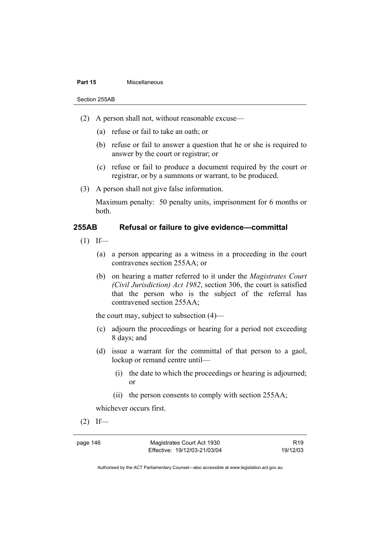#### **Part 15 Miscellaneous**

Section 255AB

- (2) A person shall not, without reasonable excuse—
	- (a) refuse or fail to take an oath; or
	- (b) refuse or fail to answer a question that he or she is required to answer by the court or registrar; or
	- (c) refuse or fail to produce a document required by the court or registrar, or by a summons or warrant, to be produced.
- (3) A person shall not give false information.

Maximum penalty: 50 penalty units, imprisonment for 6 months or both.

# **255AB Refusal or failure to give evidence—committal**

- $(1)$  If—
	- (a) a person appearing as a witness in a proceeding in the court contravenes section 255AA; or
	- (b) on hearing a matter referred to it under the *Magistrates Court (Civil Jurisdiction) Act 1982*, section 306, the court is satisfied that the person who is the subject of the referral has contravened section 255AA;

the court may, subject to subsection (4)—

- (c) adjourn the proceedings or hearing for a period not exceeding 8 days; and
- (d) issue a warrant for the committal of that person to a gaol, lockup or remand centre until—
	- (i) the date to which the proceedings or hearing is adjourned; or
	- (ii) the person consents to comply with section 255AA;

whichever occurs first.

 $(2)$  If—

page 146 Magistrates Court Act 1930 Effective: 19/12/03-21/03/04

R19 19/12/03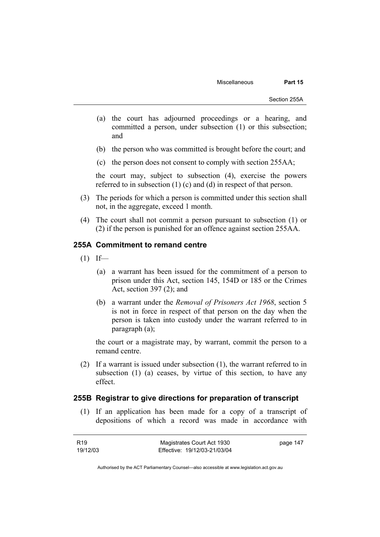- (a) the court has adjourned proceedings or a hearing, and committed a person, under subsection (1) or this subsection; and
- (b) the person who was committed is brought before the court; and
- (c) the person does not consent to comply with section 255AA;

the court may, subject to subsection (4), exercise the powers referred to in subsection (1) (c) and (d) in respect of that person.

- (3) The periods for which a person is committed under this section shall not, in the aggregate, exceed 1 month.
- (4) The court shall not commit a person pursuant to subsection (1) or (2) if the person is punished for an offence against section 255AA.

# **255A Commitment to remand centre**

- $(1)$  If—
	- (a) a warrant has been issued for the commitment of a person to prison under this Act, section 145, 154D or 185 or the Crimes Act, section 397 (2); and
	- (b) a warrant under the *Removal of Prisoners Act 1968*, section 5 is not in force in respect of that person on the day when the person is taken into custody under the warrant referred to in paragraph (a);

the court or a magistrate may, by warrant, commit the person to a remand centre.

 (2) If a warrant is issued under subsection (1), the warrant referred to in subsection (1) (a) ceases, by virtue of this section, to have any effect.

# **255B Registrar to give directions for preparation of transcript**

 (1) If an application has been made for a copy of a transcript of depositions of which a record was made in accordance with

| R19      | Magistrates Court Act 1930   | page 147 |
|----------|------------------------------|----------|
| 19/12/03 | Effective: 19/12/03-21/03/04 |          |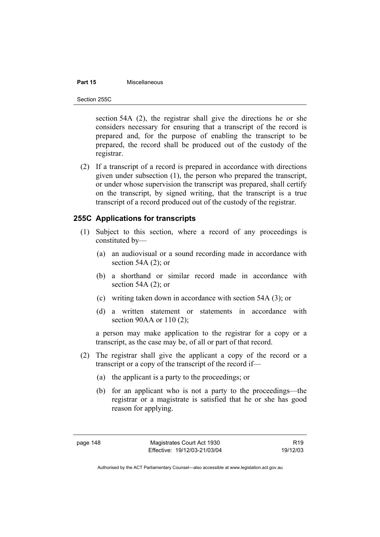# **Part 15** Miscellaneous

Section 255C

section 54A (2), the registrar shall give the directions he or she considers necessary for ensuring that a transcript of the record is prepared and, for the purpose of enabling the transcript to be prepared, the record shall be produced out of the custody of the registrar.

 (2) If a transcript of a record is prepared in accordance with directions given under subsection (1), the person who prepared the transcript, or under whose supervision the transcript was prepared, shall certify on the transcript, by signed writing, that the transcript is a true transcript of a record produced out of the custody of the registrar.

# **255C Applications for transcripts**

- (1) Subject to this section, where a record of any proceedings is constituted by—
	- (a) an audiovisual or a sound recording made in accordance with section 54A (2); or
	- (b) a shorthand or similar record made in accordance with section 54A $(2)$ ; or
	- (c) writing taken down in accordance with section 54A (3); or
	- (d) a written statement or statements in accordance with section 90AA or 110 (2):

a person may make application to the registrar for a copy or a transcript, as the case may be, of all or part of that record.

- (2) The registrar shall give the applicant a copy of the record or a transcript or a copy of the transcript of the record if—
	- (a) the applicant is a party to the proceedings; or
	- (b) for an applicant who is not a party to the proceedings—the registrar or a magistrate is satisfied that he or she has good reason for applying.

R19 19/12/03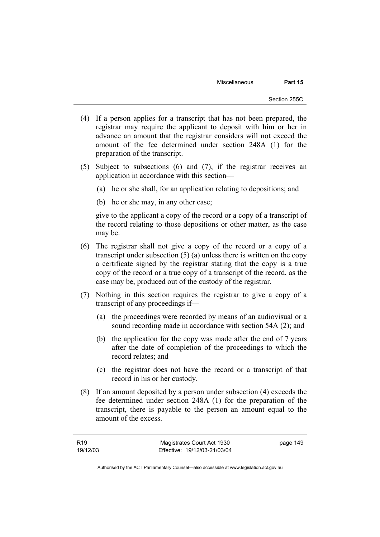- (4) If a person applies for a transcript that has not been prepared, the registrar may require the applicant to deposit with him or her in advance an amount that the registrar considers will not exceed the amount of the fee determined under section 248A (1) for the preparation of the transcript.
- (5) Subject to subsections (6) and (7), if the registrar receives an application in accordance with this section—
	- (a) he or she shall, for an application relating to depositions; and
	- (b) he or she may, in any other case;

give to the applicant a copy of the record or a copy of a transcript of the record relating to those depositions or other matter, as the case may be.

- (6) The registrar shall not give a copy of the record or a copy of a transcript under subsection (5) (a) unless there is written on the copy a certificate signed by the registrar stating that the copy is a true copy of the record or a true copy of a transcript of the record, as the case may be, produced out of the custody of the registrar.
- (7) Nothing in this section requires the registrar to give a copy of a transcript of any proceedings if—
	- (a) the proceedings were recorded by means of an audiovisual or a sound recording made in accordance with section 54A (2); and
	- (b) the application for the copy was made after the end of 7 years after the date of completion of the proceedings to which the record relates; and
	- (c) the registrar does not have the record or a transcript of that record in his or her custody.
- (8) If an amount deposited by a person under subsection (4) exceeds the fee determined under section 248A (1) for the preparation of the transcript, there is payable to the person an amount equal to the amount of the excess.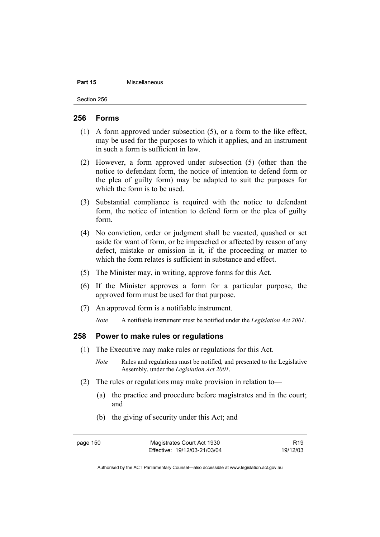#### **Part 15 Miscellaneous**

Section 256

## **256 Forms**

- (1) A form approved under subsection (5), or a form to the like effect, may be used for the purposes to which it applies, and an instrument in such a form is sufficient in law.
- (2) However, a form approved under subsection (5) (other than the notice to defendant form, the notice of intention to defend form or the plea of guilty form) may be adapted to suit the purposes for which the form is to be used.
- (3) Substantial compliance is required with the notice to defendant form, the notice of intention to defend form or the plea of guilty form.
- (4) No conviction, order or judgment shall be vacated, quashed or set aside for want of form, or be impeached or affected by reason of any defect, mistake or omission in it, if the proceeding or matter to which the form relates is sufficient in substance and effect.
- (5) The Minister may, in writing, approve forms for this Act.
- (6) If the Minister approves a form for a particular purpose, the approved form must be used for that purpose.
- (7) An approved form is a notifiable instrument.

*Note* A notifiable instrument must be notified under the *Legislation Act 2001*.

## **258 Power to make rules or regulations**

- (1) The Executive may make rules or regulations for this Act.
	- *Note* Rules and regulations must be notified, and presented to the Legislative Assembly, under the *Legislation Act 2001*.
- (2) The rules or regulations may make provision in relation to—
	- (a) the practice and procedure before magistrates and in the court; and
	- (b) the giving of security under this Act; and

page 150 Magistrates Court Act 1930 Effective: 19/12/03-21/03/04

R19 19/12/03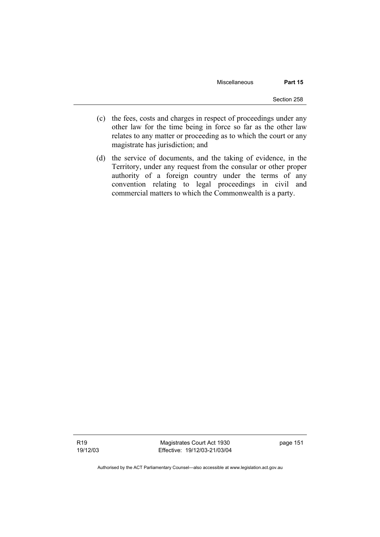Miscellaneous **Part 15** 

- (c) the fees, costs and charges in respect of proceedings under any other law for the time being in force so far as the other law relates to any matter or proceeding as to which the court or any magistrate has jurisdiction; and
- (d) the service of documents, and the taking of evidence, in the Territory, under any request from the consular or other proper authority of a foreign country under the terms of any convention relating to legal proceedings in civil and commercial matters to which the Commonwealth is a party.

Magistrates Court Act 1930 Effective: 19/12/03-21/03/04 page 151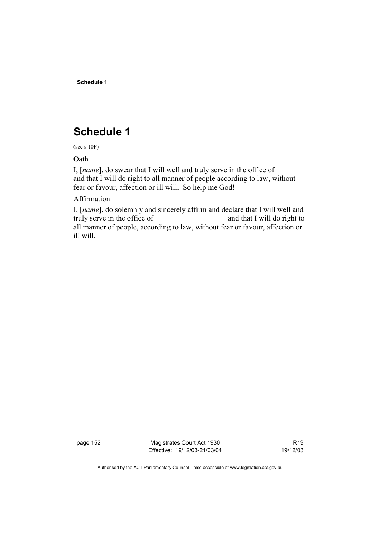**Schedule 1** 

# **Schedule 1**

(see s 10P)

Oath

I, [*name*], do swear that I will well and truly serve in the office of and that I will do right to all manner of people according to law, without fear or favour, affection or ill will. So help me God!

Affirmation

I, [*name*], do solemnly and sincerely affirm and declare that I will well and truly serve in the office of and that I will do right to all manner of people, according to law, without fear or favour, affection or ill will.

page 152 Magistrates Court Act 1930 Effective: 19/12/03-21/03/04

R19 19/12/03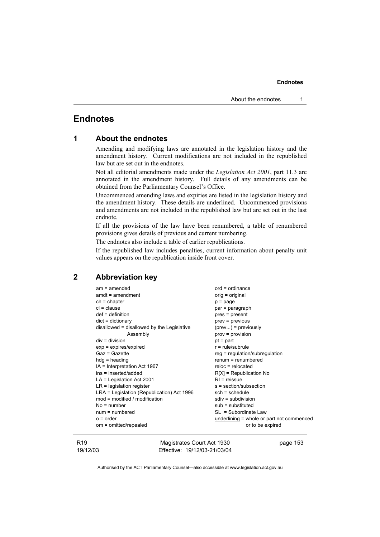# **Endnotes**

| 1 |  |  | <b>About the endnotes</b> |
|---|--|--|---------------------------|
|---|--|--|---------------------------|

Amending and modifying laws are annotated in the legislation history and the amendment history. Current modifications are not included in the republished law but are set out in the endnotes.

Not all editorial amendments made under the *Legislation Act 2001*, part 11.3 are annotated in the amendment history. Full details of any amendments can be obtained from the Parliamentary Counsel's Office.

Uncommenced amending laws and expiries are listed in the legislation history and the amendment history. These details are underlined. Uncommenced provisions and amendments are not included in the republished law but are set out in the last endnote.

If all the provisions of the law have been renumbered, a table of renumbered provisions gives details of previous and current numbering.

The endnotes also include a table of earlier republications.

If the republished law includes penalties, current information about penalty unit values appears on the republication inside front cover.

# **2 Abbreviation key**

| $am = amended$                             | $ord = ordinance$                         |
|--------------------------------------------|-------------------------------------------|
| $amdt = amendment$                         | orig = original                           |
| $ch = chapter$                             | $p = page$                                |
| $cl = clause$                              | par = paragraph                           |
| $def = definition$                         | pres = present                            |
| $dict = dictionary$                        | $prev = previous$                         |
| disallowed = disallowed by the Legislative | $(\text{prev})$ = previously              |
| Assembly                                   | $prov = provision$                        |
| $div = division$                           | $pt = part$                               |
| $exp = expires/expired$                    | $r = rule/subrule$                        |
| Gaz = Gazette                              | $reg = regulation/subregulation$          |
| $hdg =$ heading                            | $remum = renumbered$                      |
| IA = Interpretation Act 1967               | $reloc = relocated$                       |
| ins = inserted/added                       | $R[X]$ = Republication No                 |
| $LA =$ Legislation Act 2001                | $RI = reissue$                            |
| $LR =$ legislation register                | s = section/subsection                    |
| LRA = Legislation (Republication) Act 1996 | $sch = schedule$                          |
| mod = modified / modification              | $sdiv = subdivision$                      |
| $No = number$                              | $sub =$ substituted                       |
| $num = numbered$                           | $SL = Subordinate Law$                    |
| $o = order$                                | underlining = whole or part not commenced |
| om = omitted/repealed                      | or to be expired                          |
|                                            |                                           |

R19 19/12/03

Magistrates Court Act 1930 Effective: 19/12/03-21/03/04 page 153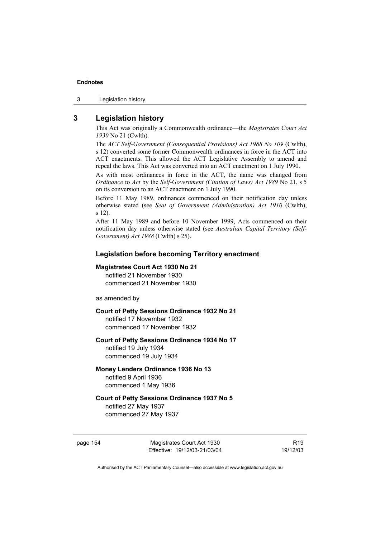3 Legislation history

# **3 Legislation history**

This Act was originally a Commonwealth ordinance—the *Magistrates Court Act 1930* No 21 (Cwlth).

The *ACT Self-Government (Consequential Provisions) Act 1988 No 109* (Cwlth), s 12) converted some former Commonwealth ordinances in force in the ACT into ACT enactments. This allowed the ACT Legislative Assembly to amend and repeal the laws. This Act was converted into an ACT enactment on 1 July 1990.

As with most ordinances in force in the ACT, the name was changed from *Ordinance* to *Act* by the *Self-Government (Citation of Laws) Act 1989* No 21, s 5 on its conversion to an ACT enactment on 1 July 1990.

Before 11 May 1989, ordinances commenced on their notification day unless otherwise stated (see *Seat of Government (Administration) Act 1910* (Cwlth), s 12).

After 11 May 1989 and before 10 November 1999, Acts commenced on their notification day unless otherwise stated (see *Australian Capital Territory (Self-Government) Act 1988* (Cwlth) s 25).

### **Legislation before becoming Territory enactment**

#### **Magistrates Court Act 1930 No 21**

notified 21 November 1930 commenced 21 November 1930

as amended by

### **Court of Petty Sessions Ordinance 1932 No 21**

notified 17 November 1932 commenced 17 November 1932

# **Court of Petty Sessions Ordinance 1934 No 17**

notified 19 July 1934 commenced 19 July 1934

# **Money Lenders Ordinance 1936 No 13**

notified 9 April 1936 commenced 1 May 1936

# **Court of Petty Sessions Ordinance 1937 No 5**

notified 27 May 1937 commenced 27 May 1937

page 154 Magistrates Court Act 1930 Effective: 19/12/03-21/03/04

R19 19/12/03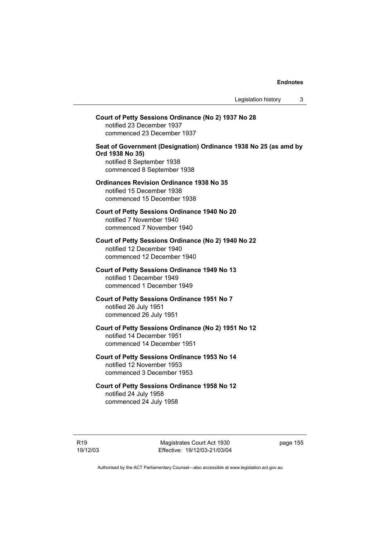# **Court of Petty Sessions Ordinance (No 2) 1937 No 28**  notified 23 December 1937 commenced 23 December 1937 **Seat of Government (Designation) Ordinance 1938 No 25 (as amd by Ord 1938 No 35)**  notified 8 September 1938 commenced 8 September 1938 **Ordinances Revision Ordinance 1938 No 35**  notified 15 December 1938 commenced 15 December 1938 **Court of Petty Sessions Ordinance 1940 No 20**  notified 7 November 1940 commenced 7 November 1940 **Court of Petty Sessions Ordinance (No 2) 1940 No 22**  notified 12 December 1940 commenced 12 December 1940 **Court of Petty Sessions Ordinance 1949 No 13**  notified 1 December 1949 commenced 1 December 1949 **Court of Petty Sessions Ordinance 1951 No 7**  notified 26 July 1951 commenced 26 July 1951 **Court of Petty Sessions Ordinance (No 2) 1951 No 12**  notified 14 December 1951 commenced 14 December 1951 **Court of Petty Sessions Ordinance 1953 No 14**  notified 12 November 1953 commenced 3 December 1953 **Court of Petty Sessions Ordinance 1958 No 12**  notified 24 July 1958 commenced 24 July 1958

Magistrates Court Act 1930 Effective: 19/12/03-21/03/04 page 155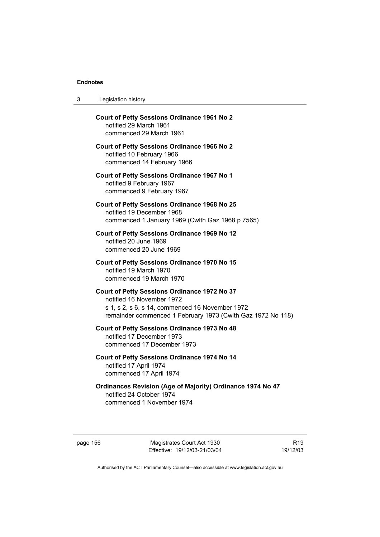| 3 | Legislation history |  |
|---|---------------------|--|
|---|---------------------|--|

| <b>Court of Petty Sessions Ordinance 1961 No 2</b><br>notified 29 March 1961<br>commenced 29 March 1961                                                                                     |
|---------------------------------------------------------------------------------------------------------------------------------------------------------------------------------------------|
| <b>Court of Petty Sessions Ordinance 1966 No 2</b><br>notified 10 February 1966<br>commenced 14 February 1966                                                                               |
| Court of Petty Sessions Ordinance 1967 No 1<br>notified 9 February 1967<br>commenced 9 February 1967                                                                                        |
| Court of Petty Sessions Ordinance 1968 No 25<br>notified 19 December 1968<br>commenced 1 January 1969 (Cwlth Gaz 1968 p 7565)                                                               |
| <b>Court of Petty Sessions Ordinance 1969 No 12</b><br>notified 20 June 1969<br>commenced 20 June 1969                                                                                      |
| <b>Court of Petty Sessions Ordinance 1970 No 15</b><br>notified 19 March 1970<br>commenced 19 March 1970                                                                                    |
| Court of Petty Sessions Ordinance 1972 No 37<br>notified 16 November 1972<br>s 1, s 2, s 6, s 14, commenced 16 November 1972<br>remainder commenced 1 February 1973 (Cwlth Gaz 1972 No 118) |
| <b>Court of Petty Sessions Ordinance 1973 No 48</b><br>notified 17 December 1973<br>commenced 17 December 1973                                                                              |
| Court of Petty Sessions Ordinance 1974 No 14<br>notified 17 April 1974<br>commenced 17 April 1974                                                                                           |
| <b>Ordinances Revision (Age of Majority) Ordinance 1974 No 47</b><br>notified 24 October 1974<br>commenced 1 November 1974                                                                  |

page 156 Magistrates Court Act 1930 Effective: 19/12/03-21/03/04

R19 19/12/03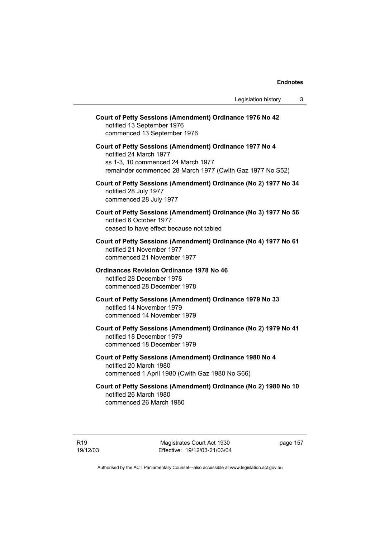| Court of Petty Sessions (Amendment) Ordinance 1976 No 42<br>notified 13 September 1976<br>commenced 13 September 1976                                                                |
|--------------------------------------------------------------------------------------------------------------------------------------------------------------------------------------|
| Court of Petty Sessions (Amendment) Ordinance 1977 No 4<br>notified 24 March 1977<br>ss 1-3, 10 commenced 24 March 1977<br>remainder commenced 28 March 1977 (Cwlth Gaz 1977 No S52) |
| Court of Petty Sessions (Amendment) Ordinance (No 2) 1977 No 34<br>notified 28 July 1977<br>commenced 28 July 1977                                                                   |
| Court of Petty Sessions (Amendment) Ordinance (No 3) 1977 No 56<br>notified 6 October 1977<br>ceased to have effect because not tabled                                               |
| Court of Petty Sessions (Amendment) Ordinance (No 4) 1977 No 61<br>notified 21 November 1977<br>commenced 21 November 1977                                                           |
| <b>Ordinances Revision Ordinance 1978 No 46</b><br>notified 28 December 1978<br>commenced 28 December 1978                                                                           |
| Court of Petty Sessions (Amendment) Ordinance 1979 No 33<br>notified 14 November 1979<br>commenced 14 November 1979                                                                  |
| Court of Petty Sessions (Amendment) Ordinance (No 2) 1979 No 41<br>notified 18 December 1979<br>commenced 18 December 1979                                                           |
| Court of Petty Sessions (Amendment) Ordinance 1980 No 4<br>notified 20 March 1980<br>commenced 1 April 1980 (Cwlth Gaz 1980 No S66)                                                  |
| Court of Petty Sessions (Amendment) Ordinance (No 2) 1980 No 10<br>notified 26 March 1980                                                                                            |

commenced 26 March 1980

R19 19/12/03 page 157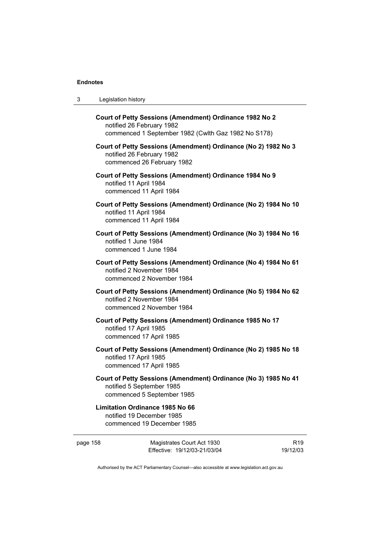| 3 | Legislation history |  |
|---|---------------------|--|
|---|---------------------|--|

| Court of Petty Sessions (Amendment) Ordinance 1982 No 2<br>notified 26 February 1982<br>commenced 1 September 1982 (Cwlth Gaz 1982 No S178) |
|---------------------------------------------------------------------------------------------------------------------------------------------|
| Court of Petty Sessions (Amendment) Ordinance (No 2) 1982 No 3<br>notified 26 February 1982<br>commenced 26 February 1982                   |
| Court of Petty Sessions (Amendment) Ordinance 1984 No 9<br>notified 11 April 1984<br>commenced 11 April 1984                                |
| Court of Petty Sessions (Amendment) Ordinance (No 2) 1984 No 10<br>notified 11 April 1984<br>commenced 11 April 1984                        |
| Court of Petty Sessions (Amendment) Ordinance (No 3) 1984 No 16<br>notified 1 June 1984<br>commenced 1 June 1984                            |
| Court of Petty Sessions (Amendment) Ordinance (No 4) 1984 No 61<br>notified 2 November 1984<br>commenced 2 November 1984                    |
| Court of Petty Sessions (Amendment) Ordinance (No 5) 1984 No 62<br>notified 2 November 1984<br>commenced 2 November 1984                    |
| Court of Petty Sessions (Amendment) Ordinance 1985 No 17<br>notified 17 April 1985                                                          |
| commenced 17 April 1985                                                                                                                     |
| Court of Petty Sessions (Amendment) Ordinance (No 2) 1985 No 18<br>notified 17 April 1985<br>commenced 17 April 1985                        |
| Court of Petty Sessions (Amendment) Ordinance (No 3) 1985 No 41<br>notified 5 September 1985<br>commenced 5 September 1985                  |

# **Limitation Ordinance 1985 No 66**  notified 19 December 1985 commenced 19 December 1985

| page 158 | Magistrates Court Act 1930   | R19      |
|----------|------------------------------|----------|
|          | Effective: 19/12/03-21/03/04 | 19/12/03 |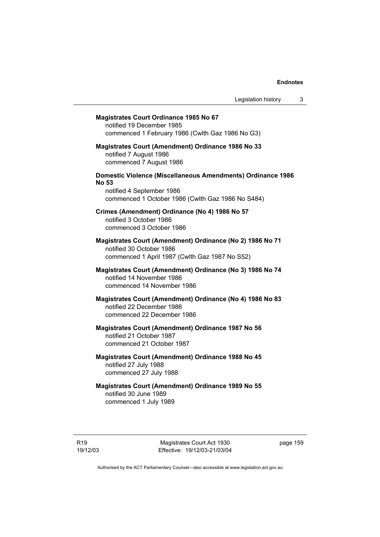# **Magistrates Court Ordinance 1985 No 67**  notified 19 December 1985 commenced 1 February 1986 (Cwlth Gaz 1986 No G3) **Magistrates Court (Amendment) Ordinance 1986 No 33**  notified 7 August 1986 commenced 7 August 1986 **Domestic Violence (Miscellaneous Amendments) Ordinance 1986 No 53**  notified 4 September 1986 commenced 1 October 1986 (Cwlth Gaz 1986 No S484) **Crimes (Amendment) Ordinance (No 4) 1986 No 57**  notified 3 October 1986 commenced 3 October 1986 **Magistrates Court (Amendment) Ordinance (No 2) 1986 No 71**  notified 30 October 1986 commenced 1 April 1987 (Cwlth Gaz 1987 No S52) **Magistrates Court (Amendment) Ordinance (No 3) 1986 No 74**  notified 14 November 1986 commenced 14 November 1986 **Magistrates Court (Amendment) Ordinance (No 4) 1986 No 83**  notified 22 December 1986 commenced 22 December 1986 **Magistrates Court (Amendment) Ordinance 1987 No 56**  notified 21 October 1987 commenced 21 October 1987 **Magistrates Court (Amendment) Ordinance 1988 No 45**  notified 27 July 1988 commenced 27 July 1988 **Magistrates Court (Amendment) Ordinance 1989 No 55**

notified 30 June 1989 commenced 1 July 1989

Magistrates Court Act 1930 Effective: 19/12/03-21/03/04 page 159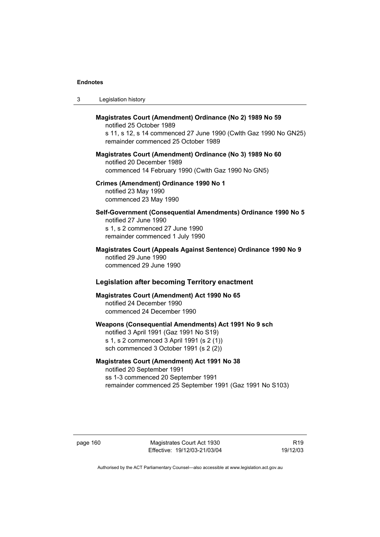| -3 | Legislation history |  |
|----|---------------------|--|
|----|---------------------|--|

# **Magistrates Court (Amendment) Ordinance (No 2) 1989 No 59**  notified 25 October 1989 s 11, s 12, s 14 commenced 27 June 1990 (Cwlth Gaz 1990 No GN25) remainder commenced 25 October 1989 **Magistrates Court (Amendment) Ordinance (No 3) 1989 No 60**  notified 20 December 1989 commenced 14 February 1990 (Cwlth Gaz 1990 No GN5) **Crimes (Amendment) Ordinance 1990 No 1**  notified 23 May 1990 commenced 23 May 1990 **Self-Government (Consequential Amendments) Ordinance 1990 No 5**  notified 27 June 1990 s 1, s 2 commenced 27 June 1990 remainder commenced 1 July 1990 **Magistrates Court (Appeals Against Sentence) Ordinance 1990 No 9**  notified 29 June 1990 commenced 29 June 1990  **Legislation after becoming Territory enactment Magistrates Court (Amendment) Act 1990 No 65**  notified 24 December 1990 commenced 24 December 1990 **Weapons (Consequential Amendments) Act 1991 No 9 sch**  notified 3 April 1991 (Gaz 1991 No S19) s 1, s 2 commenced 3 April 1991 (s 2 (1)) sch commenced 3 October 1991 (s 2 (2))

# **Magistrates Court (Amendment) Act 1991 No 38**

notified 20 September 1991 ss 1-3 commenced 20 September 1991 remainder commenced 25 September 1991 (Gaz 1991 No S103)

page 160 Magistrates Court Act 1930 Effective: 19/12/03-21/03/04

R19 19/12/03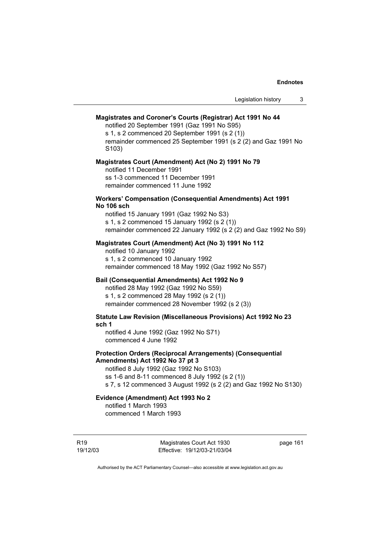#### **Magistrates and Coroner's Courts (Registrar) Act 1991 No 44**

notified 20 September 1991 (Gaz 1991 No S95)

s 1, s 2 commenced 20 September 1991 (s 2 (1)) remainder commenced 25 September 1991 (s 2 (2) and Gaz 1991 No S103)

#### **Magistrates Court (Amendment) Act (No 2) 1991 No 79**

notified 11 December 1991 ss 1-3 commenced 11 December 1991 remainder commenced 11 June 1992

### **Workers' Compensation (Consequential Amendments) Act 1991 No 106 sch**

notified 15 January 1991 (Gaz 1992 No S3) s 1, s 2 commenced 15 January 1992 (s 2 (1)) remainder commenced 22 January 1992 (s 2 (2) and Gaz 1992 No S9)

### **Magistrates Court (Amendment) Act (No 3) 1991 No 112**

notified 10 January 1992 s 1, s 2 commenced 10 January 1992 remainder commenced 18 May 1992 (Gaz 1992 No S57)

### **Bail (Consequential Amendments) Act 1992 No 9**

notified 28 May 1992 (Gaz 1992 No S59) s 1, s 2 commenced 28 May 1992 (s 2 (1)) remainder commenced 28 November 1992 (s 2 (3))

# **Statute Law Revision (Miscellaneous Provisions) Act 1992 No 23 sch 1**

notified 4 June 1992 (Gaz 1992 No S71) commenced 4 June 1992

### **Protection Orders (Reciprocal Arrangements) (Consequential Amendments) Act 1992 No 37 pt 3**

notified 8 July 1992 (Gaz 1992 No S103) ss 1-6 and 8-11 commenced 8 July 1992 (s 2 (1)) s 7, s 12 commenced 3 August 1992 (s 2 (2) and Gaz 1992 No S130)

# **Evidence (Amendment) Act 1993 No 2**  notified 1 March 1993

commenced 1 March 1993

Magistrates Court Act 1930 Effective: 19/12/03-21/03/04 page 161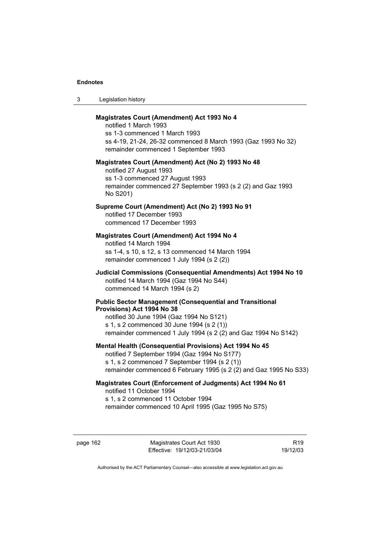3 Legislation history

# **Magistrates Court (Amendment) Act 1993 No 4**

notified 1 March 1993 ss 1-3 commenced 1 March 1993 ss 4-19, 21-24, 26-32 commenced 8 March 1993 (Gaz 1993 No 32) remainder commenced 1 September 1993

#### **Magistrates Court (Amendment) Act (No 2) 1993 No 48**

notified 27 August 1993 ss 1-3 commenced 27 August 1993 remainder commenced 27 September 1993 (s 2 (2) and Gaz 1993 No S201)

# **Supreme Court (Amendment) Act (No 2) 1993 No 91**

notified 17 December 1993 commenced 17 December 1993

### **Magistrates Court (Amendment) Act 1994 No 4**

notified 14 March 1994 ss 1-4, s 10, s 12, s 13 commenced 14 March 1994 remainder commenced 1 July 1994 (s 2 (2))

## **Judicial Commissions (Consequential Amendments) Act 1994 No 10**  notified 14 March 1994 (Gaz 1994 No S44) commenced 14 March 1994 (s 2)

#### **Public Sector Management (Consequential and Transitional Provisions) Act 1994 No 38**

notified 30 June 1994 (Gaz 1994 No S121) s 1, s 2 commenced 30 June 1994 (s 2 (1)) remainder commenced 1 July 1994 (s 2 (2) and Gaz 1994 No S142)

### **Mental Health (Consequential Provisions) Act 1994 No 45**

notified 7 September 1994 (Gaz 1994 No S177) s 1, s 2 commenced 7 September 1994 (s 2 (1)) remainder commenced 6 February 1995 (s 2 (2) and Gaz 1995 No S33)

## **Magistrates Court (Enforcement of Judgments) Act 1994 No 61**  notified 11 October 1994 s 1, s 2 commenced 11 October 1994

remainder commenced 10 April 1995 (Gaz 1995 No S75)

page 162 Magistrates Court Act 1930 Effective: 19/12/03-21/03/04

R19 19/12/03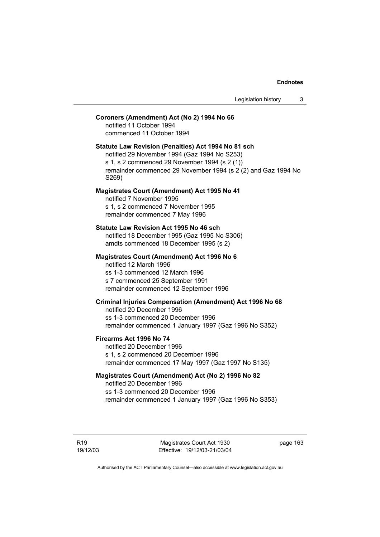### **Coroners (Amendment) Act (No 2) 1994 No 66**

notified 11 October 1994 commenced 11 October 1994

# **Statute Law Revision (Penalties) Act 1994 No 81 sch**

notified 29 November 1994 (Gaz 1994 No S253) s 1, s 2 commenced 29 November 1994 (s 2 (1)) remainder commenced 29 November 1994 (s 2 (2) and Gaz 1994 No S269)

### **Magistrates Court (Amendment) Act 1995 No 41**

notified 7 November 1995 s 1, s 2 commenced 7 November 1995 remainder commenced 7 May 1996

#### **Statute Law Revision Act 1995 No 46 sch**

notified 18 December 1995 (Gaz 1995 No S306) amdts commenced 18 December 1995 (s 2)

### **Magistrates Court (Amendment) Act 1996 No 6**  notified 12 March 1996 ss 1-3 commenced 12 March 1996

s 7 commenced 25 September 1991 remainder commenced 12 September 1996

# **Criminal Injuries Compensation (Amendment) Act 1996 No 68**

notified 20 December 1996 ss 1-3 commenced 20 December 1996 remainder commenced 1 January 1997 (Gaz 1996 No S352)

## **Firearms Act 1996 No 74**

notified 20 December 1996 s 1, s 2 commenced 20 December 1996 remainder commenced 17 May 1997 (Gaz 1997 No S135)

# **Magistrates Court (Amendment) Act (No 2) 1996 No 82**

notified 20 December 1996 ss 1-3 commenced 20 December 1996 remainder commenced 1 January 1997 (Gaz 1996 No S353)

R19 19/12/03

Magistrates Court Act 1930 Effective: 19/12/03-21/03/04 page 163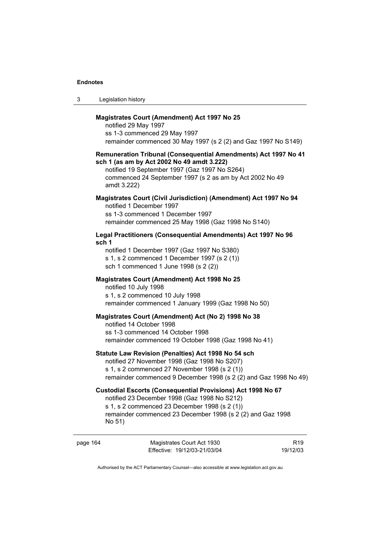| -3 | Legislation history |
|----|---------------------|
|----|---------------------|

## **Magistrates Court (Amendment) Act 1997 No 25**

notified 29 May 1997 ss 1-3 commenced 29 May 1997 remainder commenced 30 May 1997 (s 2 (2) and Gaz 1997 No S149)

#### **Remuneration Tribunal (Consequential Amendments) Act 1997 No 41 sch 1 (as am by Act 2002 No 49 amdt 3.222)**

notified 19 September 1997 (Gaz 1997 No S264) commenced 24 September 1997 (s 2 as am by Act 2002 No 49 amdt 3.222)

# **Magistrates Court (Civil Jurisdiction) (Amendment) Act 1997 No 94**  notified 1 December 1997 ss 1-3 commenced 1 December 1997

remainder commenced 25 May 1998 (Gaz 1998 No S140)

# **Legal Practitioners (Consequential Amendments) Act 1997 No 96 sch 1**

notified 1 December 1997 (Gaz 1997 No S380) s 1, s 2 commenced 1 December 1997 (s 2 (1)) sch 1 commenced 1 June 1998 (s 2 (2))

# **Magistrates Court (Amendment) Act 1998 No 25**

notified 10 July 1998

s 1, s 2 commenced 10 July 1998 remainder commenced 1 January 1999 (Gaz 1998 No 50)

### **Magistrates Court (Amendment) Act (No 2) 1998 No 38**

notified 14 October 1998 ss 1-3 commenced 14 October 1998 remainder commenced 19 October 1998 (Gaz 1998 No 41)

#### **Statute Law Revision (Penalties) Act 1998 No 54 sch**

notified 27 November 1998 (Gaz 1998 No S207) s 1, s 2 commenced 27 November 1998 (s 2 (1)) remainder commenced 9 December 1998 (s 2 (2) and Gaz 1998 No 49)

### **Custodial Escorts (Consequential Provisions) Act 1998 No 67**

notified 23 December 1998 (Gaz 1998 No S212)

s 1, s 2 commenced 23 December 1998 (s 2 (1))

remainder commenced 23 December 1998 (s 2 (2) and Gaz 1998 No 51)

| page 164 | Magistrates Court Act 1930   | R <sub>19</sub> |
|----------|------------------------------|-----------------|
|          | Effective: 19/12/03-21/03/04 | 19/12/03        |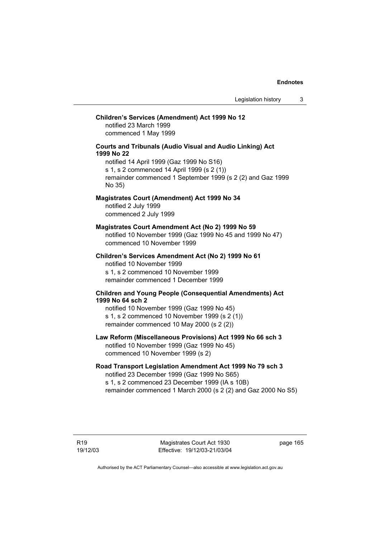### **Children's Services (Amendment) Act 1999 No 12**

notified 23 March 1999 commenced 1 May 1999

### **Courts and Tribunals (Audio Visual and Audio Linking) Act 1999 No 22**

notified 14 April 1999 (Gaz 1999 No S16) s 1, s 2 commenced 14 April 1999 (s 2 (1)) remainder commenced 1 September 1999 (s 2 (2) and Gaz 1999 No 35)

# **Magistrates Court (Amendment) Act 1999 No 34**

notified 2 July 1999 commenced 2 July 1999

#### **Magistrates Court Amendment Act (No 2) 1999 No 59**

notified 10 November 1999 (Gaz 1999 No 45 and 1999 No 47) commenced 10 November 1999

**Children's Services Amendment Act (No 2) 1999 No 61**  notified 10 November 1999 s 1, s 2 commenced 10 November 1999 remainder commenced 1 December 1999

### **Children and Young People (Consequential Amendments) Act 1999 No 64 sch 2**

notified 10 November 1999 (Gaz 1999 No 45) s 1, s 2 commenced 10 November 1999 (s 2 (1)) remainder commenced 10 May 2000 (s 2 (2))

# **Law Reform (Miscellaneous Provisions) Act 1999 No 66 sch 3**

notified 10 November 1999 (Gaz 1999 No 45) commenced 10 November 1999 (s 2)

# **Road Transport Legislation Amendment Act 1999 No 79 sch 3**

notified 23 December 1999 (Gaz 1999 No S65) s 1, s 2 commenced 23 December 1999 (IA s 10B) remainder commenced 1 March 2000 (s 2 (2) and Gaz 2000 No S5)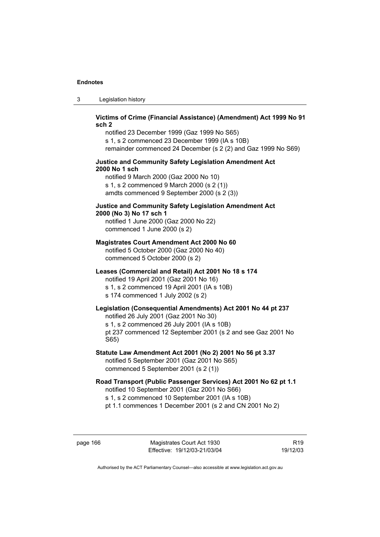3 Legislation history

# **Victims of Crime (Financial Assistance) (Amendment) Act 1999 No 91 sch 2**

notified 23 December 1999 (Gaz 1999 No S65) s 1, s 2 commenced 23 December 1999 (IA s 10B) remainder commenced 24 December (s 2 (2) and Gaz 1999 No S69)

# **Justice and Community Safety Legislation Amendment Act 2000 No 1 sch**

notified 9 March 2000 (Gaz 2000 No 10) s 1, s 2 commenced 9 March 2000 (s 2 (1)) amdts commenced 9 September 2000 (s 2 (3))

# **Justice and Community Safety Legislation Amendment Act 2000 (No 3) No 17 sch 1**

notified 1 June 2000 (Gaz 2000 No 22) commenced 1 June 2000 (s 2)

# **Magistrates Court Amendment Act 2000 No 60**

notified 5 October 2000 (Gaz 2000 No 40) commenced 5 October 2000 (s 2)

# **Leases (Commercial and Retail) Act 2001 No 18 s 174**

notified 19 April 2001 (Gaz 2001 No 16) s 1, s 2 commenced 19 April 2001 (IA s 10B)

s 174 commenced 1 July 2002 (s 2)

# **Legislation (Consequential Amendments) Act 2001 No 44 pt 237**

notified 26 July 2001 (Gaz 2001 No 30)

s 1, s 2 commenced 26 July 2001 (IA s 10B)

pt 237 commenced 12 September 2001 (s 2 and see Gaz 2001 No S65)

**Statute Law Amendment Act 2001 (No 2) 2001 No 56 pt 3.37**  notified 5 September 2001 (Gaz 2001 No S65) commenced 5 September 2001 (s 2 (1))

**Road Transport (Public Passenger Services) Act 2001 No 62 pt 1.1**  notified 10 September 2001 (Gaz 2001 No S66) s 1, s 2 commenced 10 September 2001 (IA s 10B)

pt 1.1 commences 1 December 2001 (s 2 and CN 2001 No 2)

page 166 Magistrates Court Act 1930 Effective: 19/12/03-21/03/04

R19 19/12/03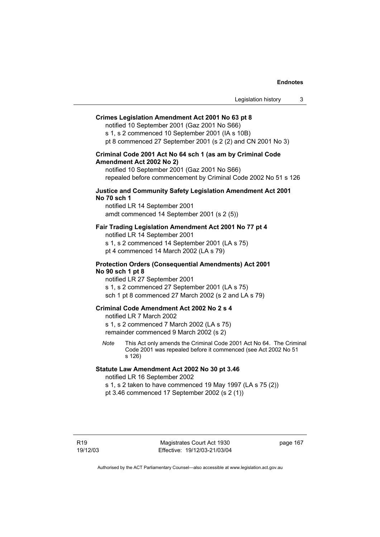## **Crimes Legislation Amendment Act 2001 No 63 pt 8**

notified 10 September 2001 (Gaz 2001 No S66) s 1, s 2 commenced 10 September 2001 (IA s 10B) pt 8 commenced 27 September 2001 (s 2 (2) and CN 2001 No 3)

# **Criminal Code 2001 Act No 64 sch 1 (as am by Criminal Code Amendment Act 2002 No 2)**

notified 10 September 2001 (Gaz 2001 No S66) repealed before commencement by Criminal Code 2002 No 51 s 126

## **Justice and Community Safety Legislation Amendment Act 2001 No 70 sch 1**

notified LR 14 September 2001 amdt commenced 14 September 2001 (s 2 (5))

# **Fair Trading Legislation Amendment Act 2001 No 77 pt 4**

notified LR 14 September 2001

s 1, s 2 commenced 14 September 2001 (LA s 75)

pt 4 commenced 14 March 2002 (LA s 79)

## **Protection Orders (Consequential Amendments) Act 2001 No 90 sch 1 pt 8**

notified LR 27 September 2001

s 1, s 2 commenced 27 September 2001 (LA s 75)

sch 1 pt 8 commenced 27 March 2002 (s 2 and LA s 79)

# **Criminal Code Amendment Act 2002 No 2 s 4**

notified LR 7 March 2002

s 1, s 2 commenced 7 March 2002 (LA s 75) remainder commenced 9 March 2002 (s 2)

*Note* This Act only amends the Criminal Code 2001 Act No 64. The Criminal Code 2001 was repealed before it commenced (see Act 2002 No 51 s 126)

# **Statute Law Amendment Act 2002 No 30 pt 3.46**

notified LR 16 September 2002

s 1, s 2 taken to have commenced 19 May 1997 (LA s 75 (2)) pt 3.46 commenced 17 September 2002 (s 2 (1))

page 167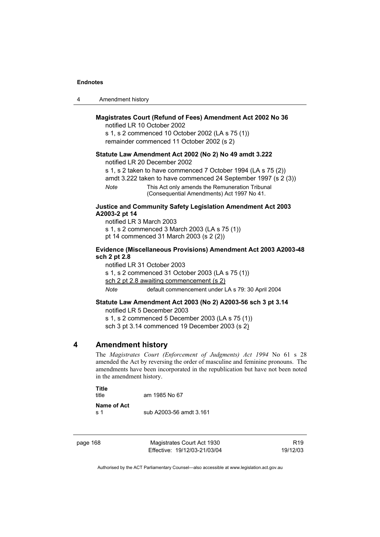| 4 | Amendment history |
|---|-------------------|
|---|-------------------|

# **Magistrates Court (Refund of Fees) Amendment Act 2002 No 36**

notified LR 10 October 2002 s 1, s 2 commenced 10 October 2002 (LA s 75 (1)) remainder commenced 11 October 2002 (s 2)

## **Statute Law Amendment Act 2002 (No 2) No 49 amdt 3.222**

notified LR 20 December 2002

s 1, s 2 taken to have commenced 7 October 1994 (LA s 75 (2)) amdt 3.222 taken to have commenced 24 September 1997 (s 2 (3))

*Note* This Act only amends the Remuneration Tribunal

(Consequential Amendments) Act 1997 No 41.

# **Justice and Community Safety Legislation Amendment Act 2003 A2003-2 pt 14**

notified LR 3 March 2003

s 1, s 2 commenced 3 March 2003 (LA s 75 (1))

pt 14 commenced 31 March 2003 (s 2 (2))

# **Evidence (Miscellaneous Provisions) Amendment Act 2003 A2003-48 sch 2 pt 2.8**

notified LR 31 October 2003 s 1, s 2 commenced 31 October 2003 (LA s 75 (1)) sch 2 pt 2.8 awaiting commencement (s 2) *Note* default commencement under LA s 79: 30 April 2004

## **Statute Law Amendment Act 2003 (No 2) A2003-56 sch 3 pt 3.14**

notified LR 5 December 2003

s 1, s 2 commenced 5 December 2003 (LA s 75 (1))

sch 3 pt 3.14 commenced 19 December 2003 (s 2)

# **4 Amendment history**

The *Magistrates Court (Enforcement of Judgments) Act 1994* No 61 s 28 amended the Act by reversing the order of masculine and feminine pronouns. The amendments have been incorporated in the republication but have not been noted in the amendment history.

| Title<br>title       | am 1985 No 67           |
|----------------------|-------------------------|
| Name of Act<br>.s. 1 | sub A2003-56 amdt 3.161 |

page 168 Magistrates Court Act 1930 Effective: 19/12/03-21/03/04

R19 19/12/03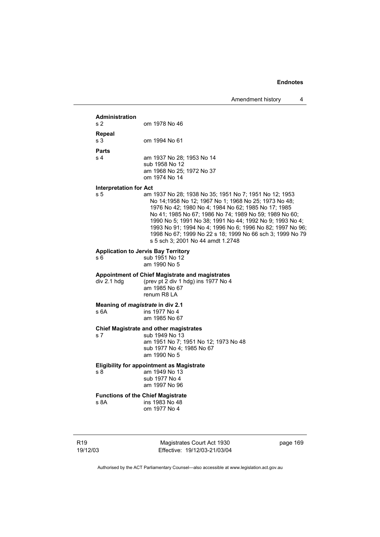|                               | $\overline{ }$ , unchanged in the control                                                                                                                                                                                                                                                                                                                                                                                                                  |
|-------------------------------|------------------------------------------------------------------------------------------------------------------------------------------------------------------------------------------------------------------------------------------------------------------------------------------------------------------------------------------------------------------------------------------------------------------------------------------------------------|
| <b>Administration</b>         |                                                                                                                                                                                                                                                                                                                                                                                                                                                            |
| s 2                           | om 1978 No 46                                                                                                                                                                                                                                                                                                                                                                                                                                              |
| Repeal                        |                                                                                                                                                                                                                                                                                                                                                                                                                                                            |
| s 3                           | om 1994 No 61                                                                                                                                                                                                                                                                                                                                                                                                                                              |
| <b>Parts</b>                  |                                                                                                                                                                                                                                                                                                                                                                                                                                                            |
| s 4                           | am 1937 No 28; 1953 No 14                                                                                                                                                                                                                                                                                                                                                                                                                                  |
|                               | sub 1958 No 12<br>am 1968 No 25; 1972 No 37                                                                                                                                                                                                                                                                                                                                                                                                                |
|                               | om 1974 No 14                                                                                                                                                                                                                                                                                                                                                                                                                                              |
| <b>Interpretation for Act</b> |                                                                                                                                                                                                                                                                                                                                                                                                                                                            |
| s 5                           | am 1937 No 28; 1938 No 35; 1951 No 7; 1951 No 12; 1953<br>No 14;1958 No 12; 1967 No 1; 1968 No 25; 1973 No 48;<br>1976 No 42; 1980 No 4; 1984 No 62; 1985 No 17; 1985<br>No 41; 1985 No 67; 1986 No 74; 1989 No 59; 1989 No 60;<br>1990 No 5; 1991 No 38; 1991 No 44; 1992 No 9; 1993 No 4;<br>1993 No 91; 1994 No 4; 1996 No 6; 1996 No 82; 1997 No 96;<br>1998 No 67; 1999 No 22 s 18; 1999 No 66 sch 3; 1999 No 79<br>s 5 sch 3; 2001 No 44 amdt 1.2748 |
|                               | <b>Application to Jervis Bay Territory</b>                                                                                                                                                                                                                                                                                                                                                                                                                 |
| s 6                           | sub 1951 No 12                                                                                                                                                                                                                                                                                                                                                                                                                                             |
|                               | am 1990 No 5                                                                                                                                                                                                                                                                                                                                                                                                                                               |
|                               | Appointment of Chief Magistrate and magistrates                                                                                                                                                                                                                                                                                                                                                                                                            |
| div 2.1 hdg                   | (prev pt 2 div 1 hdg) ins 1977 No 4<br>am 1985 No 67                                                                                                                                                                                                                                                                                                                                                                                                       |
|                               | renum R8 LA                                                                                                                                                                                                                                                                                                                                                                                                                                                |
|                               | Meaning of <i>magistrate</i> in div 2.1                                                                                                                                                                                                                                                                                                                                                                                                                    |
| s 6A                          | ins 1977 No 4                                                                                                                                                                                                                                                                                                                                                                                                                                              |
|                               | am 1985 No 67                                                                                                                                                                                                                                                                                                                                                                                                                                              |
|                               | <b>Chief Magistrate and other magistrates</b>                                                                                                                                                                                                                                                                                                                                                                                                              |
| s 7                           | sub 1949 No 13                                                                                                                                                                                                                                                                                                                                                                                                                                             |
|                               | am 1951 No 7; 1951 No 12; 1973 No 48<br>sub 1977 No 4; 1985 No 67                                                                                                                                                                                                                                                                                                                                                                                          |
|                               | am 1990 No 5                                                                                                                                                                                                                                                                                                                                                                                                                                               |
|                               | <b>Eligibility for appointment as Magistrate</b>                                                                                                                                                                                                                                                                                                                                                                                                           |
| s 8                           | am 1949 No 13                                                                                                                                                                                                                                                                                                                                                                                                                                              |
|                               | sub 1977 No 4                                                                                                                                                                                                                                                                                                                                                                                                                                              |
|                               | am 1997 No 96                                                                                                                                                                                                                                                                                                                                                                                                                                              |
|                               | <b>Functions of the Chief Magistrate</b>                                                                                                                                                                                                                                                                                                                                                                                                                   |
| s 8A                          | ins 1983 No 48<br>om 1977 No 4                                                                                                                                                                                                                                                                                                                                                                                                                             |

R19 19/12/03

Magistrates Court Act 1930 Effective: 19/12/03-21/03/04 page 169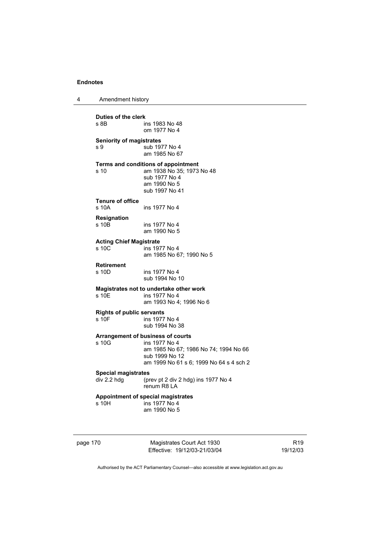4 Amendment history

**Duties of the clerk**  ins 1983 No 48 om 1977 No 4 **Seniority of magistrates**  s 9  $\frac{3}{2}$  sub 1977 No 4 am 1985 No 67 **Terms and conditions of appointment**  s 10 am 1938 No 35; 1973 No 48 sub 1977 No 4 am 1990 No 5 sub 1997 No 41 **Tenure of office**  ins 1977 No 4 **Resignation**  ins 1977 No 4 am 1990 No 5 **Acting Chief Magistrate**  ins 1977 No 4 am 1985 No 67; 1990 No 5 **Retirement**  s 10D ins 1977 No 4 sub 1994 No 10 **Magistrates not to undertake other work**  s 10E ins 1977 No 4 am 1993 No 4; 1996 No 6 **Rights of public servants**  ins 1977 No 4 sub 1994 No 38 **Arrangement of business of courts**  s 10G ins 1977 No 4 am 1985 No 67; 1986 No 74; 1994 No 66 sub 1999 No 12 am 1999 No 61 s 6; 1999 No 64 s 4 sch 2 **Special magistrates**<br>div 2.2 hdg (pr (prev pt 2 div 2 hdg) ins 1977 No 4 renum R8 LA **Appointment of special magistrates**   $ins 1977 N<sub>0</sub> 4$ 

am 1990 No 5

page 170 Magistrates Court Act 1930 Effective: 19/12/03-21/03/04

R19 19/12/03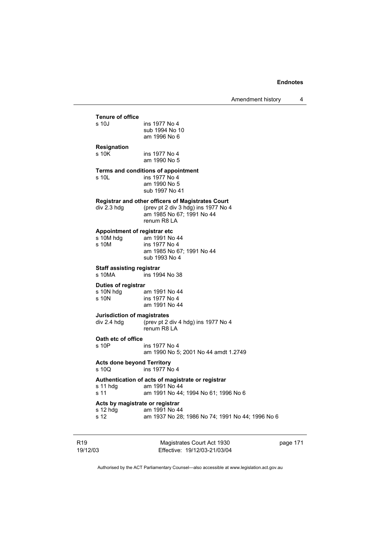|                             | <b>Tenure of office</b><br>s 10J                    | ins 1977 No 4<br>sub 1994 No 10<br>am 1996 No 6                                                                                             |          |
|-----------------------------|-----------------------------------------------------|---------------------------------------------------------------------------------------------------------------------------------------------|----------|
|                             | <b>Resignation</b>                                  |                                                                                                                                             |          |
|                             | s 10K                                               | ins 1977 No 4<br>am 1990 No 5                                                                                                               |          |
|                             | s 10L                                               | Terms and conditions of appointment<br>ins 1977 No 4<br>am 1990 No 5<br>sub 1997 No 41                                                      |          |
|                             | div 2.3 hdg                                         | <b>Registrar and other officers of Magistrates Court</b><br>(prev pt 2 div 3 hdg) ins 1977 No 4<br>am 1985 No 67; 1991 No 44<br>renum R8 LA |          |
|                             | Appointment of registrar etc<br>s 10M hdg<br>s 10M  | am 1991 No 44<br>ins 1977 No 4<br>am 1985 No 67; 1991 No 44<br>sub 1993 No 4                                                                |          |
|                             | <b>Staff assisting registrar</b><br>$s$ 10MA        | ins 1994 No 38                                                                                                                              |          |
|                             | Duties of registrar<br>s 10N hdg<br>s 10N           | am 1991 No 44<br>ins 1977 No 4<br>am 1991 No 44                                                                                             |          |
|                             | Jurisdiction of magistrates<br>div 2.4 hdg          | (prev pt 2 div 4 hdg) ins 1977 No 4<br>renum R8 LA                                                                                          |          |
|                             | Oath etc of office<br>s 10P                         | ins 1977 No 4<br>am 1990 No 5; 2001 No 44 amdt 1.2749                                                                                       |          |
|                             | <b>Acts done beyond Territory</b><br>s 10Q          | ins 1977 No 4                                                                                                                               |          |
|                             | s 11 hdg<br>s 11                                    | Authentication of acts of magistrate or registrar<br>am 1991 No 44<br>am 1991 No 44; 1994 No 61; 1996 No 6                                  |          |
|                             | Acts by magistrate or registrar<br>s 12 hdg<br>s 12 | am 1991 No 44<br>am 1937 No 28; 1986 No 74; 1991 No 44; 1996 No 6                                                                           |          |
| R <sub>19</sub><br>19/12/03 |                                                     | Magistrates Court Act 1930<br>Effective: 19/12/03-21/03/04                                                                                  | page 171 |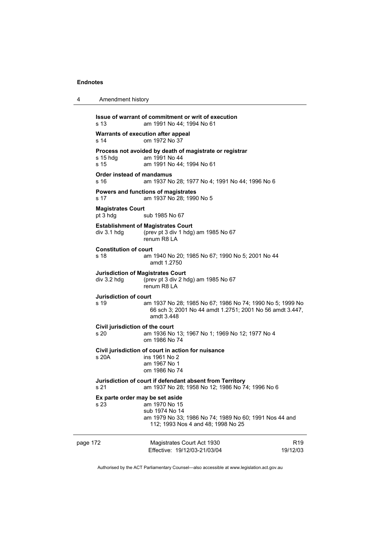4 Amendment history

| s <sub>13</sub>                          | Issue of warrant of commitment or writ of execution<br>am 1991 No 44; 1994 No 61                                                    |                             |
|------------------------------------------|-------------------------------------------------------------------------------------------------------------------------------------|-----------------------------|
| s 14                                     | Warrants of execution after appeal<br>om 1972 No 37                                                                                 |                             |
| $s$ 15 hdg<br>s 15                       | Process not avoided by death of magistrate or registrar<br>am 1991 No 44<br>am 1991 No 44; 1994 No 61                               |                             |
| <b>Order instead of mandamus</b><br>s 16 | am 1937 No 28; 1977 No 4; 1991 No 44; 1996 No 6                                                                                     |                             |
| s 17                                     | Powers and functions of magistrates<br>am 1937 No 28; 1990 No 5                                                                     |                             |
| <b>Magistrates Court</b><br>pt 3 hdg     | sub 1985 No 67                                                                                                                      |                             |
| div 3.1 hdg                              | <b>Establishment of Magistrates Court</b><br>(prev pt 3 div 1 hdg) am 1985 No 67<br>renum R8 LA                                     |                             |
| <b>Constitution of court</b><br>s 18     | am 1940 No 20; 1985 No 67; 1990 No 5; 2001 No 44<br>amdt 1.2750                                                                     |                             |
| div 3.2 hdg                              | <b>Jurisdiction of Magistrates Court</b><br>(prev pt 3 div 2 hdg) am 1985 No 67<br>renum R8 LA                                      |                             |
| <b>Jurisdiction of court</b><br>s 19     | am 1937 No 28; 1985 No 67; 1986 No 74; 1990 No 5; 1999 No<br>66 sch 3; 2001 No 44 amdt 1.2751; 2001 No 56 amdt 3.447,<br>amdt 3.448 |                             |
| Civil jurisdiction of the court<br>s 20  | am 1936 No 13; 1967 No 1; 1969 No 12; 1977 No 4<br>om 1986 No 74                                                                    |                             |
| s 20A                                    | Civil jurisdiction of court in action for nuisance<br>ins 1961 No 2<br>am 1967 No 1<br>om 1986 No 74                                |                             |
| s 21                                     | Jurisdiction of court if defendant absent from Territory<br>am 1937 No 28; 1958 No 12; 1986 No 74; 1996 No 6                        |                             |
| Ex parte order may be set aside<br>s 23  | am 1970 No 15<br>sub 1974 No 14<br>am 1979 No 33; 1986 No 74; 1989 No 60; 1991 Nos 44 and<br>112; 1993 Nos 4 and 48; 1998 No 25     |                             |
| page 172                                 | Magistrates Court Act 1930<br>Effective: 19/12/03-21/03/04                                                                          | R <sub>19</sub><br>19/12/03 |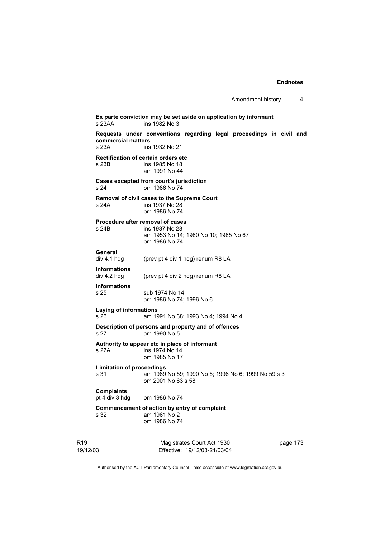**Ex parte conviction may be set aside on application by informant**  ins 1982 No 3 **Requests under conventions regarding legal proceedings in civil and commercial matters**  ins 1932 No 21 **Rectification of certain orders etc**  s 23B ins 1985 No 18 am 1991 No 44 **Cases excepted from court's jurisdiction**  s 24 om 1986 No 74 **Removal of civil cases to the Supreme Court**  ins 1937 No 28 om 1986 No 74 **Procedure after removal of cases**  s 24B ins 1937 No 28 am 1953 No 14; 1980 No 10; 1985 No 67 om 1986 No 74 **General**  div 4.1 hdg (prev pt 4 div 1 hdg) renum R8 LA **Informations**  (prev pt 4 div 2 hdg) renum R8 LA **Informations**  s 25 sub 1974 No 14 am 1986 No 74; 1996 No 6 **Laying of informations**  s 26 am 1991 No 38; 1993 No 4; 1994 No 4 **Description of persons and property and of offences**  s 27 am 1990 No 5 **Authority to appear etc in place of informant**  s 27A ins 1974 No 14 om 1985 No 17 **Limitation of proceedings**  am 1989 No 59; 1990 No 5; 1996 No 6; 1999 No 59 s 3 om 2001 No 63 s 58 **Complaints**  om 1986 No 74 **Commencement of action by entry of complaint**  s 32 am 1961 No 2 om 1986 No 74

R19 19/12/03

Magistrates Court Act 1930 Effective: 19/12/03-21/03/04 page 173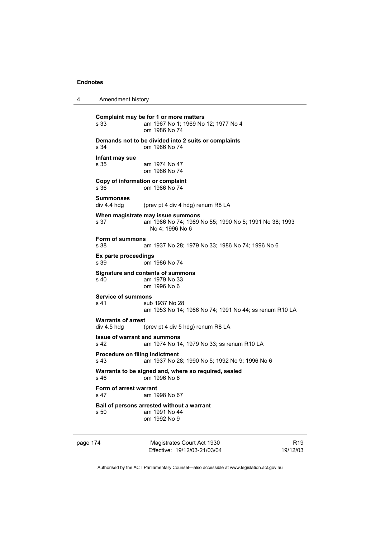4 Amendment history **Complaint may be for 1 or more matters**  s 33 am 1967 No 1; 1969 No 12; 1977 No 4 om 1986 No 74 **Demands not to be divided into 2 suits or complaints**  s 34 om 1986 No 74 **Infant may sue**  s 35 am 1974 No 47 om 1986 No 74 **Copy of information or complaint**  s 36 om 1986 No 74 **Summonses**  (prev pt 4 div 4 hdg) renum R8 LA **When magistrate may issue summons**  s 37 am 1986 No 74; 1989 No 55; 1990 No 5; 1991 No 38; 1993 No 4; 1996 No 6 **Form of summons**  s 38 am 1937 No 28; 1979 No 33; 1986 No 74; 1996 No 6 **Ex parte proceedings**  s 39 om 1986 No 74 **Signature and contents of summons**  s 40 am 1979 No 33 om 1996 No 6 **Service of summons**  s 41 sub 1937 No 28 am 1953 No 14; 1986 No 74; 1991 No 44; ss renum R10 LA **Warrants of arrest**  div 4.5 hdg (prev pt 4 div 5 hdg) renum R8 LA **Issue of warrant and summons**  s 42 am 1974 No 14, 1979 No 33; ss renum R10 LA **Procedure on filing indictment**  s 43 am 1937 No 28; 1990 No 5; 1992 No 9; 1996 No 6 **Warrants to be signed and, where so required, sealed**  s 46 om 1996 No 6 **Form of arrest warrant**  s 47 am 1998 No 67 **Bail of persons arrested without a warrant**  s 50 am 1991 No 44 om 1992 No 9

page 174 Magistrates Court Act 1930 Effective: 19/12/03-21/03/04

R19 19/12/03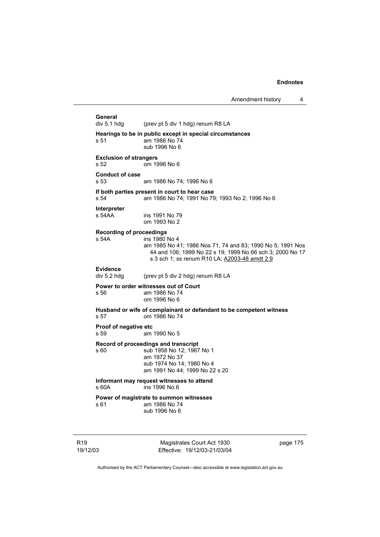General<br>div 5.1 hdg (prev pt 5 div 1 hdg) renum R8 LA **Hearings to be in public except in special circumstances**  s 51 am 1986 No 74 sub 1996 No 6 **Exclusion of strangers**  s 52 om 1996 No 6 **Conduct of case**  s 53 am 1986 No 74; 1996 No 6 **If both parties present in court to hear case**  s 54 am 1986 No 74; 1991 No 79; 1993 No 2; 1996 No 6 **Interpreter**  s 54AA ins 1991 No 79 om 1993 No 2 **Recording of proceedings**  s 54A ins 1980 No 4 am 1985 No 41; 1986 Nos 71, 74 and 83; 1990 No 5; 1991 Nos 44 and 106; 1999 No 22 s 19; 1999 No 66 sch 3; 2000 No 17 s 3 sch 1; ss renum R10 LA; A2003-48 amdt 2.9 Evidence<br>div 5.2 hdg (prev pt 5 div 2 hdg) renum R8 LA **Power to order witnesses out of Court**  s 56 am 1986 No 74 om 1996 No 6 **Husband or wife of complainant or defandant to be competent witness**  s 57 om 1986 No 74 **Proof of negative etc**  s 59 am 1990 No 5 **Record of proceedings and transcript**  s 60 sub 1958 No 12; 1967 No 1 am 1972 No 37 sub 1974 No 14; 1980 No 4 am 1991 No 44; 1999 No 22 s 20 **Informant may request witnesses to attend**   $ins$  1996 No 6 **Power of magistrate to summon witnesses**  s 61 am 1986 No 74 sub 1996 No 6

R19 19/12/03

Magistrates Court Act 1930 Effective: 19/12/03-21/03/04 page 175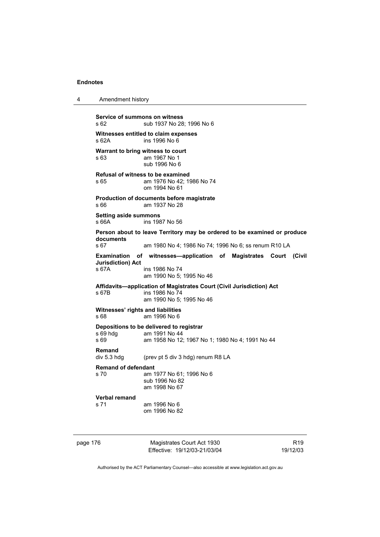4 Amendment history

**Service of summons on witness**  s 62 sub 1937 No 28; 1996 No 6 **Witnesses entitled to claim expenses**  s 62A ins 1996 No 6 **Warrant to bring witness to court**  s 63 am 1967 No 1 sub 1996 No 6 **Refusal of witness to be examined**  s 65 am 1976 No 42; 1986 No 74 om 1994 No 61 **Production of documents before magistrate**  s 66 am 1937 No 28 **Setting aside summons**  s 66A ins 1987 No 56 **Person about to leave Territory may be ordered to be examined or produce documents**  s 67 am 1980 No 4; 1986 No 74; 1996 No 6; ss renum R10 LA **Examination of witnesses—application of Magistrates Court (Civil Jurisdiction) Act**  ins 1986 No 74 am 1990 No 5; 1995 No 46 **Affidavits—application of Magistrates Court (Civil Jurisdiction) Act**  s 67B ins 1986 No 74 am 1990 No 5; 1995 No 46 **Witnesses' rights and liabilities**  s 68 am 1996 No 6 **Depositions to be delivered to registrar**  am 1991 No 44 s 69 am 1958 No 12; 1967 No 1; 1980 No 4; 1991 No 44 **Remand**  div 5.3 hdg (prev pt 5 div 3 hdg) renum R8 LA **Remand of defendant**  s 70 am 1977 No 61; 1996 No 6 sub 1996 No 82 am 1998 No 67 **Verbal remand**  s 71 am 1996 No 6 om 1996 No 82

| page 176 |  |
|----------|--|
|----------|--|

Magistrates Court Act 1930 Effective: 19/12/03-21/03/04

R19 19/12/03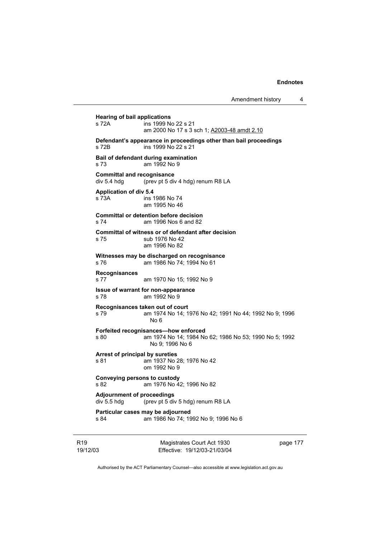page 177

**Hearing of bail applications**  s 72A **ins 1999** No 22 s 21 am 2000 No 17 s 3 sch 1; A2003-48 amdt 2.10 **Defendant's appearance in proceedings other than bail proceedings**  s 72B ins 1999 No 22 s 21 **Bail of defendant during examination**  s 73 am 1992 No 9 **Committal and recognisance**  div 5.4 hdg (prev pt 5 div 4 hdg) renum R8 LA **Application of div 5.4**  s 73A ins 1986 No 74 am 1995 No 46 **Committal or detention before decision**  s 74 am 1996 Nos 6 and 82 **Committal of witness or of defendant after decision**  s 75 sub 1976 No 42 am 1996 No 82 **Witnesses may be discharged on recognisance**  s 76 am 1986 No 74; 1994 No 61 **Recognisances**  s 77 am 1970 No 15; 1992 No 9 **Issue of warrant for non-appearance**  s 78 am 1992 No 9 **Recognisances taken out of court**  s 79 am 1974 No 14; 1976 No 42; 1991 No 44; 1992 No 9; 1996 No 6 **Forfeited recognisances—how enforced**  s 80 am 1974 No 14; 1984 No 62; 1986 No 53; 1990 No 5; 1992 No 9; 1996 No 6 **Arrest of principal by sureties**  s 81 am 1937 No 28; 1976 No 42 om 1992 No 9 **Conveying persons to custody**  s 82 am 1976 No 42; 1996 No 82 **Adjournment of proceedings**<br>div 5.5 hdg (prev pt 5 div (prev pt  $5$  div  $5$  hdg) renum R8 LA **Particular cases may be adjourned**  s 84 am 1986 No 74; 1992 No 9; 1996 No 6

Authorised by the ACT Parliamentary Counsel—also accessible at www.legislation.act.gov.au

Magistrates Court Act 1930 Effective: 19/12/03-21/03/04

R19 19/12/03

# Amendment history 4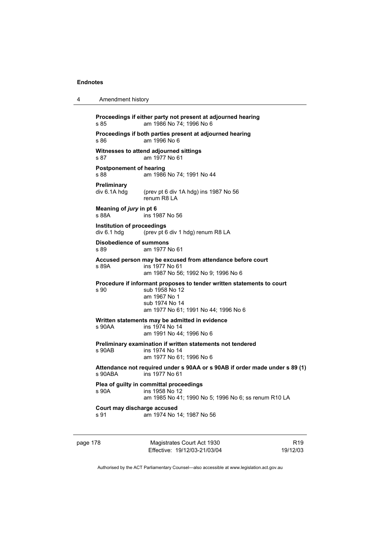| 4 | Amendment history                         |                                                                                                                                                                   |
|---|-------------------------------------------|-------------------------------------------------------------------------------------------------------------------------------------------------------------------|
|   | s 85                                      | Proceedings if either party not present at adjourned hearing<br>am 1986 No 74; 1996 No 6                                                                          |
|   | s 86                                      | Proceedings if both parties present at adjourned hearing<br>am 1996 No 6                                                                                          |
|   | s 87                                      | Witnesses to attend adjourned sittings<br>am 1977 No 61                                                                                                           |
|   | <b>Postponement of hearing</b><br>s 88    | am 1986 No 74; 1991 No 44                                                                                                                                         |
|   | <b>Preliminary</b><br>div 6.1A hdg        | (prev pt 6 div 1A hdg) ins 1987 No 56<br>renum R8 LA                                                                                                              |
|   | Meaning of jury in pt 6<br>s 88A          | ins 1987 No 56                                                                                                                                                    |
|   | Institution of proceedings<br>div 6.1 hdg | (prev pt 6 div 1 hdg) renum R8 LA                                                                                                                                 |
|   | <b>Disobedience of summons</b><br>s 89    | am 1977 No 61                                                                                                                                                     |
|   | s 89A                                     | Accused person may be excused from attendance before court<br>ins 1977 No 61<br>am 1987 No 56; 1992 No 9; 1996 No 6                                               |
|   | s 90                                      | Procedure if informant proposes to tender written statements to court<br>sub 1958 No 12<br>am 1967 No 1<br>sub 1974 No 14<br>am 1977 No 61; 1991 No 44; 1996 No 6 |
|   | s 90AA                                    | Written statements may be admitted in evidence<br>ins 1974 No 14<br>am 1991 No 44; 1996 No 6                                                                      |
|   | s 90AB                                    | Preliminary examination if written statements not tendered<br>ins 1974 No 14<br>am 1977 No 61; 1996 No 6                                                          |
|   | s 90ABA                                   | Attendance not required under s 90AA or s 90AB if order made under s 89 (1)<br>ins 1977 No 61                                                                     |
|   | s 90A                                     | Plea of guilty in committal proceedings<br>ins 1958 No 12<br>am 1985 No 41; 1990 No 5; 1996 No 6; ss renum R10 LA                                                 |
|   | Court may discharge accused<br>s 91       | am 1974 No 14; 1987 No 56                                                                                                                                         |
|   |                                           |                                                                                                                                                                   |

page 178 Magistrates Court Act 1930 Effective: 19/12/03-21/03/04

R19 19/12/03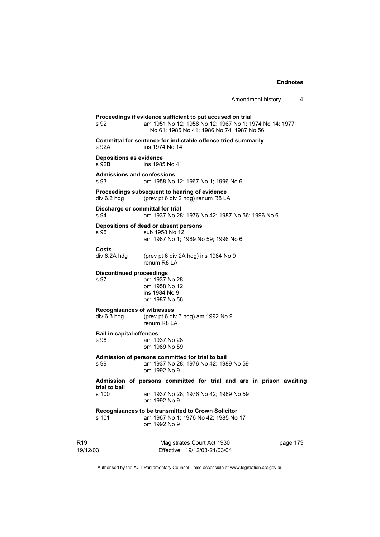19/12/03 Magistrates Court Act 1930 Effective: 19/12/03-21/03/04 page 179 **Proceedings if evidence sufficient to put accused on trial**  s 92 am 1951 No 12; 1958 No 12; 1967 No 1; 1974 No 14; 1977 No 61; 1985 No 41; 1986 No 74; 1987 No 56 **Committal for sentence for indictable offence tried summarily**  s 92A ins 1974 No 14 **Depositions as evidence**  s 92B ins 1985 No 41 **Admissions and confessions**  s 93 am 1958 No 12; 1967 No 1; 1996 No 6 **Proceedings subsequent to hearing of evidence**  div 6.2 hdg (prev pt 6 div 2 hdg) renum R8 LA **Discharge or committal for trial**  s 94 am 1937 No 28; 1976 No 42; 1987 No 56; 1996 No 6 **Depositions of dead or absent persons**  s 95 sub 1958 No 12 am 1967 No 1; 1989 No 59; 1996 No 6 **Costs**  (prev pt 6 div 2A hdg) ins 1984 No 9 renum R8 LA **Discontinued proceedings**  s 97 am 1937 No 28 om 1958 No 12 ins 1984 No 9 am 1987 No 56 **Recognisances of witnesses**  div 6.3 hdg (prev pt 6 div 3 hdg) am 1992 No 9 renum R8 LA **Bail in capital offences**  s 98 am 1937 No 28 om 1989 No 59 **Admission of persons committed for trial to bail**  s 99 am 1937 No 28; 1976 No 42; 1989 No 59 om 1992 No 9 **Admission of persons committed for trial and are in prison awaiting trial to bail**  am 1937 No 28; 1976 No 42; 1989 No 59 om 1992 No 9 **Recognisances to be transmitted to Crown Solicitor**  s 101 am 1967 No 1; 1976 No 42; 1985 No 17 om 1992 No 9

Authorised by the ACT Parliamentary Counsel—also accessible at www.legislation.act.gov.au

R19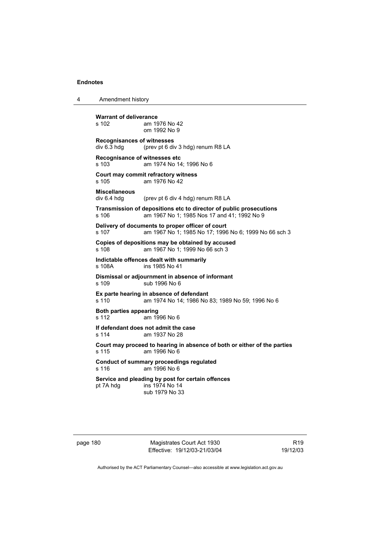| Amendment history<br>4 |  |
|------------------------|--|
|------------------------|--|

**Warrant of deliverance**<br>s 102 am 19 am 1976 No 42 om 1992 No 9 **Recognisances of witnesses**  div 6.3 hdg (prev pt 6 div 3 hdg) renum R8 LA **Recognisance of witnesses etc**  s 103 am 1974 No 14; 1996 No 6 **Court may commit refractory witness**  s 105 am 1976 No 42 **Miscellaneous**  div 6.4 hdg (prev pt 6 div 4 hdg) renum R8 LA **Transmission of depositions etc to director of public prosecutions**  s 106 am 1967 No 1; 1985 Nos 17 and 41; 1992 No 9 **Delivery of documents to proper officer of court**  s 107 am 1967 No 1; 1985 No 17; 1996 No 6; 1999 No 66 sch 3 **Copies of depositions may be obtained by accused**  s 108 am 1967 No 1; 1999 No 66 sch 3 **Indictable offences dealt with summarily**  s 108A ins 1985 No 41 **Dismissal or adjournment in absence of informant**  sub 1996 No 6 **Ex parte hearing in absence of defendant**  s 110 am 1974 No 14; 1986 No 83; 1989 No 59; 1996 No 6 **Both parties appearing**  s 112 am 1996 No 6 **If defendant does not admit the case**  s 114 am 1937 No 28 **Court may proceed to hearing in absence of both or either of the parties**  s 115 am 1996 No 6 **Conduct of summary proceedings regulated**  s 116 am 1996 No 6 **Service and pleading by post for certain offences**  pt 7A hdg ins 1974 No 14 sub 1979 No 33

page 180 Magistrates Court Act 1930 Effective: 19/12/03-21/03/04

R19 19/12/03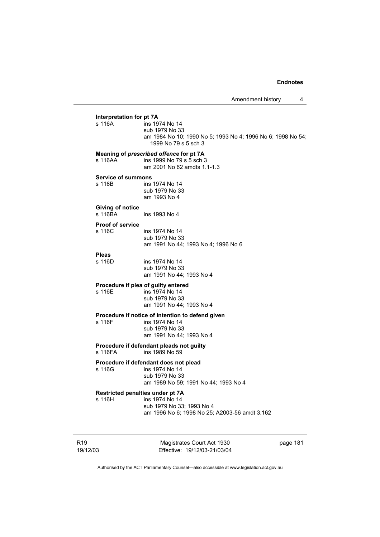**Interpretation for pt 7A**<br>s 116A **ins** 19  $ins 1974$  No 14 sub 1979 No 33 am 1984 No 10; 1990 No 5; 1993 No 4; 1996 No 6; 1998 No 54; 1999 No 79 s 5 sch 3 **Meaning of** *prescribed offence* **for pt 7A**  s 116AA ins 1999 No 79 s 5 sch 3 am 2001 No 62 amdts 1.1-1.3 **Service of summons**  s 116B ins 1974 No 14 sub 1979 No 33 am 1993 No 4 **Giving of notice**  s 116BA ins 1993 No 4 **Proof of service**  ins 1974 No 14 sub 1979 No 33 am 1991 No 44; 1993 No 4; 1996 No 6 **Pleas**  ins 1974 No 14 sub 1979 No 33 am 1991 No 44; 1993 No 4 **Procedure if plea of guilty entered**  s 116E ins 1974 No 14 sub 1979 No 33 am 1991 No 44; 1993 No 4 **Procedure if notice of intention to defend given**  s 116F ins 1974 No 14 sub 1979 No 33 am 1991 No 44; 1993 No 4 **Procedure if defendant pleads not guilty**  s 116FA ins 1989 No 59 **Procedure if defendant does not plead<br>s 116G** ins 1974 No 14 ins 1974 No 14 sub 1979 No 33 am 1989 No 59; 1991 No 44; 1993 No 4 **Restricted penalties under pt 7A**  s 116H ins 1974 No 14 sub 1979 No 33; 1993 No 4 am 1996 No 6; 1998 No 25; A2003-56 amdt 3.162

R19 19/12/03

Magistrates Court Act 1930 Effective: 19/12/03-21/03/04 page 181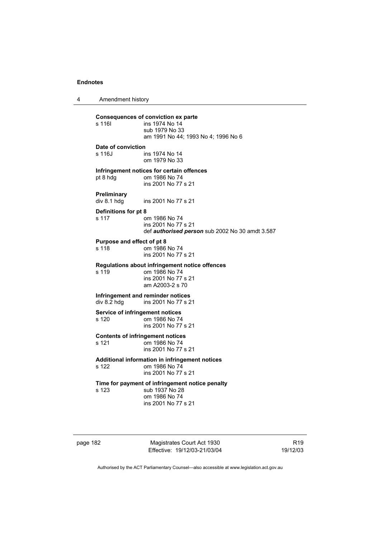4 Amendment history **Consequences of conviction ex parte**  ins 1974 No 14 sub 1979 No 33 am 1991 No 44; 1993 No 4; 1996 No 6 **Date of conviction**  s 116J ins 1974 No 14 om 1979 No 33 **Infringement notices for certain offences**<br>pt 8 hdg om 1986 No 74 om 1986 No 74 ins 2001 No 77 s 21 **Preliminary**  ins 2001 No 77 s 21 **Definitions for pt 8**  s 117 om 1986 No 74 ins 2001 No 77 s 21 def *authorised person* sub 2002 No 30 amdt 3.587 **Purpose and effect of pt 8**  s 118 om 1986 No 74 ins 2001 No 77 s 21 **Regulations about infringement notice offences**  s 119 om 1986 No 74 ins 2001 No 77 s 21 am A2003-2 s 70 **Infringement and reminder notices**  div 8.2 hdg ins 2001 No 77 s 21 **Service of infringement notices**   $\sigma$  om 1986 No 74 ins 2001 No 77 s 21 **Contents of infringement notices**  s 121 om 1986 No 74 ins 2001 No 77 s 21 **Additional information in infringement notices**  s 122 om 1986 No 74 ins 2001 No 77 s 21 **Time for payment of infringement notice penalty**  s 123 sub 1937 No 28 om 1986 No 74 ins 2001 No 77 s 21

page 182 Magistrates Court Act 1930 Effective: 19/12/03-21/03/04

R19 19/12/03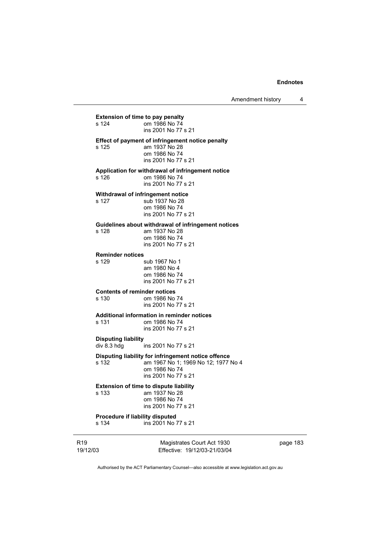Amendment history 4

19/12/03 Magistrates Court Act 1930 Effective: 19/12/03-21/03/04 **Extension of time to pay penalty**<br>s 124 om 1986 No 74 om 1986 No 74 ins 2001 No 77 s 21 **Effect of payment of infringement notice penalty**  s 125 am 1937 No 28 om 1986 No 74 ins 2001 No 77 s 21 **Application for withdrawal of infringement notice**  om 1986 No 74 ins 2001 No 77 s 21 **Withdrawal of infringement notice**  s 127 sub 1937 No 28 om 1986 No 74 ins 2001 No 77 s 21 **Guidelines about withdrawal of infringement notices**  s 128 am 1937 No 28 om 1986 No 74 ins 2001 No 77 s 21 **Reminder notices**  sub 1967 No 1 am 1980 No 4 om 1986 No 74 ins 2001 No 77 s 21 **Contents of reminder notices**  om 1986 No 74 ins 2001 No 77 s 21 **Additional information in reminder notices**  s 131 om 1986 No 74 ins 2001 No 77 s 21 **Disputing liability**  ins 2001 No 77 s 21 **Disputing liability for infringement notice offence**  s 132 am 1967 No 1; 1969 No 12; 1977 No 4 om 1986 No 74 ins 2001 No 77 s 21 **Extension of time to dispute liability**  s 133 am 1937 No 28 om 1986 No 74 ins 2001 No 77 s 21 **Procedure if liability disputed**<br>s 134 **ins 2001** No ins 2001 No 77 s 21

page 183

Authorised by the ACT Parliamentary Counsel—also accessible at www.legislation.act.gov.au

R19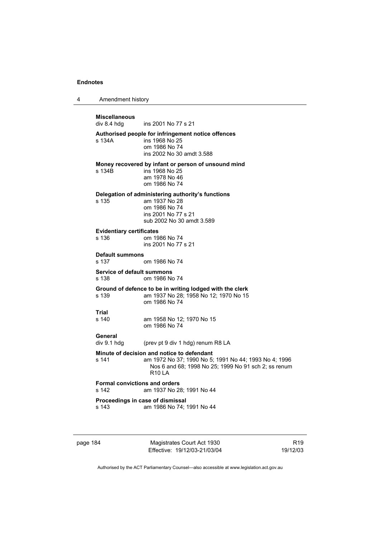4 Amendment history **Miscellaneous**  ins 2001 No 77 s 21 **Authorised people for infringement notice offences**  ins 1968 No 25 om 1986 No 74 ins 2002 No 30 amdt 3.588 **Money recovered by infant or person of unsound mind**  s 134B ins 1968 No 25 am 1978 No 46 om 1986 No 74 **Delegation of administering authority's functions**  am 1937 No 28 om 1986 No 74 ins 2001 No 77 s 21 sub 2002 No 30 amdt 3.589 **Evidentiary certificates**  s 136 om 1986 No 74 ins 2001 No 77 s 21 **Default summons**  om 1986 No 74 **Service of default summons**  s 138 om 1986 No 74 **Ground of defence to be in writing lodged with the clerk**  s 139 am 1937 No 28; 1958 No 12; 1970 No 15 om 1986 No 74 **Trial**  am 1958 No 12: 1970 No 15 om 1986 No 74 **General**  div 9.1 hdg (prev pt 9 div 1 hdg) renum R8 LA **Minute of decision and notice to defendant**<br>s 141 am 1972 No 37; 1990 No 5; am 1972 No 37; 1990 No 5; 1991 No 44; 1993 No 4; 1996 Nos 6 and 68; 1998 No 25; 1999 No 91 sch 2; ss renum R10 LA **Formal convictions and orders**  s 142 am 1937 No 28; 1991 No 44 **Proceedings in case of dismissal**  s 143 am 1986 No 74; 1991 No 44

page 184 Magistrates Court Act 1930 Effective: 19/12/03-21/03/04

R19 19/12/03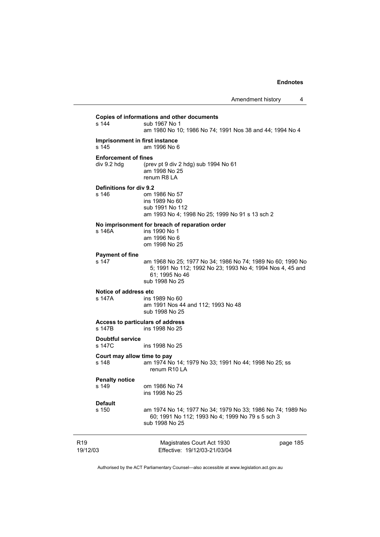| R <sub>19</sub><br>19/12/03                | Magistrates Court Act 1930<br>Effective: 19/12/03-21/03/04                                                                                                  | page 185 |
|--------------------------------------------|-------------------------------------------------------------------------------------------------------------------------------------------------------------|----------|
| <b>Default</b><br>s 150                    | am 1974 No 14; 1977 No 34; 1979 No 33; 1986 No 74; 1989 No<br>60; 1991 No 112; 1993 No 4; 1999 No 79 s 5 sch 3<br>sub 1998 No 25                            |          |
| <b>Penalty notice</b><br>s 149             | om 1986 No 74<br>ins 1998 No 25                                                                                                                             |          |
| Court may allow time to pay<br>s 148       | am 1974 No 14; 1979 No 33; 1991 No 44; 1998 No 25; ss<br>renum R <sub>10</sub> LA                                                                           |          |
| <b>Doubtful service</b><br>s 147C          | ins 1998 No 25                                                                                                                                              |          |
| Access to particulars of address<br>s 147B | ins 1998 No 25                                                                                                                                              |          |
| Notice of address etc<br>s 147A            | ins 1989 No 60<br>am 1991 Nos 44 and 112; 1993 No 48<br>sub 1998 No 25                                                                                      |          |
| <b>Payment of fine</b><br>s 147            | am 1968 No 25; 1977 No 34; 1986 No 74; 1989 No 60; 1990 No<br>5; 1991 No 112; 1992 No 23; 1993 No 4; 1994 Nos 4, 45 and<br>61; 1995 No 46<br>sub 1998 No 25 |          |
| s 146A                                     | No imprisonment for breach of reparation order<br>ins 1990 No 1<br>am 1996 No 6<br>om 1998 No 25                                                            |          |
| Definitions for div 9.2<br>s 146           | om 1986 No 57<br>ins 1989 No 60<br>sub 1991 No 112<br>am 1993 No 4; 1998 No 25; 1999 No 91 s 13 sch 2                                                       |          |
| <b>Enforcement of fines</b><br>div 9.2 hdg | (prev pt 9 div 2 hdg) sub 1994 No 61<br>am 1998 No 25<br>renum R8 LA                                                                                        |          |
| Imprisonment in first instance<br>s 145    | am 1996 No 6                                                                                                                                                |          |
| s 144                                      | sub 1967 No 1<br>am 1980 No 10; 1986 No 74; 1991 Nos 38 and 44; 1994 No 4                                                                                   |          |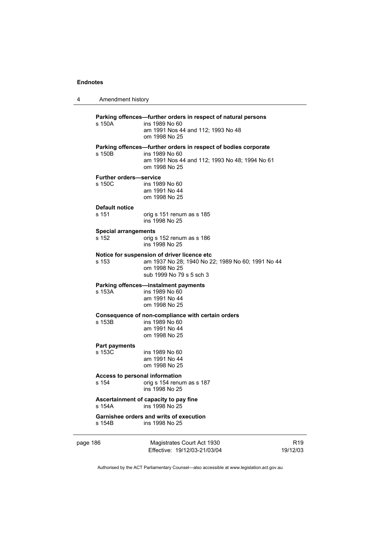| 4        | Amendment history                              |                                                                                                                                                     |                             |
|----------|------------------------------------------------|-----------------------------------------------------------------------------------------------------------------------------------------------------|-----------------------------|
|          | s 150A                                         | Parking offences-further orders in respect of natural persons<br>ins 1989 No 60<br>am 1991 Nos 44 and 112; 1993 No 48<br>om 1998 No 25              |                             |
|          | s 150B                                         | Parking offences-further orders in respect of bodies corporate<br>ins 1989 No 60<br>am 1991 Nos 44 and 112; 1993 No 48; 1994 No 61<br>om 1998 No 25 |                             |
|          | <b>Further orders-service</b><br>s 150C        | ins 1989 No 60<br>am 1991 No 44<br>om 1998 No 25                                                                                                    |                             |
|          | <b>Default notice</b><br>s 151                 | orig s 151 renum as s 185<br>ins 1998 No 25                                                                                                         |                             |
|          | <b>Special arrangements</b><br>s 152           | orig s 152 renum as s 186<br>ins 1998 No 25                                                                                                         |                             |
|          | s 153                                          | Notice for suspension of driver licence etc<br>am 1937 No 28; 1940 No 22; 1989 No 60; 1991 No 44<br>om 1998 No 25<br>sub 1999 No 79 s 5 sch 3       |                             |
|          | s 153A                                         | Parking offences—instalment payments<br>ins 1989 No 60<br>am 1991 No 44<br>om 1998 No 25                                                            |                             |
|          | s 153B                                         | Consequence of non-compliance with certain orders<br>ins 1989 No 60<br>am 1991 No 44<br>om 1998 No 25                                               |                             |
|          | <b>Part payments</b><br>s 153C                 | ins 1989 No 60<br>am 1991 No 44<br>om 1998 No 25                                                                                                    |                             |
|          | <b>Access to personal information</b><br>s 154 | orig s 154 renum as s 187<br>ins 1998 No 25                                                                                                         |                             |
|          | s 154A                                         | Ascertainment of capacity to pay fine<br>ins 1998 No 25                                                                                             |                             |
|          | s 154B                                         | Garnishee orders and writs of execution<br>ins 1998 No 25                                                                                           |                             |
| page 186 |                                                | Magistrates Court Act 1930<br>Effective: 19/12/03-21/03/04                                                                                          | R <sub>19</sub><br>19/12/03 |

Authorised by the ACT Parliamentary Counsel—also accessible at www.legislation.act.gov.au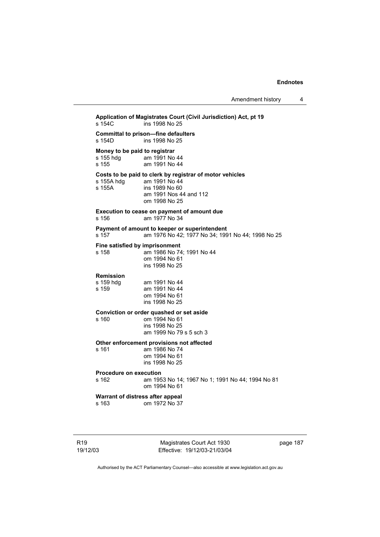**Application of Magistrates Court (Civil Jurisdiction) Act, pt 19**  ins 1998 No 25 **Committal to prison—fine defaulters**  ins 1998 No 25 **Money to be paid to registrar**<br>s 155 hdg am 1991 No am 1991 No 44 s 155 am 1991 No 44 **Costs to be paid to clerk by registrar of motor vehicles**   $am 1991$  No  $44$ s 155A ins 1989 No 60 am 1991 Nos 44 and 112 om 1998 No 25 **Execution to cease on payment of amount due**  s 156 am 1977 No 34 **Payment of amount to keeper or superintendent**  s 157 am 1976 No 42; 1977 No 34; 1991 No 44; 1998 No 25 **Fine satisfied by imprisonment**  s 158 am 1986 No 74; 1991 No 44 om 1994 No 61 ins 1998 No 25 **Remission**  s 159 hdg am 1991 No 44<br>s 159 am 1991 No 44 am 1991 No 44 om 1994 No 61 ins 1998 No 25 **Conviction or order quashed or set aside**  om 1994 No 61 ins 1998 No 25 am 1999 No 79 s 5 sch 3 **Other enforcement provisions not affected**  s 161 am 1986 No 74 om 1994 No 61 ins 1998 No 25 **Procedure on execution**  am 1953 No 14; 1967 No 1; 1991 No 44; 1994 No 81 om 1994 No 61 **Warrant of distress after appeal**  s 163 om 1972 No 37

R19 19/12/03

Magistrates Court Act 1930 Effective: 19/12/03-21/03/04 page 187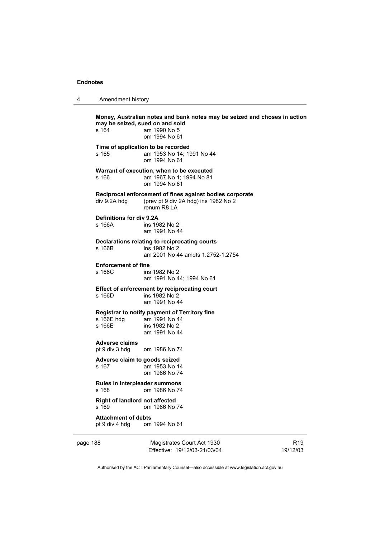| 4 | Amendment history |
|---|-------------------|
|---|-------------------|

page 188 Magistrates Court Act 1930 R19 **Money, Australian notes and bank notes may be seized and choses in action may be seized, sued on and sold**  s 164 am 1990 No 5 om 1994 No 61 **Time of application to be recorded**  s 165 am 1953 No 14; 1991 No 44 om 1994 No 61 **Warrant of execution, when to be executed**  s 166 am 1967 No 1; 1994 No 81 om 1994 No 61 **Reciprocal enforcement of fines against bodies corporate**  div 9.2A hdg (prev pt 9 div 2A hdg) ins 1982 No 2 renum R8 LA **Definitions for div 9.2A**  s 166A ins 1982 No 2 am 1991 No 44 **Declarations relating to reciprocating courts**  s 166B ins 1982 No 2 am 2001 No 44 amdts 1.2752-1.2754 **Enforcement of fine**  s 166C ins 1982 No 2 am 1991 No 44; 1994 No 61 **Effect of enforcement by reciprocating court**  s 166D ins 1982 No 2 am 1991 No 44 **Registrar to notify payment of Territory fine**  s 166E hdg am 1991 No 44<br>s 166E ins 1982 No 2 ins 1982 No 2 am 1991 No 44 **Adverse claims**  pt 9 div 3 hdg om 1986 No 74 **Adverse claim to goods seized**  s 167 am 1953 No 14 om 1986 No 74 **Rules in Interpleader summons**  s 168 om 1986 No 74 **Right of landlord not affected**<br>s 169 om 1986 No om 1986 No 74 **Attachment of debts**  pt 9 div 4 hdg om 1994 No 61

Effective: 19/12/03-21/03/04

19/12/03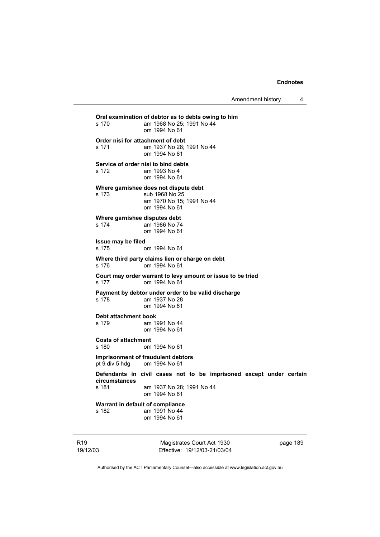Amendment history 4

**Oral examination of debtor as to debts owing to him**  s 170 am 1968 No 25; 1991 No 44 om 1994 No 61 **Order nisi for attachment of debt**  s 171 am 1937 No 28; 1991 No 44 om 1994 No 61 **Service of order nisi to bind debts**  s 172 am 1993 No 4 om 1994 No 61 **Where garnishee does not dispute debt**  s 173 sub 1968 No 25 am 1970 No 15; 1991 No 44 om 1994 No 61 **Where garnishee disputes debt**  s 174 am 1986 No 74 om 1994 No 61 **Issue may be filed**  s 175 om 1994 No 61 **Where third party claims lien or charge on debt**  s 176 om 1994 No 61 **Court may order warrant to levy amount or issue to be tried**  s 177 om 1994 No 61 **Payment by debtor under order to be valid discharge**  s 178 am 1937 No 28 om 1994 No 61 **Debt attachment book**  s 179 am 1991 No 44 om 1994 No 61 **Costs of attachment**  s 180 om 1994 No 61 **Imprisonment of fraudulent debtors**  pt 9 div 5 hdg om 1994 No 61 **Defendants in civil cases not to be imprisoned except under certain circumstances**  am 1937 No 28: 1991 No 44 om 1994 No 61 **Warrant in default of compliance**  s 182 am 1991 No 44 om 1994 No 61

R19 19/12/03

Magistrates Court Act 1930 Effective: 19/12/03-21/03/04 page 189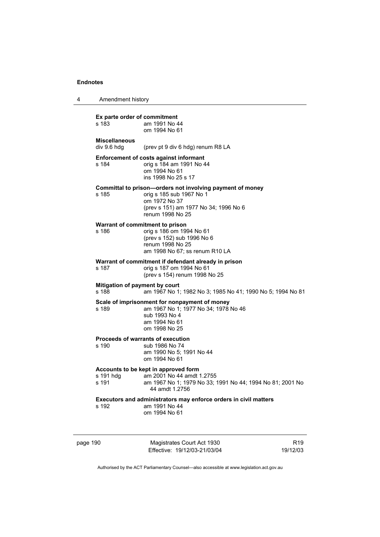4 Amendment history

| Ex parte order of commitment<br>s 183   | am 1991 No 44<br>om 1994 No 61                                                                                                                                      |
|-----------------------------------------|---------------------------------------------------------------------------------------------------------------------------------------------------------------------|
| <b>Miscellaneous</b><br>div 9.6 hdg     | (prev pt 9 div 6 hdg) renum R8 LA                                                                                                                                   |
| s 184                                   | <b>Enforcement of costs against informant</b><br>orig s 184 am 1991 No 44<br>om 1994 No 61<br>ins 1998 No 25 s 17                                                   |
| s 185                                   | Committal to prison-orders not involving payment of money<br>orig s 185 sub 1967 No 1<br>om 1972 No 37<br>(prev s 151) am 1977 No 34; 1996 No 6<br>renum 1998 No 25 |
| s 186                                   | Warrant of commitment to prison<br>orig s 186 om 1994 No 61<br>(prev s 152) sub 1996 No 6<br>renum 1998 No 25<br>am 1998 No 67; ss renum R10 LA                     |
| s 187                                   | Warrant of commitment if defendant already in prison<br>orig s 187 om 1994 No 61<br>(prev s 154) renum 1998 No 25                                                   |
| Mitigation of payment by court<br>s 188 | am 1967 No 1; 1982 No 3; 1985 No 41; 1990 No 5; 1994 No 81                                                                                                          |
| s 189                                   | Scale of imprisonment for nonpayment of money<br>am 1967 No 1; 1977 No 34; 1978 No 46<br>sub 1993 No 4<br>am 1994 No 61<br>om 1998 No 25                            |
| s 190                                   | Proceeds of warrants of execution<br>sub 1986 No 74<br>am 1990 No 5: 1991 No 44<br>om 1994 No 61                                                                    |
| s 191 hdg<br>s 191                      | Accounts to be kept in approved form<br>am 2001 No 44 amdt 1.2755<br>am 1967 No 1; 1979 No 33; 1991 No 44; 1994 No 81; 2001 No<br>44 amdt 1.2756                    |
| s 192                                   | Executors and administrators may enforce orders in civil matters<br>am 1991 No 44<br>om 1994 No 61                                                                  |

page 190 Magistrates Court Act 1930 Effective: 19/12/03-21/03/04

R19 19/12/03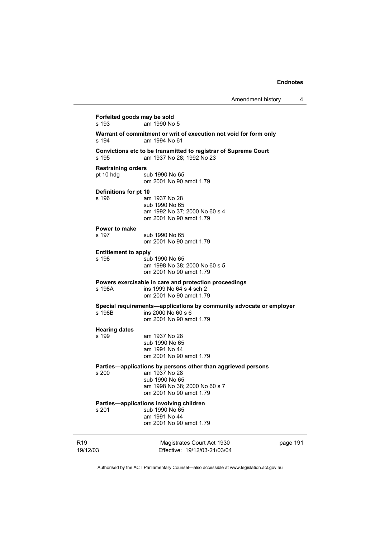Amendment history 4

| s 193                                  | Forfeited goods may be sold<br>am 1990 No 5                                                                                                                 |          |  |  |  |
|----------------------------------------|-------------------------------------------------------------------------------------------------------------------------------------------------------------|----------|--|--|--|
| s 194                                  | Warrant of commitment or writ of execution not void for form only<br>am 1994 No 61                                                                          |          |  |  |  |
| s 195                                  | Convictions etc to be transmitted to registrar of Supreme Court<br>am 1937 No 28; 1992 No 23                                                                |          |  |  |  |
| <b>Restraining orders</b><br>pt 10 hdg | sub 1990 No 65<br>om 2001 No 90 amdt 1.79                                                                                                                   |          |  |  |  |
| Definitions for pt 10<br>s 196         | am 1937 No 28<br>sub 1990 No 65<br>am 1992 No 37; 2000 No 60 s 4<br>om 2001 No 90 amdt 1.79                                                                 |          |  |  |  |
| Power to make<br>s 197                 | sub 1990 No 65<br>om 2001 No 90 amdt 1.79                                                                                                                   |          |  |  |  |
| <b>Entitlement to apply</b><br>s 198   | sub 1990 No 65<br>am 1998 No 38; 2000 No 60 s 5<br>om 2001 No 90 amdt 1.79                                                                                  |          |  |  |  |
| s 198A                                 | Powers exercisable in care and protection proceedings<br>ins 1999 No 64 s 4 sch 2<br>om 2001 No 90 amdt 1.79                                                |          |  |  |  |
| s 198B                                 | Special requirements-applications by community advocate or employer<br>ins 2000 No 60 s 6<br>om 2001 No 90 amdt 1.79                                        |          |  |  |  |
| <b>Hearing dates</b><br>s 199          | am 1937 No 28<br>sub 1990 No 65<br>am 1991 No 44<br>om 2001 No 90 amdt 1.79                                                                                 |          |  |  |  |
| s 200                                  | Parties-applications by persons other than aggrieved persons<br>am 1937 No 28<br>sub 1990 No 65<br>am 1998 No 38; 2000 No 60 s 7<br>om 2001 No 90 amdt 1.79 |          |  |  |  |
| s 201                                  | Parties-applications involving children<br>sub 1990 No 65<br>am 1991 No 44<br>om 2001 No 90 amdt 1.79                                                       |          |  |  |  |
| R <sub>19</sub><br>19/12/03            | Magistrates Court Act 1930<br>Effective: 19/12/03-21/03/04                                                                                                  | page 191 |  |  |  |

Authorised by the ACT Parliamentary Counsel—also accessible at www.legislation.act.gov.au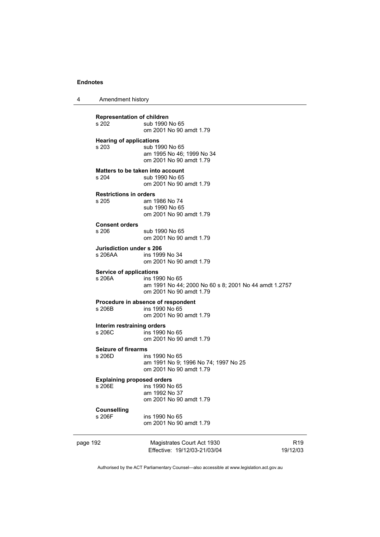|  | Amendment history |
|--|-------------------|
|--|-------------------|

**Representation of children**  sub 1990 No 65 om 2001 No 90 amdt 1.79 **Hearing of applications**  s 203 sub 1990 No 65 am 1995 No 46; 1999 No 34 om 2001 No 90 amdt 1.79 **Matters to be taken into account**<br>s 204 **up 1990** No 65 sub 1990 No 65 om 2001 No 90 amdt 1.79 **Restrictions in orders**  am 1986 No 74 sub 1990 No 65 om 2001 No 90 amdt 1.79 **Consent orders**  sub 1990 No 65 om 2001 No 90 amdt 1.79 **Jurisdiction under s 206**<br>s 206AA ins 199 ins 1999 No 34 om 2001 No 90 amdt 1.79 **Service of applications**  s 206A ins 1990 No 65 am 1991 No 44; 2000 No 60 s 8; 2001 No 44 amdt 1.2757 om 2001 No 90 amdt 1.79 **Procedure in absence of respondent**<br>s 206B ins 1990 No 65 ins 1990 No 65 om 2001 No 90 amdt 1.79 **Interim restraining orders**  ins 1990 No 65 om 2001 No 90 amdt 1.79 **Seizure of firearms**  s 206D ins 1990 No 65 am 1991 No 9; 1996 No 74; 1997 No 25 om 2001 No 90 amdt 1.79 **Explaining proposed orders**  s 206E ins 1990 No 65 am 1992 No 37 om 2001 No 90 amdt 1.79 **Counselling**  ins 1990 No 65 om 2001 No 90 amdt 1.79

page 192 Magistrates Court Act 1930 Effective: 19/12/03-21/03/04 R19 19/12/03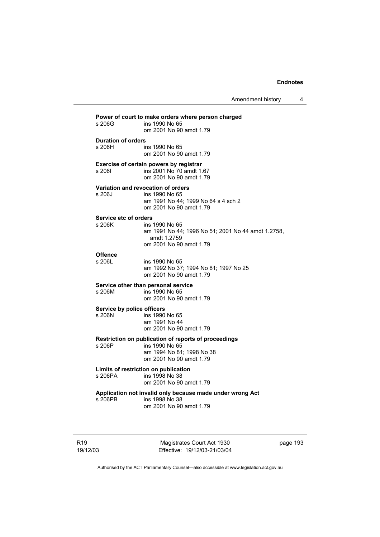Amendment history 4

# **Power of court to make orders where person charged**  ins 1990 No 65 om 2001 No 90 amdt 1.79 **Duration of orders**  ins 1990 No 65 om 2001 No 90 amdt 1.79 **Exercise of certain powers by registrar**  s 206I ins 2001 No 70 amdt 1.67 om 2001 No 90 amdt 1.79 **Variation and revocation of orders**  s 206J ins 1990 No 65 am 1991 No 44; 1999 No 64 s 4 sch 2 om 2001 No 90 amdt 1.79 **Service etc of orders**<br>s 206K ins ins 1990 No 65 am 1991 No 44; 1996 No 51; 2001 No 44 amdt 1.2758, amdt 1.2759 om 2001 No 90 amdt 1.79 **Offence**  ins 1990 No 65 am 1992 No 37; 1994 No 81; 1997 No 25 om 2001 No 90 amdt 1.79 **Service other than personal service**  s 206M ins 1990 No 65 om 2001 No 90 amdt 1.79 **Service by police officers**  s 206N ins 1990 No 65 am 1991 No 44 om 2001 No 90 amdt 1.79 **Restriction on publication of reports of proceedings**  ins 1990 No 65 am 1994 No 81; 1998 No 38 om 2001 No 90 amdt 1.79 **Limits of restriction on publication**  s 206PA ins 1998 No 38 om 2001 No 90 amdt 1.79 **Application not invalid only because made under wrong Act**  s 206PB ins 1998 No 38 om 2001 No 90 amdt 1.79

R19 19/12/03

Magistrates Court Act 1930 Effective: 19/12/03-21/03/04 page 193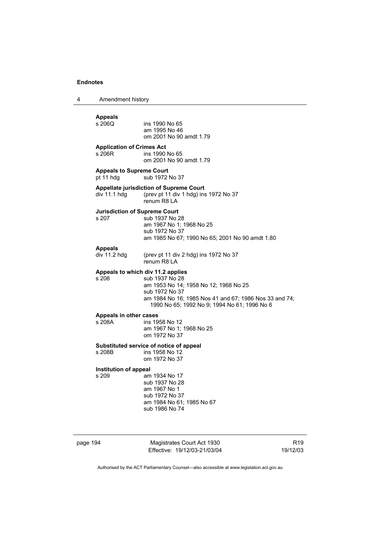4 Amendment history page 194 Magistrates Court Act 1930 **Appeals**  ins 1990 No 65 am 1995 No 46 om 2001 No 90 amdt 1.79 **Application of Crimes Act**  s 206R ins 1990 No 65 om 2001 No 90 amdt 1.79 **Appeals to Supreme Court**  sub 1972 No 37 **Appellate jurisdiction of Supreme Court**  div 11.1 hdg (prev pt 11 div 1 hdg) ins 1972 No 37 renum R8 LA **Jurisdiction of Supreme Court**  s 207 sub 1937 No 28 am 1967 No 1; 1968 No 25 sub 1972 No 37 am 1985 No 67; 1990 No 65; 2001 No 90 amdt 1.80 **Appeals**  (prev pt 11 div 2 hdg) ins 1972 No 37 renum R8 LA **Appeals to which div 11.2 applies**  s 208 sub 1937 No 28 am 1953 No 14; 1958 No 12; 1968 No 25 sub 1972 No 37 am 1984 No 16; 1985 Nos 41 and 67; 1986 Nos 33 and 74; 1990 No 65; 1992 No 9; 1994 No 61; 1996 No 6 **Appeals in other cases**  s 208A ins 1958 No 12 am 1967 No 1; 1968 No 25 om 1972 No 37 **Substituted service of notice of appeal**  ins 1958 No 12 om 1972 No 37 **Institution of appeal**  s 209 **am 1934 No 17**  sub 1937 No 28 am 1967 No 1 sub 1972 No 37 am 1984 No 61; 1985 No 67 sub 1986 No 74

Effective: 19/12/03-21/03/04

R19 19/12/03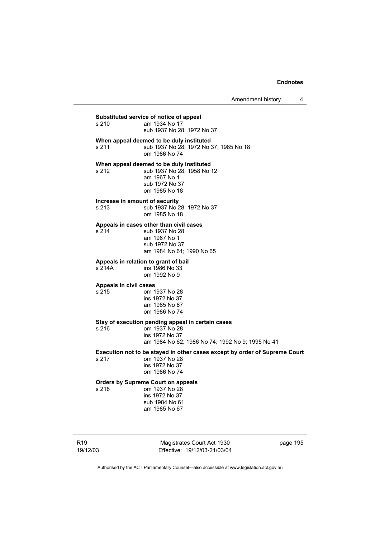Amendment history 4

**Substituted service of notice of appeal**  am 1934 No 17 sub 1937 No 28; 1972 No 37 **When appeal deemed to be duly instituted**  s 211 sub 1937 No 28; 1972 No 37; 1985 No 18 om 1986 No 74 **When appeal deemed to be duly instituted**  s 212 sub 1937 No 28; 1958 No 12 am 1967 No 1 sub 1972 No 37 om 1985 No 18 **Increase in amount of security**  s 213 sub 1937 No 28; 1972 No 37 om 1985 No 18 **Appeals in cases other than civil cases**  s 214 sub 1937 No 28 am 1967 No 1 sub 1972 No 37 am 1984 No 61; 1990 No 65 **Appeals in relation to grant of bail**  s 214A ins 1986 No 33 om 1992 No 9 **Appeals in civil cases**  s 215 om 1937 No 28 ins 1972 No 37 am 1985 No 67 om 1986 No 74 **Stay of execution pending appeal in certain cases**  s 216 om 1937 No 28 ins 1972 No 37 am 1984 No 62; 1986 No 74; 1992 No 9; 1995 No 41 **Execution not to be stayed in other cases except by order of Supreme Court**  om 1937 No 28 ins 1972 No 37 om 1986 No 74 **Orders by Supreme Court on appeals**  om 1937 No 28 ins 1972 No 37 sub 1984 No 61 am 1985 No 67

Magistrates Court Act 1930 Effective: 19/12/03-21/03/04 page 195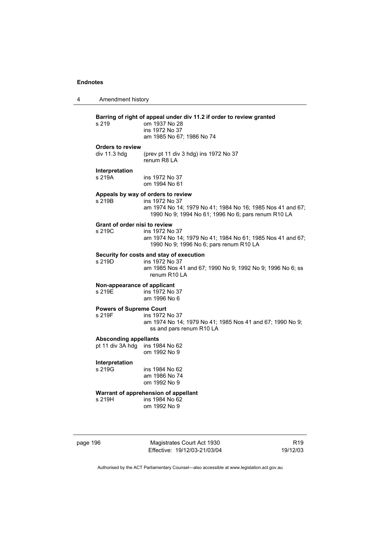| 4 | Amendment history                                |                                                                                                                                                                           |
|---|--------------------------------------------------|---------------------------------------------------------------------------------------------------------------------------------------------------------------------------|
|   | s 219                                            | Barring of right of appeal under div 11.2 if order to review granted<br>om 1937 No 28<br>ins 1972 No 37<br>am 1985 No 67; 1986 No 74                                      |
|   | <b>Orders to review</b><br>div 11.3 h dq         | (prev pt 11 div 3 hdg) ins 1972 No 37<br>renum R8 LA                                                                                                                      |
|   | Interpretation<br>s 219A                         | ins 1972 No 37<br>om 1994 No 61                                                                                                                                           |
|   | s 219B                                           | Appeals by way of orders to review<br>ins 1972 No 37<br>am 1974 No 14; 1979 No 41; 1984 No 16; 1985 Nos 41 and 67;<br>1990 No 9; 1994 No 61; 1996 No 6; pars renum R10 LA |
|   | Grant of order nisi to review<br>s 219C          | ins 1972 No 37<br>am 1974 No 14; 1979 No 41; 1984 No 61; 1985 Nos 41 and 67;<br>1990 No 9; 1996 No 6; pars renum R10 LA                                                   |
|   | s 219D                                           | Security for costs and stay of execution<br>ins 1972 No 37<br>am 1985 Nos 41 and 67; 1990 No 9; 1992 No 9; 1996 No 6; ss<br>renum R <sub>10</sub> LA                      |
|   | Non-appearance of applicant<br>s 219E            | ins 1972 No 37<br>am 1996 No 6                                                                                                                                            |
|   | <b>Powers of Supreme Court</b><br>s 219F         | ins 1972 No 37<br>am 1974 No 14; 1979 No 41; 1985 Nos 41 and 67; 1990 No 9;<br>ss and pars renum R10 LA                                                                   |
|   | <b>Absconding appellants</b><br>pt 11 div 3A hdg | ins 1984 No 62<br>om 1992 No 9                                                                                                                                            |
|   | Interpretation<br>s 219G                         | ins 1984 No 62<br>am 1986 No 74<br>om 1992 No 9                                                                                                                           |
|   | s 219H                                           | Warrant of apprehension of appellant<br>ins 1984 No 62<br>om 1992 No 9                                                                                                    |
|   |                                                  |                                                                                                                                                                           |

page 196 Magistrates Court Act 1930 Effective: 19/12/03-21/03/04

R19 19/12/03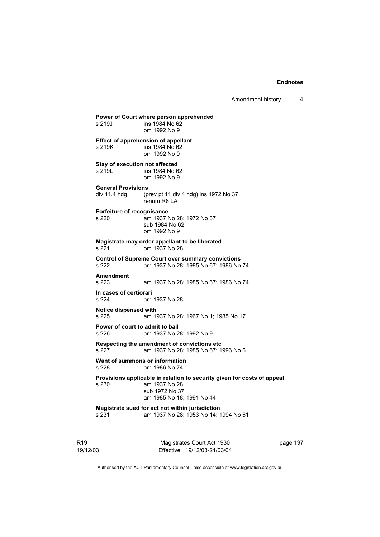Amendment history 4

# R19 **Power of Court where person apprehended**<br>s 219J **ins 1984** No 62 ins 1984 No 62 om 1992 No 9 **Effect of apprehension of appellant**  s 219K ins 1984 No 62 om 1992 No 9 **Stay of execution not affected**  s 219L ins 1984 No 62 om 1992 No 9 **General Provisions**  div 11.4 hdg (prev pt 11 div 4 hdg) ins 1972 No 37 renum R8 LA **Forfeiture of recognisance**  s 220 am 1937 No 28; 1972 No 37 sub 1984 No 62 om 1992 No 9 **Magistrate may order appellant to be liberated**  s 221 om 1937 No 28 **Control of Supreme Court over summary convictions**  s 222 am 1937 No 28; 1985 No 67; 1986 No 74 **Amendment**  s 223 am 1937 No 28; 1985 No 67; 1986 No 74 **In cases of certiorari**  s 224 am 1937 No 28 **Notice dispensed with**  s 225 am 1937 No 28; 1967 No 1; 1985 No 17 **Power of court to admit to bail**<br>
s 226 am 1937 No 2 am 1937 No 28: 1992 No 9 **Respecting the amendment of convictions etc**  s 227 am 1937 No 28; 1985 No 67; 1996 No 6 **Want of summons or information**<br>s 228 am 1986 No 74 am 1986 No 74 **Provisions applicable in relation to security given for costs of appeal**  s 230 am 1937 No 28 sub 1972 No 37 am 1985 No 18; 1991 No 44 **Magistrate sued for act not within jurisdiction**  s 231 am 1937 No 28; 1953 No 14; 1994 No 61

19/12/03

Magistrates Court Act 1930 Effective: 19/12/03-21/03/04 page 197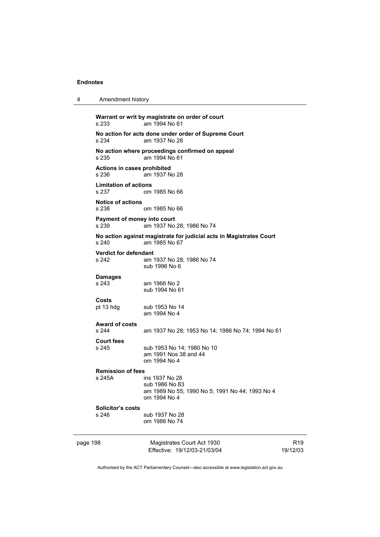4 Amendment history

| s 233                                 | Warrant or writ by magistrate on order of court<br>am 1994 No 61                                    |                             |
|---------------------------------------|-----------------------------------------------------------------------------------------------------|-----------------------------|
| s 234                                 | No action for acts done under order of Supreme Court<br>am 1937 No 28                               |                             |
| s 235                                 | No action where proceedings confirmed on appeal<br>am 1994 No 61                                    |                             |
| Actions in cases prohibited<br>s 236  | am 1937 No 28                                                                                       |                             |
| <b>Limitation of actions</b><br>s 237 | om 1985 No 66                                                                                       |                             |
| <b>Notice of actions</b><br>s 238     | om 1985 No 66                                                                                       |                             |
| Payment of money into court<br>s 239  | am 1937 No 28; 1986 No 74                                                                           |                             |
| s 240                                 | No action against magistrate for judicial acts in Magistrates Court<br>am 1985 No 67                |                             |
| <b>Verdict for defendant</b><br>s 242 | am 1937 No 28; 1986 No 74<br>sub 1996 No 6                                                          |                             |
| <b>Damages</b><br>s 243               | am 1966 No 2<br>sub 1994 No 61                                                                      |                             |
| <b>Costs</b><br>pt 13 hdg             | sub 1953 No 14<br>am 1994 No 4                                                                      |                             |
| <b>Award of costs</b><br>s 244        | am 1937 No 28; 1953 No 14; 1986 No 74; 1994 No 61                                                   |                             |
| <b>Court fees</b><br>s 245            | sub 1953 No 14; 1980 No 10<br>am 1991 Nos 38 and 44<br>om 1994 No 4                                 |                             |
| <b>Remission of fees</b><br>s 245A    | ins 1937 No 28<br>sub 1986 No 83<br>am 1989 No 55; 1990 No 5; 1991 No 44; 1993 No 4<br>om 1994 No 4 |                             |
| <b>Solicitor's costs</b><br>s 246     | sub 1937 No 28<br>om 1986 No 74                                                                     |                             |
| page 198                              | Magistrates Court Act 1930<br>Effective: 19/12/03-21/03/04                                          | R <sub>19</sub><br>19/12/03 |

Authorised by the ACT Parliamentary Counsel—also accessible at www.legislation.act.gov.au

R19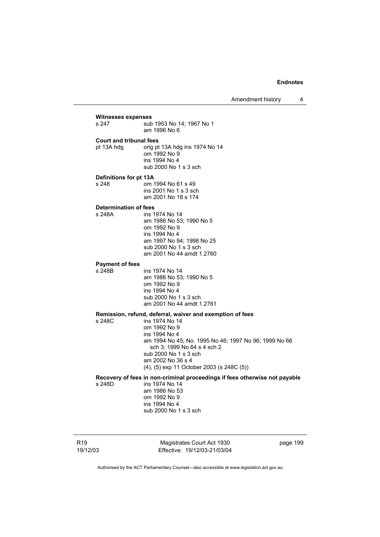Amendment history 4

# **Witnesses expenses**  sub 1953 No 14: 1967 No 1 am 1996 No 6 **Court and tribunal fees**  pt 13A hdg orig pt 13A hdg ins 1974 No 14 om 1992 No 9 ins 1994 No 4 sub 2000 No 1 s 3 sch **Definitions for pt 13A**  s 248 om 1994 No 61 s 49 ins 2001 No 1 s 3 sch am 2001 No 18 s 174 **Determination of fees**  s 248A ins 1974 No 14 am 1986 No 53; 1990 No 5 om 1992 No 9 ins 1994 No 4 am 1997 No 94; 1998 No 25 sub 2000 No 1 s 3 sch am 2001 No 44 amdt 1.2760 **Payment of fees**  ins 1974 No 14 am 1986 No 53; 1990 No 5 om 1992 No 9 ins 1994 No 4 sub 2000 No 1 s 3 sch am 2001 No 44 amdt 1.2761 **Remission, refund, deferral, waiver and exemption of fees**   $ins$  1974 No 14 om 1992 No 9 ins 1994 No 4 am 1994 No 45; No. 1995 No 46; 1997 No 96; 1999 No 66 sch 3; 1999 No 64 s 4 sch 2 sub 2000 No 1 s 3 sch am 2002 No 36 s 4 (4), (5) exp 11 October 2003 (s 248C (5)) **Recovery of fees in non-criminal proceedings if fees otherwise not payable**  s 248D ins 1974 No 14 am 1986 No 53 om 1992 No 9 ins 1994 No 4 sub 2000 No 1 s 3 sch

R19 19/12/03

Magistrates Court Act 1930 Effective: 19/12/03-21/03/04 page 199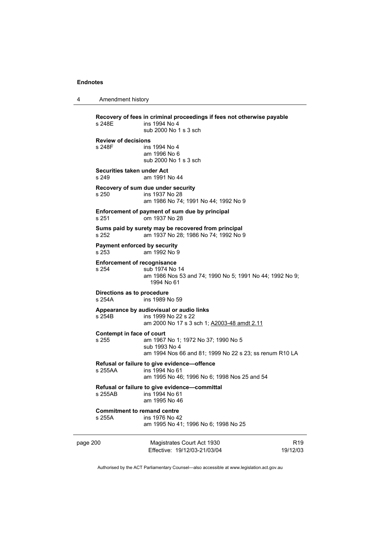| $\overline{4}$ | Amendment history |
|----------------|-------------------|
|----------------|-------------------|

| s 248E                                       | Recovery of fees in criminal proceedings if fees not otherwise payable<br>ins 1994 No 4<br>sub 2000 No 1 s 3 sch |                 |  |  |
|----------------------------------------------|------------------------------------------------------------------------------------------------------------------|-----------------|--|--|
| <b>Review of decisions</b><br>s 248F         | ins 1994 No 4<br>am 1996 No 6<br>sub 2000 No 1 s 3 sch                                                           |                 |  |  |
| Securities taken under Act<br>s 249          | am 1991 No 44                                                                                                    |                 |  |  |
| s 250                                        | Recovery of sum due under security<br>ins 1937 No 28<br>am 1986 No 74; 1991 No 44; 1992 No 9                     |                 |  |  |
| s 251                                        | Enforcement of payment of sum due by principal<br>om 1937 No 28                                                  |                 |  |  |
| s 252                                        | Sums paid by surety may be recovered from principal<br>am 1937 No 28; 1986 No 74; 1992 No 9                      |                 |  |  |
| <b>Payment enforced by security</b><br>s 253 | am 1992 No 9                                                                                                     |                 |  |  |
| <b>Enforcement of recognisance</b><br>s 254  | sub 1974 No 14<br>am 1986 Nos 53 and 74; 1990 No 5; 1991 No 44; 1992 No 9;<br>1994 No 61                         |                 |  |  |
| s 254A                                       | Directions as to procedure<br>ins 1989 No 59                                                                     |                 |  |  |
| s 254B                                       | Appearance by audiovisual or audio links<br>ins 1999 No 22 s 22<br>am 2000 No 17 s 3 sch 1; A2003-48 amdt 2.11   |                 |  |  |
| Contempt in face of court<br>s 255           | am 1967 No 1; 1972 No 37; 1990 No 5<br>sub 1993 No 4<br>am 1994 Nos 66 and 81; 1999 No 22 s 23; ss renum R10 LA  |                 |  |  |
| s 255AA                                      | Refusal or failure to give evidence-offence<br>ins 1994 No 61<br>am 1995 No 46; 1996 No 6; 1998 Nos 25 and 54    |                 |  |  |
| s 255AB                                      | Refusal or failure to give evidence-committal<br>ins 1994 No 61<br>am 1995 No 46                                 |                 |  |  |
| <b>Commitment to remand centre</b><br>s 255A | ins 1976 No 42<br>am 1995 No 41; 1996 No 6; 1998 No 25                                                           |                 |  |  |
| page 200                                     | Magistrates Court Act 1930                                                                                       | R <sub>19</sub> |  |  |

Authorised by the ACT Parliamentary Counsel—also accessible at www.legislation.act.gov.au

19/12/03

Effective: 19/12/03-21/03/04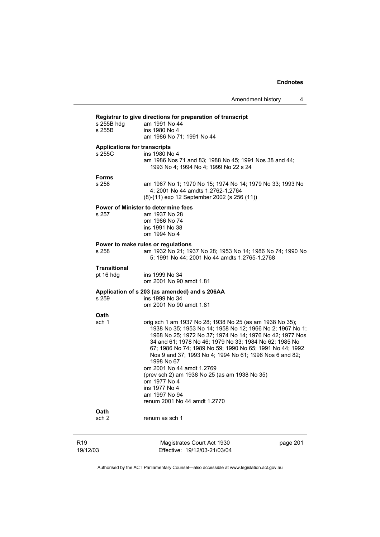| s 255B hdg<br>s 255B             | am 1991 No 44<br>ins 1980 No 4<br>am 1986 No 71; 1991 No 44                                                                                                                                                                                                                                                                                                                                                                                                                                                                                      |
|----------------------------------|--------------------------------------------------------------------------------------------------------------------------------------------------------------------------------------------------------------------------------------------------------------------------------------------------------------------------------------------------------------------------------------------------------------------------------------------------------------------------------------------------------------------------------------------------|
| s 255C                           | <b>Applications for transcripts</b><br>ins 1980 No 4<br>am 1986 Nos 71 and 83; 1988 No 45; 1991 Nos 38 and 44;<br>1993 No 4; 1994 No 4; 1999 No 22 s 24                                                                                                                                                                                                                                                                                                                                                                                          |
| <b>Forms</b><br>s 256            | am 1967 No 1; 1970 No 15; 1974 No 14; 1979 No 33; 1993 No<br>4; 2001 No 44 amdts 1.2762-1.2764<br>(8)-(11) exp 12 September 2002 (s 256 (11))                                                                                                                                                                                                                                                                                                                                                                                                    |
| s 257                            | <b>Power of Minister to determine fees</b><br>am 1937 No 28<br>om 1986 No 74<br>ins 1991 No 38<br>om 1994 No 4                                                                                                                                                                                                                                                                                                                                                                                                                                   |
| s 258                            | Power to make rules or regulations<br>am 1932 No 21; 1937 No 28; 1953 No 14; 1986 No 74; 1990 No<br>5; 1991 No 44; 2001 No 44 amdts 1.2765-1.2768                                                                                                                                                                                                                                                                                                                                                                                                |
| <b>Transitional</b><br>pt 16 hdg | ins 1999 No 34<br>om 2001 No 90 amdt 1.81                                                                                                                                                                                                                                                                                                                                                                                                                                                                                                        |
| s 259                            | Application of s 203 (as amended) and s 206AA<br>ins 1999 No 34<br>om 2001 No 90 amdt 1.81                                                                                                                                                                                                                                                                                                                                                                                                                                                       |
| Oath<br>sch 1                    | orig sch 1 am 1937 No 28; 1938 No 25 (as am 1938 No 35);<br>1938 No 35; 1953 No 14; 1958 No 12; 1966 No 2; 1967 No 1;<br>1968 No 25; 1972 No 37; 1974 No 14; 1976 No 42; 1977 Nos<br>34 and 61; 1978 No 46; 1979 No 33; 1984 No 62; 1985 No<br>67; 1986 No 74; 1989 No 59; 1990 No 65; 1991 No 44; 1992<br>Nos 9 and 37; 1993 No 4; 1994 No 61; 1996 Nos 6 and 82;<br>1998 No 67<br>om 2001 No 44 amdt 1.2769<br>(prev sch 2) am 1938 No 25 (as am 1938 No 35)<br>om 1977 No 4<br>ins 1977 No 4<br>am 1997 No 94<br>renum 2001 No 44 amdt 1.2770 |
| Oath<br>sch <sub>2</sub>         | renum as sch 1                                                                                                                                                                                                                                                                                                                                                                                                                                                                                                                                   |

# R19 19/12/03

Magistrates Court Act 1930 Effective: 19/12/03-21/03/04 page 201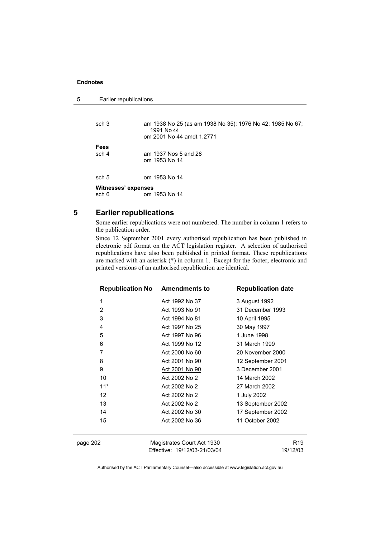5 Earlier republications

```
sch 3 am 1938 No 25 (as am 1938 No 35); 1976 No 42; 1985 No 67; 
                  1991 No 44 
                 om 2001 No 44 amdt 1.2771 
Fees 
sch 4 am 1937 Nos 5 and 28 
                om 1953 No 14 
sch 5 om 1953 No 14 
Witnesses' expenses<br>sch 6 om
               om 1953 No 14
```
# **5 Earlier republications**

Some earlier republications were not numbered. The number in column 1 refers to the publication order.

Since 12 September 2001 every authorised republication has been published in electronic pdf format on the ACT legislation register. A selection of authorised republications have also been published in printed format. These republications are marked with an asterisk (\*) in column 1. Except for the footer, electronic and printed versions of an authorised republication are identical.

|                | <b>Republication No Amendments to</b> | <b>Republication date</b> |                 |
|----------------|---------------------------------------|---------------------------|-----------------|
| 1              | Act 1992 No 37                        | 3 August 1992             |                 |
| $\overline{2}$ | Act 1993 No 91                        | 31 December 1993          |                 |
| 3              | Act 1994 No 81                        | 10 April 1995             |                 |
| 4              | Act 1997 No 25                        | 30 May 1997               |                 |
| 5              | Act 1997 No 96                        | 1 June 1998               |                 |
| 6              | Act 1999 No 12                        | 31 March 1999             |                 |
| 7              | Act 2000 No 60                        | 20 November 2000          |                 |
| 8              | Act 2001 No 90                        | 12 September 2001         |                 |
| 9              | Act 2001 No 90                        | 3 December 2001           |                 |
| 10             | Act 2002 No 2                         | 14 March 2002             |                 |
| $11*$          | Act 2002 No 2                         | 27 March 2002             |                 |
| 12             | Act 2002 No 2                         | 1 July 2002               |                 |
| 13             | Act 2002 No 2                         | 13 September 2002         |                 |
| 14             | Act 2002 No 30                        | 17 September 2002         |                 |
| 15             | Act 2002 No 36                        | 11 October 2002           |                 |
| page 202       | Magistrates Court Act 1930            |                           | R <sub>19</sub> |

Authorised by the ACT Parliamentary Counsel—also accessible at www.legislation.act.gov.au

19/12/03

Effective: 19/12/03-21/03/04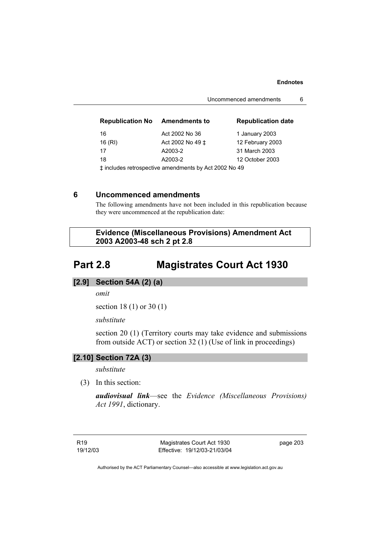#### **Endnotes**

Uncommenced amendments 6

| <b>Republication No</b>                                 | <b>Amendments to</b> | <b>Republication date</b> |
|---------------------------------------------------------|----------------------|---------------------------|
| 16                                                      | Act 2002 No 36       | 1 January 2003            |
| 16 (RI)                                                 | Act 2002 No 49 ±     | 12 February 2003          |
| 17                                                      | A2003-2              | 31 March 2003             |
| 18                                                      | A2003-2              | 12 October 2003           |
| $+$ included refreededive amondments by Act 2002 No. 40 |                      |                           |

‡ includes retrospective amendments by Act 2002 No 49

### **6 Uncommenced amendments**

The following amendments have not been included in this republication because they were uncommenced at the republication date:

 **Evidence (Miscellaneous Provisions) Amendment Act 2003 A2003-48 sch 2 pt 2.8** 

# **Part 2.8 Magistrates Court Act 1930**

#### **[2.9] Section 54A (2) (a)**

*omit* 

section 18 (1) or 30 (1)

*substitute* 

section 20 (1) (Territory courts may take evidence and submissions from outside ACT) or section 32 (1) (Use of link in proceedings)

#### **[2.10] Section 72A (3)**

*substitute* 

(3) In this section:

*audiovisual link*—see the *Evidence (Miscellaneous Provisions) Act 1991*, dictionary.

Magistrates Court Act 1930 Effective: 19/12/03-21/03/04 page 203

Authorised by the ACT Parliamentary Counsel—also accessible at www.legislation.act.gov.au